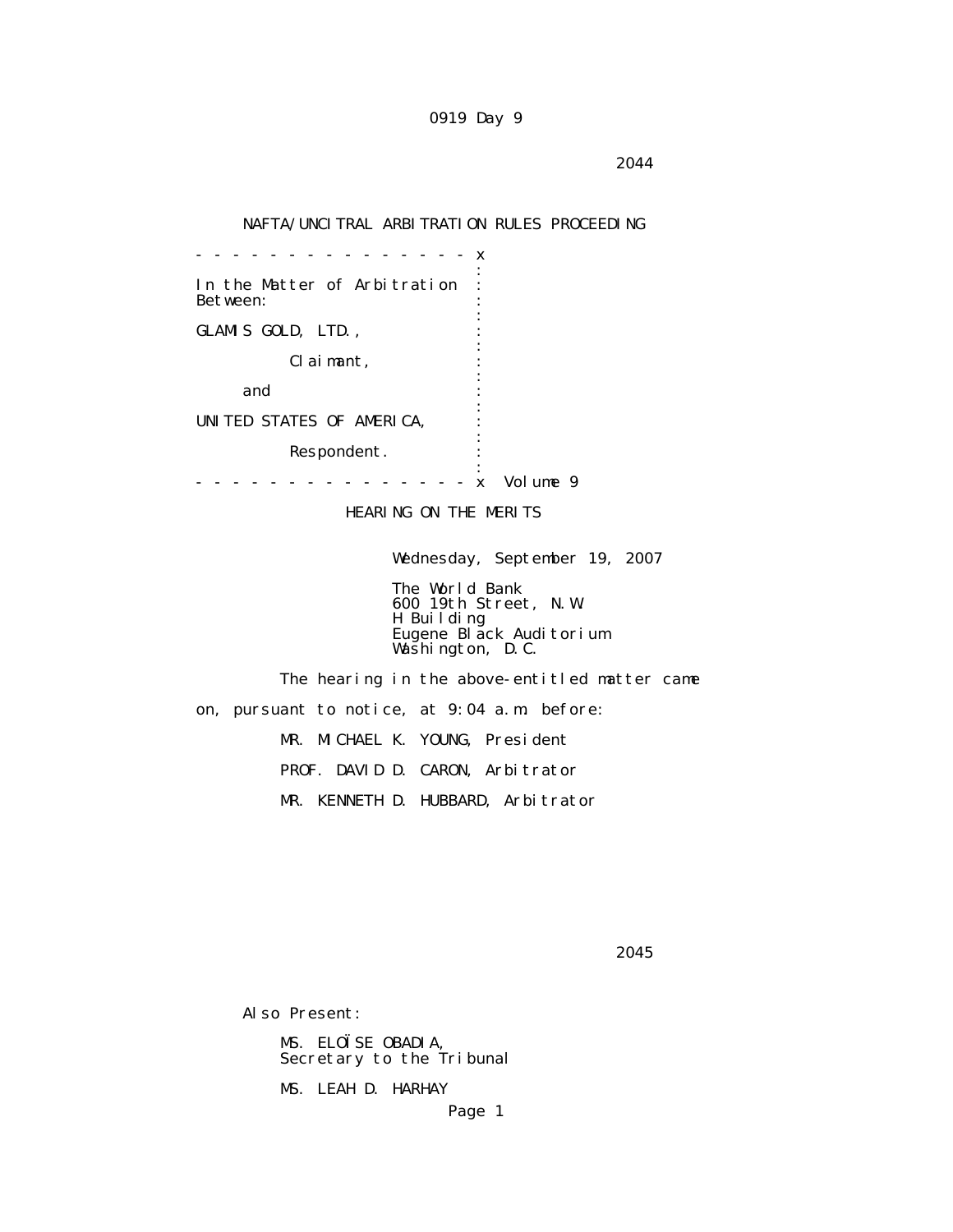## NAFTA/UNCITRAL ARBITRATION RULES PROCEEDING

 - - - - - - - - - - - - - - - x the contract of the contract of the contract of the contract of the contract of the contract of the contract of In the Matter of Arbitration : Between: the contract of the contract of the contract of the contract of the contract of the contract of the contract of GLAMIS GOLD, LTD., the contract of the contract of the contract of the contract of the contract of the contract of the contract of Claimant, : the contract of the contract of the contract of the contract of the contract of the contract of the contract of and  $\cdots$  : the contract of the contract of the contract of the contract of the contract of the contract of the contract of UNITED STATES OF AMERICA, : the contract of the contract of the contract of the contract of the contract of the contract of the contract of Respondent. the contract of the contract of the contract of the contract of the contract of the contract of the contract of - - - - - - - - - - - - - - - x Volume 9

HEARING ON THE MERITS

Wednesday, September 19, 2007

 The World Bank 600 19th Street, N.W. H Building Eugene Black Auditorium Washington, D.C.

> The hearing in the above-entitled matter came on, pursuant to notice, at 9:04 a.m. before: MR. MICHAEL K. YOUNG, President PROF. DAVID D. CARON, Arbitrator MR. KENNETH D. HUBBARD, Arbitrator

 $2045$ 

Also Present:

 MS. ELOÏSE OBADIA, Secretary to the Tribunal

MS. LEAH D. HARHAY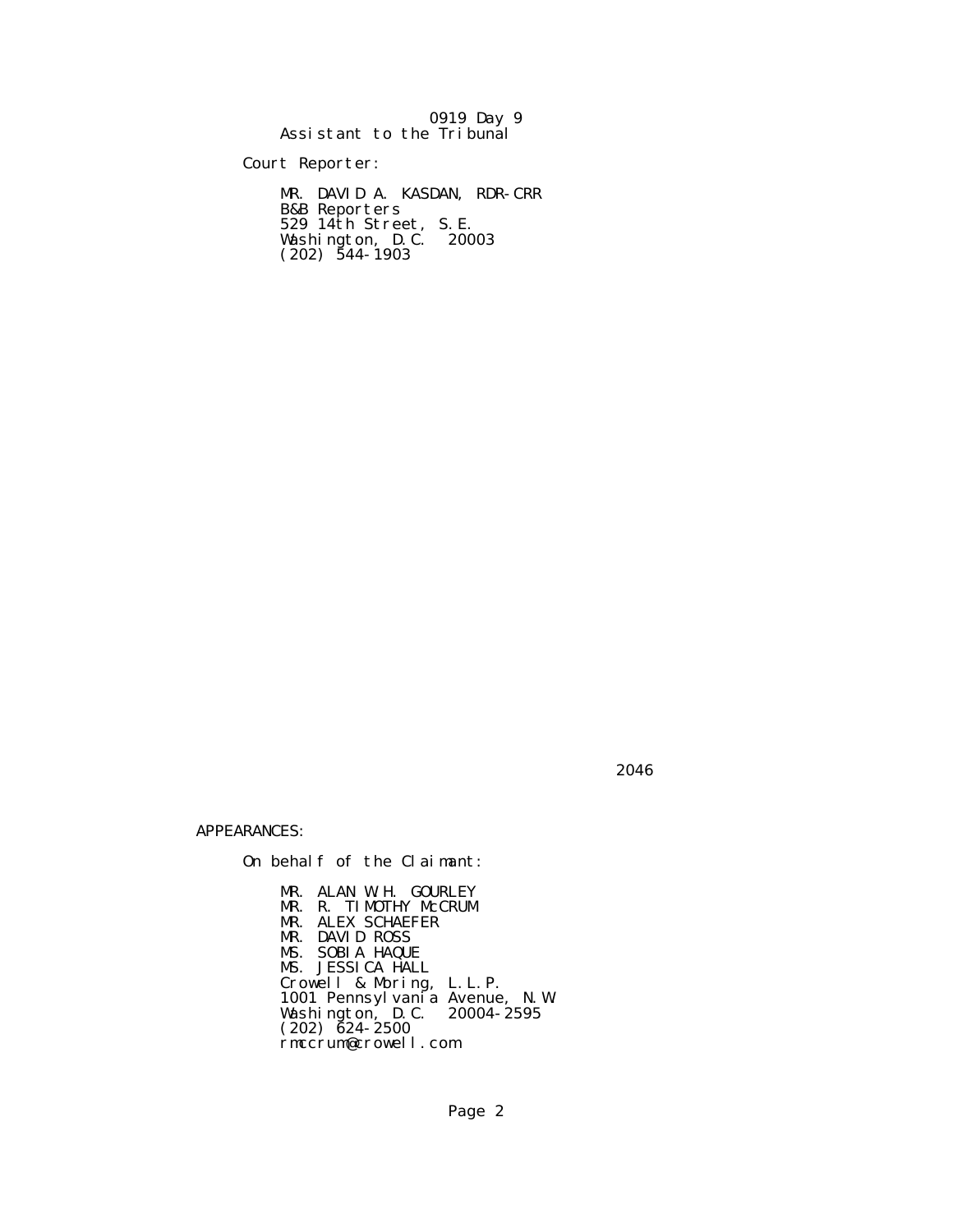0919 Day 9 Assistant to the Tribunal

Court Reporter:

 MR. DAVID A. KASDAN, RDR-CRR B&B Reporters 529 14th Street, S.E. Washington, D.C. 20003  $(202)$  544-1903

 $2046$ 

APPEARANCES:

On behalf of the Claimant:

 MR. ALAN W.H. GOURLEY MR. R. TIMOTHY McCRUM MR. ALEX SCHAEFER MR. DAVID ROSS MS. SOBIA HAQUE MS. JESSICA HALL Crowell & Moring, L.L.P. 1001 Pennsylvania Avenue, N.W. Washington, D.C. 20004-2595  $(202)$   $\bar{6}24 - 2500$ rmccrum@crowell.com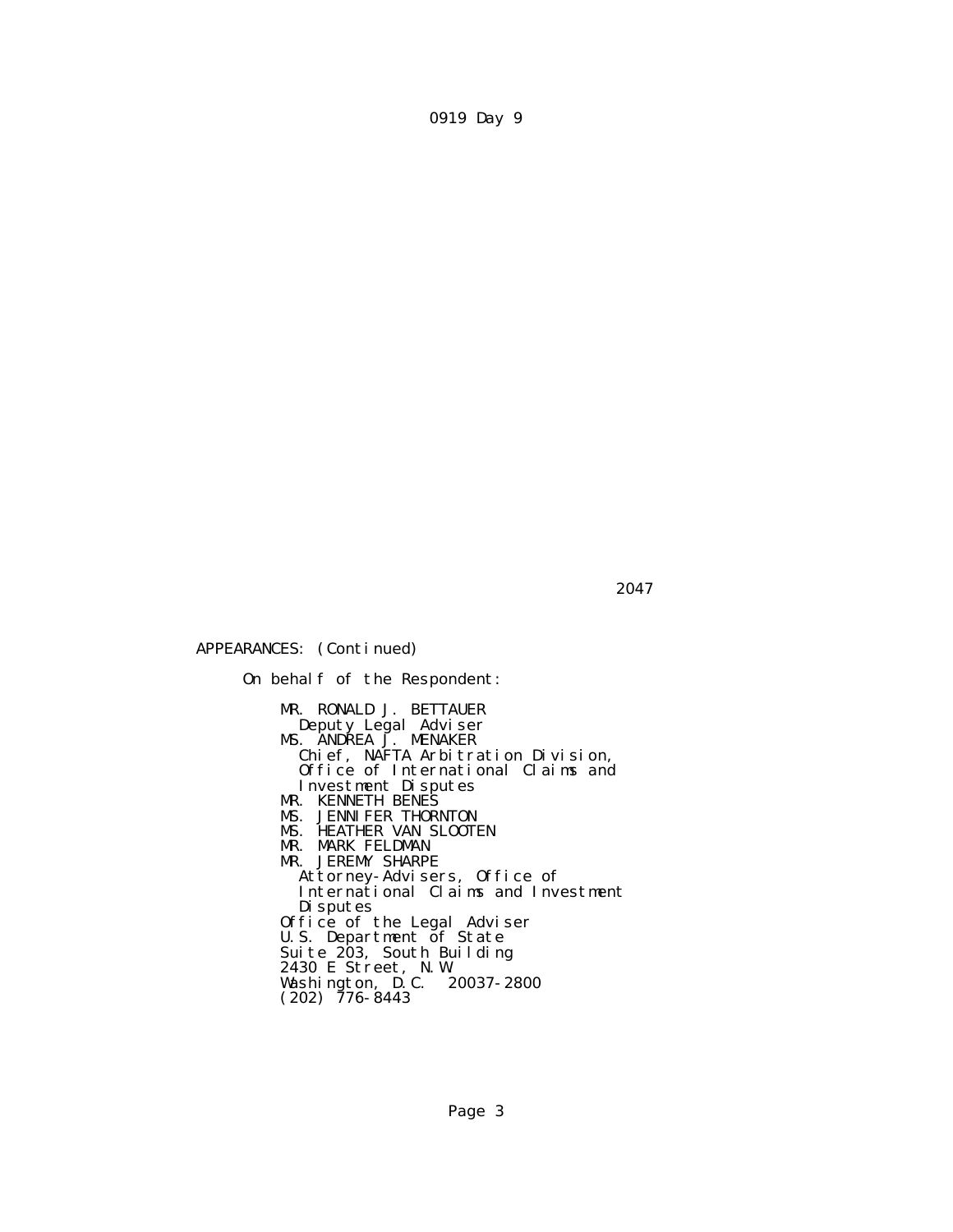$2047$ 

APPEARANCES: (Continued)

 On behalf of the Respondent: MR. RONALD J. BETTAUER Deputy Legal Adviser MS. ANDREA J. MENAKER Chief, NAFTA Arbitration Division, Office of International Claims and Investment Disputes MR. KENNETH BENES MS. JENNIFER THORNTON MS. HEATHER VAN SLOOTEN MR. MARK FELDMAN MR. JEREMY SHARPE Attorney-Advisers, Office of International Claims and Investment Disputes Office of the Legal Adviser U.S. Department of State Suite 203, South Building 2430 E Street, N.W. Washington, D.C. 20037-2800  $(202)$  776-8443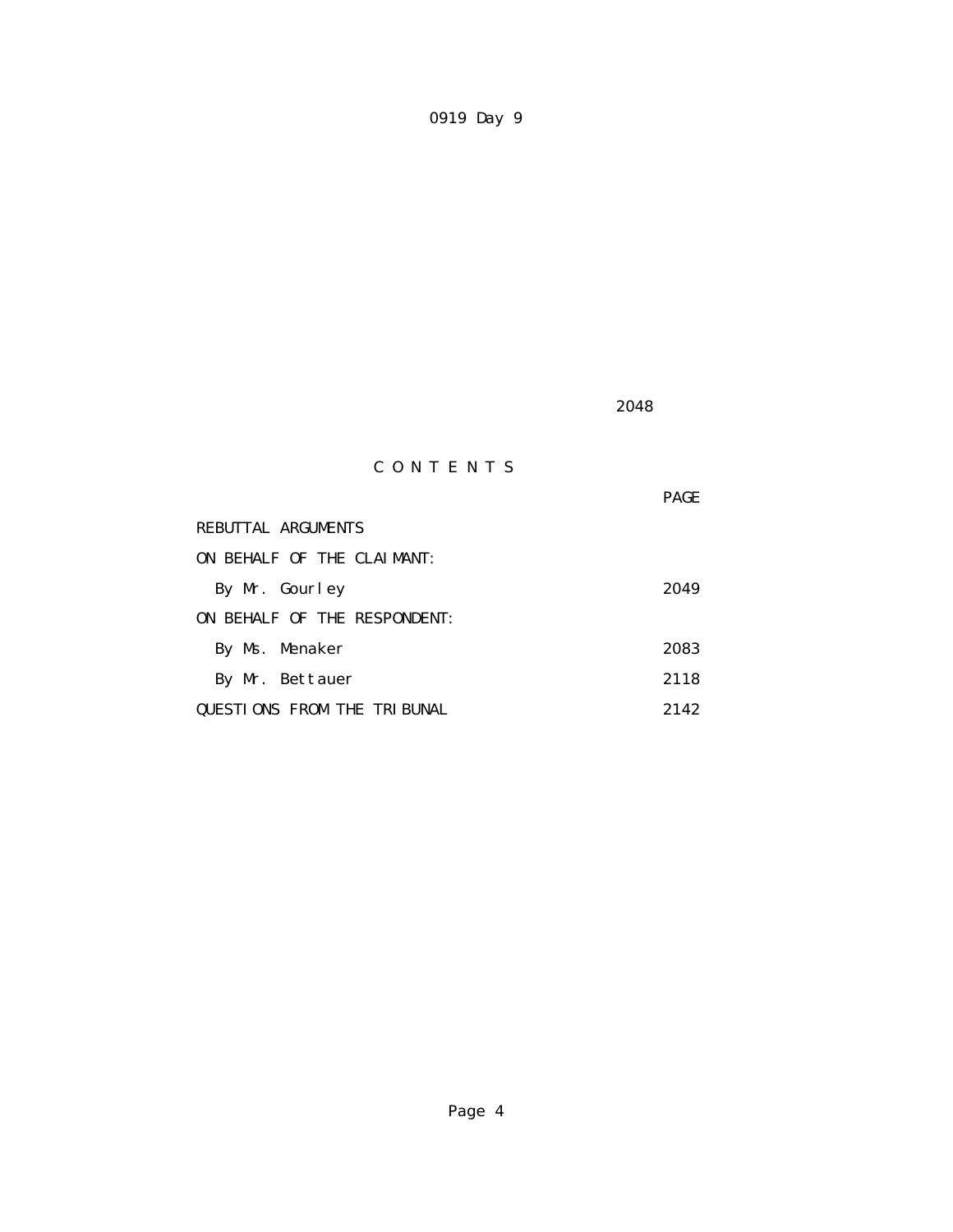2048

# C O N T E N T S

|                                    | <b>PAGE</b> |
|------------------------------------|-------------|
| REBUTTAL ARGUMENTS                 |             |
| ON BEHALF OF THE CLAIMANT:         |             |
| By Mr. Gourley                     | 2049        |
| ON BEHALF OF THE RESPONDENT:       |             |
| By Ms. Menaker                     | 2083        |
| By Mr. Bettauer                    | 2118        |
| <b>QUESTIONS FROM THE TRIBUNAL</b> | 2142        |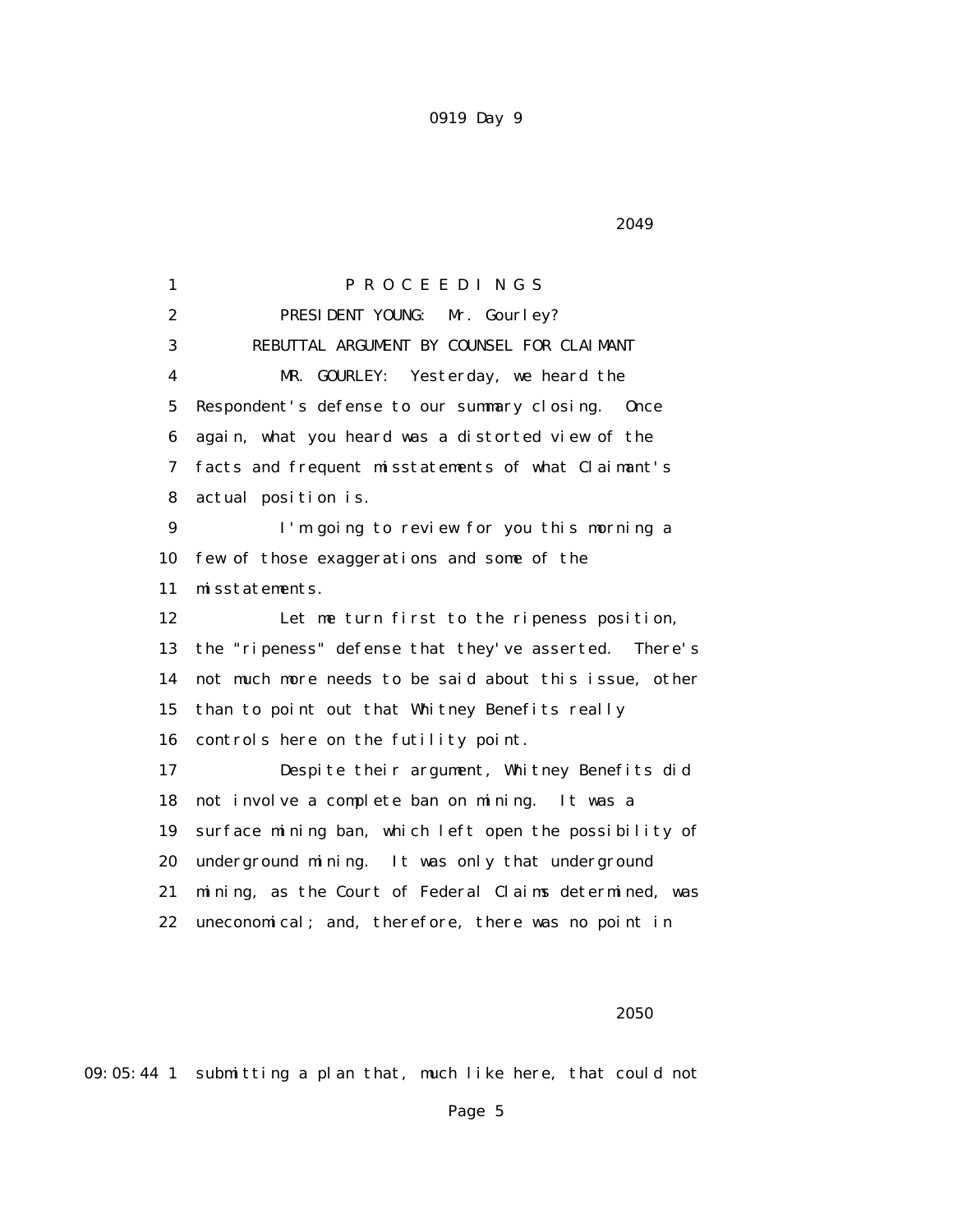2049

 1 P R O C E E D I N G S 2 **PRESIDENT YOUNG:** Mr. Gourley? 3 REBUTTAL ARGUMENT BY COUNSEL FOR CLAIMANT 4 MR. GOURLEY: Yesterday, we heard the 5 Respondent's defense to our summary closing. Once 6 again, what you heard was a distorted view of the 7 facts and frequent misstatements of what Claimant's 8 actual position is. 9 I'm going to review for you this morning a 10 few of those exaggerations and some of the 11 misstatements. 12 Let me turn first to the ripeness position, 13 the "ripeness" defense that they've asserted. There's 14 not much more needs to be said about this issue, other 15 than to point out that Whitney Benefits really 16 controls here on the futility point. 17 Despite their argument, Whitney Benefits did 18 not involve a complete ban on mining. It was a 19 surface mining ban, which left open the possibility of 20 underground mining. It was only that underground 21 mining, as the Court of Federal Claims determined, was 22 uneconomical; and, therefore, there was no point in

 $2050$ 

09:05:44 1 submitting a plan that, much like here, that could not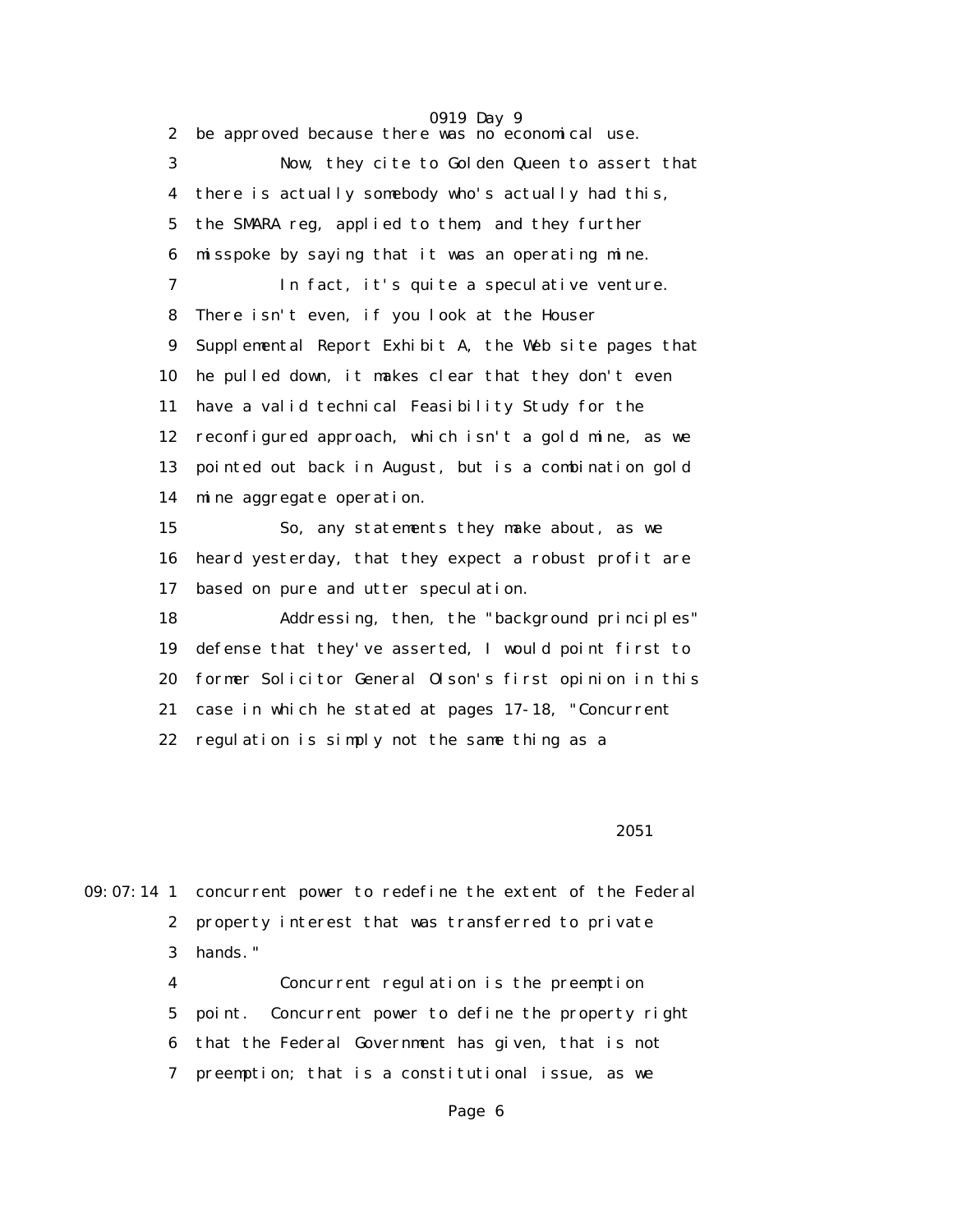2 be approved because there was no economical use. 3 Now, they cite to Golden Queen to assert that 4 there is actually somebody who's actually had this, 5 the SMARA reg, applied to them, and they further 6 misspoke by saying that it was an operating mine. 7 In fact, it's quite a speculative venture. 8 There isn't even, if you look at the Houser 9 Supplemental Report Exhibit A, the Web site pages that 10 he pulled down, it makes clear that they don't even 11 have a valid technical Feasibility Study for the 12 reconfigured approach, which isn't a gold mine, as we 13 pointed out back in August, but is a combination gold 14 mine aggregate operation. 15 So, any statements they make about, as we 16 heard yesterday, that they expect a robust profit are 17 based on pure and utter speculation. 18 Addressing, then, the "background principles" 19 defense that they've asserted, I would point first to 20 former Solicitor General Olson's first opinion in this 21 case in which he stated at pages 17-18, "Concurrent 22 regulation is simply not the same thing as a

 $2051$ 

09:07:14 1 concurrent power to redefine the extent of the Federal 2 property interest that was transferred to private 3 hands."

> 4 Concurrent regulation is the preemption 5 point. Concurrent power to define the property right 6 that the Federal Government has given, that is not 7 preemption; that is a constitutional issue, as we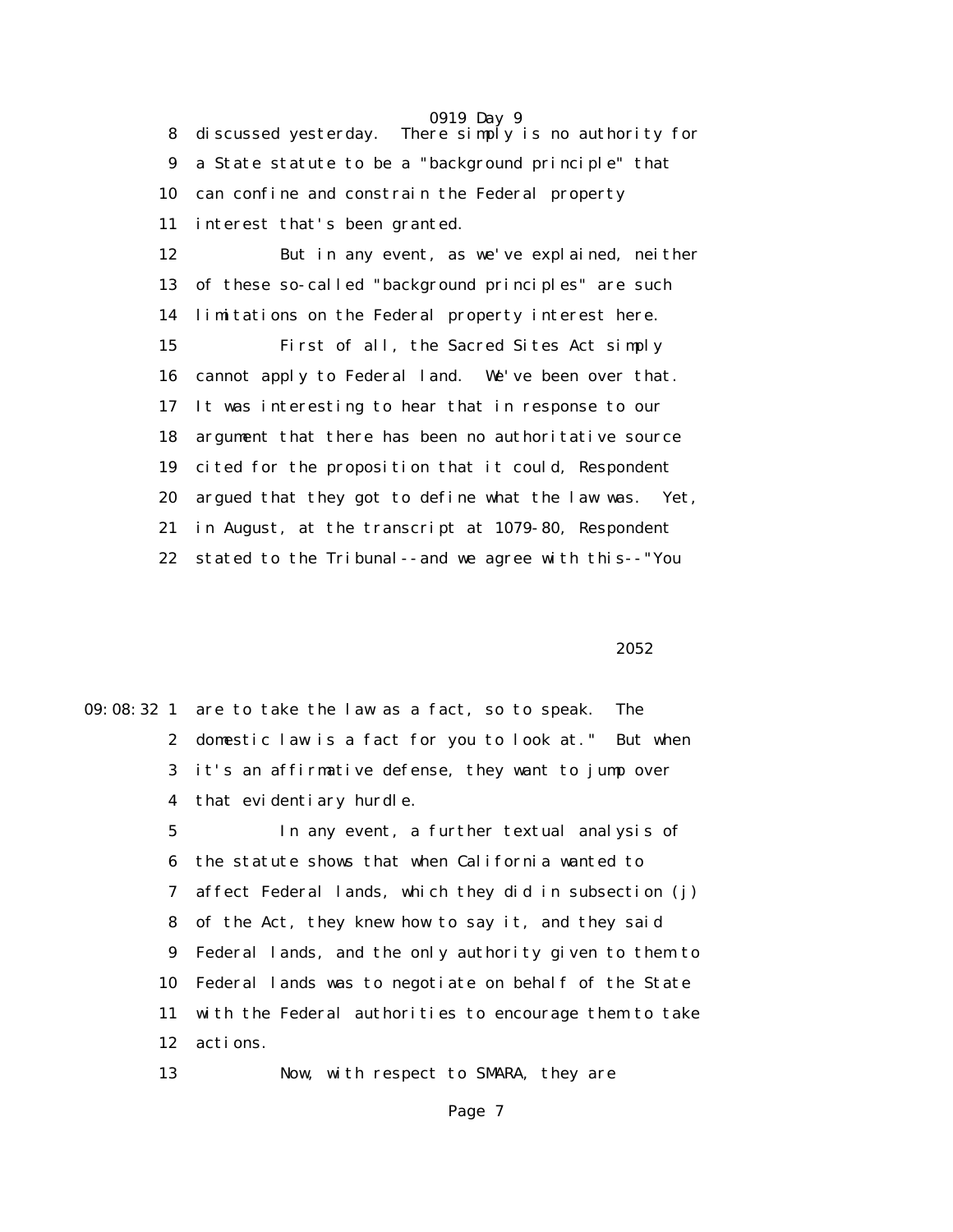0919 Day 9 8 discussed yesterday. There simply is no authority for 9 a State statute to be a "background principle" that 10 can confine and constrain the Federal property 11 interest that's been granted.

 12 But in any event, as we've explained, neither 13 of these so-called "background principles" are such 14 limitations on the Federal property interest here. 15 First of all, the Sacred Sites Act simply 16 cannot apply to Federal land. We've been over that. 17 It was interesting to hear that in response to our 18 argument that there has been no authoritative source 19 cited for the proposition that it could, Respondent 20 argued that they got to define what the law was. Yet, 21 in August, at the transcript at 1079-80, Respondent 22 stated to the Tribunal--and we agree with this--"You

 $2052$ 

| 09:08:32 1 are to take the law as a fact, so to speak. The  |
|-------------------------------------------------------------|
| 2 domestic law is a fact for you to look at." But when      |
| 3 it's an affirmative defense, they want to jump over       |
| 4 that evidentiary hurdle.                                  |
| In any event, a further textual analysis of                 |
| 6 the statute shows that when California wanted to          |
| 7 affect Federal lands, which they did in subsection (j)    |
| 8 of the Act, they knew how to say it, and they said        |
| 9 Federal lands, and the only authority given to them to    |
| Federal lands was to negotiate on behalf of the State<br>10 |
| with the Federal authorities to encourage them to take      |
| 12<br>actions.                                              |
| Now, with respect to SMARA, they are                        |
|                                                             |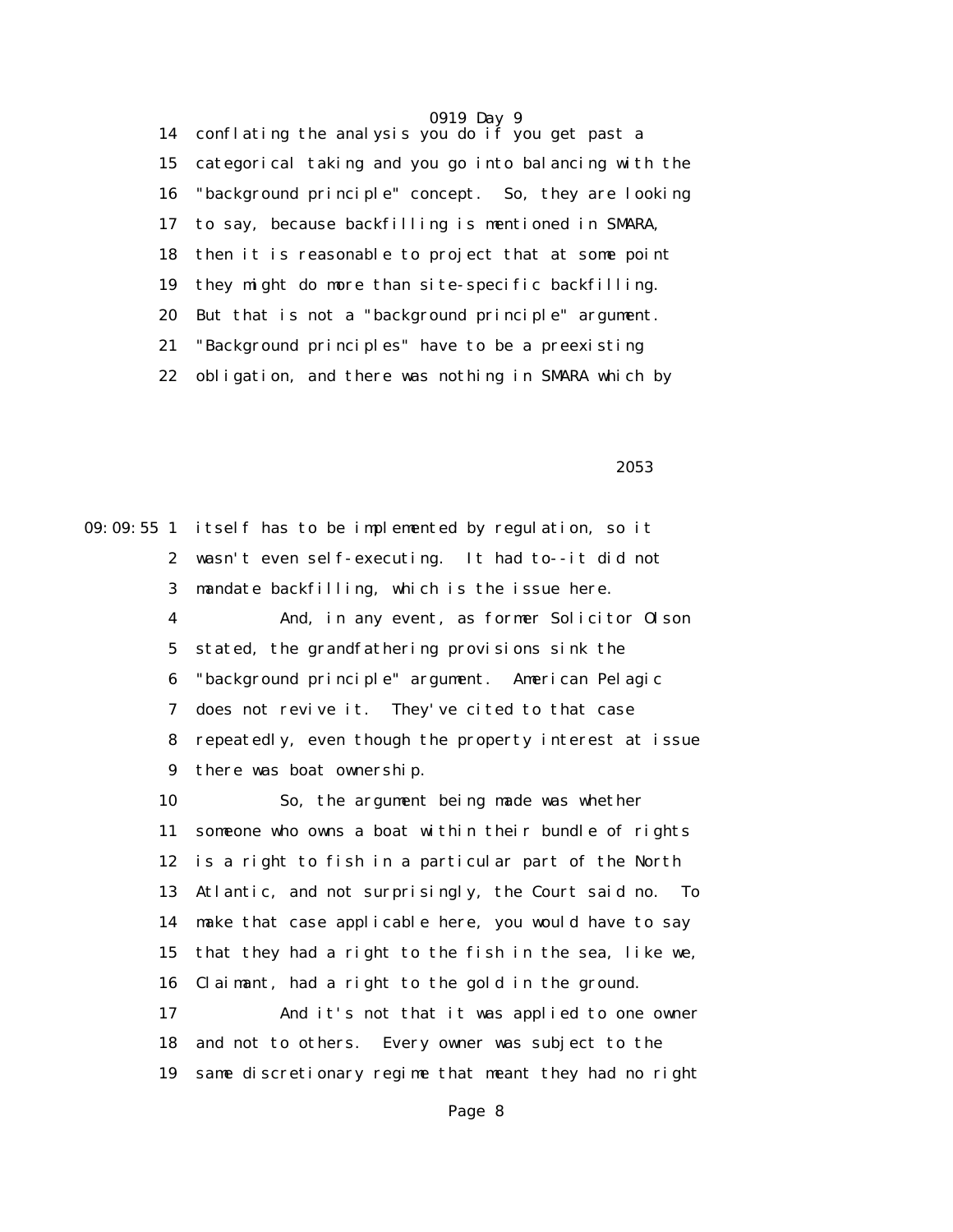14 conflating the analysis you do if you get past a 15 categorical taking and you go into balancing with the 16 "background principle" concept. So, they are looking 17 to say, because backfilling is mentioned in SMARA, 18 then it is reasonable to project that at some point 19 they might do more than site-specific backfilling. 20 But that is not a "background principle" argument. 21 "Background principles" have to be a preexisting 22 obligation, and there was nothing in SMARA which by

 $2053$ 

09:09:55 1 itself has to be implemented by regulation, so it 2 wasn't even self-executing. It had to--it did not 3 mandate backfilling, which is the issue here. 4 And, in any event, as former Solicitor Olson 5 stated, the grandfathering provisions sink the 6 "background principle" argument. American Pelagic 7 does not revive it. They've cited to that case 8 repeatedly, even though the property interest at issue 9 there was boat ownership. 10 So, the argument being made was whether 11 someone who owns a boat within their bundle of rights 12 is a right to fish in a particular part of the North 13 Atlantic, and not surprisingly, the Court said no. To 14 make that case applicable here, you would have to say 15 that they had a right to the fish in the sea, like we, 16 Claimant, had a right to the gold in the ground. 17 And it's not that it was applied to one owner 18 and not to others. Every owner was subject to the 19 same discretionary regime that meant they had no right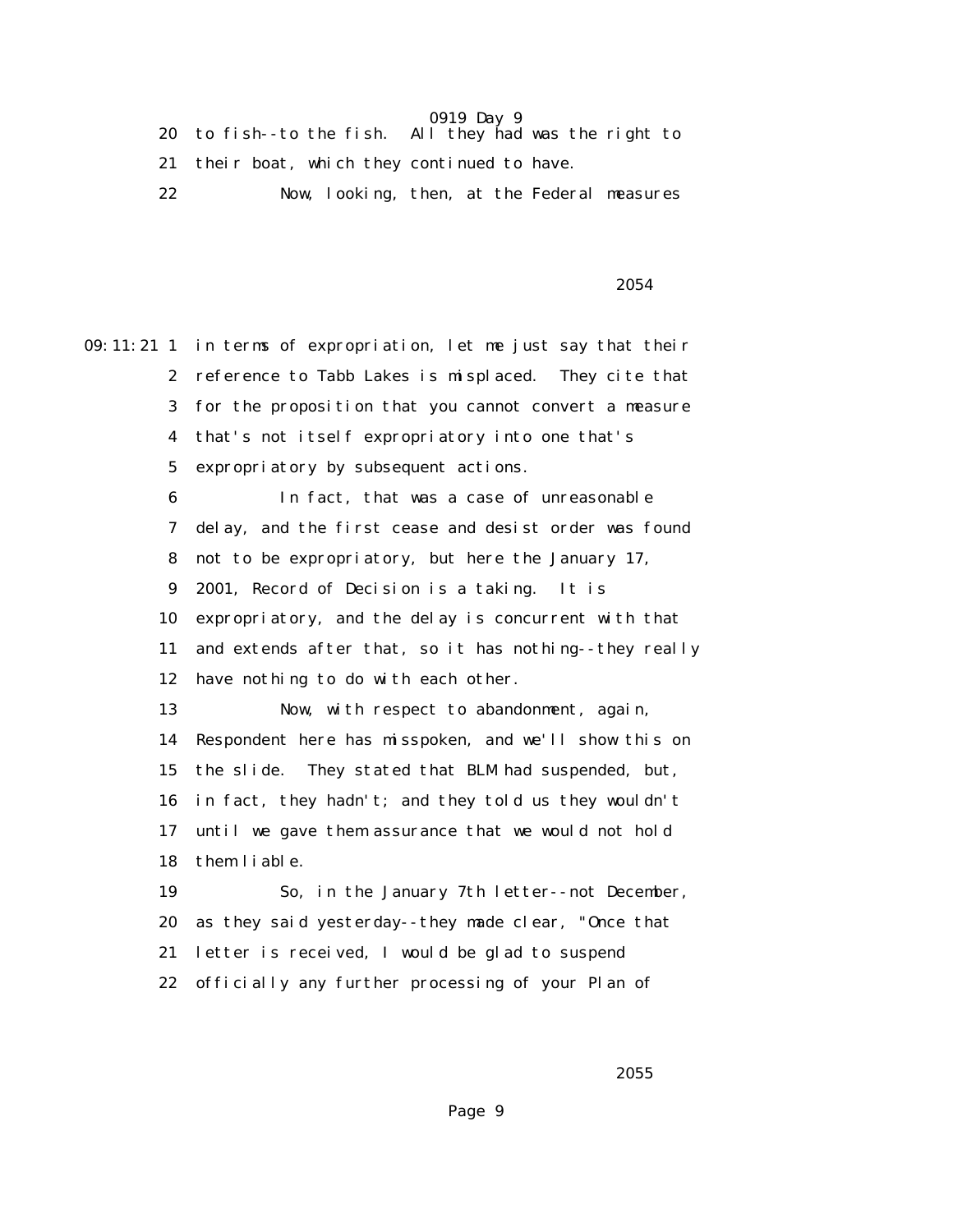|    | 20 to fish-to the fish. All they had was the right to |                                             |
|----|-------------------------------------------------------|---------------------------------------------|
|    | 21 their boat, which they continued to have.          |                                             |
| 22 |                                                       | Now, looking, then, at the Federal measures |

 $2054$ 

09:11:21 1 in terms of expropriation, let me just say that their 2 reference to Tabb Lakes is misplaced. They cite that 3 for the proposition that you cannot convert a measure 4 that's not itself expropriatory into one that's 5 expropriatory by subsequent actions. 6 In fact, that was a case of unreasonable 7 delay, and the first cease and desist order was found 8 not to be expropriatory, but here the January 17, 9 2001, Record of Decision is a taking. It is 10 expropriatory, and the delay is concurrent with that 11 and extends after that, so it has nothing--they really 12 have nothing to do with each other. 13 Now, with respect to abandonment, again, 14 Respondent here has misspoken, and we'll show this on 15 the slide. They stated that BLM had suspended, but, 16 in fact, they hadn't; and they told us they wouldn't 17 until we gave them assurance that we would not hold 18 them liable. 19 So, in the January 7th letter--not December, 20 as they said yesterday--they made clear, "Once that 21 letter is received, I would be glad to suspend 22 officially any further processing of your Plan of

 $2055$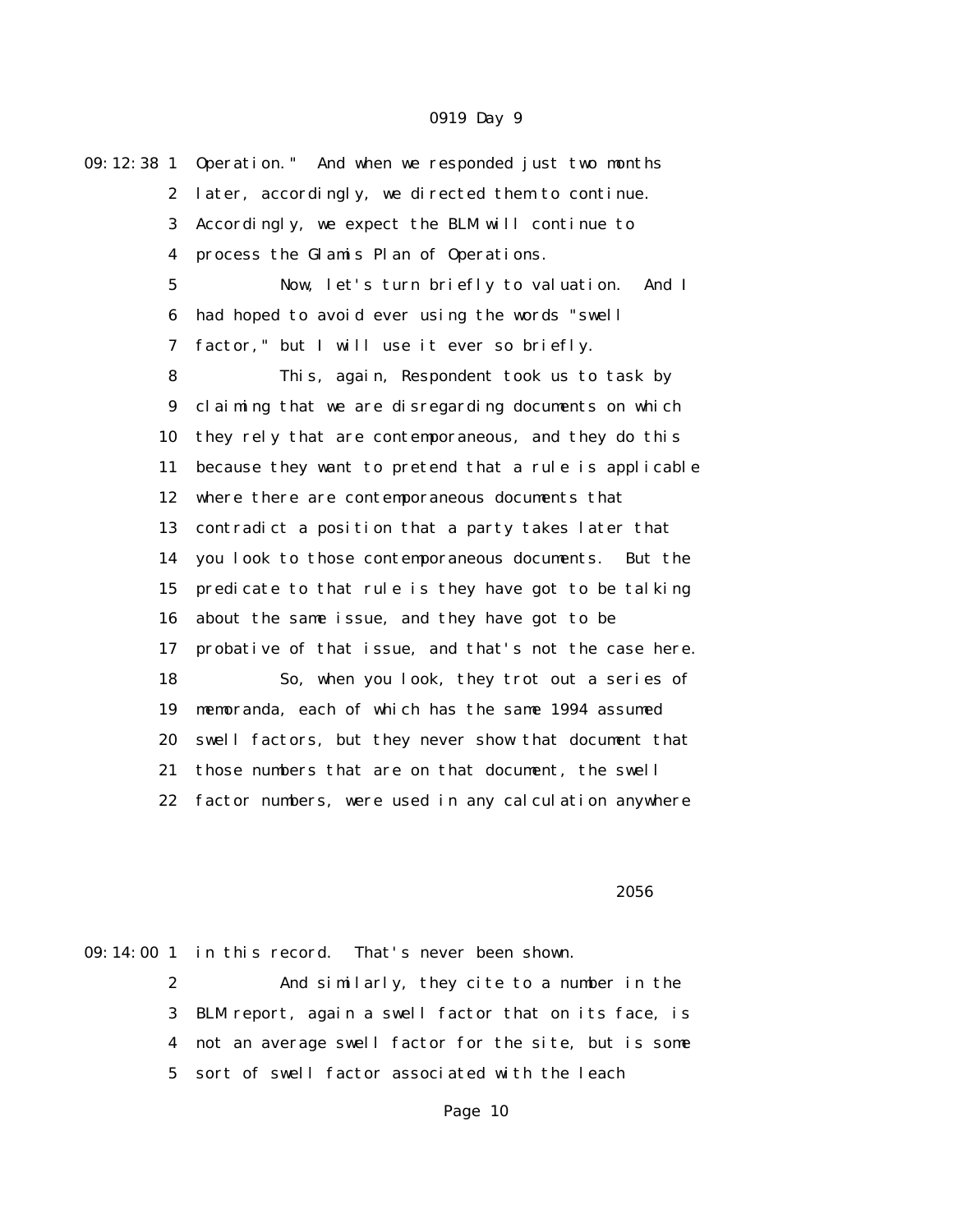09:12:38 1 Operation." And when we responded just two months 2 later, accordingly, we directed them to continue. 3 Accordingly, we expect the BLM will continue to 4 process the Glamis Plan of Operations. 5 Now, let's turn briefly to valuation. And I 6 had hoped to avoid ever using the words "swell 7 factor," but I will use it ever so briefly. 8 This, again, Respondent took us to task by 9 claiming that we are disregarding documents on which 10 they rely that are contemporaneous, and they do this 11 because they want to pretend that a rule is applicable 12 where there are contemporaneous documents that 13 contradict a position that a party takes later that 14 you look to those contemporaneous documents. But the 15 predicate to that rule is they have got to be talking 16 about the same issue, and they have got to be 17 probative of that issue, and that's not the case here. 18 So, when you look, they trot out a series of 19 memoranda, each of which has the same 1994 assumed 20 swell factors, but they never show that document that 21 those numbers that are on that document, the swell 22 factor numbers, were used in any calculation anywhere

#### $2056$

09:14:00 1 in this record. That's never been shown.

 2 And similarly, they cite to a number in the 3 BLM report, again a swell factor that on its face, is 4 not an average swell factor for the site, but is some 5 sort of swell factor associated with the leach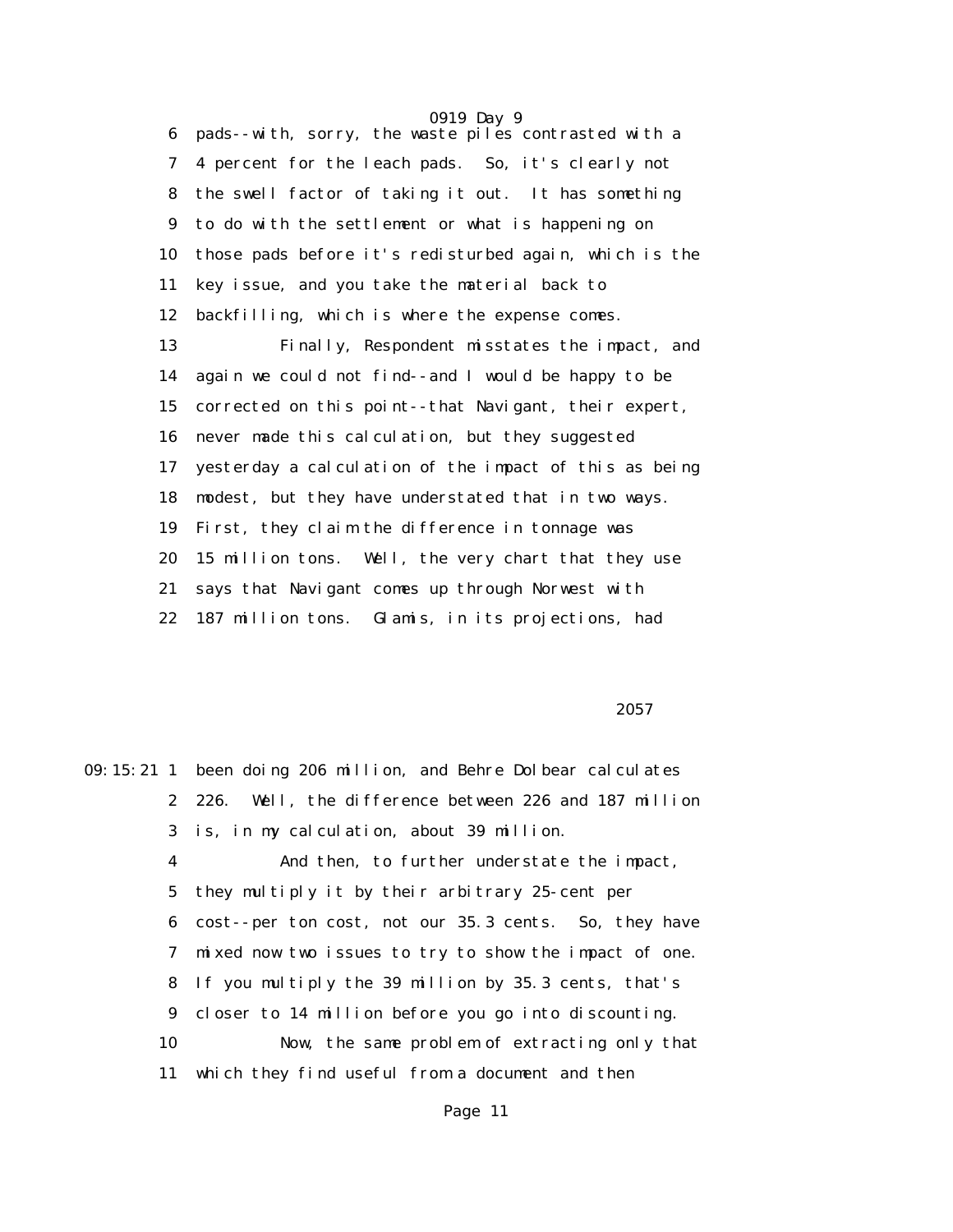0919 Day 9 6 pads--with, sorry, the waste piles contrasted with a 7 4 percent for the leach pads. So, it's clearly not 8 the swell factor of taking it out. It has something 9 to do with the settlement or what is happening on 10 those pads before it's redisturbed again, which is the 11 key issue, and you take the material back to 12 backfilling, which is where the expense comes. 13 Finally, Respondent misstates the impact, and 14 again we could not find--and I would be happy to be 15 corrected on this point--that Navigant, their expert, 16 never made this calculation, but they suggested 17 yesterday a calculation of the impact of this as being 18 modest, but they have understated that in two ways. 19 First, they claim the difference in tonnage was 20 15 million tons. Well, the very chart that they use 21 says that Navigant comes up through Norwest with 22 187 million tons. Glamis, in its projections, had

 $2057$ 

09:15:21 1 been doing 206 million, and Behre Dolbear calculates 2 226. Well, the difference between 226 and 187 million 3 is, in my calculation, about 39 million. 4 And then, to further understate the impact, 5 they multiply it by their arbitrary 25-cent per 6 cost--per ton cost, not our 35.3 cents. So, they have 7 mixed now two issues to try to show the impact of one. 8 If you multiply the 39 million by 35.3 cents, that's 9 closer to 14 million before you go into discounting. 10 Now, the same problem of extracting only that 11 which they find useful from a document and then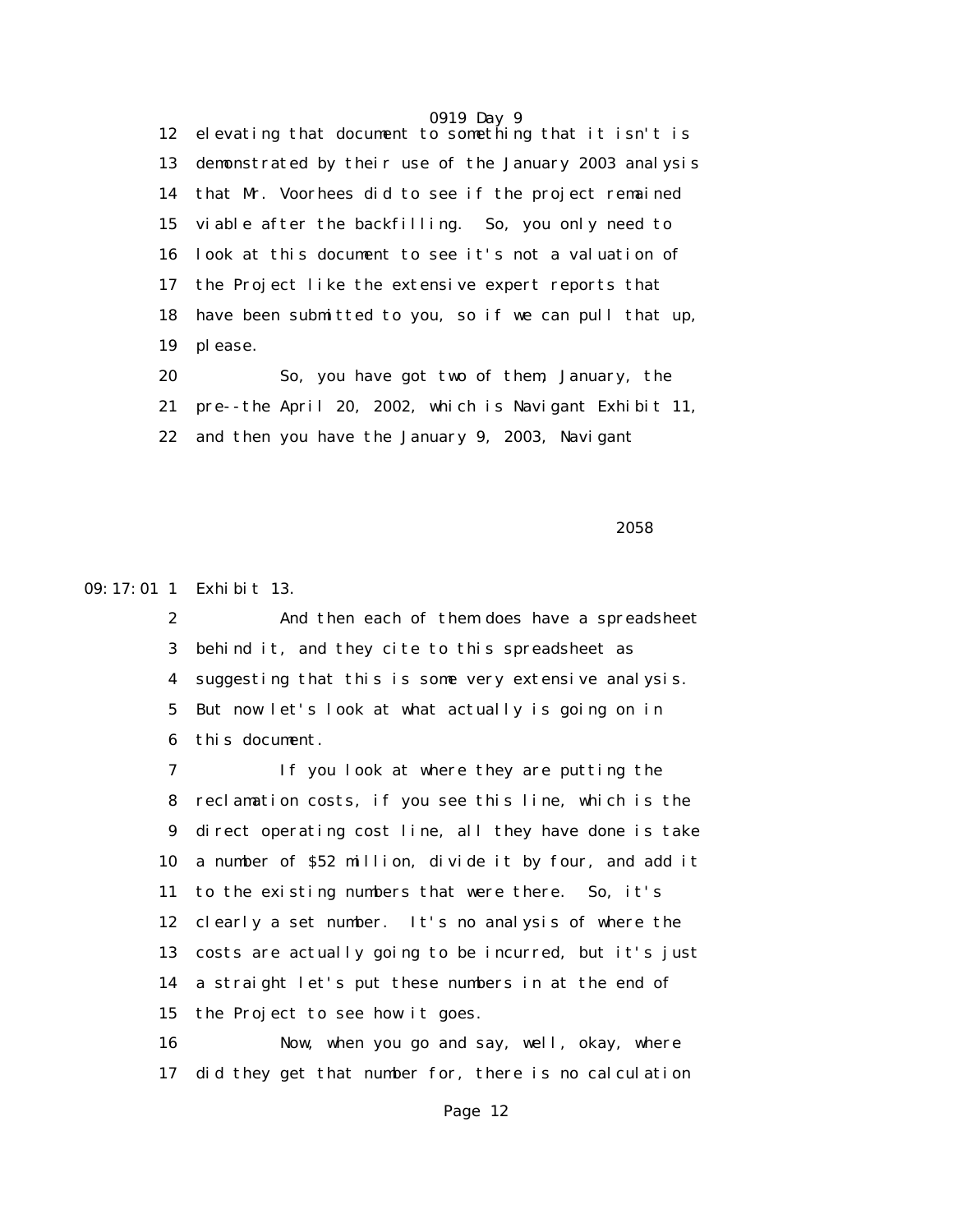0919 Day 9 12 elevating that document to something that it isn't is 13 demonstrated by their use of the January 2003 analysis 14 that Mr. Voorhees did to see if the project remained 15 viable after the backfilling. So, you only need to 16 look at this document to see it's not a valuation of 17 the Project like the extensive expert reports that 18 have been submitted to you, so if we can pull that up, 19 please.

 20 So, you have got two of them, January, the 21 pre--the April 20, 2002, which is Navigant Exhibit 11, 22 and then you have the January 9, 2003, Navigant

 $2058$ 

09:17:01 1 Exhibit 13.

 2 And then each of them does have a spreadsheet 3 behind it, and they cite to this spreadsheet as 4 suggesting that this is some very extensive analysis. 5 But now let's look at what actually is going on in 6 this document.

 7 If you look at where they are putting the 8 reclamation costs, if you see this line, which is the 9 direct operating cost line, all they have done is take 10 a number of \$52 million, divide it by four, and add it 11 to the existing numbers that were there. So, it's 12 clearly a set number. It's no analysis of where the 13 costs are actually going to be incurred, but it's just 14 a straight let's put these numbers in at the end of 15 the Project to see how it goes.

 16 Now, when you go and say, well, okay, where 17 did they get that number for, there is no calculation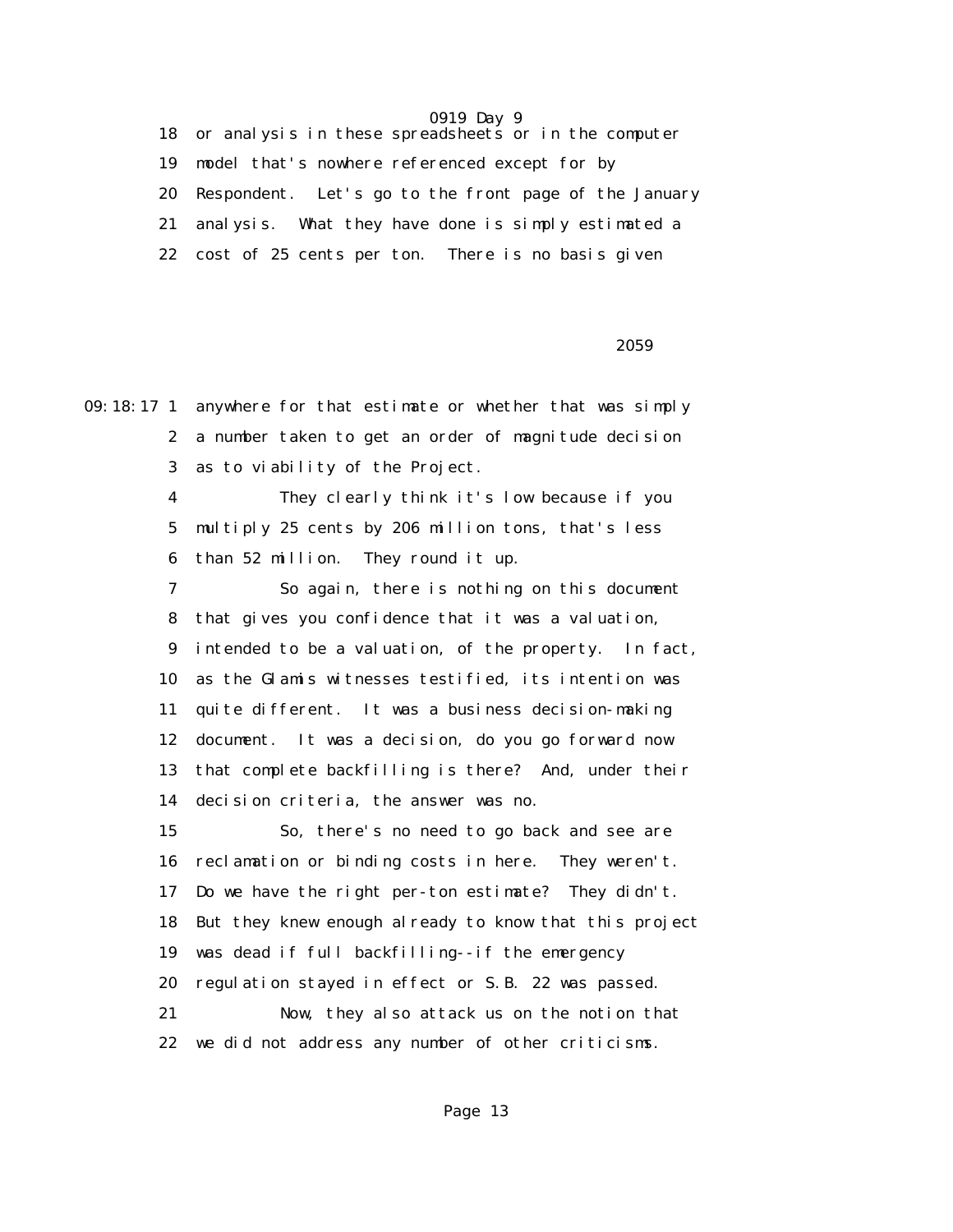18 or analysis in these spreadsheets or in the computer 19 model that's nowhere referenced except for by 20 Respondent. Let's go to the front page of the January 21 analysis. What they have done is simply estimated a 22 cost of 25 cents per ton. There is no basis given

 $2059$ 

09:18:17 1 anywhere for that estimate or whether that was simply 2 a number taken to get an order of magnitude decision 3 as to viability of the Project. 4 They clearly think it's low because if you 5 multiply 25 cents by 206 million tons, that's less 6 than 52 million. They round it up. 7 So again, there is nothing on this document 8 that gives you confidence that it was a valuation, 9 intended to be a valuation, of the property. In fact, 10 as the Glamis witnesses testified, its intention was 11 quite different. It was a business decision-making 12 document. It was a decision, do you go forward now 13 that complete backfilling is there? And, under their 14 decision criteria, the answer was no. 15 So, there's no need to go back and see are 16 reclamation or binding costs in here. They weren't. 17 Do we have the right per-ton estimate? They didn't. 18 But they knew enough already to know that this project 19 was dead if full backfilling--if the emergency 20 regulation stayed in effect or S.B. 22 was passed. 21 Now, they also attack us on the notion that 22 we did not address any number of other criticisms.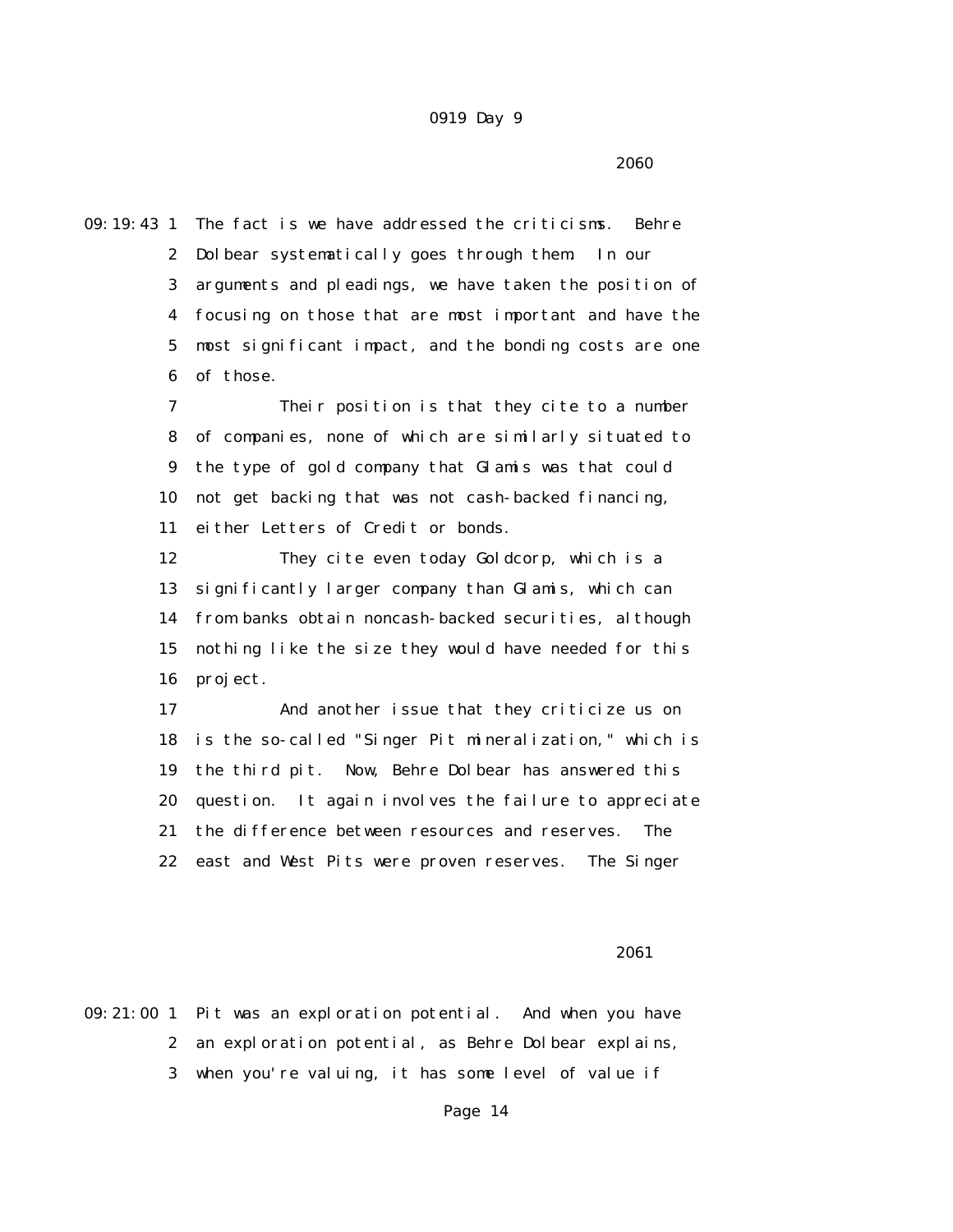$2060$ 

09:19:43 1 The fact is we have addressed the criticisms. Behre 2 Dolbear systematically goes through them. In our 3 arguments and pleadings, we have taken the position of 4 focusing on those that are most important and have the 5 most significant impact, and the bonding costs are one 6 of those.

> 7 Their position is that they cite to a number 8 of companies, none of which are similarly situated to 9 the type of gold company that Glamis was that could 10 not get backing that was not cash-backed financing, 11 either Letters of Credit or bonds.

> 12 They cite even today Goldcorp, which is a 13 significantly larger company than Glamis, which can 14 from banks obtain noncash-backed securities, although 15 nothing like the size they would have needed for this 16 project.

 17 And another issue that they criticize us on 18 is the so-called "Singer Pit mineralization," which is 19 the third pit. Now, Behre Dolbear has answered this 20 question. It again involves the failure to appreciate 21 the difference between resources and reserves. The 22 east and West Pits were proven reserves. The Singer

 $2061$ 

09:21:00 1 Pit was an exploration potential. And when you have 2 an exploration potential, as Behre Dolbear explains, 3 when you're valuing, it has some level of value if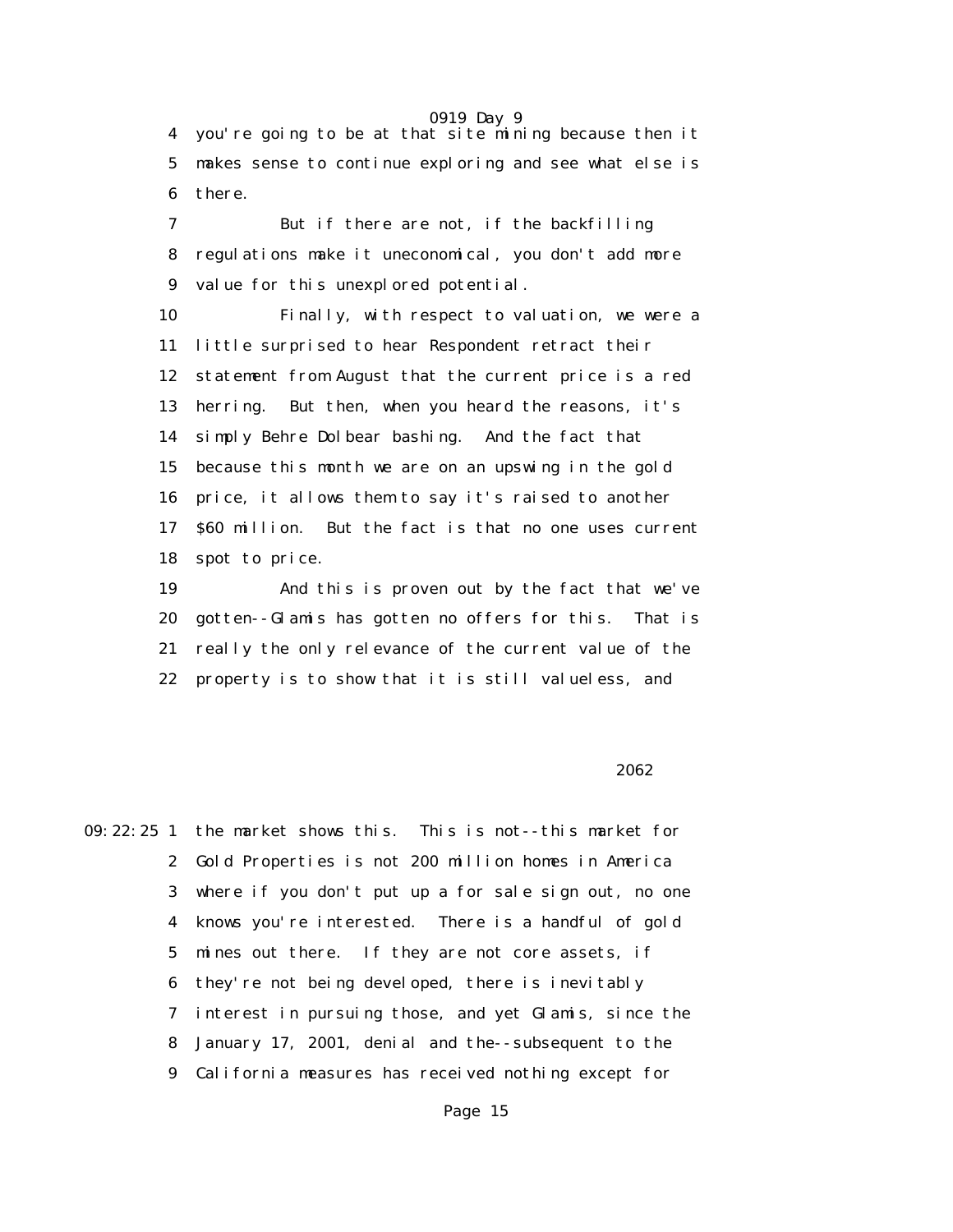0919 Day 9 4 you're going to be at that site mining because then it 5 makes sense to continue exploring and see what else is 6 there.

 7 But if there are not, if the backfilling 8 regulations make it uneconomical, you don't add more 9 value for this unexplored potential.

 10 Finally, with respect to valuation, we were a 11 little surprised to hear Respondent retract their 12 statement from August that the current price is a red 13 herring. But then, when you heard the reasons, it's 14 simply Behre Dolbear bashing. And the fact that 15 because this month we are on an upswing in the gold 16 price, it allows them to say it's raised to another 17 \$60 million. But the fact is that no one uses current 18 spot to price.

 19 And this is proven out by the fact that we've 20 gotten--Glamis has gotten no offers for this. That is 21 really the only relevance of the current value of the 22 property is to show that it is still valueless, and

#### $2062$

09:22:25 1 the market shows this. This is not--this market for 2 Gold Properties is not 200 million homes in America 3 where if you don't put up a for sale sign out, no one 4 knows you're interested. There is a handful of gold 5 mines out there. If they are not core assets, if 6 they're not being developed, there is inevitably 7 interest in pursuing those, and yet Glamis, since the 8 January 17, 2001, denial and the--subsequent to the 9 California measures has received nothing except for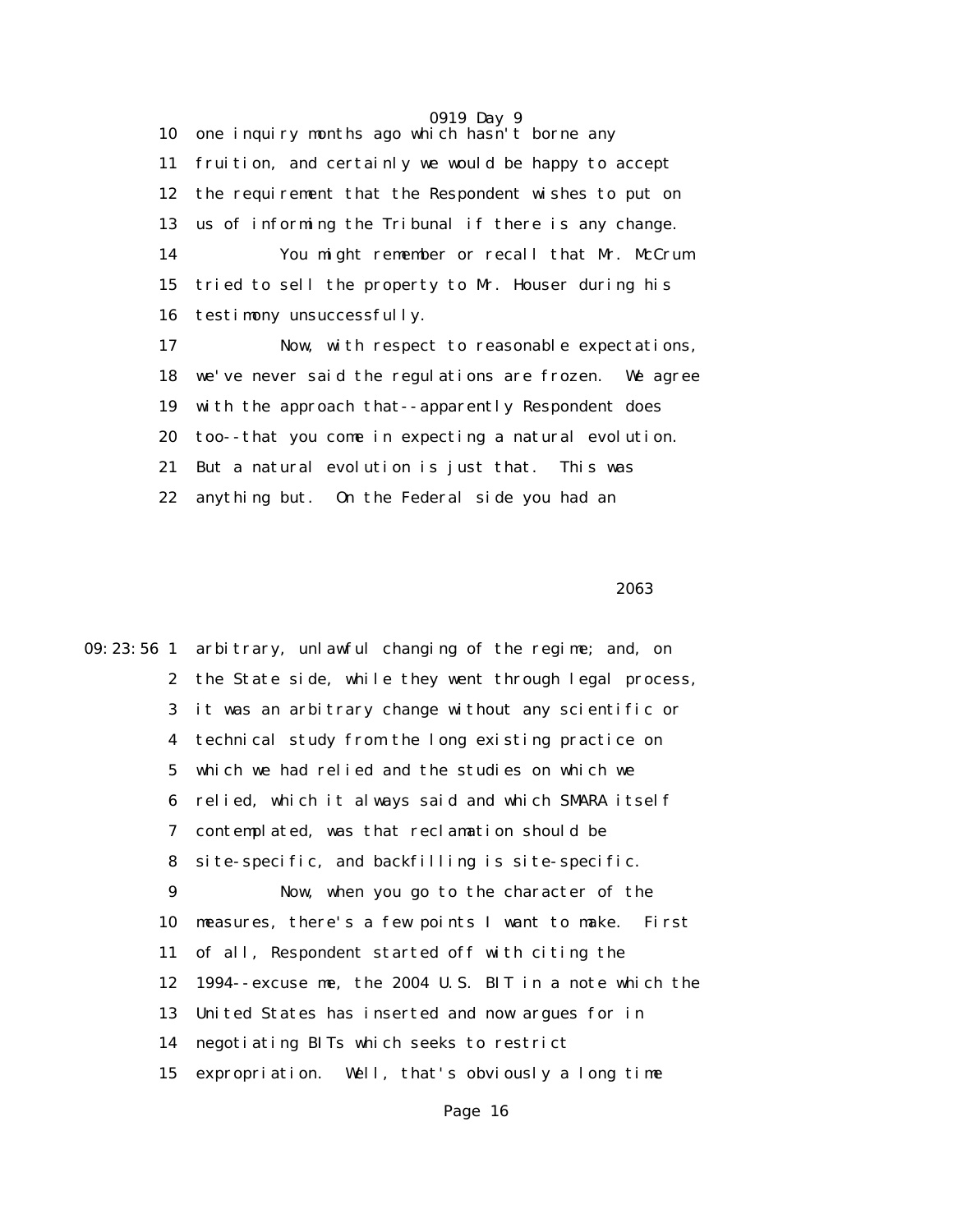0919 Day 9 10 one inquiry months ago which hasn't borne any 11 fruition, and certainly we would be happy to accept 12 the requirement that the Respondent wishes to put on 13 us of informing the Tribunal if there is any change. 14 You might remember or recall that Mr. McCrum 15 tried to sell the property to Mr. Houser during his 16 testimony unsuccessfully. 17 Now, with respect to reasonable expectations,

 18 we've never said the regulations are frozen. We agree 19 with the approach that--apparently Respondent does 20 too--that you come in expecting a natural evolution. 21 But a natural evolution is just that. This was 22 anything but. On the Federal side you had an

 $2063$ 

09:23:56 1 arbitrary, unlawful changing of the regime; and, on 2 the State side, while they went through legal process, 3 it was an arbitrary change without any scientific or 4 technical study from the long existing practice on 5 which we had relied and the studies on which we 6 relied, which it always said and which SMARA itself 7 contemplated, was that reclamation should be 8 site-specific, and backfilling is site-specific. 9 Now, when you go to the character of the 10 measures, there's a few points I want to make. First 11 of all, Respondent started off with citing the 12 1994--excuse me, the 2004 U.S. BIT in a note which the 13 United States has inserted and now argues for in 14 negotiating BITs which seeks to restrict 15 expropriation. Well, that's obviously a long time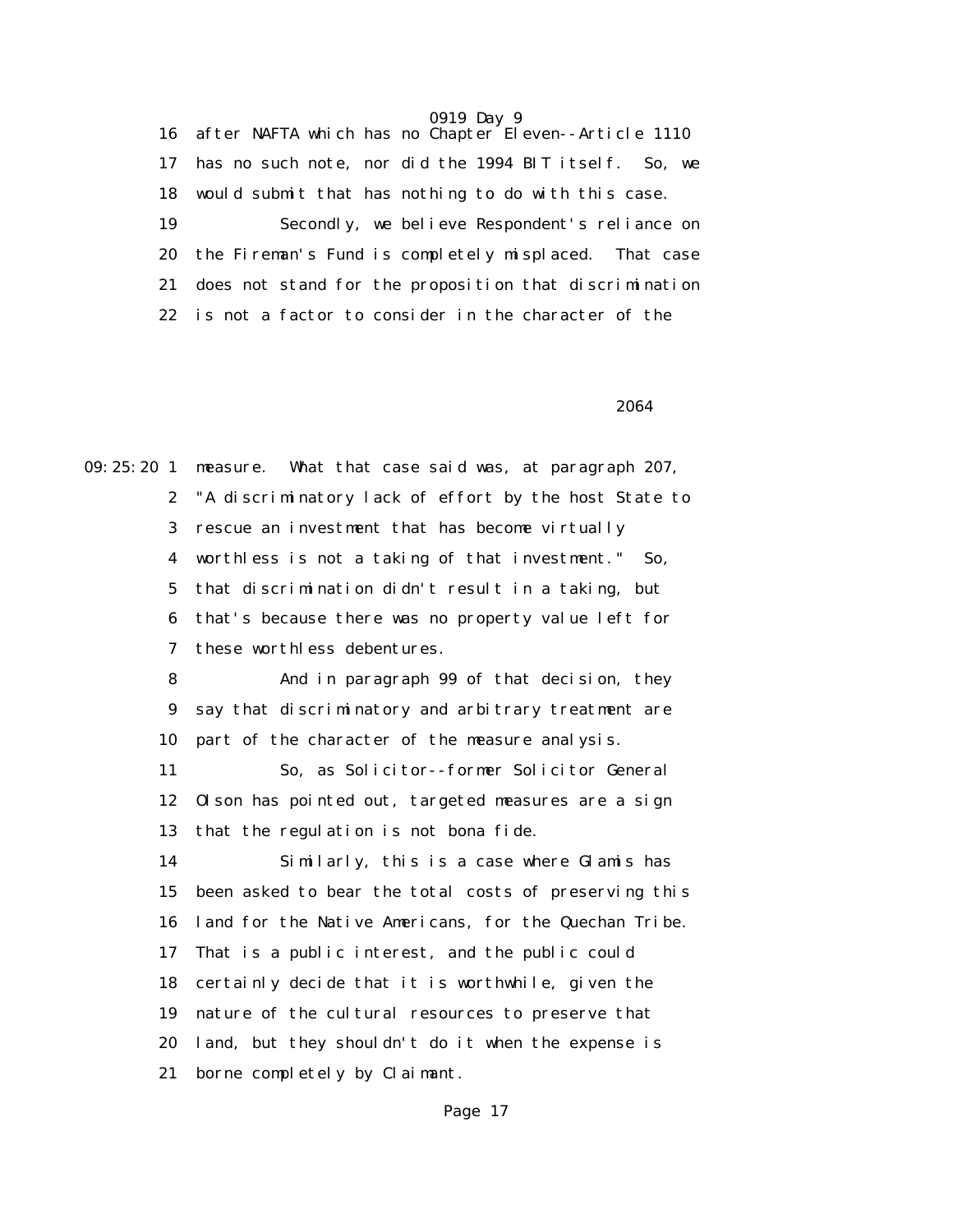16 after NAFTA which has no Chapter Eleven--Article 1110 17 has no such note, nor did the 1994 BIT itself. So, we 18 would submit that has nothing to do with this case. 19 Secondly, we believe Respondent's reliance on 20 the Fireman's Fund is completely misplaced. That case 21 does not stand for the proposition that discrimination 22 is not a factor to consider in the character of the

 $2064$ 

09:25:20 1 measure. What that case said was, at paragraph 207, 2 "A discriminatory lack of effort by the host State to 3 rescue an investment that has become virtually 4 worthless is not a taking of that investment." So, 5 that discrimination didn't result in a taking, but 6 that's because there was no property value left for 7 these worthless debentures.

> 8 And in paragraph 99 of that decision, they 9 say that discriminatory and arbitrary treatment are 10 part of the character of the measure analysis.

> 11 So, as Solicitor--former Solicitor General 12 Olson has pointed out, targeted measures are a sign 13 that the regulation is not bona fide.

 14 Similarly, this is a case where Glamis has 15 been asked to bear the total costs of preserving this 16 land for the Native Americans, for the Quechan Tribe. 17 That is a public interest, and the public could 18 certainly decide that it is worthwhile, given the 19 nature of the cultural resources to preserve that 20 land, but they shouldn't do it when the expense is 21 borne completely by Claimant.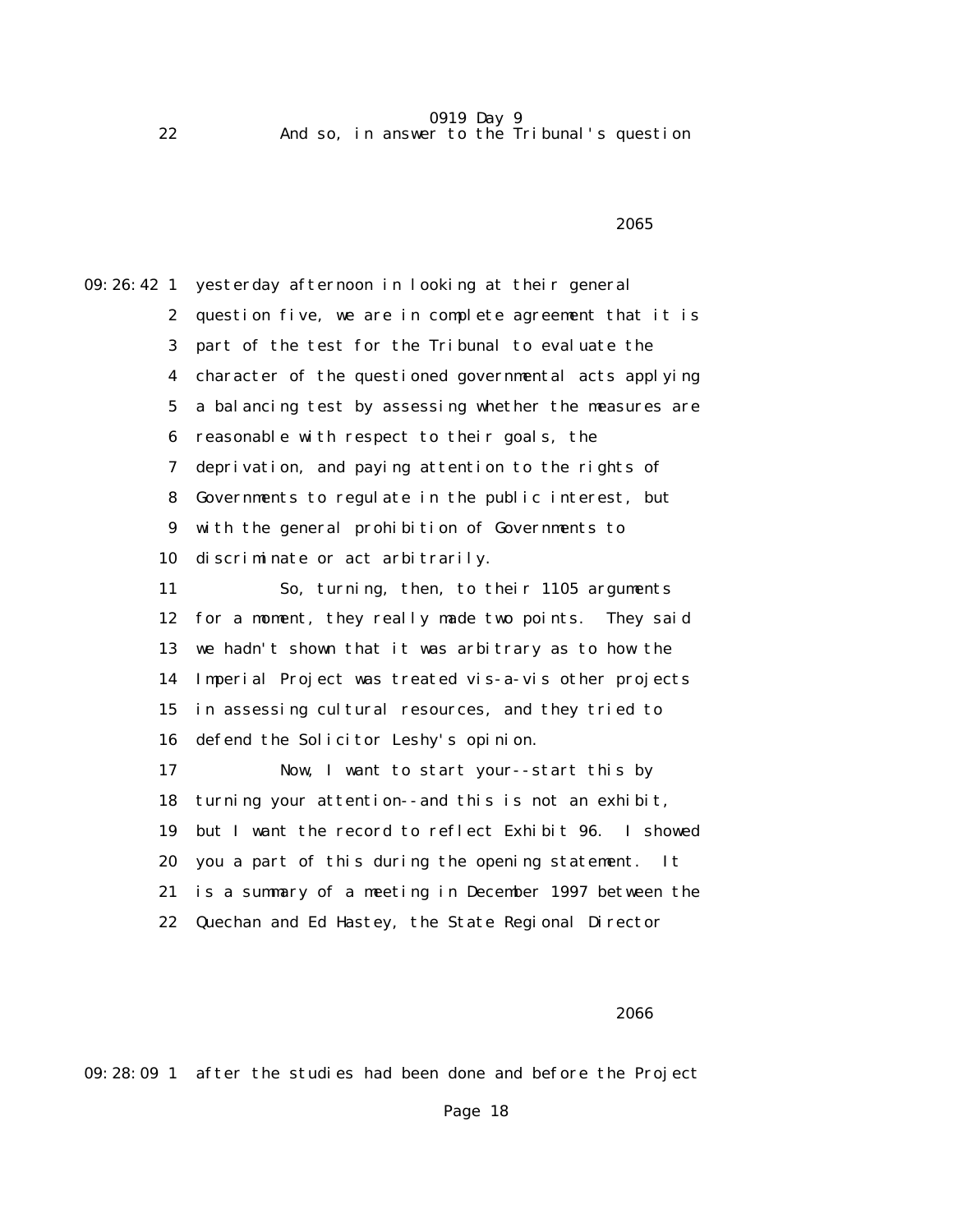22 And so, in answer to the Tribunal's question

 $2065$ 

09:26:42 1 yesterday afternoon in looking at their general 2 question five, we are in complete agreement that it is 3 part of the test for the Tribunal to evaluate the 4 character of the questioned governmental acts applying 5 a balancing test by assessing whether the measures are 6 reasonable with respect to their goals, the 7 deprivation, and paying attention to the rights of 8 Governments to regulate in the public interest, but 9 with the general prohibition of Governments to 10 discriminate or act arbitrarily. 11 So, turning, then, to their 1105 arguments 12 for a moment, they really made two points. They said 13 we hadn't shown that it was arbitrary as to how the 14 Imperial Project was treated vis-a-vis other projects 15 in assessing cultural resources, and they tried to 16 defend the Solicitor Leshy's opinion. 17 Now, I want to start your--start this by 18 turning your attention--and this is not an exhibit, 19 but I want the record to reflect Exhibit 96. I showed 20 you a part of this during the opening statement. It 21 is a summary of a meeting in December 1997 between the 22 Quechan and Ed Hastey, the State Regional Director

 $2066$ 

09:28:09 1 after the studies had been done and before the Project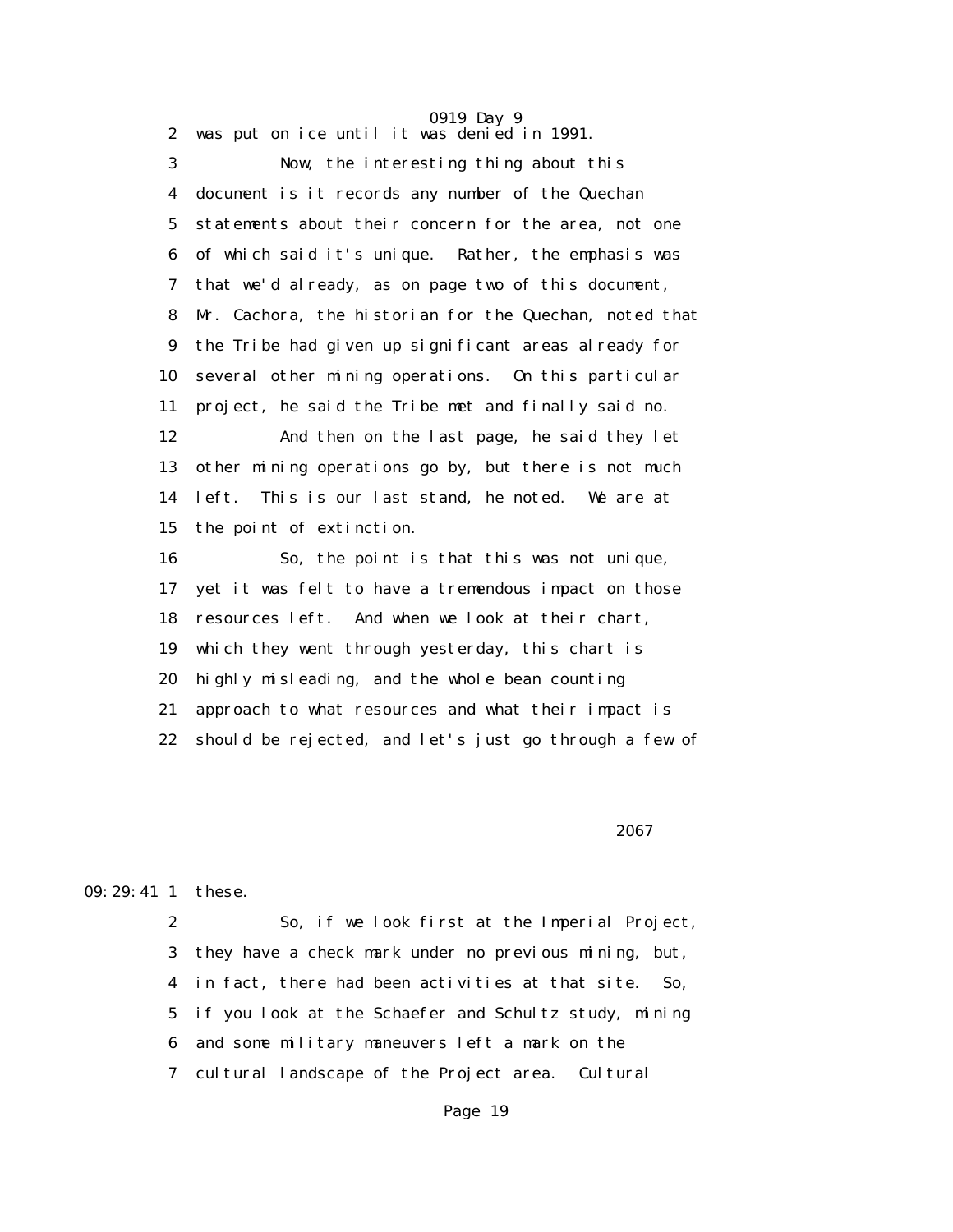0919 Day 9 2 was put on ice until it was denied in 1991. 3 Now, the interesting thing about this 4 document is it records any number of the Quechan 5 statements about their concern for the area, not one 6 of which said it's unique. Rather, the emphasis was 7 that we'd already, as on page two of this document, 8 Mr. Cachora, the historian for the Quechan, noted that 9 the Tribe had given up significant areas already for 10 several other mining operations. On this particular 11 project, he said the Tribe met and finally said no. 12 And then on the last page, he said they let 13 other mining operations go by, but there is not much 14 left. This is our last stand, he noted. We are at 15 the point of extinction. 16 So, the point is that this was not unique, 17 yet it was felt to have a tremendous impact on those 18 resources left. And when we look at their chart, 19 which they went through yesterday, this chart is 20 highly misleading, and the whole bean counting 21 approach to what resources and what their impact is 22 should be rejected, and let's just go through a few of

 $2067$ 

#### 09:29:41 1 these.

 2 So, if we look first at the Imperial Project, 3 they have a check mark under no previous mining, but, 4 in fact, there had been activities at that site. So, 5 if you look at the Schaefer and Schultz study, mining 6 and some military maneuvers left a mark on the 7 cultural landscape of the Project area. Cultural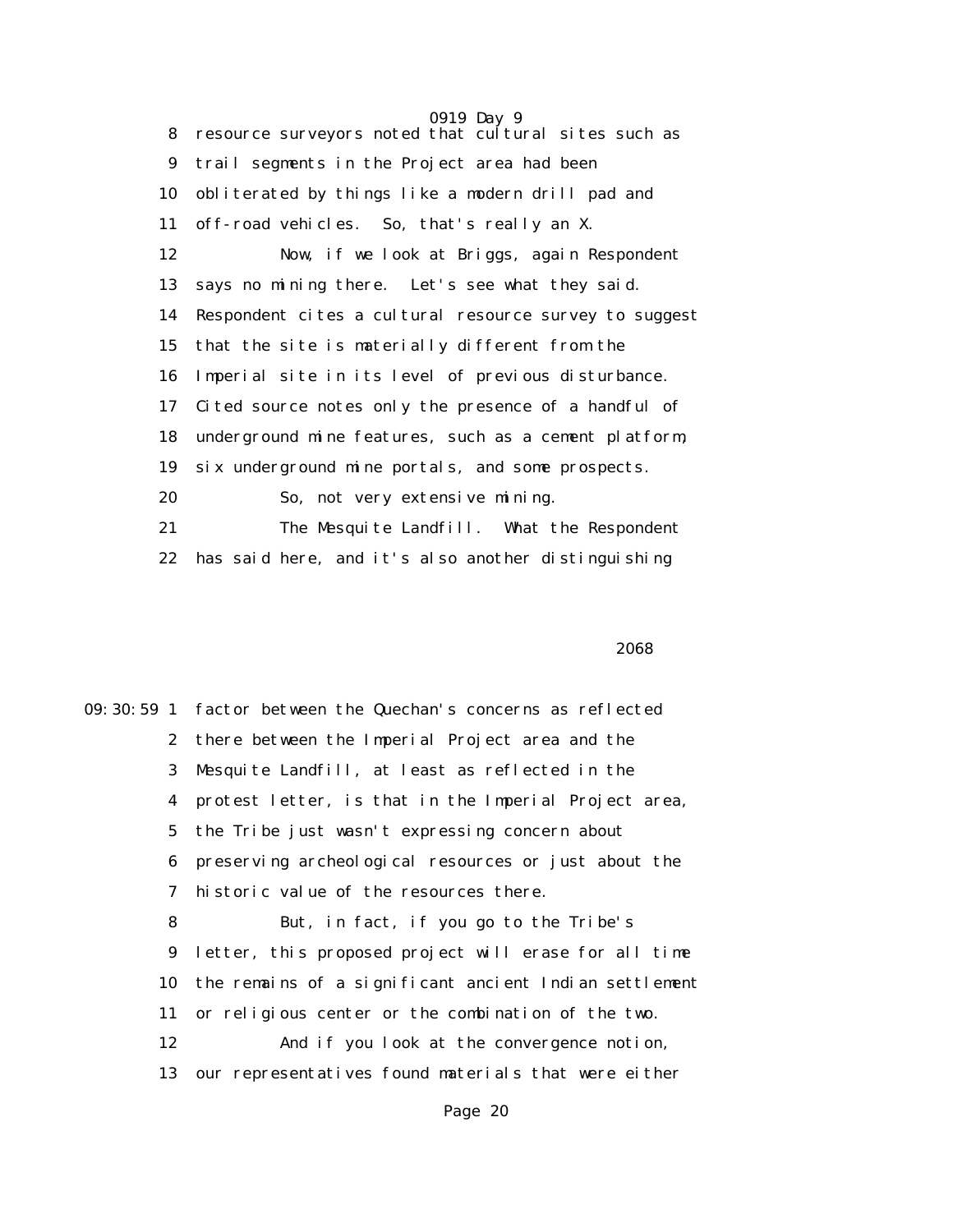0919 Day 9 8 resource surveyors noted that cultural sites such as 9 trail segments in the Project area had been 10 obliterated by things like a modern drill pad and 11 off-road vehicles. So, that's really an X. 12 Now, if we look at Briggs, again Respondent 13 says no mining there. Let's see what they said. 14 Respondent cites a cultural resource survey to suggest 15 that the site is materially different from the 16 Imperial site in its level of previous disturbance. 17 Cited source notes only the presence of a handful of 18 underground mine features, such as a cement platform, 19 six underground mine portals, and some prospects. 20 So, not very extensive mining. 21 The Mesquite Landfill. What the Respondent 22 has said here, and it's also another distinguishing

 $2068$ 

09:30:59 1 factor between the Quechan's concerns as reflected 2 there between the Imperial Project area and the 3 Mesquite Landfill, at least as reflected in the 4 protest letter, is that in the Imperial Project area, 5 the Tribe just wasn't expressing concern about 6 preserving archeological resources or just about the 7 historic value of the resources there. 8 But, in fact, if you go to the Tribe's 9 letter, this proposed project will erase for all time 10 the remains of a significant ancient Indian settlement 11 or religious center or the combination of the two. 12 And if you look at the convergence notion, 13 our representatives found materials that were either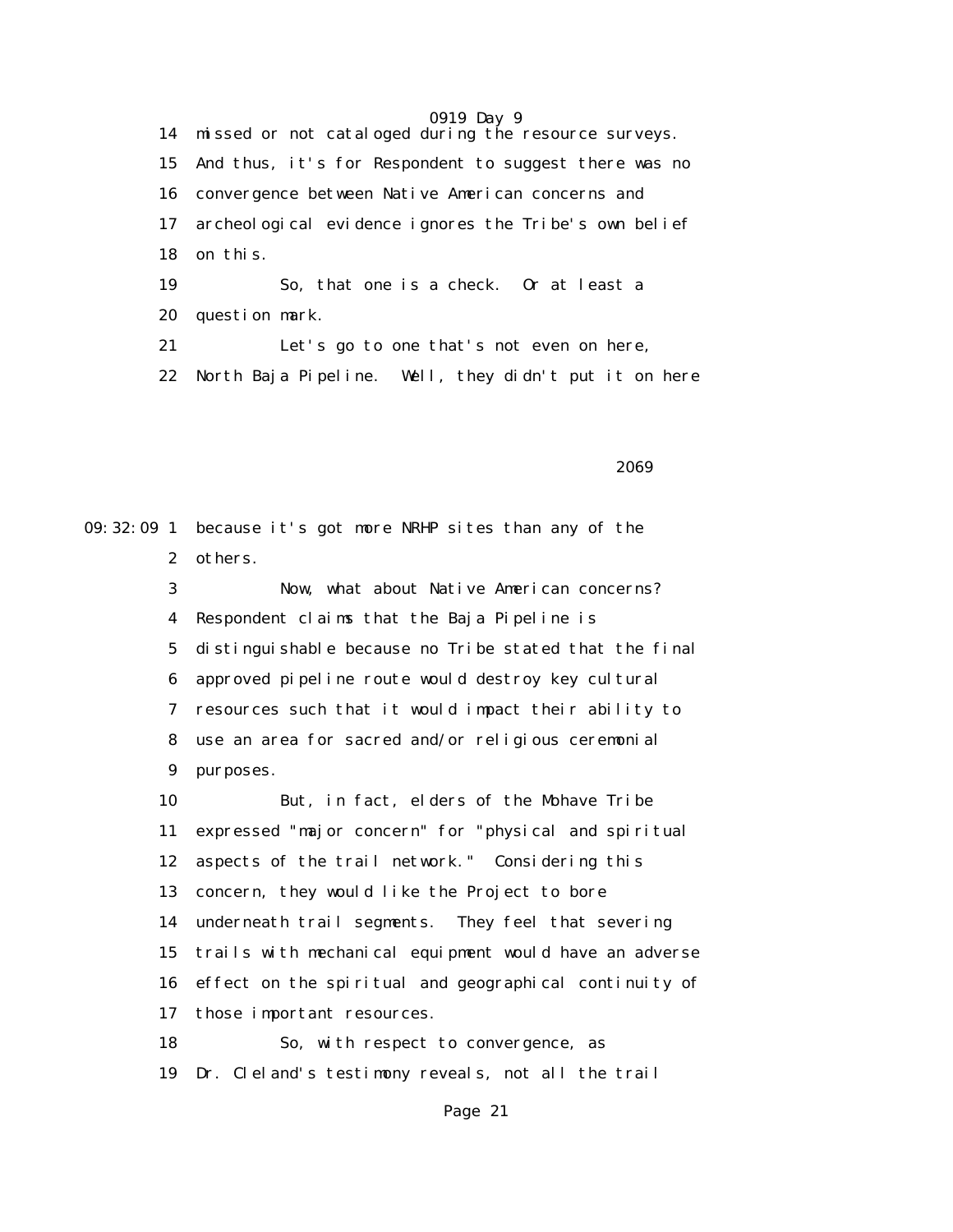14 missed or not cataloged during the resource surveys. 15 And thus, it's for Respondent to suggest there was no 16 convergence between Native American concerns and 17 archeological evidence ignores the Tribe's own belief 18 on this. 19 So, that one is a check. Or at least a 20 question mark. 21 Let's go to one that's not even on here, 22 North Baja Pipeline. Well, they didn't put it on here

 $2069$ 

09:32:09 1 because it's got more NRHP sites than any of the 2 others. 3 Now, what about Native American concerns? 4 Respondent claims that the Baja Pipeline is 5 distinguishable because no Tribe stated that the final 6 approved pipeline route would destroy key cultural 7 resources such that it would impact their ability to 8 use an area for sacred and/or religious ceremonial 9 purposes. 10 But, in fact, elders of the Mohave Tribe 11 expressed "major concern" for "physical and spiritual 12 aspects of the trail network." Considering this 13 concern, they would like the Project to bore 14 underneath trail segments. They feel that severing 15 trails with mechanical equipment would have an adverse 16 effect on the spiritual and geographical continuity of 17 those important resources. 18 So, with respect to convergence, as 19 Dr. Cleland's testimony reveals, not all the trail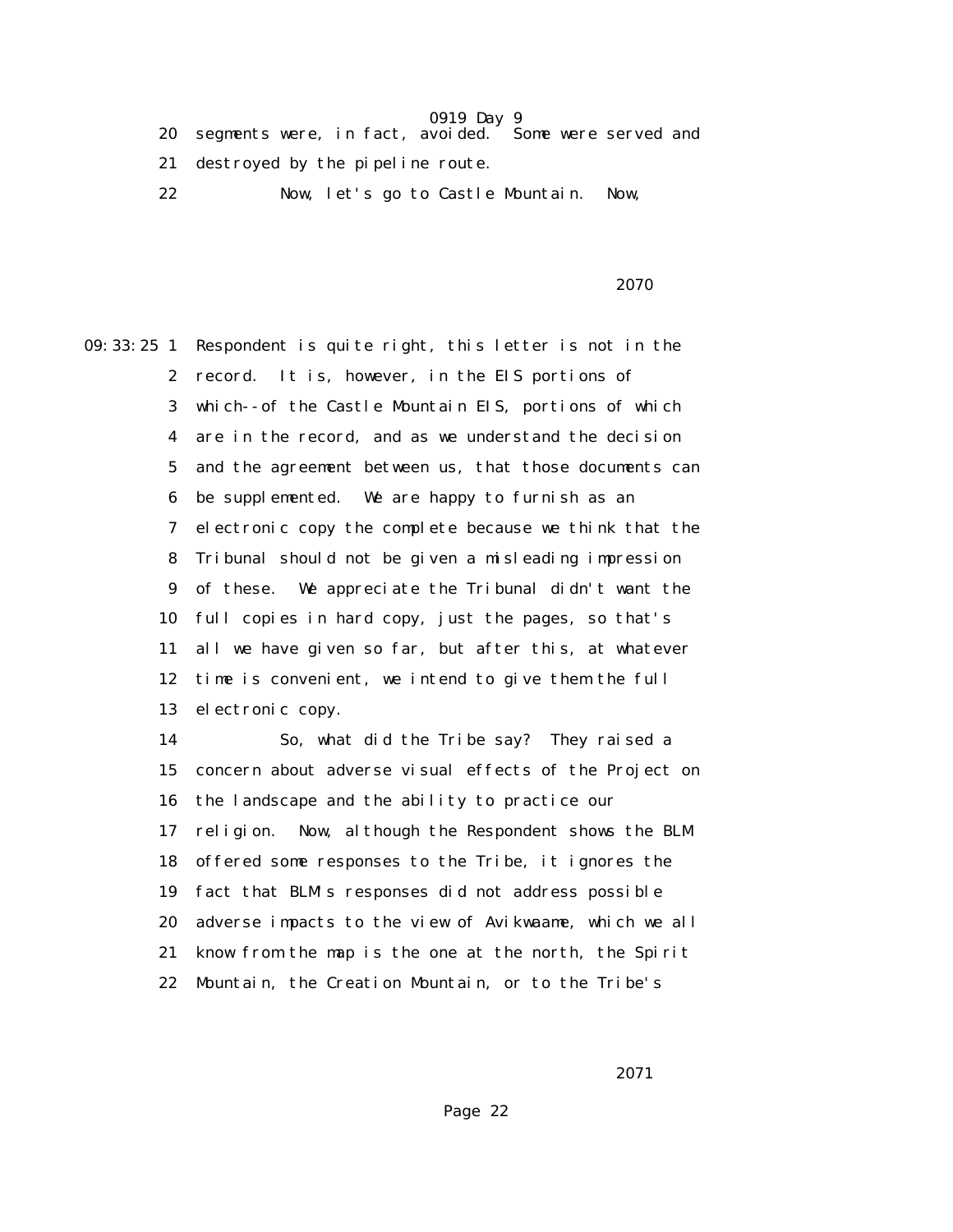- 20 segments were, in fact, avoided. Some were served and
- 21 destroyed by the pipeline route.
- 22 Now, let's go to Castle Mountain. Now,

2070

09:33:25 1 Respondent is quite right, this letter is not in the 2 record. It is, however, in the EIS portions of 3 which--of the Castle Mountain EIS, portions of which 4 are in the record, and as we understand the decision 5 and the agreement between us, that those documents can 6 be supplemented. We are happy to furnish as an 7 electronic copy the complete because we think that the 8 Tribunal should not be given a misleading impression 9 of these. We appreciate the Tribunal didn't want the 10 full copies in hard copy, just the pages, so that's 11 all we have given so far, but after this, at whatever 12 time is convenient, we intend to give them the full 13 electronic copy. 14 So, what did the Tribe say? They raised a

 15 concern about adverse visual effects of the Project on 16 the landscape and the ability to practice our 17 religion. Now, although the Respondent shows the BLM 18 offered some responses to the Tribe, it ignores the 19 fact that BLM's responses did not address possible 20 adverse impacts to the view of Avikwaame, which we all 21 know from the map is the one at the north, the Spirit 22 Mountain, the Creation Mountain, or to the Tribe's

2071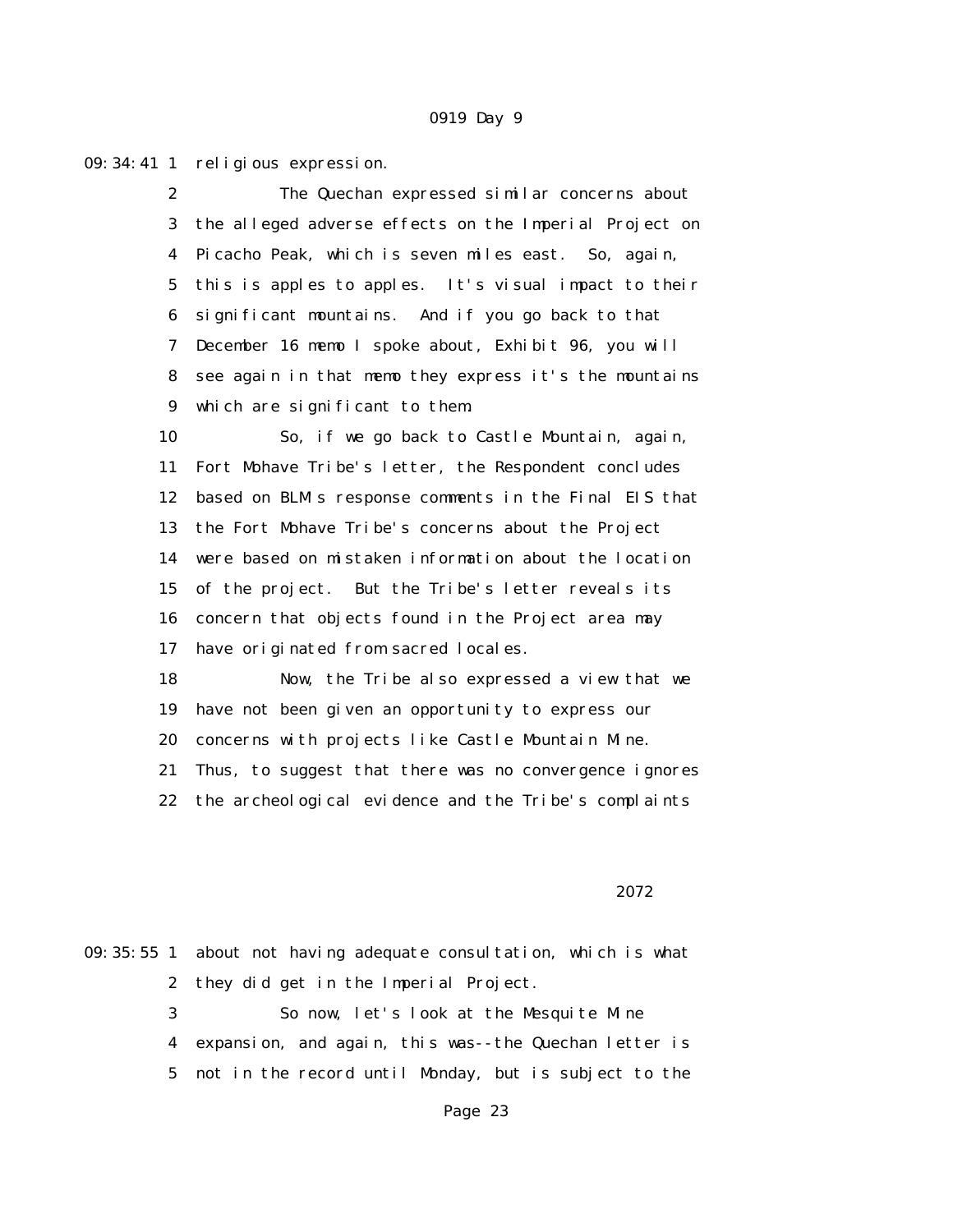09:34:41 1 religious expression.

 2 The Quechan expressed similar concerns about 3 the alleged adverse effects on the Imperial Project on 4 Picacho Peak, which is seven miles east. So, again, 5 this is apples to apples. It's visual impact to their 6 significant mountains. And if you go back to that 7 December 16 memo I spoke about, Exhibit 96, you will 8 see again in that memo they express it's the mountains 9 which are significant to them.

 10 So, if we go back to Castle Mountain, again, 11 Fort Mohave Tribe's letter, the Respondent concludes 12 based on BLM's response comments in the Final EIS that 13 the Fort Mohave Tribe's concerns about the Project 14 were based on mistaken information about the location 15 of the project. But the Tribe's letter reveals its 16 concern that objects found in the Project area may 17 have originated from sacred locales.

 18 Now, the Tribe also expressed a view that we 19 have not been given an opportunity to express our 20 concerns with projects like Castle Mountain Mine. 21 Thus, to suggest that there was no convergence ignores 22 the archeological evidence and the Tribe's complaints

<u>2072</u> and 2007 and 2007 and 2007 and 2007 and 2007 and 2007 and 2007 and 2007 and 2007 and 2007 and 2007 and 20

09:35:55 1 about not having adequate consultation, which is what 2 they did get in the Imperial Project. 3 So now, let's look at the Mesquite Mine 4 expansion, and again, this was--the Quechan letter is 5 not in the record until Monday, but is subject to the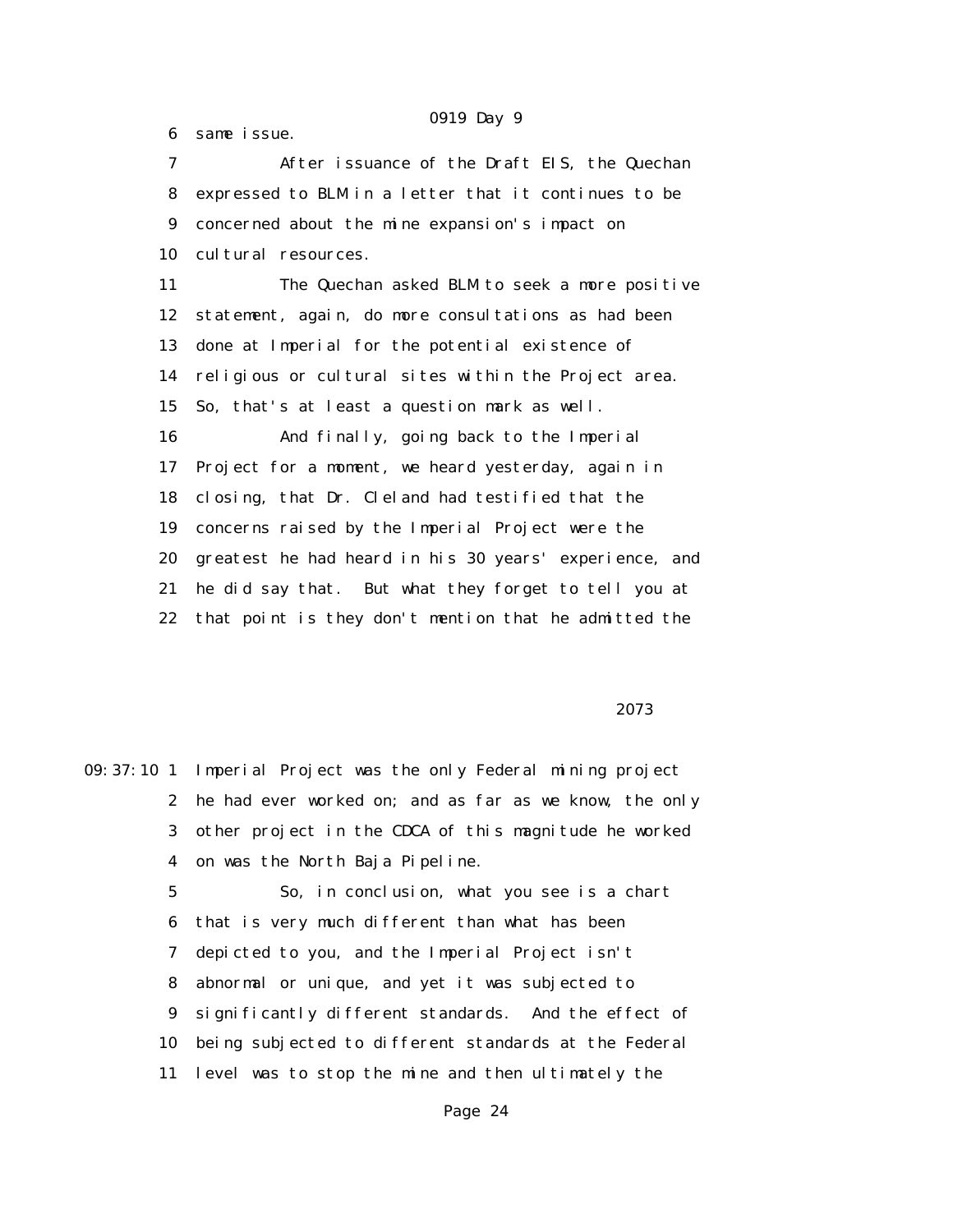6 same issue.

 7 After issuance of the Draft EIS, the Quechan 8 expressed to BLM in a letter that it continues to be 9 concerned about the mine expansion's impact on 10 cultural resources. 11 The Quechan asked BLM to seek a more positive 12 statement, again, do more consultations as had been 13 done at Imperial for the potential existence of 14 religious or cultural sites within the Project area. 15 So, that's at least a question mark as well. 16 And finally, going back to the Imperial 17 Project for a moment, we heard yesterday, again in 18 closing, that Dr. Cleland had testified that the 19 concerns raised by the Imperial Project were the 20 greatest he had heard in his 30 years' experience, and 21 he did say that. But what they forget to tell you at 22 that point is they don't mention that he admitted the

<u>2073</u> and 2007 and 2007 and 2007 and 2007 and 2007 and 2007 and 2007 and 2007 and 2007 and 2007 and 2007 and 20

09:37:10 1 Imperial Project was the only Federal mining project 2 he had ever worked on; and as far as we know, the only 3 other project in the CDCA of this magnitude he worked 4 on was the North Baja Pipeline. 5 So, in conclusion, what you see is a chart 6 that is very much different than what has been 7 depicted to you, and the Imperial Project isn't 8 abnormal or unique, and yet it was subjected to 9 significantly different standards. And the effect of 10 being subjected to different standards at the Federal 11 level was to stop the mine and then ultimately the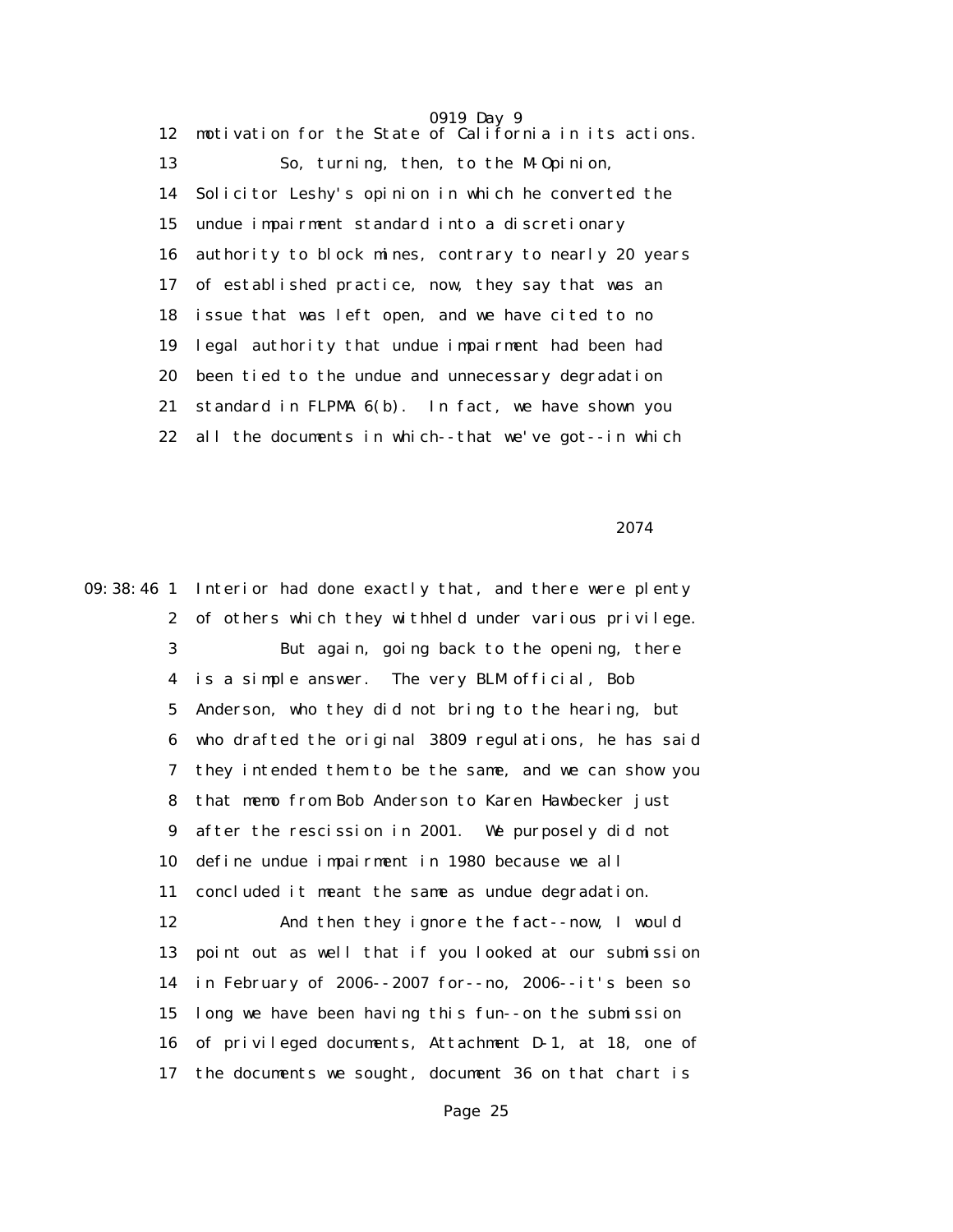0919 Day 9 12 motivation for the State of California in its actions. 13 So, turning, then, to the M-Opinion, 14 Solicitor Leshy's opinion in which he converted the 15 undue impairment standard into a discretionary 16 authority to block mines, contrary to nearly 20 years 17 of established practice, now, they say that was an 18 issue that was left open, and we have cited to no 19 legal authority that undue impairment had been had 20 been tied to the undue and unnecessary degradation 21 standard in FLPMA 6(b). In fact, we have shown you 22 all the documents in which--that we've got--in which

2074 **2074** 

09:38:46 1 Interior had done exactly that, and there were plenty 2 of others which they withheld under various privilege. 3 But again, going back to the opening, there 4 is a simple answer. The very BLM official, Bob 5 Anderson, who they did not bring to the hearing, but 6 who drafted the original 3809 regulations, he has said 7 they intended them to be the same, and we can show you 8 that memo from Bob Anderson to Karen Hawbecker just 9 after the rescission in 2001. We purposely did not 10 define undue impairment in 1980 because we all 11 concluded it meant the same as undue degradation. 12 And then they ignore the fact--now, I would 13 point out as well that if you looked at our submission 14 in February of 2006--2007 for--no, 2006--it's been so 15 long we have been having this fun--on the submission 16 of privileged documents, Attachment D-1, at 18, one of 17 the documents we sought, document 36 on that chart is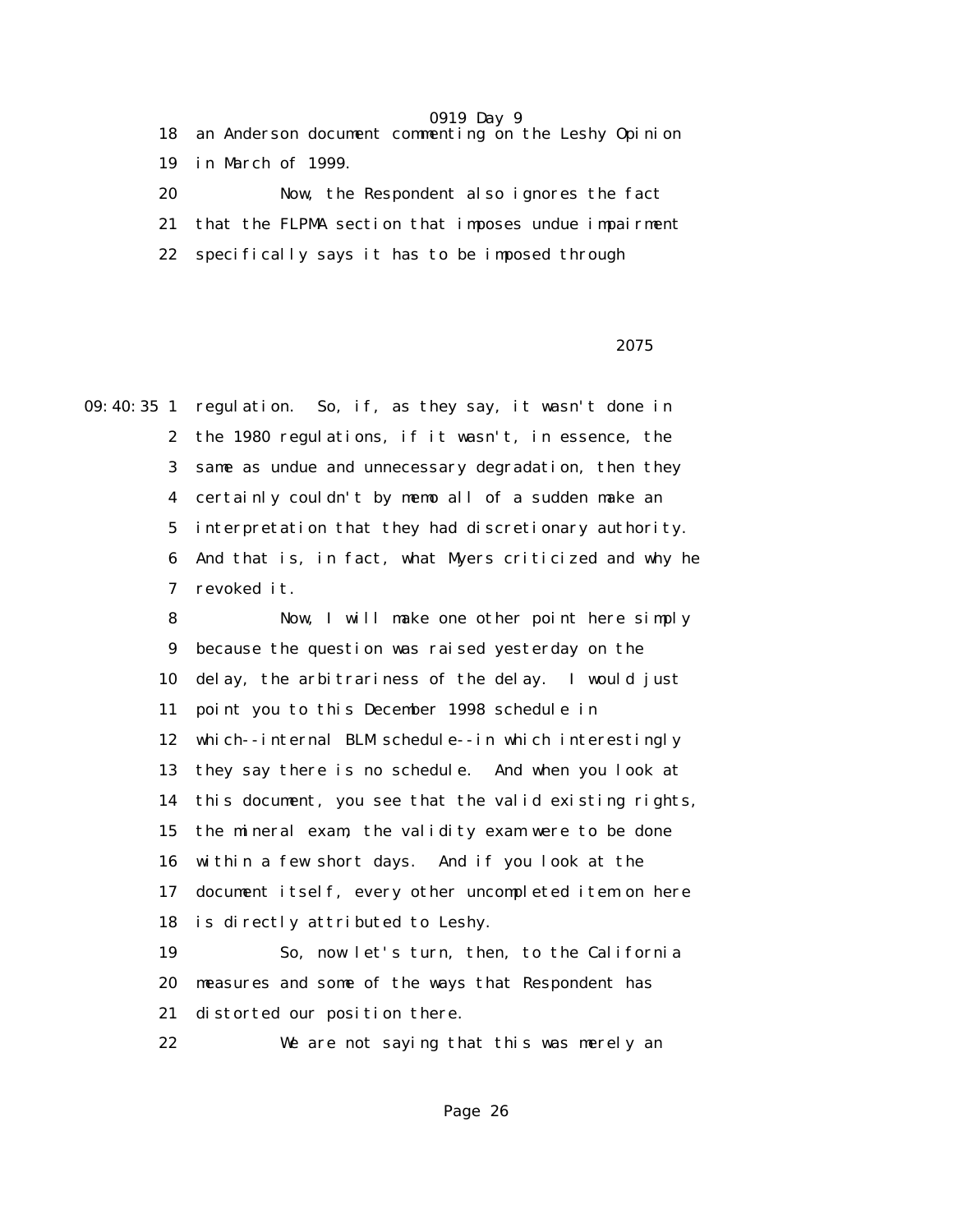|              |    | 18 an Anderson document commenting on the Leshy Opinion |
|--------------|----|---------------------------------------------------------|
|              |    | 19 in March of 1999.                                    |
| 20           |    | Now, the Respondent also ignores the fact               |
|              | 21 | that the FLPMA section that imposes undue impairment    |
| $22^{\circ}$ |    | specifically says it has to be imposed through          |

<u>2075</u> and the set of the set of the set of the set of the set of the set of the set of the set of the set of the set of the set of the set of the set of the set of the set of the set of the set of the set of the set of th

09:40:35 1 regulation. So, if, as they say, it wasn't done in 2 the 1980 regulations, if it wasn't, in essence, the 3 same as undue and unnecessary degradation, then they 4 certainly couldn't by memo all of a sudden make an 5 interpretation that they had discretionary authority. 6 And that is, in fact, what Myers criticized and why he 7 revoked it.

> 8 Now, I will make one other point here simply 9 because the question was raised yesterday on the 10 delay, the arbitrariness of the delay. I would just 11 point you to this December 1998 schedule in 12 which--internal BLM schedule--in which interestingly 13 they say there is no schedule. And when you look at 14 this document, you see that the valid existing rights, 15 the mineral exam, the validity exam were to be done 16 within a few short days. And if you look at the 17 document itself, every other uncompleted item on here 18 is directly attributed to Leshy.

 19 So, now let's turn, then, to the California 20 measures and some of the ways that Respondent has 21 distorted our position there.

22 We are not saying that this was merely an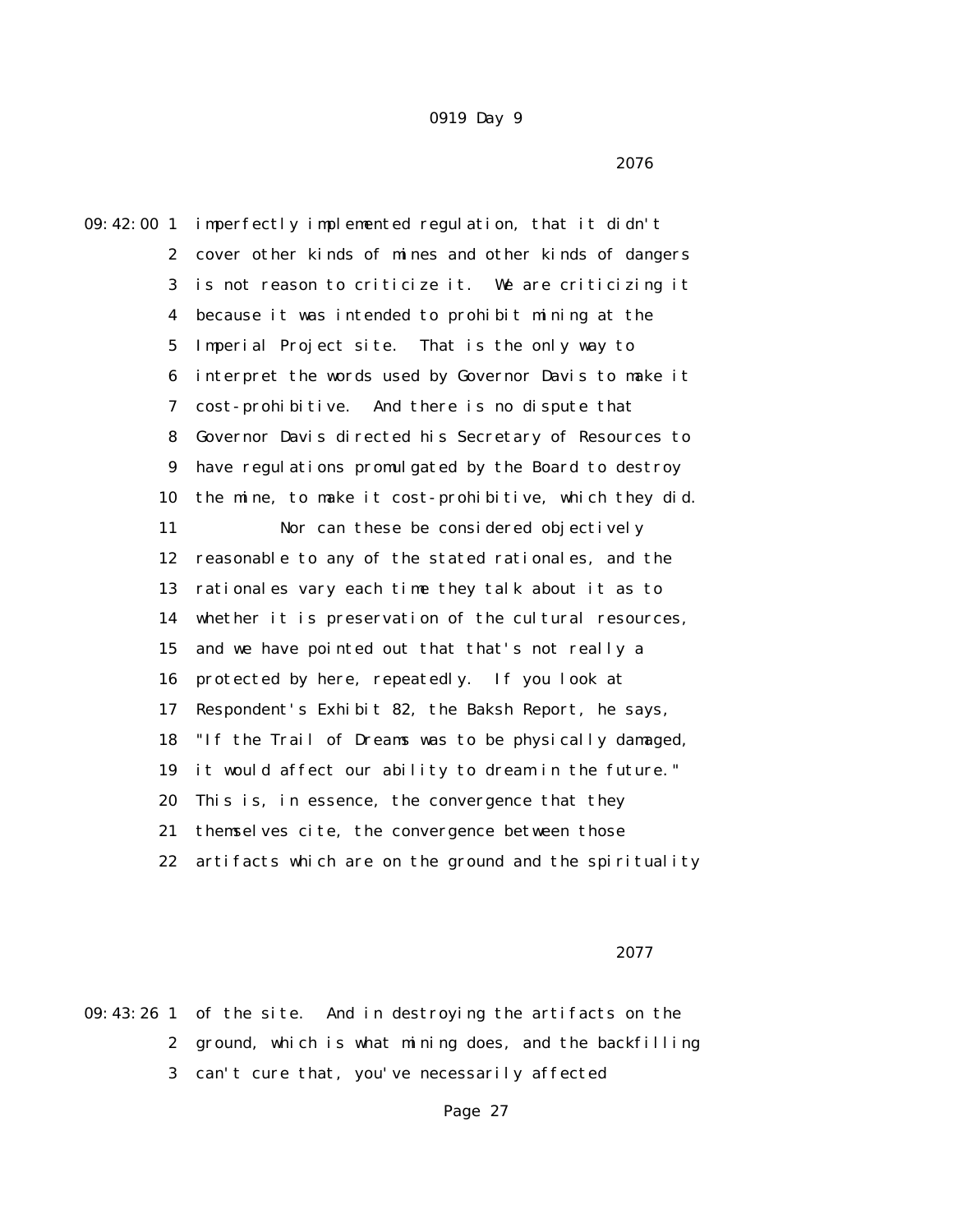$2076$ 

09:42:00 1 imperfectly implemented regulation, that it didn't 2 cover other kinds of mines and other kinds of dangers 3 is not reason to criticize it. We are criticizing it 4 because it was intended to prohibit mining at the 5 Imperial Project site. That is the only way to 6 interpret the words used by Governor Davis to make it 7 cost-prohibitive. And there is no dispute that 8 Governor Davis directed his Secretary of Resources to 9 have regulations promulgated by the Board to destroy 10 the mine, to make it cost-prohibitive, which they did. 11 Nor can these be considered objectively 12 reasonable to any of the stated rationales, and the 13 rationales vary each time they talk about it as to 14 whether it is preservation of the cultural resources, 15 and we have pointed out that that's not really a 16 protected by here, repeatedly. If you look at 17 Respondent's Exhibit 82, the Baksh Report, he says, 18 "If the Trail of Dreams was to be physically damaged, 19 it would affect our ability to dream in the future." 20 This is, in essence, the convergence that they 21 themselves cite, the convergence between those 22 artifacts which are on the ground and the spirituality

<u>2077</u> and 2007 and 2007 and 2007 and 2007 and 2007 and 2007 and 2007 and 2007 and 2007 and 2007 and 2007 and 20

09:43:26 1 of the site. And in destroying the artifacts on the 2 ground, which is what mining does, and the backfilling 3 can't cure that, you've necessarily affected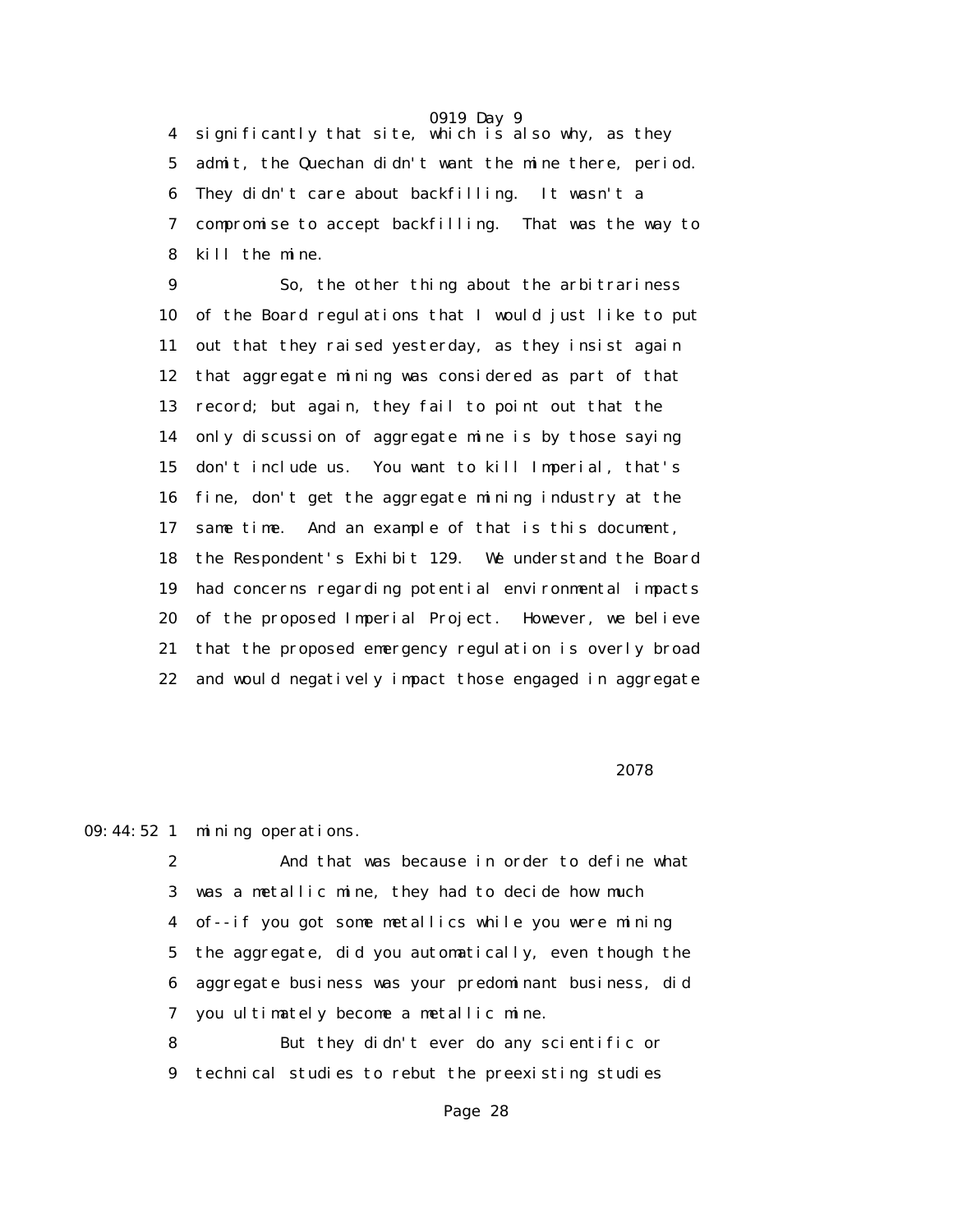4 significantly that site, which is also why, as they 5 admit, the Quechan didn't want the mine there, period. 6 They didn't care about backfilling. It wasn't a 7 compromise to accept backfilling. That was the way to 8 kill the mine.

 9 So, the other thing about the arbitrariness 10 of the Board regulations that I would just like to put 11 out that they raised yesterday, as they insist again 12 that aggregate mining was considered as part of that 13 record; but again, they fail to point out that the 14 only discussion of aggregate mine is by those saying 15 don't include us. You want to kill Imperial, that's 16 fine, don't get the aggregate mining industry at the 17 same time. And an example of that is this document, 18 the Respondent's Exhibit 129. We understand the Board 19 had concerns regarding potential environmental impacts 20 of the proposed Imperial Project. However, we believe 21 that the proposed emergency regulation is overly broad 22 and would negatively impact those engaged in aggregate

<u>2078</u> and 2007 and 2007 and 2007 and 2007 and 2007 and 2007 and 2007 and 2007 and 2007 and 2007 and 2007 and 20

09:44:52 1 mining operations.

 2 And that was because in order to define what 3 was a metallic mine, they had to decide how much 4 of--if you got some metallics while you were mining 5 the aggregate, did you automatically, even though the 6 aggregate business was your predominant business, did 7 you ultimately become a metallic mine.

 8 But they didn't ever do any scientific or 9 technical studies to rebut the preexisting studies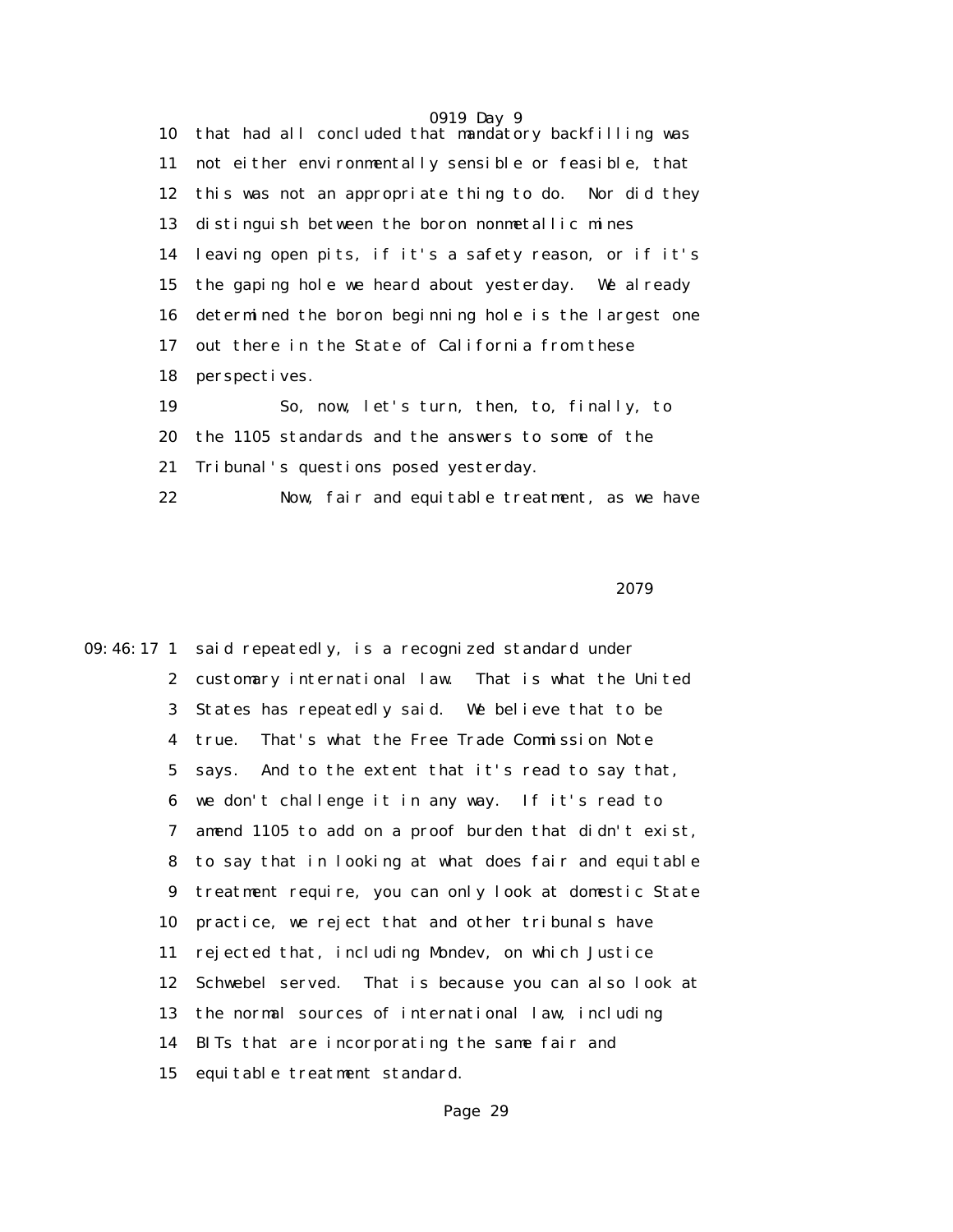0919 Day 9 10 that had all concluded that mandatory backfilling was 11 not either environmentally sensible or feasible, that 12 this was not an appropriate thing to do. Nor did they 13 distinguish between the boron nonmetallic mines 14 leaving open pits, if it's a safety reason, or if it's 15 the gaping hole we heard about yesterday. We already 16 determined the boron beginning hole is the largest one 17 out there in the State of California from these 18 perspectives. 19 So, now, let's turn, then, to, finally, to

 20 the 1105 standards and the answers to some of the 21 Tribunal's questions posed yesterday. 22 Now, fair and equitable treatment, as we have

2079

09:46:17 1 said repeatedly, is a recognized standard under 2 customary international law. That is what the United 3 States has repeatedly said. We believe that to be 4 true. That's what the Free Trade Commission Note 5 says. And to the extent that it's read to say that, 6 we don't challenge it in any way. If it's read to 7 amend 1105 to add on a proof burden that didn't exist, 8 to say that in looking at what does fair and equitable 9 treatment require, you can only look at domestic State 10 practice, we reject that and other tribunals have 11 rejected that, including Mondev, on which Justice 12 Schwebel served. That is because you can also look at 13 the normal sources of international law, including 14 BITs that are incorporating the same fair and 15 equitable treatment standard.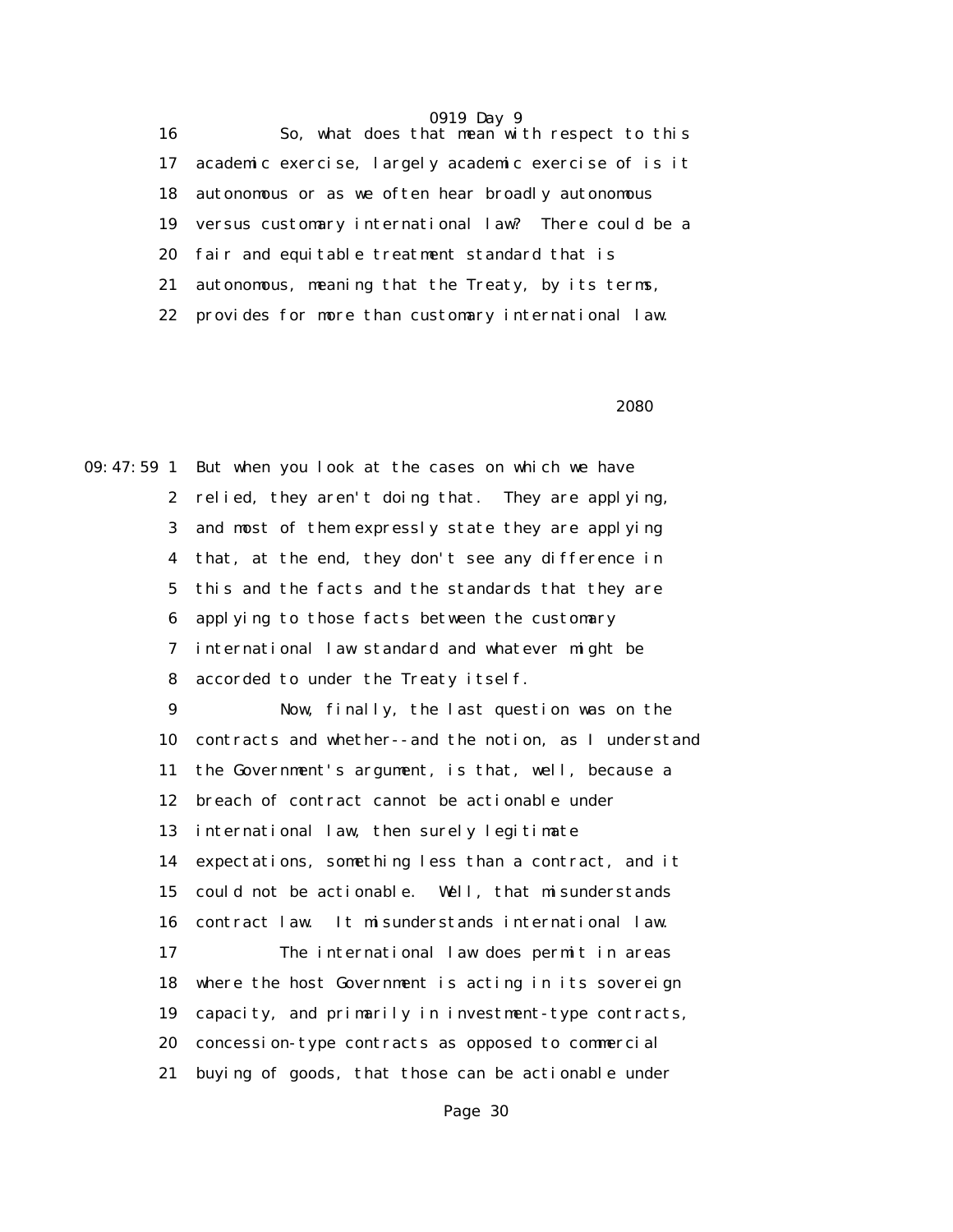16 So, what does that mean with respect to this 17 academic exercise, largely academic exercise of is it 18 autonomous or as we often hear broadly autonomous 19 versus customary international law? There could be a 20 fair and equitable treatment standard that is 21 autonomous, meaning that the Treaty, by its terms, 22 provides for more than customary international law.

 $2080$ 

09:47:59 1 But when you look at the cases on which we have 2 relied, they aren't doing that. They are applying, 3 and most of them expressly state they are applying 4 that, at the end, they don't see any difference in 5 this and the facts and the standards that they are 6 applying to those facts between the customary 7 international law standard and whatever might be 8 accorded to under the Treaty itself.

> 9 Now, finally, the last question was on the 10 contracts and whether--and the notion, as I understand 11 the Government's argument, is that, well, because a 12 breach of contract cannot be actionable under 13 international law, then surely legitimate 14 expectations, something less than a contract, and it 15 could not be actionable. Well, that misunderstands 16 contract law. It misunderstands international law. 17 The international law does permit in areas 18 where the host Government is acting in its sovereign 19 capacity, and primarily in investment-type contracts, 20 concession-type contracts as opposed to commercial 21 buying of goods, that those can be actionable under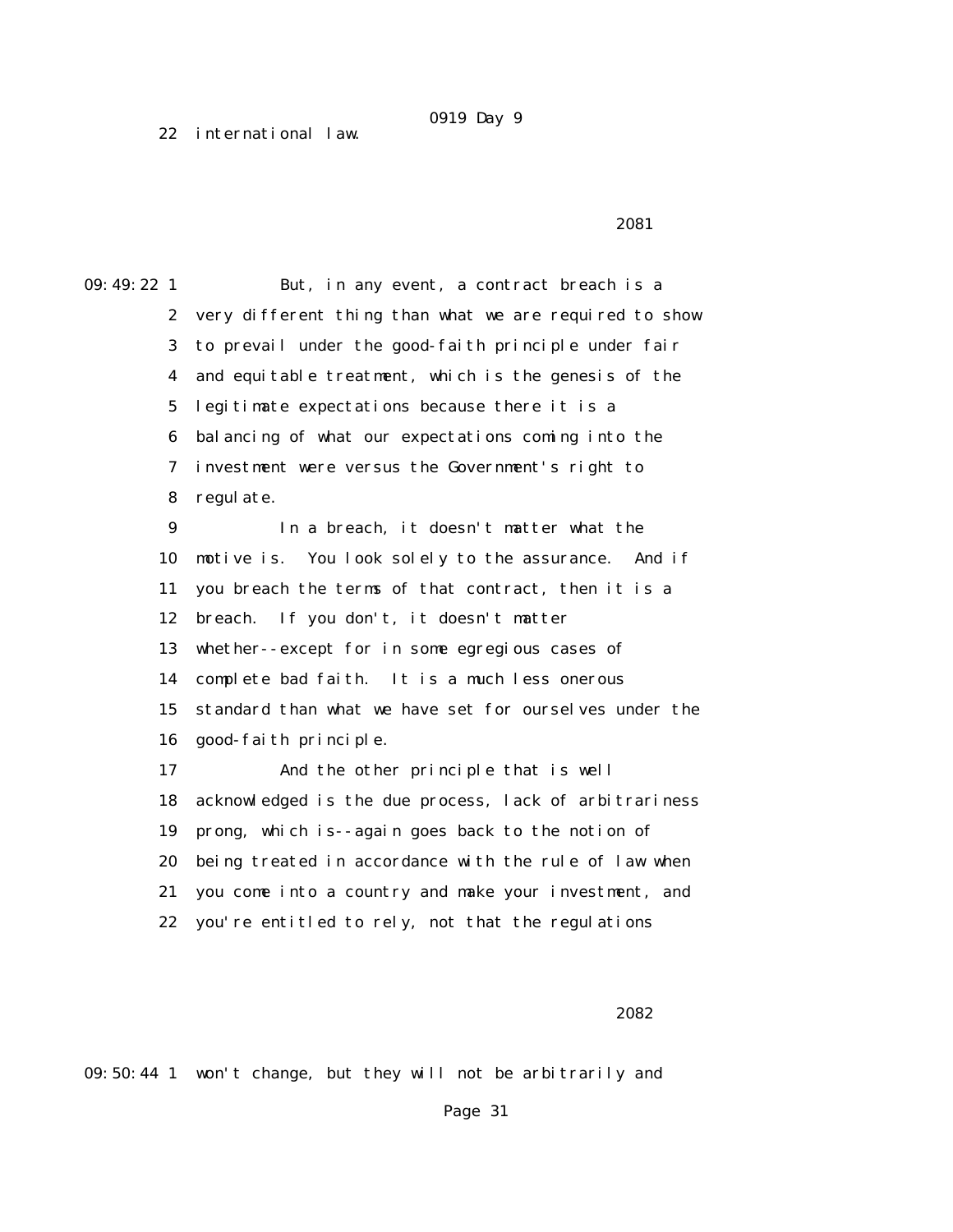22 international law.

2081 **2081** 

09:49:22 1 But, in any event, a contract breach is a 2 very different thing than what we are required to show 3 to prevail under the good-faith principle under fair 4 and equitable treatment, which is the genesis of the 5 legitimate expectations because there it is a 6 balancing of what our expectations coming into the 7 investment were versus the Government's right to 8 regulate. 9 In a breach, it doesn't matter what the 10 motive is. You look solely to the assurance. And if 11 you breach the terms of that contract, then it is a 12 breach. If you don't, it doesn't matter 13 whether--except for in some egregious cases of 14 complete bad faith. It is a much less onerous 15 standard than what we have set for ourselves under the 16 good-faith principle. 17 And the other principle that is well 18 acknowledged is the due process, lack of arbitrariness 19 prong, which is--again goes back to the notion of 20 being treated in accordance with the rule of law when 21 you come into a country and make your investment, and 22 you're entitled to rely, not that the regulations

#### 2082

09:50:44 1 won't change, but they will not be arbitrarily and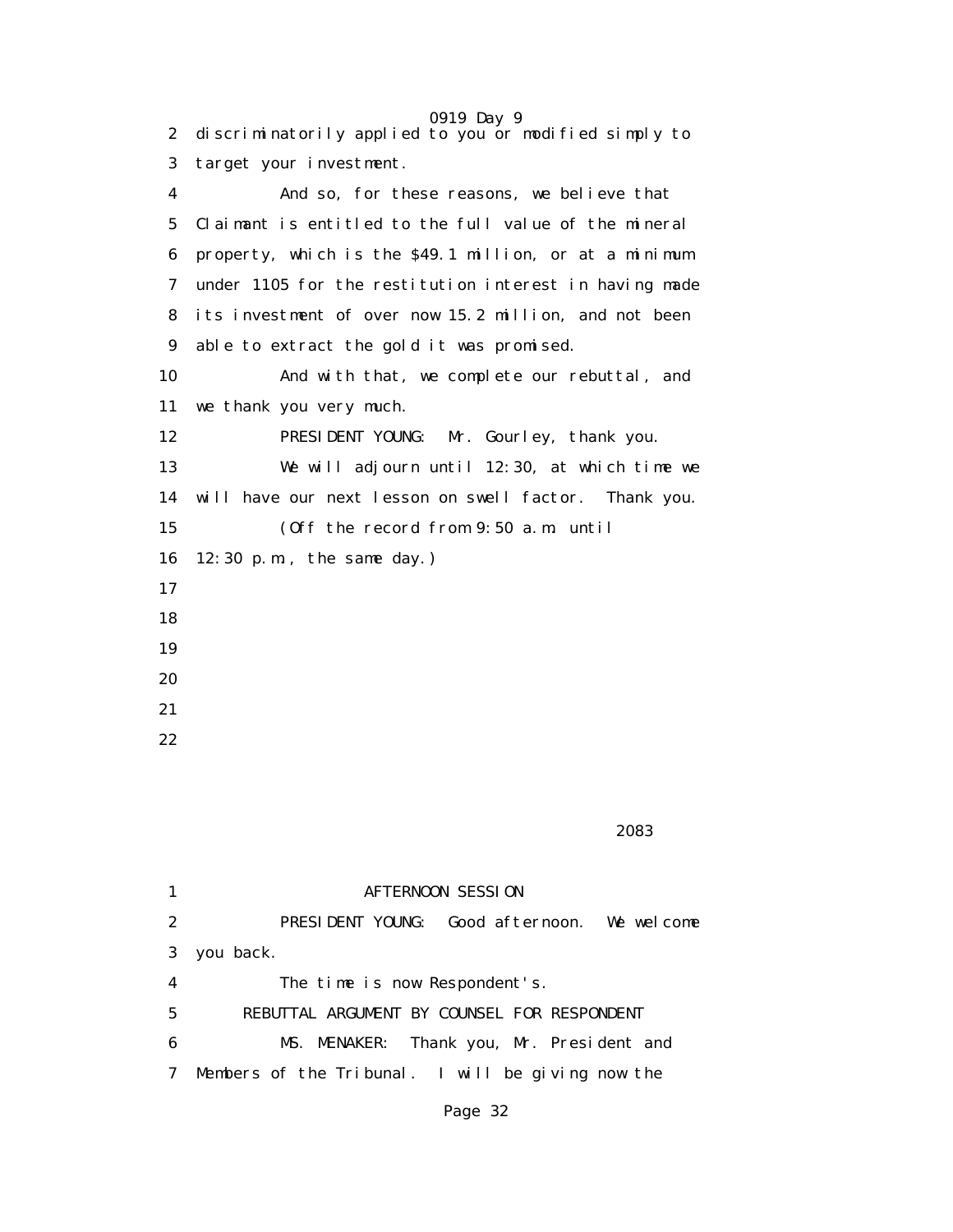|              | 0919 Day 9                                             |
|--------------|--------------------------------------------------------|
| $\mathbf{2}$ | discriminatorily applied to you or modified simply to  |
| 3            | target your investment.                                |
| 4            | And so, for these reasons, we believe that             |
| 5            | Claimant is entitled to the full value of the mineral  |
| 6            | property, which is the \$49.1 million, or at a minimum |
| 7            | under 1105 for the restitution interest in having made |
| 8            | its investment of over now 15.2 million, and not been  |
| 9            | able to extract the gold it was promised.              |
| 10           | And with that, we complete our rebuttal, and           |
| 11           | we thank you very much.                                |
| 12           | PRESIDENT YOUNG:<br>Mr. Gourley, thank you.            |
| 13           | We will adjourn until 12:30, at which time we          |
| 14           | will have our next lesson on swell factor. Thank you.  |
| 15           | (Off the record from 9:50 a.m. until                   |
| 16           | $12:30$ p.m., the same day.)                           |
| 17           |                                                        |
| 18           |                                                        |
| 19           |                                                        |
| 20           |                                                        |
| 21           |                                                        |
|              |                                                        |

2083 - 2083 - 2083 - 2084 - 2084 - 2084 - 2084 - 2084 - 2084 - 2084 - 2084 - 2084 - 2084 - 2084 - 20

|                  | <b>AFTERNOON SESSION</b>                          |
|------------------|---------------------------------------------------|
| $\boldsymbol{2}$ | PRESIDENT YOUNG: Good afternoon. We welcome       |
| 3                | you back.                                         |
| 4                | The time is now Respondent's.                     |
| 5                | REBUTTAL ARGUMENT BY COUNSEL FOR RESPONDENT       |
| 6                | MS. MENAKER: Thank you, Mr. President and         |
| 7                | Members of the Tribunal. I will be giving now the |
|                  |                                                   |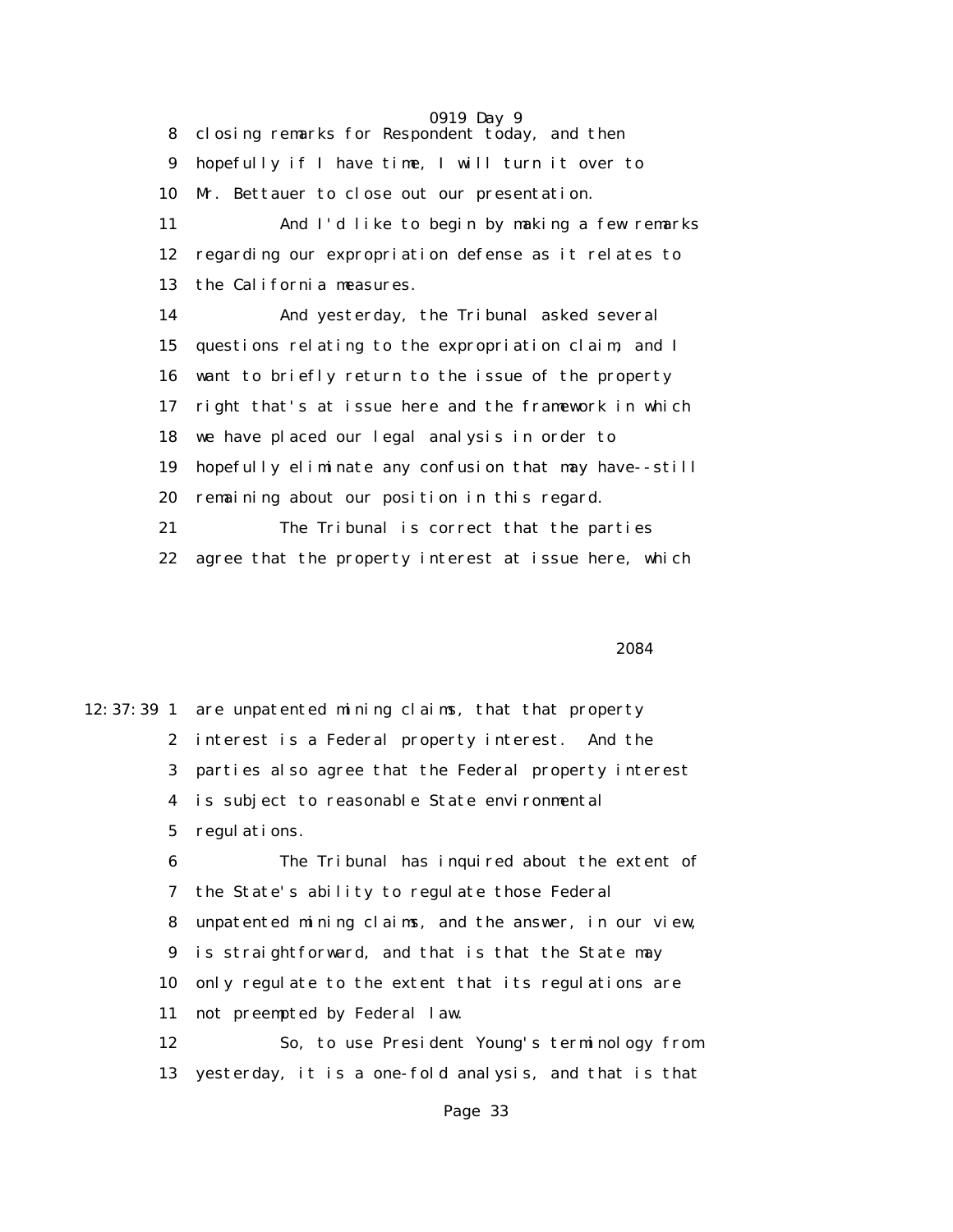0919 Day 9 8 closing remarks for Respondent today, and then 9 hopefully if I have time, I will turn it over to 10 Mr. Bettauer to close out our presentation. 11 And I'd like to begin by making a few remarks 12 regarding our expropriation defense as it relates to 13 the California measures. 14 And yesterday, the Tribunal asked several 15 questions relating to the expropriation claim, and I 16 want to briefly return to the issue of the property 17 right that's at issue here and the framework in which 18 we have placed our legal analysis in order to 19 hopefully eliminate any confusion that may have--still 20 remaining about our position in this regard. 21 The Tribunal is correct that the parties 22 agree that the property interest at issue here, which

2084 **2084** 

12:37:39 1 are unpatented mining claims, that that property 2 interest is a Federal property interest. And the 3 parties also agree that the Federal property interest 4 is subject to reasonable State environmental 5 regulations. 6 The Tribunal has inquired about the extent of 7 the State's ability to regulate those Federal 8 unpatented mining claims, and the answer, in our view, 9 is straightforward, and that is that the State may 10 only regulate to the extent that its regulations are 11 not preempted by Federal law. 12 So, to use President Young's terminology from 13 yesterday, it is a one-fold analysis, and that is that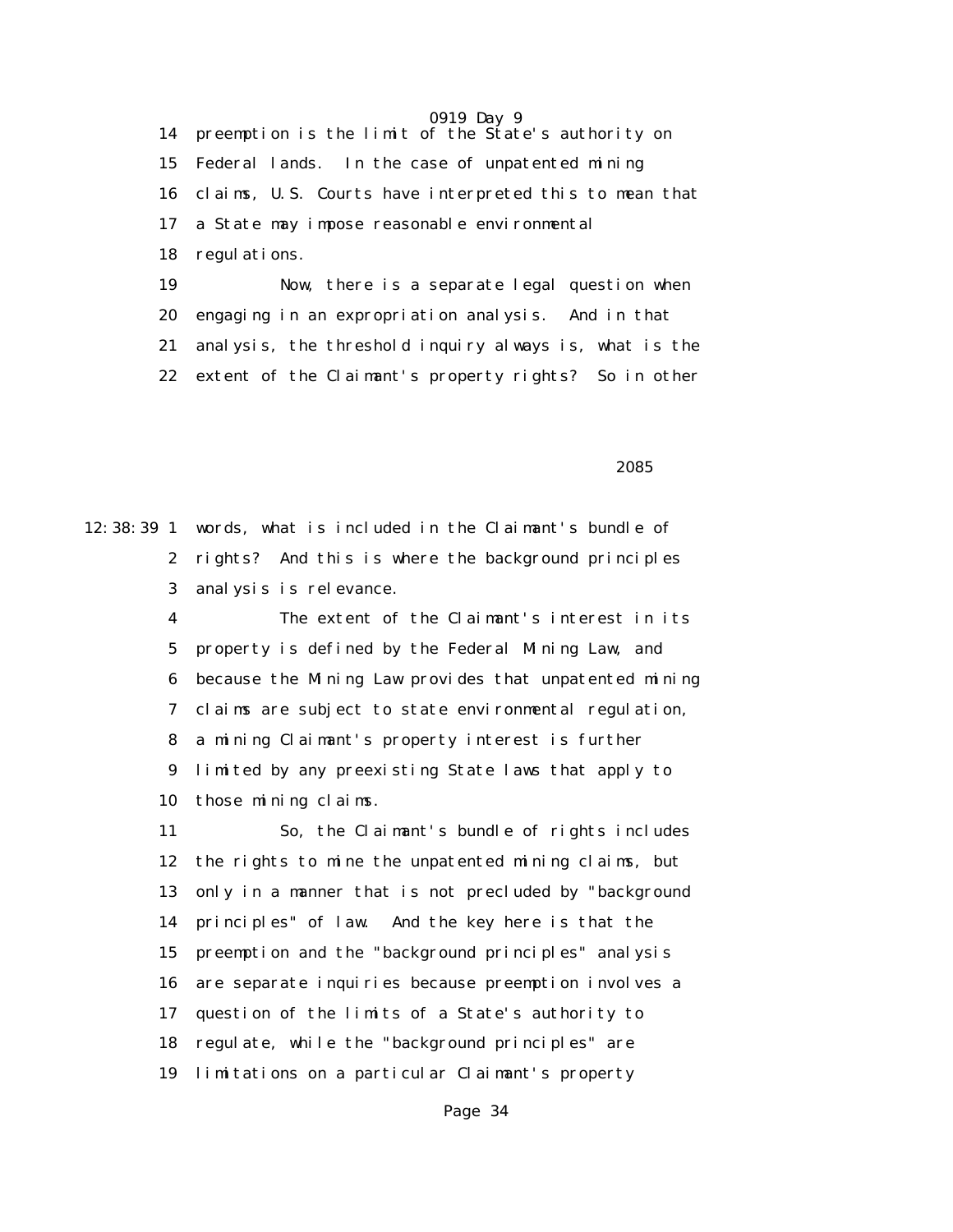0919 Day 9 14 preemption is the limit of the State's authority on 15 Federal lands. In the case of unpatented mining 16 claims, U.S. Courts have interpreted this to mean that 17 a State may impose reasonable environmental 18 regulations. 19 Now, there is a separate legal question when 20 engaging in an expropriation analysis. And in that 21 analysis, the threshold inquiry always is, what is the

22 extent of the Claimant's property rights? So in other

 $2085$ 

12:38:39 1 words, what is included in the Claimant's bundle of 2 rights? And this is where the background principles 3 analysis is relevance.

> 4 The extent of the Claimant's interest in its 5 property is defined by the Federal Mining Law, and 6 because the Mining Law provides that unpatented mining 7 claims are subject to state environmental regulation, 8 a mining Claimant's property interest is further 9 limited by any preexisting State laws that apply to 10 those mining claims.

 11 So, the Claimant's bundle of rights includes 12 the rights to mine the unpatented mining claims, but 13 only in a manner that is not precluded by "background 14 principles" of law. And the key here is that the 15 preemption and the "background principles" analysis 16 are separate inquiries because preemption involves a 17 question of the limits of a State's authority to 18 regulate, while the "background principles" are 19 limitations on a particular Claimant's property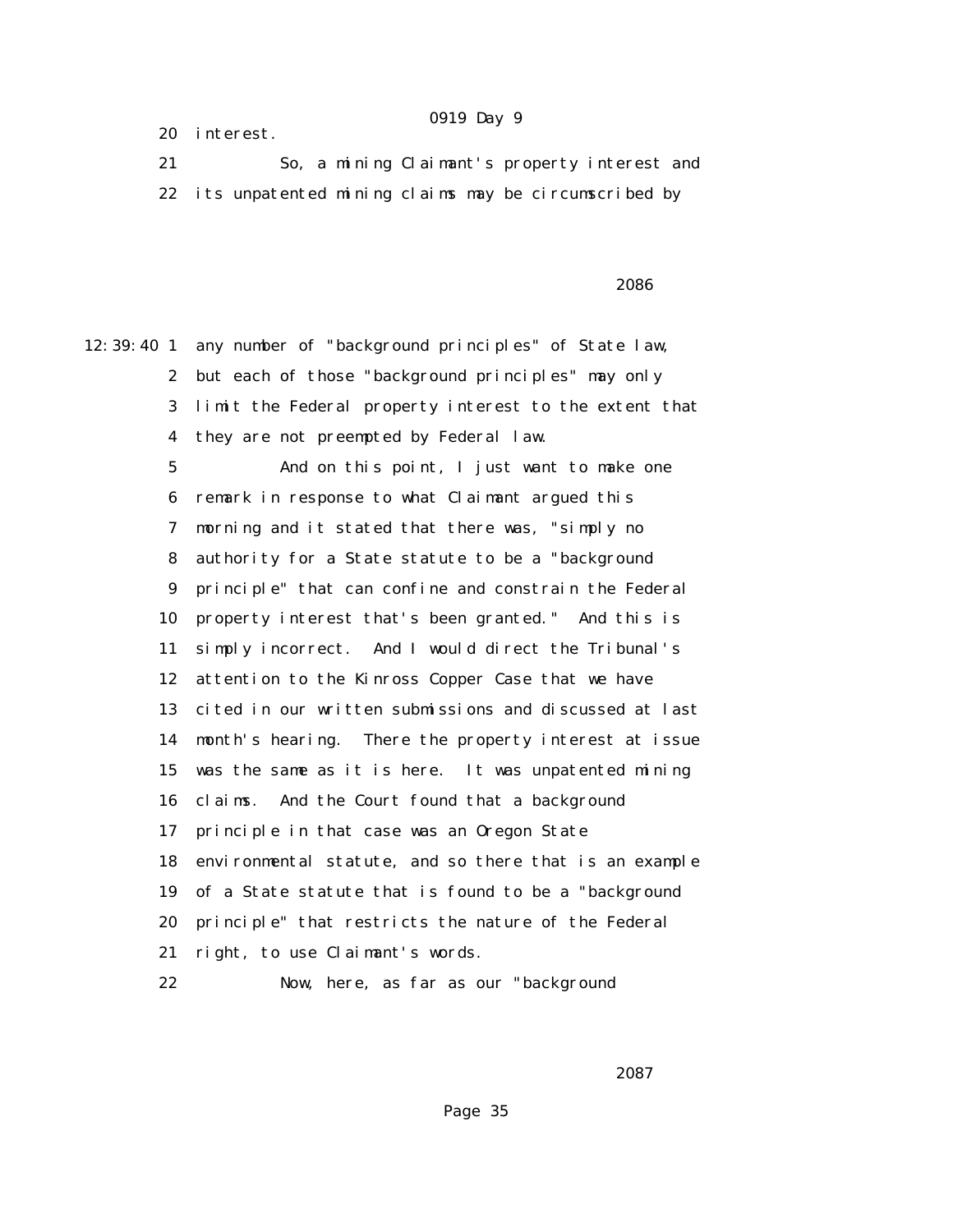20 interest.

 21 So, a mining Claimant's property interest and 22 its unpatented mining claims may be circumscribed by

 $2086$ 

12:39:40 1 any number of "background principles" of State law, 2 but each of those "background principles" may only 3 limit the Federal property interest to the extent that 4 they are not preempted by Federal law.

> 5 And on this point, I just want to make one 6 remark in response to what Claimant argued this 7 morning and it stated that there was, "simply no 8 authority for a State statute to be a "background 9 principle" that can confine and constrain the Federal 10 property interest that's been granted." And this is 11 simply incorrect. And I would direct the Tribunal's 12 attention to the Kinross Copper Case that we have 13 cited in our written submissions and discussed at last 14 month's hearing. There the property interest at issue 15 was the same as it is here. It was unpatented mining 16 claims. And the Court found that a background 17 principle in that case was an Oregon State 18 environmental statute, and so there that is an example 19 of a State statute that is found to be a "background 20 principle" that restricts the nature of the Federal 21 right, to use Claimant's words.

22 Now, here, as far as our "background

 $2087$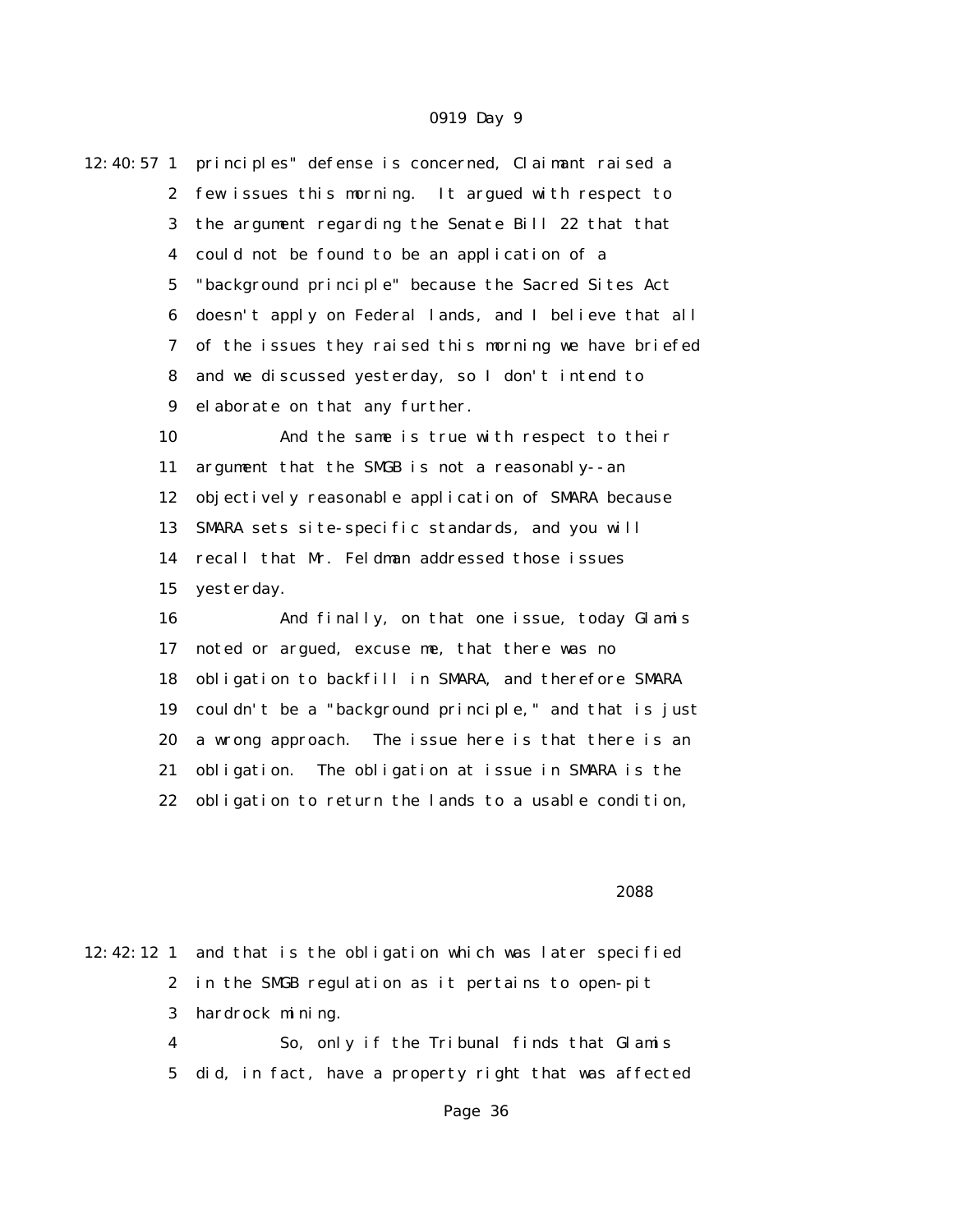| $12:40:57$ 1     | principles" defense is concerned, Claimant raised a    |
|------------------|--------------------------------------------------------|
| $\boldsymbol{2}$ | few issues this morning. It argued with respect to     |
| 3                | the argument regarding the Senate Bill 22 that that    |
| 4                | could not be found to be an application of a           |
| $\mathbf 5$      | "background principle" because the Sacred Sites Act    |
| 6                | doesn't apply on Federal lands, and I believe that all |
| 7                | of the issues they raised this morning we have briefed |
| 8                | and we discussed yesterday, so I don't intend to       |
| $\boldsymbol{9}$ | elaborate on that any further.                         |
| 10               | And the same is true with respect to their             |
| 11               | argument that the SMGB is not a reasonably--an         |
| 12               | objectively reasonable application of SMARA because    |
| 13               | SMARA sets site-specific standards, and you will       |
| 14               | recall that Mr. Feldman addressed those issues         |
| 15               | yesterday.                                             |
| 16               | And finally, on that one issue, today Glamis           |
| 17               | noted or argued, excuse me, that there was no          |
| 18               | obligation to backfill in SMARA, and therefore SMARA   |
| 19               | couldn't be a "background principle," and that is just |
| 20               | a wrong approach. The issue here is that there is an   |
| 21               | obligation. The obligation at issue in SMARA is the    |
| 22               | obligation to return the lands to a usable condition,  |
|                  |                                                        |
|                  |                                                        |

#### 2088

12:42:12 1 and that is the obligation which was later specified 2 in the SMGB regulation as it pertains to open-pit 3 hardrock mining.

 4 So, only if the Tribunal finds that Glamis 5 did, in fact, have a property right that was affected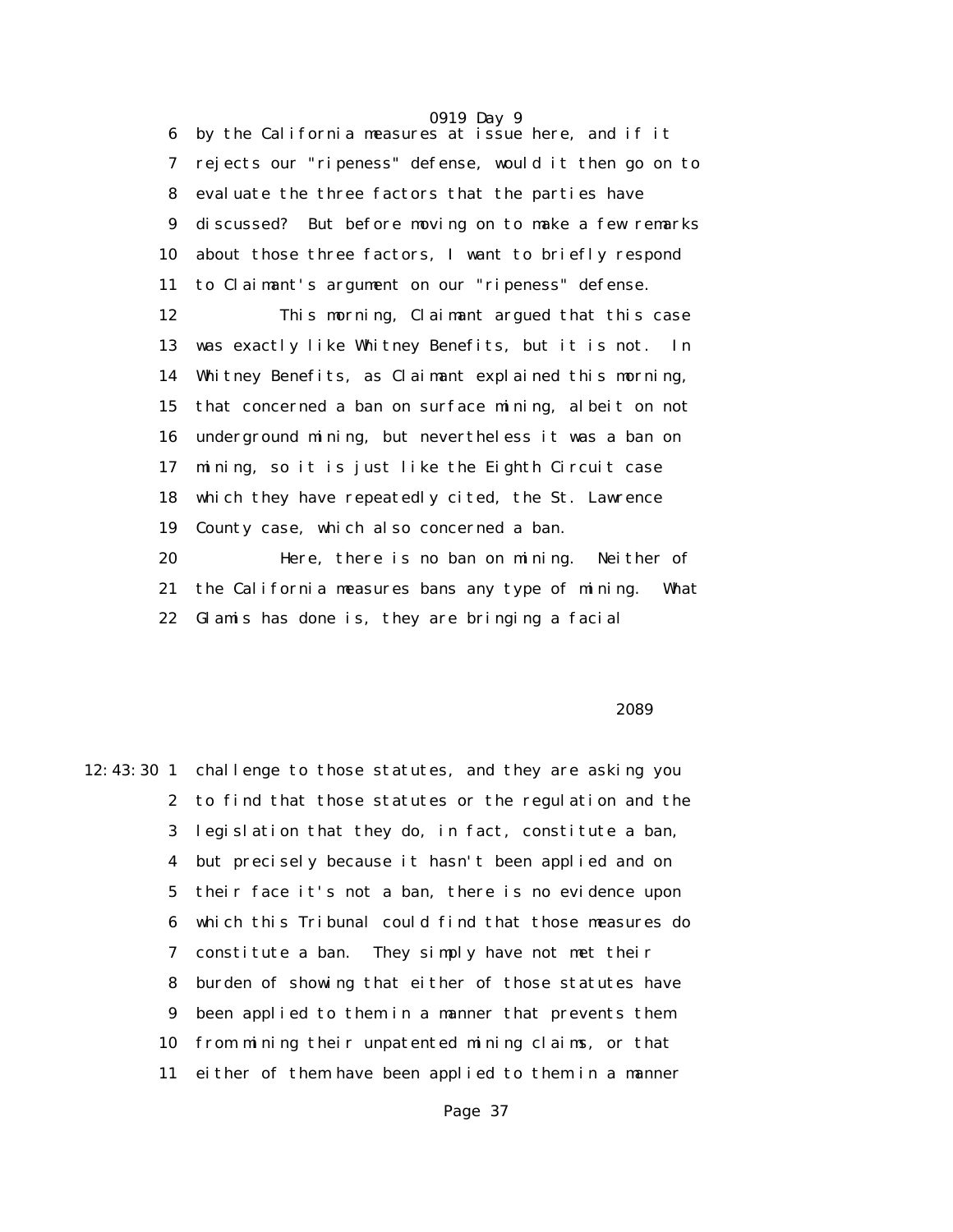6 by the California measures at issue here, and if it 7 rejects our "ripeness" defense, would it then go on to 8 evaluate the three factors that the parties have 9 discussed? But before moving on to make a few remarks 10 about those three factors, I want to briefly respond 11 to Claimant's argument on our "ripeness" defense.

 12 This morning, Claimant argued that this case 13 was exactly like Whitney Benefits, but it is not. In 14 Whitney Benefits, as Claimant explained this morning, 15 that concerned a ban on surface mining, albeit on not 16 underground mining, but nevertheless it was a ban on 17 mining, so it is just like the Eighth Circuit case 18 which they have repeatedly cited, the St. Lawrence 19 County case, which also concerned a ban. 20 Here, there is no ban on mining. Neither of

 21 the California measures bans any type of mining. What 22 Glamis has done is, they are bringing a facial

 $2089$ 

12:43:30 1 challenge to those statutes, and they are asking you 2 to find that those statutes or the regulation and the 3 legislation that they do, in fact, constitute a ban, 4 but precisely because it hasn't been applied and on 5 their face it's not a ban, there is no evidence upon 6 which this Tribunal could find that those measures do 7 constitute a ban. They simply have not met their 8 burden of showing that either of those statutes have 9 been applied to them in a manner that prevents them 10 from mining their unpatented mining claims, or that 11 either of them have been applied to them in a manner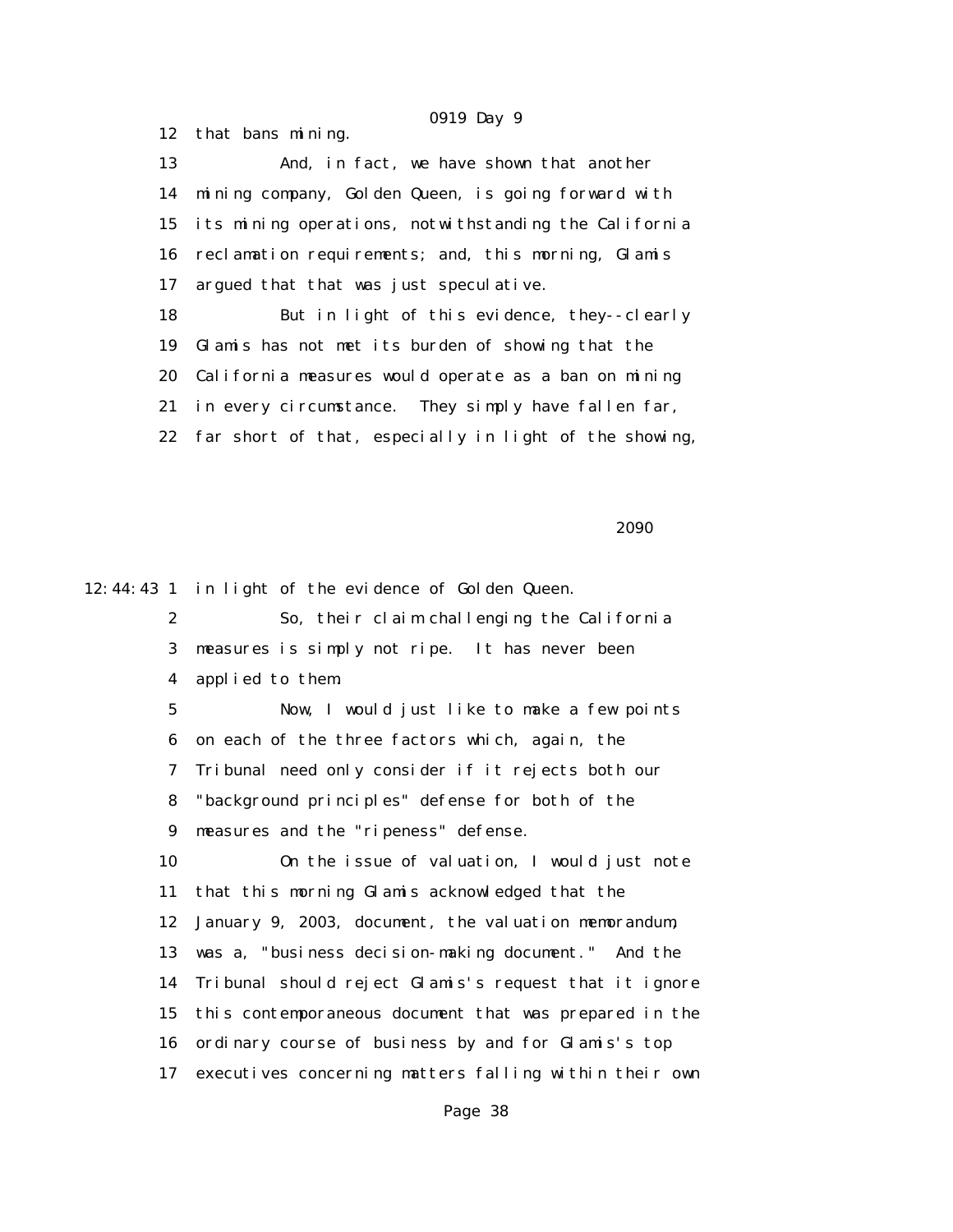12 that bans mining. 13 And, in fact, we have shown that another 14 mining company, Golden Queen, is going forward with 15 its mining operations, notwithstanding the California 16 reclamation requirements; and, this morning, Glamis 17 argued that that was just speculative. 18 But in light of this evidence, they--clearly 19 Glamis has not met its burden of showing that the 20 California measures would operate as a ban on mining 21 in every circumstance. They simply have fallen far, 22 far short of that, especially in light of the showing,

 $2090$ 

12:44:43 1 in light of the evidence of Golden Queen.

 2 So, their claim challenging the California 3 measures is simply not ripe. It has never been 4 applied to them.

 5 Now, I would just like to make a few points 6 on each of the three factors which, again, the 7 Tribunal need only consider if it rejects both our 8 "background principles" defense for both of the 9 measures and the "ripeness" defense. 10 On the issue of valuation, I would just note

 11 that this morning Glamis acknowledged that the 12 January 9, 2003, document, the valuation memorandum, 13 was a, "business decision-making document." And the 14 Tribunal should reject Glamis's request that it ignore 15 this contemporaneous document that was prepared in the 16 ordinary course of business by and for Glamis's top 17 executives concerning matters falling within their own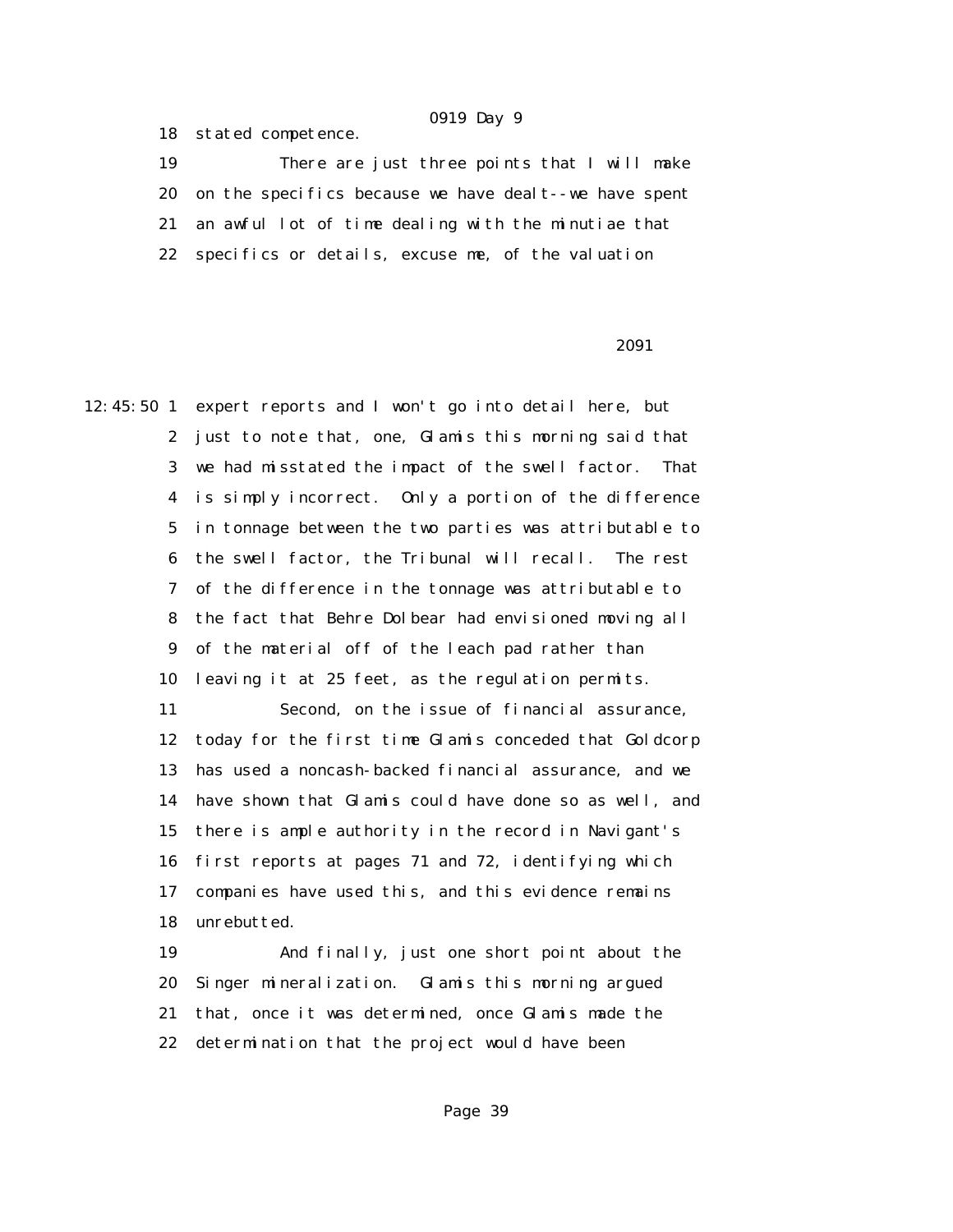18 stated competence.

 19 There are just three points that I will make 20 on the specifics because we have dealt--we have spent 21 an awful lot of time dealing with the minutiae that 22 specifics or details, excuse me, of the valuation

### 2091 **2091**

12:45:50 1 expert reports and I won't go into detail here, but 2 just to note that, one, Glamis this morning said that 3 we had misstated the impact of the swell factor. That 4 is simply incorrect. Only a portion of the difference 5 in tonnage between the two parties was attributable to 6 the swell factor, the Tribunal will recall. The rest 7 of the difference in the tonnage was attributable to 8 the fact that Behre Dolbear had envisioned moving all 9 of the material off of the leach pad rather than 10 leaving it at 25 feet, as the regulation permits.

> 11 Second, on the issue of financial assurance, 12 today for the first time Glamis conceded that Goldcorp 13 has used a noncash-backed financial assurance, and we 14 have shown that Glamis could have done so as well, and 15 there is ample authority in the record in Navigant's 16 first reports at pages 71 and 72, identifying which 17 companies have used this, and this evidence remains 18 unrebutted.

 19 And finally, just one short point about the 20 Singer mineralization. Glamis this morning argued 21 that, once it was determined, once Glamis made the 22 determination that the project would have been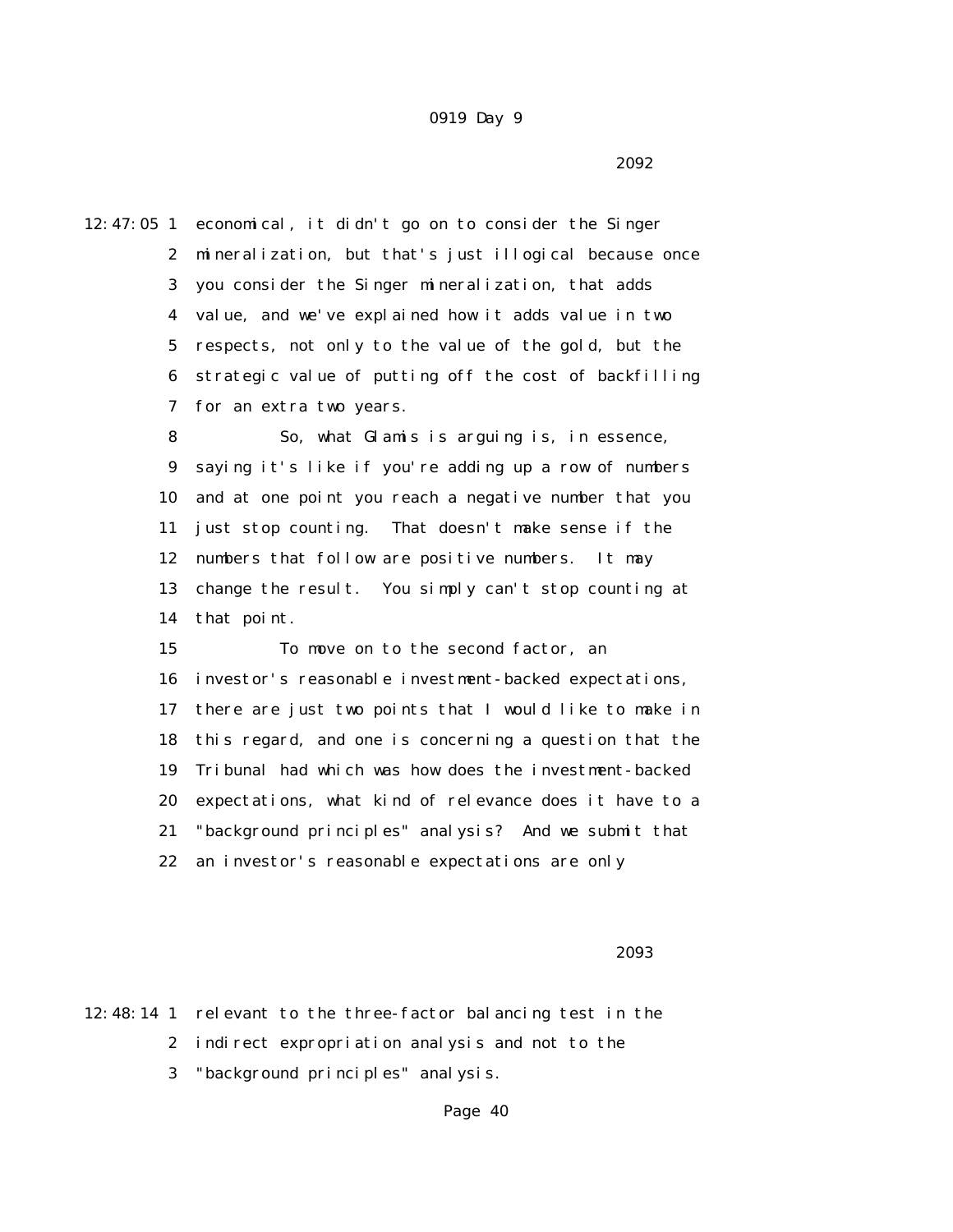$2092$ 

12:47:05 1 economical, it didn't go on to consider the Singer 2 mineralization, but that's just illogical because once 3 you consider the Singer mineralization, that adds 4 value, and we've explained how it adds value in two 5 respects, not only to the value of the gold, but the 6 strategic value of putting off the cost of backfilling 7 for an extra two years.

> 8 So, what Glamis is arguing is, in essence, 9 saying it's like if you're adding up a row of numbers 10 and at one point you reach a negative number that you 11 just stop counting. That doesn't make sense if the 12 numbers that follow are positive numbers. It may 13 change the result. You simply can't stop counting at 14 that point.

 15 To move on to the second factor, an 16 investor's reasonable investment-backed expectations, 17 there are just two points that I would like to make in 18 this regard, and one is concerning a question that the 19 Tribunal had which was how does the investment-backed 20 expectations, what kind of relevance does it have to a 21 "background principles" analysis? And we submit that 22 an investor's reasonable expectations are only

 $2093$ 

12:48:14 1 relevant to the three-factor balancing test in the 2 indirect expropriation analysis and not to the

3 "background principles" analysis.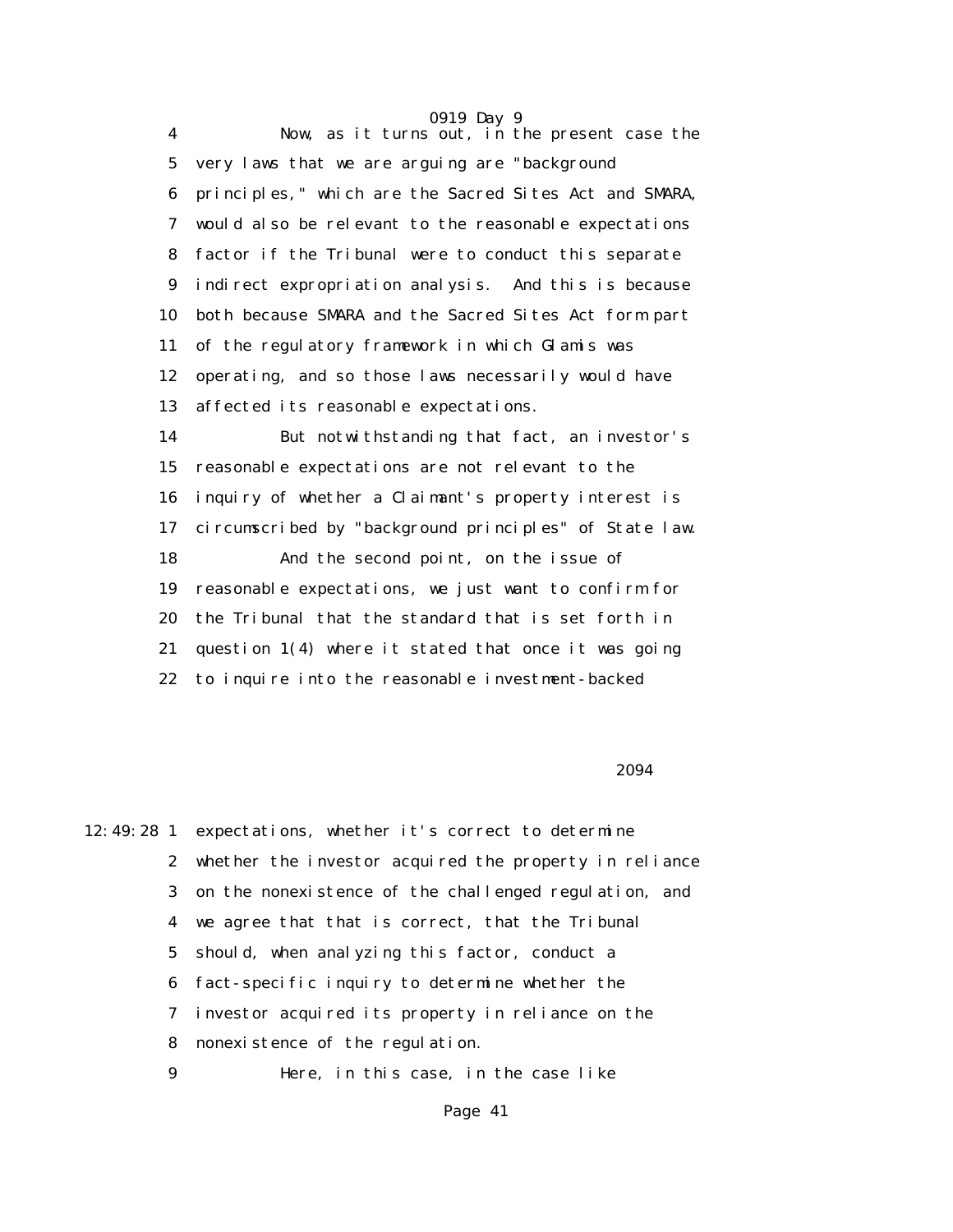0919 Day 9 4 Now, as it turns out, in the present case the 5 very laws that we are arguing are "background 6 principles," which are the Sacred Sites Act and SMARA, 7 would also be relevant to the reasonable expectations 8 factor if the Tribunal were to conduct this separate 9 indirect expropriation analysis. And this is because 10 both because SMARA and the Sacred Sites Act form part 11 of the regulatory framework in which Glamis was 12 operating, and so those laws necessarily would have 13 affected its reasonable expectations. 14 But notwithstanding that fact, an investor's 15 reasonable expectations are not relevant to the 16 inquiry of whether a Claimant's property interest is 17 circumscribed by "background principles" of State law. 18 And the second point, on the issue of 19 reasonable expectations, we just want to confirm for 20 the Tribunal that the standard that is set forth in 21 question 1(4) where it stated that once it was going 22 to inquire into the reasonable investment-backed

#### $2094$

12:49:28 1 expectations, whether it's correct to determine 2 whether the investor acquired the property in reliance 3 on the nonexistence of the challenged regulation, and 4 we agree that that is correct, that the Tribunal 5 should, when analyzing this factor, conduct a 6 fact-specific inquiry to determine whether the 7 investor acquired its property in reliance on the 8 nonexistence of the regulation. 9 Here, in this case, in the case like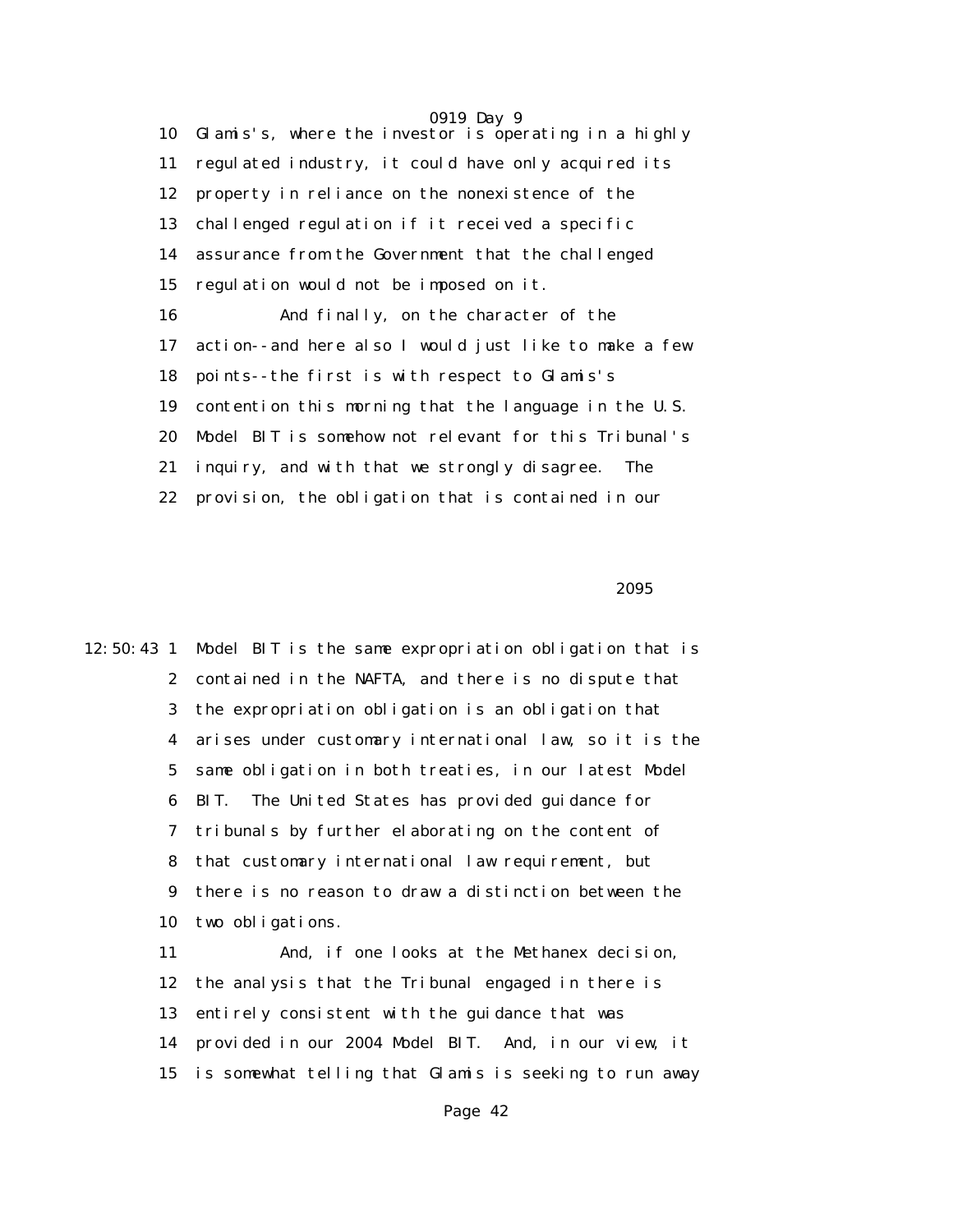0919 Day 9 10 Glamis's, where the investor is operating in a highly 11 regulated industry, it could have only acquired its 12 property in reliance on the nonexistence of the 13 challenged regulation if it received a specific 14 assurance from the Government that the challenged 15 regulation would not be imposed on it. 16 And finally, on the character of the 17 action--and here also I would just like to make a few 18 points--the first is with respect to Glamis's 19 contention this morning that the language in the U.S. 20 Model BIT is somehow not relevant for this Tribunal's 21 inquiry, and with that we strongly disagree. The 22 provision, the obligation that is contained in our

 $2095$ 

12:50:43 1 Model BIT is the same expropriation obligation that is 2 contained in the NAFTA, and there is no dispute that 3 the expropriation obligation is an obligation that 4 arises under customary international law, so it is the 5 same obligation in both treaties, in our latest Model 6 BIT. The United States has provided guidance for 7 tribunals by further elaborating on the content of 8 that customary international law requirement, but 9 there is no reason to draw a distinction between the 10 two obligations. 11 And, if one looks at the Methanex decision, 12 the analysis that the Tribunal engaged in there is 13 entirely consistent with the guidance that was 14 provided in our 2004 Model BIT. And, in our view, it 15 is somewhat telling that Glamis is seeking to run away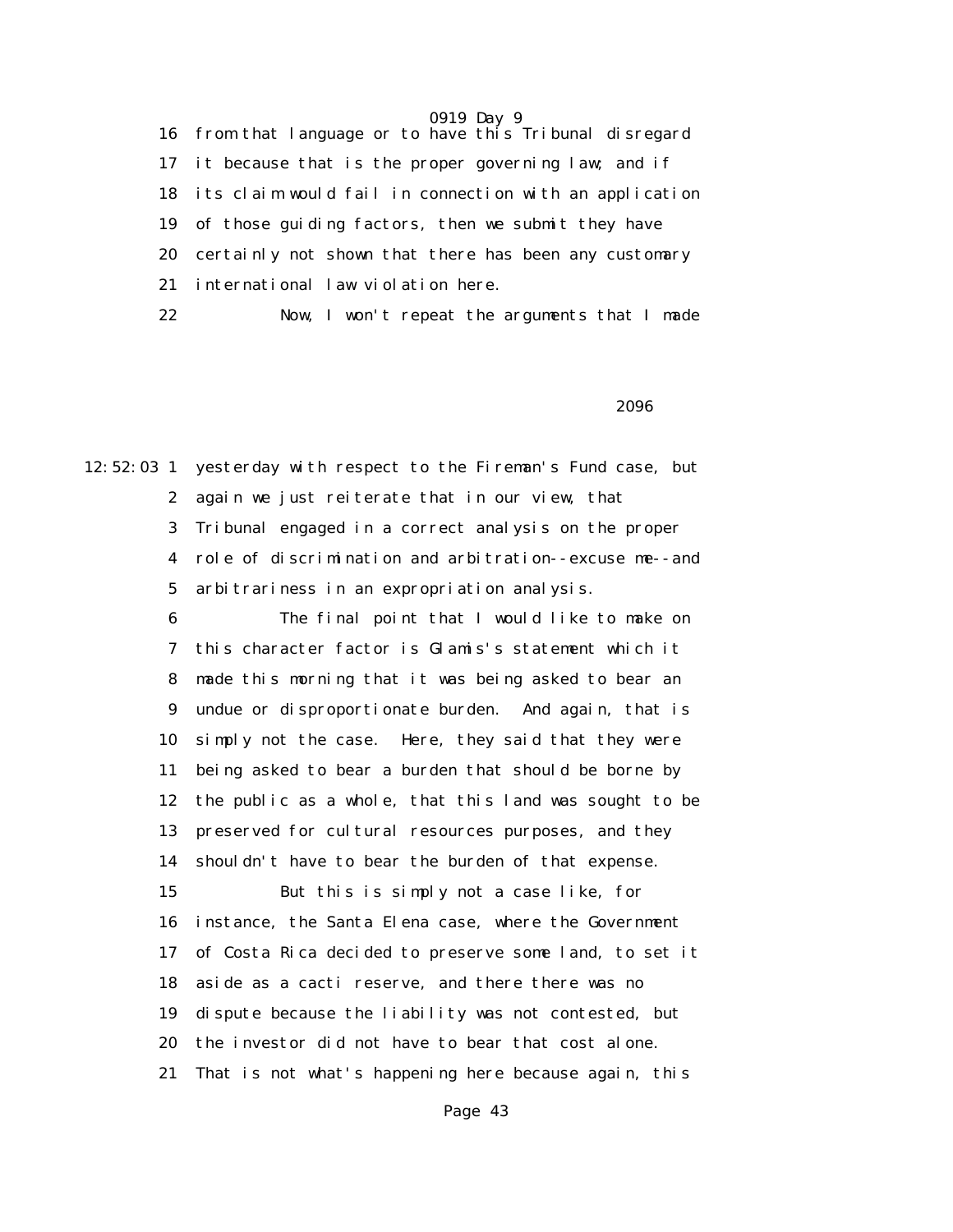16 from that language or to have this Tribunal disregard 17 it because that is the proper governing law; and if 18 its claim would fail in connection with an application 19 of those guiding factors, then we submit they have 20 certainly not shown that there has been any customary 21 international law violation here.

22 Now, I won't repeat the arguments that I made

 $2096$ 

12:52:03 1 yesterday with respect to the Fireman's Fund case, but 2 again we just reiterate that in our view, that 3 Tribunal engaged in a correct analysis on the proper 4 role of discrimination and arbitration--excuse me--and 5 arbitrariness in an expropriation analysis.

> 6 The final point that I would like to make on 7 this character factor is Glamis's statement which it 8 made this morning that it was being asked to bear an 9 undue or disproportionate burden. And again, that is 10 simply not the case. Here, they said that they were 11 being asked to bear a burden that should be borne by 12 the public as a whole, that this land was sought to be 13 preserved for cultural resources purposes, and they 14 shouldn't have to bear the burden of that expense. 15 But this is simply not a case like, for 16 instance, the Santa Elena case, where the Government 17 of Costa Rica decided to preserve some land, to set it 18 aside as a cacti reserve, and there there was no 19 dispute because the liability was not contested, but 20 the investor did not have to bear that cost alone. 21 That is not what's happening here because again, this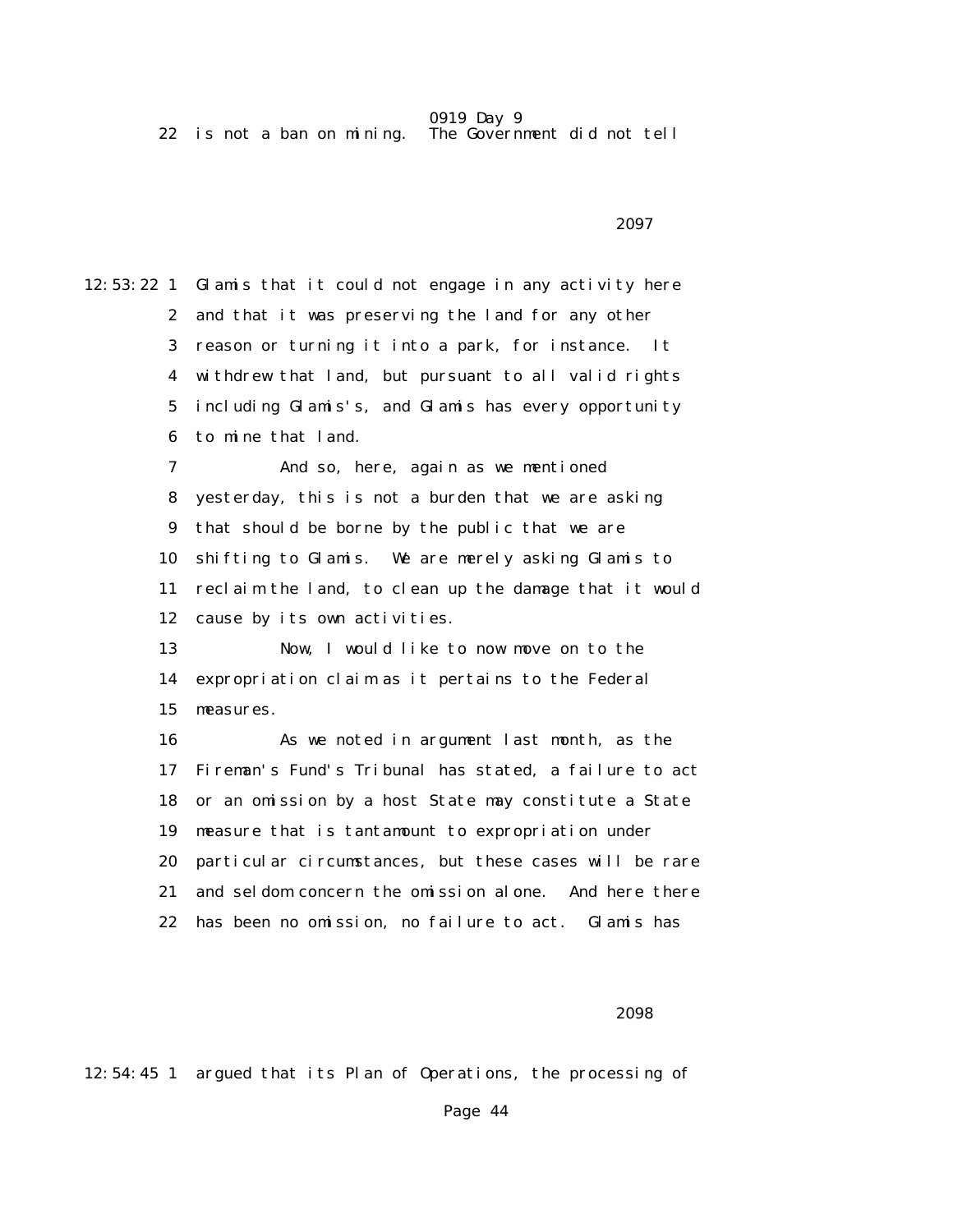0919 Day 9<br>The Government did not tell  $22$  is not a ban on mining.

 $2097$ 

12:53:22 1 Glamis that it could not engage in any activity here 2 and that it was preserving the land for any other 3 reason or turning it into a park, for instance. It 4 withdrew that land, but pursuant to all valid rights 5 including Glamis's, and Glamis has every opportunity 6 to mine that land. 7 And so, here, again as we mentioned 8 yesterday, this is not a burden that we are asking 9 that should be borne by the public that we are 10 shifting to Glamis. We are merely asking Glamis to 11 reclaim the land, to clean up the damage that it would 12 cause by its own activities. 13 Now, I would like to now move on to the 14 expropriation claim as it pertains to the Federal 15 measures. 16 As we noted in argument last month, as the 17 Fireman's Fund's Tribunal has stated, a failure to act 18 or an omission by a host State may constitute a State 19 measure that is tantamount to expropriation under 20 particular circumstances, but these cases will be rare 21 and seldom concern the omission alone. And here there 22 has been no omission, no failure to act. Glamis has

#### $2098$

12:54:45 1 argued that its Plan of Operations, the processing of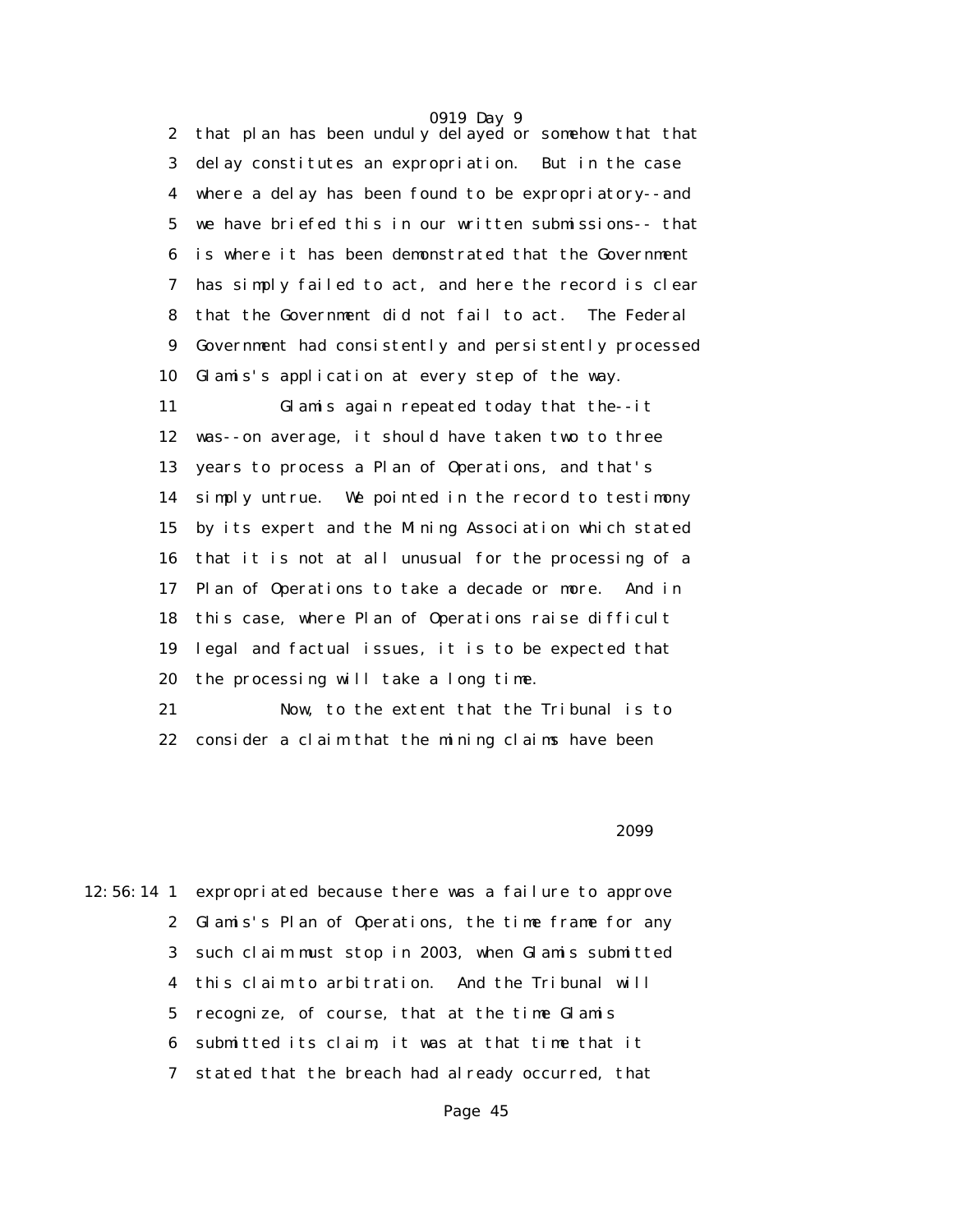0919 Day 9 2 that plan has been unduly delayed or somehow that that 3 delay constitutes an expropriation. But in the case 4 where a delay has been found to be expropriatory--and 5 we have briefed this in our written submissions-- that 6 is where it has been demonstrated that the Government 7 has simply failed to act, and here the record is clear 8 that the Government did not fail to act. The Federal 9 Government had consistently and persistently processed 10 Glamis's application at every step of the way.

 11 Glamis again repeated today that the--it 12 was--on average, it should have taken two to three 13 years to process a Plan of Operations, and that's 14 simply untrue. We pointed in the record to testimony 15 by its expert and the Mining Association which stated 16 that it is not at all unusual for the processing of a 17 Plan of Operations to take a decade or more. And in 18 this case, where Plan of Operations raise difficult 19 legal and factual issues, it is to be expected that 20 the processing will take a long time.

 21 Now, to the extent that the Tribunal is to 22 consider a claim that the mining claims have been

 $2099$ 

12:56:14 1 expropriated because there was a failure to approve 2 Glamis's Plan of Operations, the time frame for any 3 such claim must stop in 2003, when Glamis submitted 4 this claim to arbitration. And the Tribunal will 5 recognize, of course, that at the time Glamis 6 submitted its claim, it was at that time that it 7 stated that the breach had already occurred, that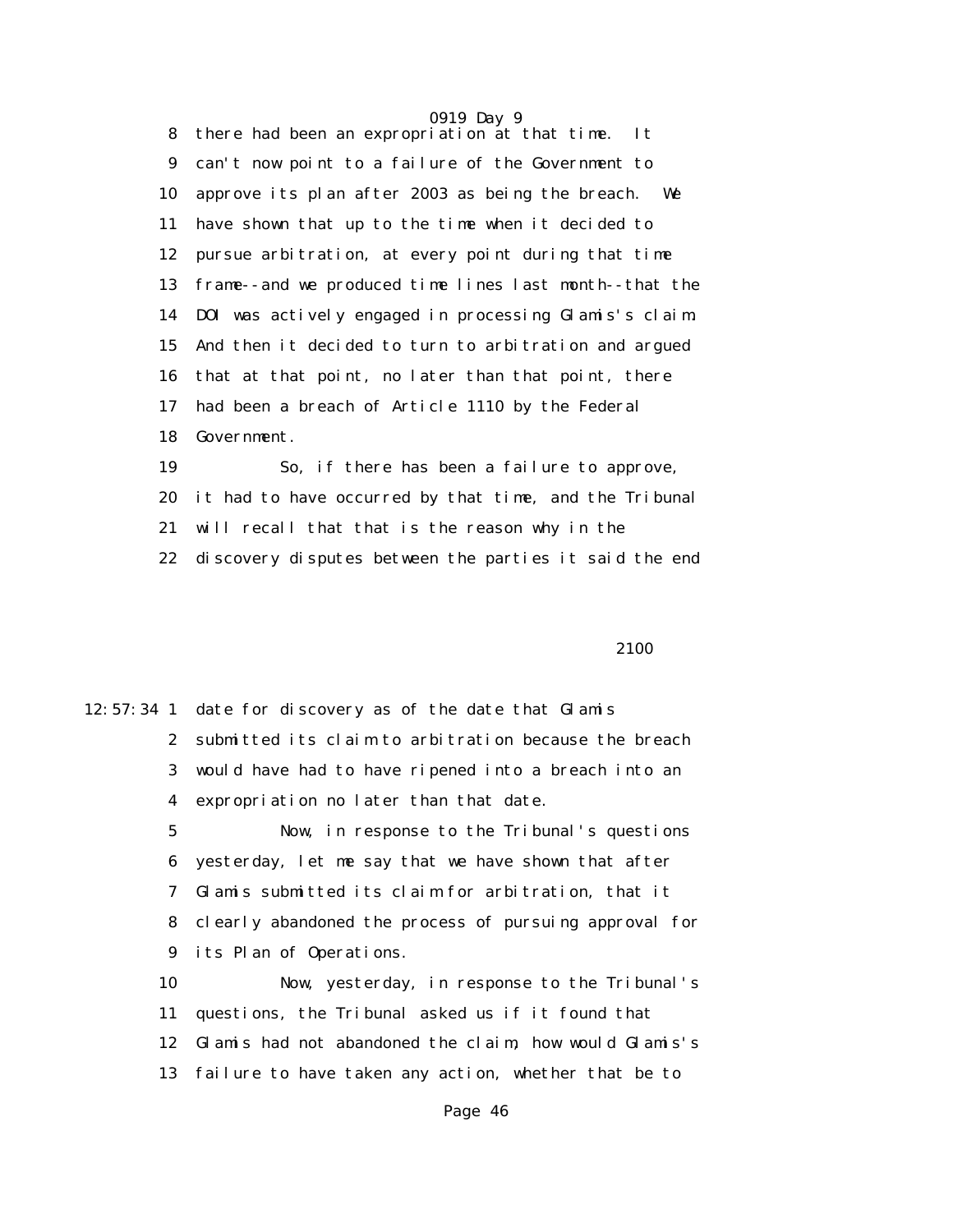0919 Day 9 8 there had been an expropriation at that time. It 9 can't now point to a failure of the Government to 10 approve its plan after 2003 as being the breach. We 11 have shown that up to the time when it decided to 12 pursue arbitration, at every point during that time 13 frame--and we produced time lines last month--that the 14 DOI was actively engaged in processing Glamis's claim. 15 And then it decided to turn to arbitration and argued 16 that at that point, no later than that point, there 17 had been a breach of Article 1110 by the Federal 18 Government.

 19 So, if there has been a failure to approve, 20 it had to have occurred by that time, and the Tribunal 21 will recall that that is the reason why in the 22 discovery disputes between the parties it said the end

2100

|                 | 12:57:34 1 date for discovery as of the date that Glamis |
|-----------------|----------------------------------------------------------|
|                 | 2 submitted its claim to arbitration because the breach  |
| 3               | would have had to have ripened into a breach into an     |
| 4               | expropriation no later than that date.                   |
| $5\phantom{.0}$ | Now, in response to the Tribunal's questions             |
| 6               | yesterday, let me say that we have shown that after      |
| 7               | Glamis submitted its claim for arbitration, that it      |
| 8.              | clearly abandoned the process of pursuing approval for   |
| 9               | its Plan of Operations.                                  |
| 10              | Now, yesterday, in response to the Tribunal's            |
| 11              | questions, the Tribunal asked us if it found that        |
| 12              | Glamis had not abandoned the claim, how would Glamis's   |
| 13              | failure to have taken any action, whether that be to     |
|                 |                                                          |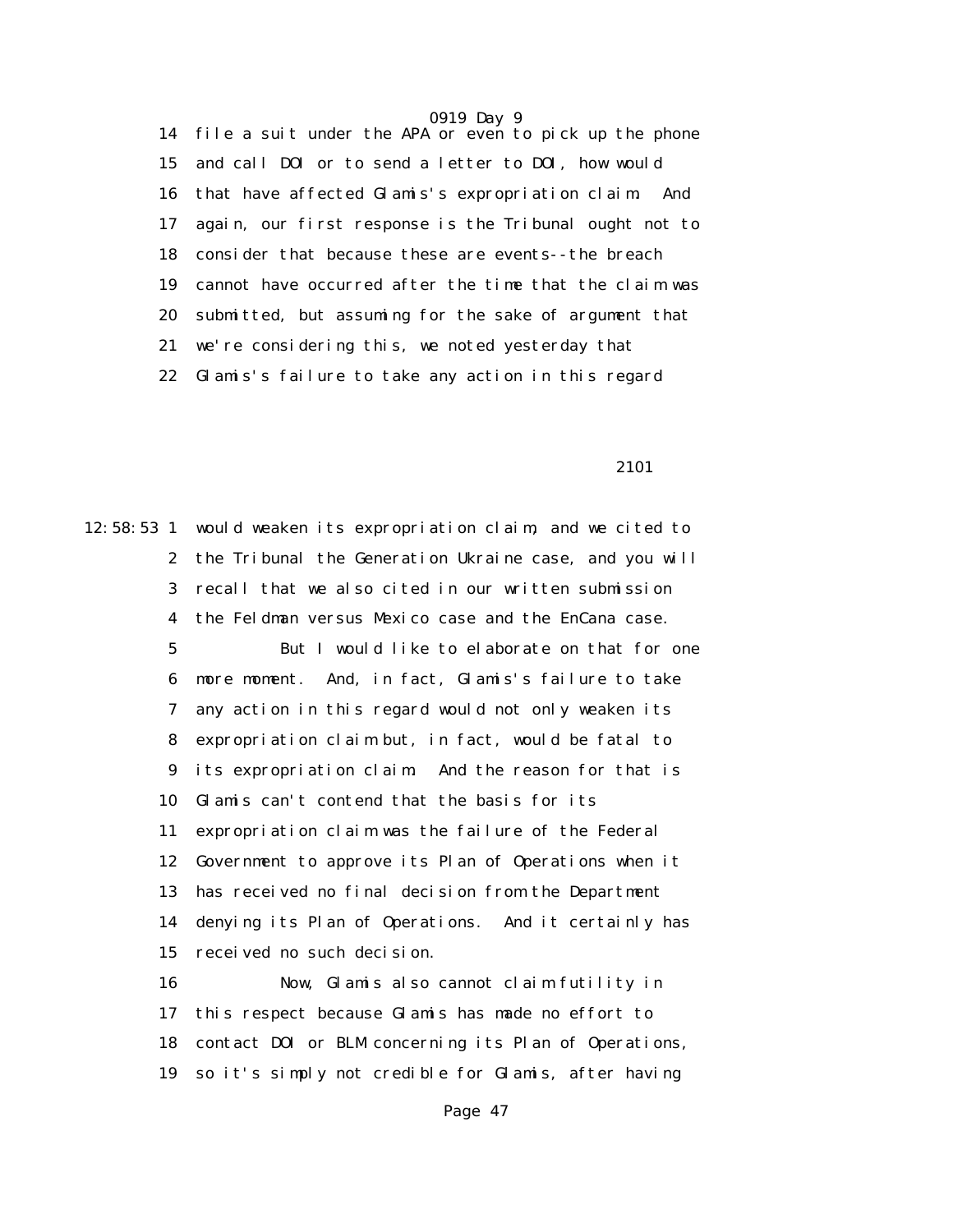14 file a suit under the APA or even to pick up the phone 15 and call DOI or to send a letter to DOI, how would 16 that have affected Glamis's expropriation claim. And 17 again, our first response is the Tribunal ought not to 18 consider that because these are events--the breach 19 cannot have occurred after the time that the claim was 20 submitted, but assuming for the sake of argument that 21 we're considering this, we noted yesterday that 22 Glamis's failure to take any action in this regard

2101

12:58:53 1 would weaken its expropriation claim, and we cited to 2 the Tribunal the Generation Ukraine case, and you will 3 recall that we also cited in our written submission 4 the Feldman versus Mexico case and the EnCana case. 5 But I would like to elaborate on that for one 6 more moment. And, in fact, Glamis's failure to take

> 7 any action in this regard would not only weaken its 8 expropriation claim but, in fact, would be fatal to 9 its expropriation claim. And the reason for that is 10 Glamis can't contend that the basis for its 11 expropriation claim was the failure of the Federal 12 Government to approve its Plan of Operations when it 13 has received no final decision from the Department 14 denying its Plan of Operations. And it certainly has 15 received no such decision.

> 16 Now, Glamis also cannot claim futility in 17 this respect because Glamis has made no effort to 18 contact DOI or BLM concerning its Plan of Operations, 19 so it's simply not credible for Glamis, after having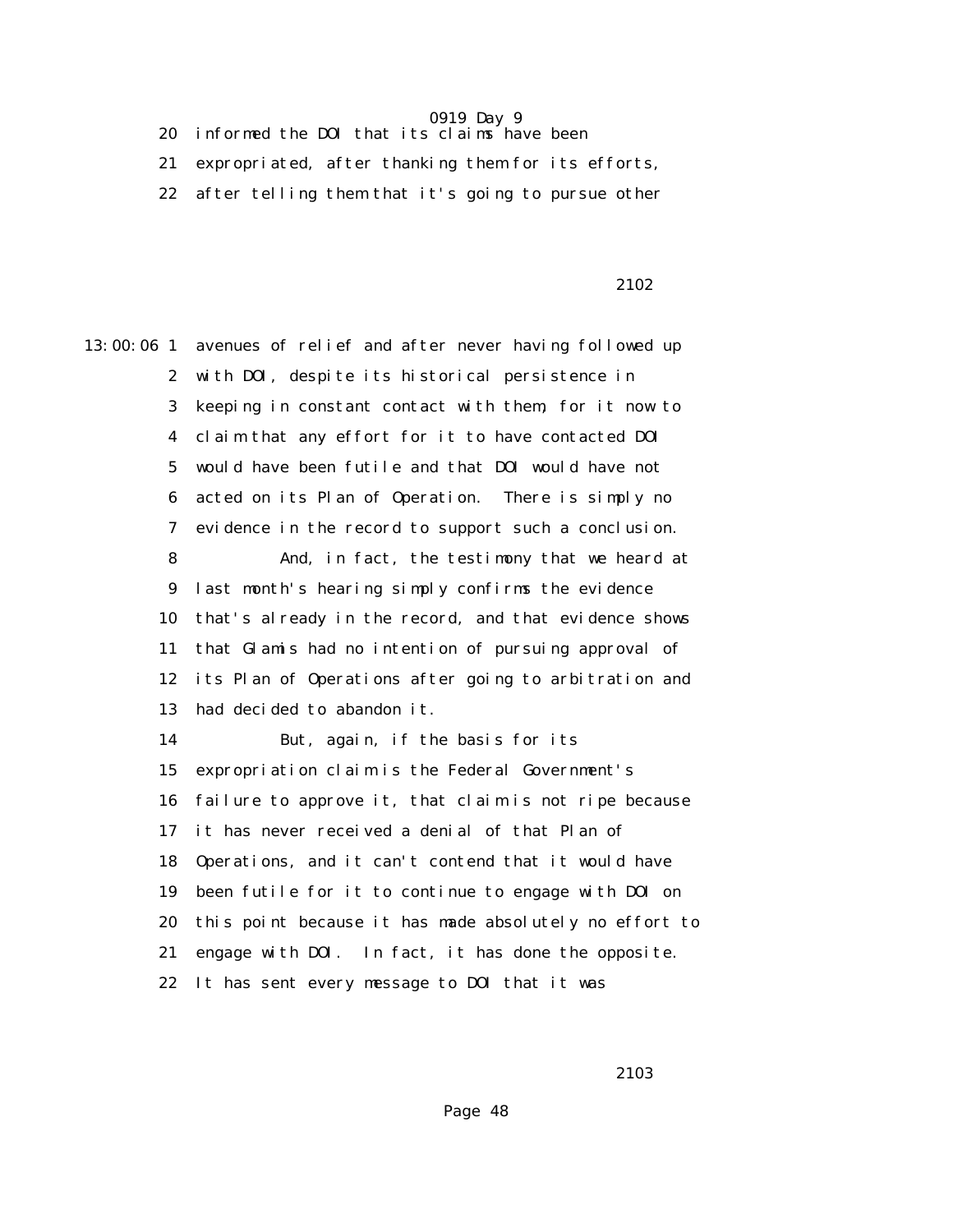20 informed the DOI that its claims have been

21 expropriated, after thanking them for its efforts,

22 after telling them that it's going to pursue other

### 2102

13:00:06 1 avenues of relief and after never having followed up 2 with DOI, despite its historical persistence in 3 keeping in constant contact with them, for it now to 4 claim that any effort for it to have contacted DOI 5 would have been futile and that DOI would have not 6 acted on its Plan of Operation. There is simply no 7 evidence in the record to support such a conclusion. 8 And, in fact, the testimony that we heard at 9 last month's hearing simply confirms the evidence 10 that's already in the record, and that evidence shows 11 that Glamis had no intention of pursuing approval of 12 its Plan of Operations after going to arbitration and 13 had decided to abandon it. 14 But, again, if the basis for its 15 expropriation claim is the Federal Government's 16 failure to approve it, that claim is not ripe because 17 it has never received a denial of that Plan of 18 Operations, and it can't contend that it would have 19 been futile for it to continue to engage with DOI on 20 this point because it has made absolutely no effort to 21 engage with DOI. In fact, it has done the opposite. 22 It has sent every message to DOI that it was

2103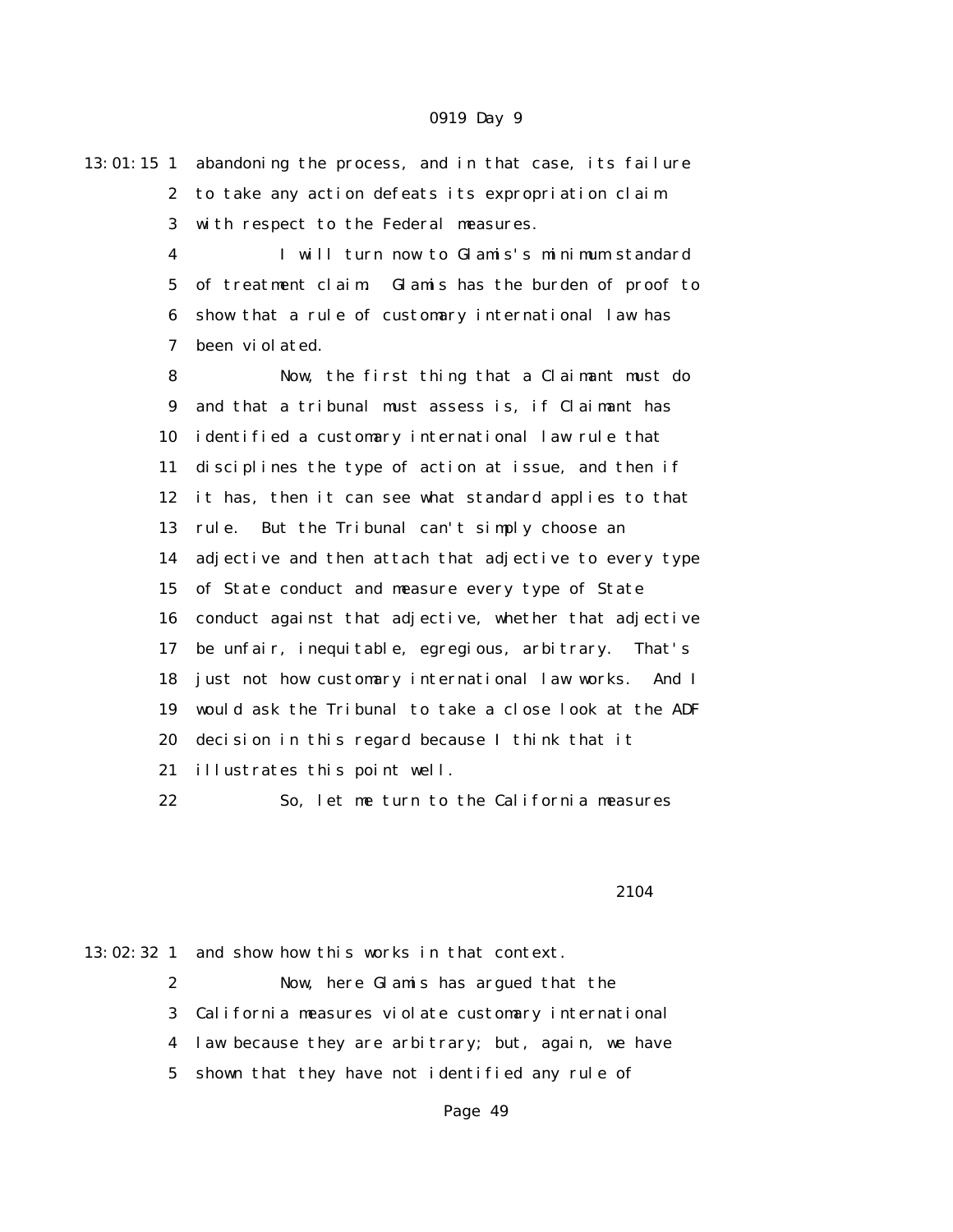13:01:15 1 abandoning the process, and in that case, its failure 2 to take any action defeats its expropriation claim 3 with respect to the Federal measures.

> 4 I will turn now to Glamis's minimum standard 5 of treatment claim. Glamis has the burden of proof to 6 show that a rule of customary international law has 7 been violated.

 8 Now, the first thing that a Claimant must do 9 and that a tribunal must assess is, if Claimant has 10 identified a customary international law rule that 11 disciplines the type of action at issue, and then if 12 it has, then it can see what standard applies to that 13 rule. But the Tribunal can't simply choose an 14 adjective and then attach that adjective to every type 15 of State conduct and measure every type of State 16 conduct against that adjective, whether that adjective 17 be unfair, inequitable, egregious, arbitrary. That's 18 just not how customary international law works. And I 19 would ask the Tribunal to take a close look at the ADF 20 decision in this regard because I think that it 21 illustrates this point well.

22 So, let me turn to the California measures

#### 2104

13:02:32 1 and show how this works in that context.

 2 Now, here Glamis has argued that the 3 California measures violate customary international 4 law because they are arbitrary; but, again, we have 5 shown that they have not identified any rule of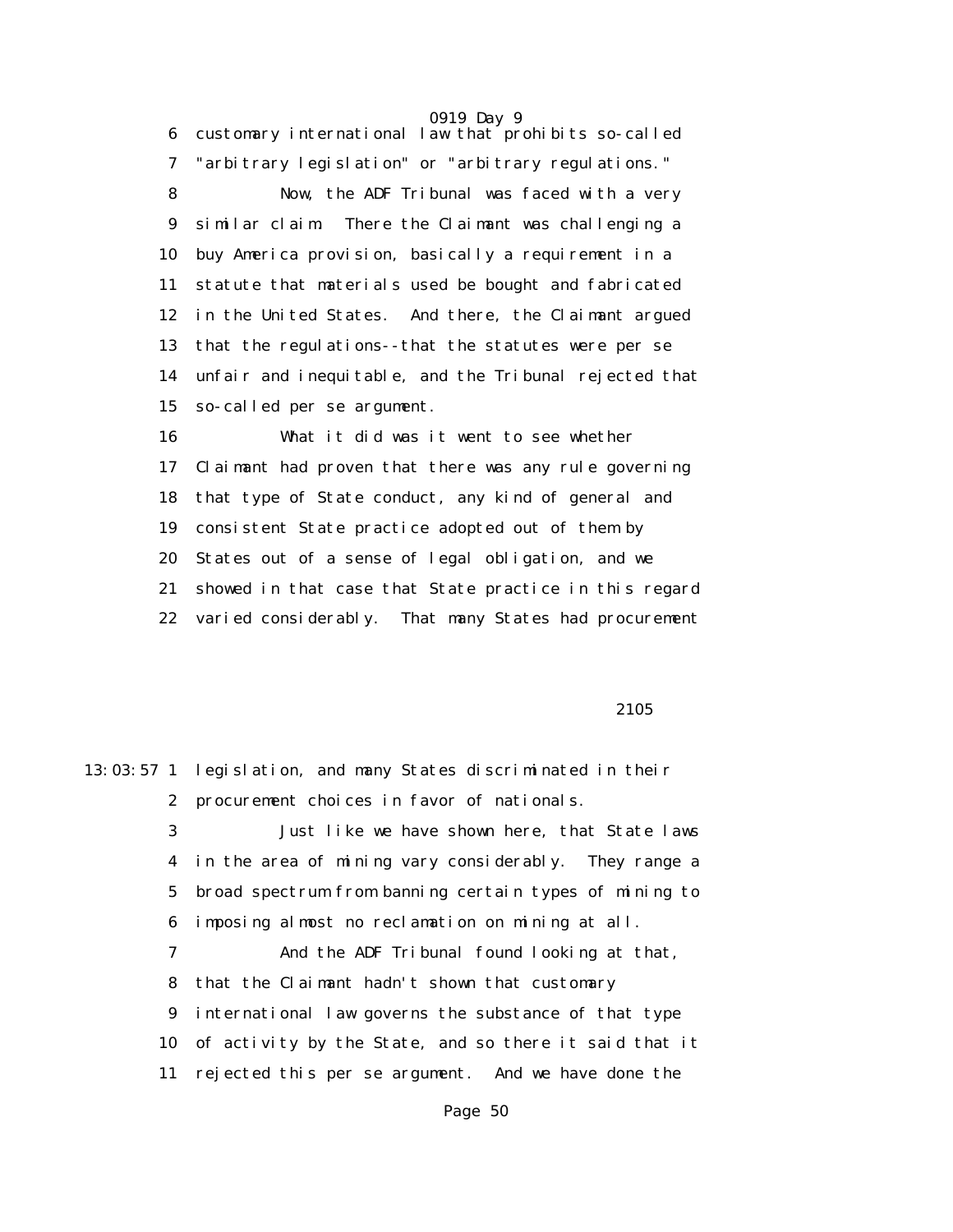6 customary international law that prohibits so-called 7 "arbitrary legislation" or "arbitrary regulations." 8 Now, the ADF Tribunal was faced with a very 9 similar claim. There the Claimant was challenging a 10 buy America provision, basically a requirement in a 11 statute that materials used be bought and fabricated 12 in the United States. And there, the Claimant argued 13 that the regulations--that the statutes were per se 14 unfair and inequitable, and the Tribunal rejected that 15 so-called per se argument.

 16 What it did was it went to see whether 17 Claimant had proven that there was any rule governing 18 that type of State conduct, any kind of general and 19 consistent State practice adopted out of them by 20 States out of a sense of legal obligation, and we 21 showed in that case that State practice in this regard 22 varied considerably. That many States had procurement

2105

13:03:57 1 legislation, and many States discriminated in their 2 procurement choices in favor of nationals. 3 Just like we have shown here, that State laws 4 in the area of mining vary considerably. They range a 5 broad spectrum from banning certain types of mining to 6 imposing almost no reclamation on mining at all. 7 And the ADF Tribunal found looking at that, 8 that the Claimant hadn't shown that customary 9 international law governs the substance of that type 10 of activity by the State, and so there it said that it 11 rejected this per se argument. And we have done the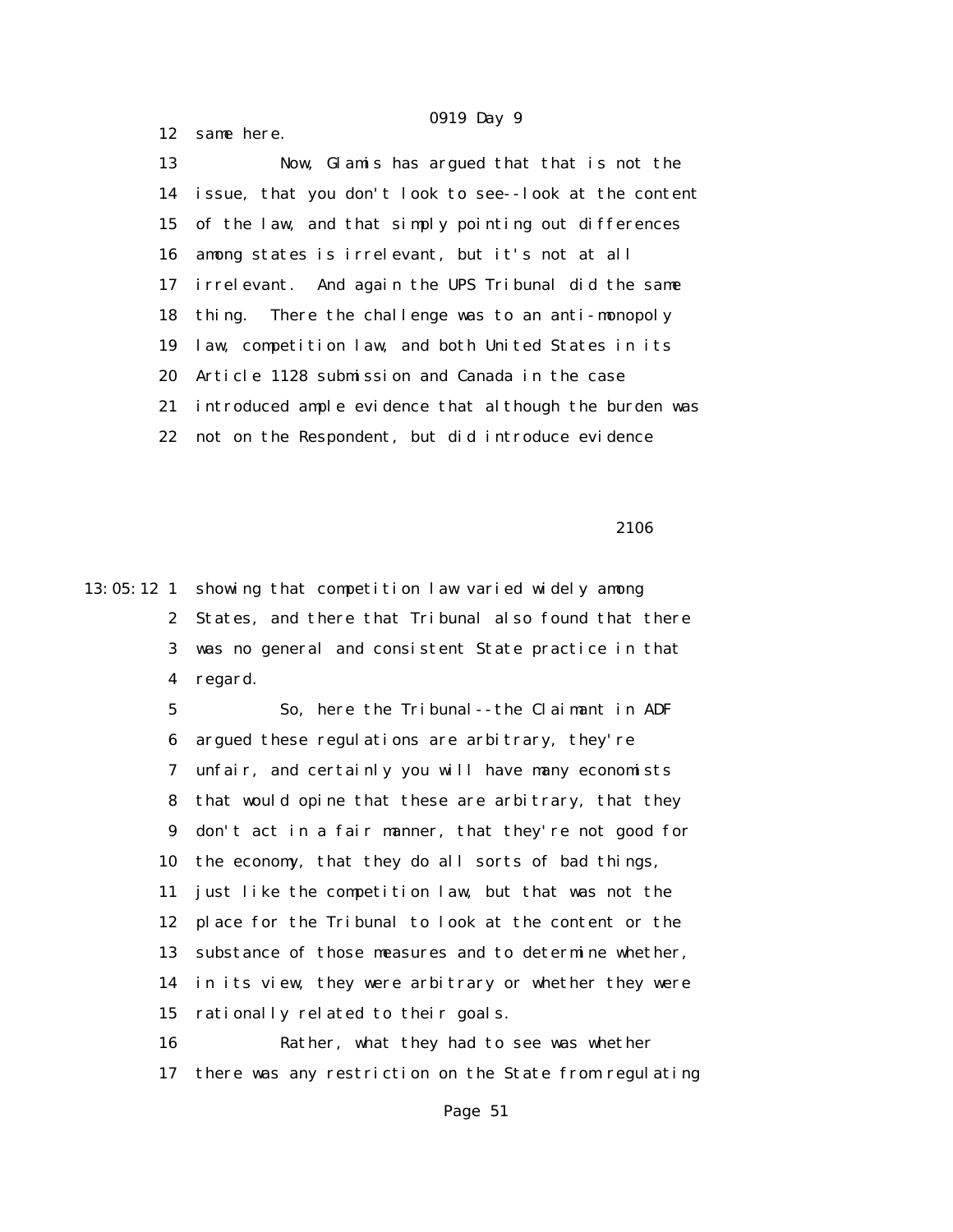12 same here.

 13 Now, Glamis has argued that that is not the 14 issue, that you don't look to see--look at the content 15 of the law, and that simply pointing out differences 16 among states is irrelevant, but it's not at all 17 irrelevant. And again the UPS Tribunal did the same 18 thing. There the challenge was to an anti-monopoly 19 law, competition law, and both United States in its 20 Article 1128 submission and Canada in the case 21 introduced ample evidence that although the burden was 22 not on the Respondent, but did introduce evidence

2106

13:05:12 1 showing that competition law varied widely among 2 States, and there that Tribunal also found that there 3 was no general and consistent State practice in that 4 regard.

> 5 So, here the Tribunal--the Claimant in ADF 6 argued these regulations are arbitrary, they're 7 unfair, and certainly you will have many economists 8 that would opine that these are arbitrary, that they 9 don't act in a fair manner, that they're not good for 10 the economy, that they do all sorts of bad things, 11 just like the competition law, but that was not the 12 place for the Tribunal to look at the content or the 13 substance of those measures and to determine whether, 14 in its view, they were arbitrary or whether they were 15 rationally related to their goals.

 16 Rather, what they had to see was whether 17 there was any restriction on the State from regulating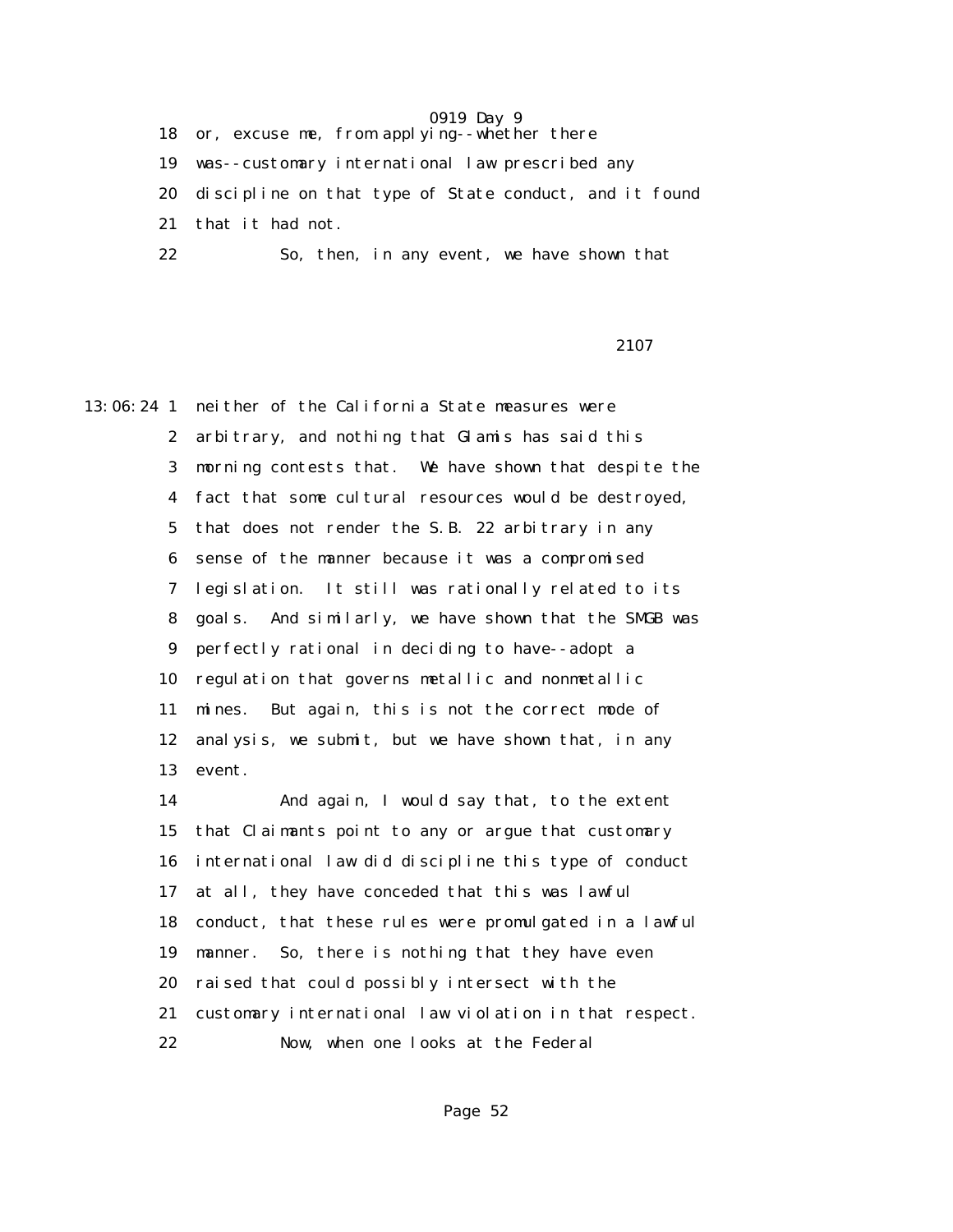18 or, excuse me, from applying--whether there

19 was--customary international law prescribed any

20 discipline on that type of State conduct, and it found

21 that it had not.

22 So, then, in any event, we have shown that

### 2107

13:06:24 1 neither of the California State measures were 2 arbitrary, and nothing that Glamis has said this 3 morning contests that. We have shown that despite the 4 fact that some cultural resources would be destroyed, 5 that does not render the S.B. 22 arbitrary in any 6 sense of the manner because it was a compromised 7 legislation. It still was rationally related to its 8 goals. And similarly, we have shown that the SMGB was 9 perfectly rational in deciding to have--adopt a 10 regulation that governs metallic and nonmetallic 11 mines. But again, this is not the correct mode of 12 analysis, we submit, but we have shown that, in any 13 event.

> 14 And again, I would say that, to the extent 15 that Claimants point to any or argue that customary 16 international law did discipline this type of conduct 17 at all, they have conceded that this was lawful 18 conduct, that these rules were promulgated in a lawful 19 manner. So, there is nothing that they have even 20 raised that could possibly intersect with the 21 customary international law violation in that respect. 22 Now, when one looks at the Federal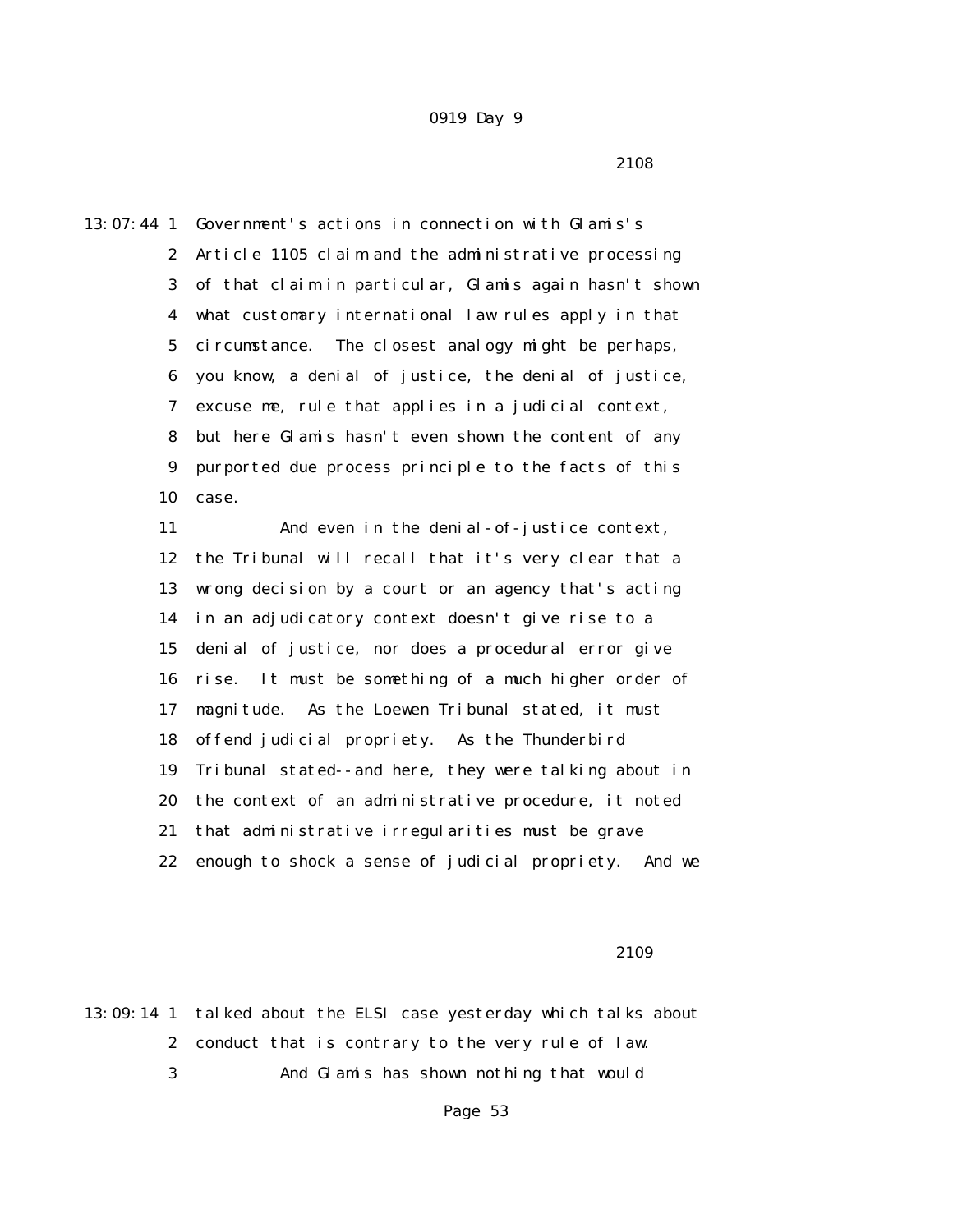2108

13:07:44 1 Government's actions in connection with Glamis's 2 Article 1105 claim and the administrative processing 3 of that claim in particular, Glamis again hasn't shown 4 what customary international law rules apply in that 5 circumstance. The closest analogy might be perhaps, 6 you know, a denial of justice, the denial of justice, 7 excuse me, rule that applies in a judicial context, 8 but here Glamis hasn't even shown the content of any 9 purported due process principle to the facts of this 10 case. 11 And even in the denial-of-justice context,

 12 the Tribunal will recall that it's very clear that a 13 wrong decision by a court or an agency that's acting 14 in an adjudicatory context doesn't give rise to a 15 denial of justice, nor does a procedural error give 16 rise. It must be something of a much higher order of 17 magnitude. As the Loewen Tribunal stated, it must 18 offend judicial propriety. As the Thunderbird 19 Tribunal stated--and here, they were talking about in 20 the context of an administrative procedure, it noted 21 that administrative irregularities must be grave 22 enough to shock a sense of judicial propriety. And we

2109

13:09:14 1 talked about the ELSI case yesterday which talks about 2 conduct that is contrary to the very rule of law. 3 And Glamis has shown nothing that would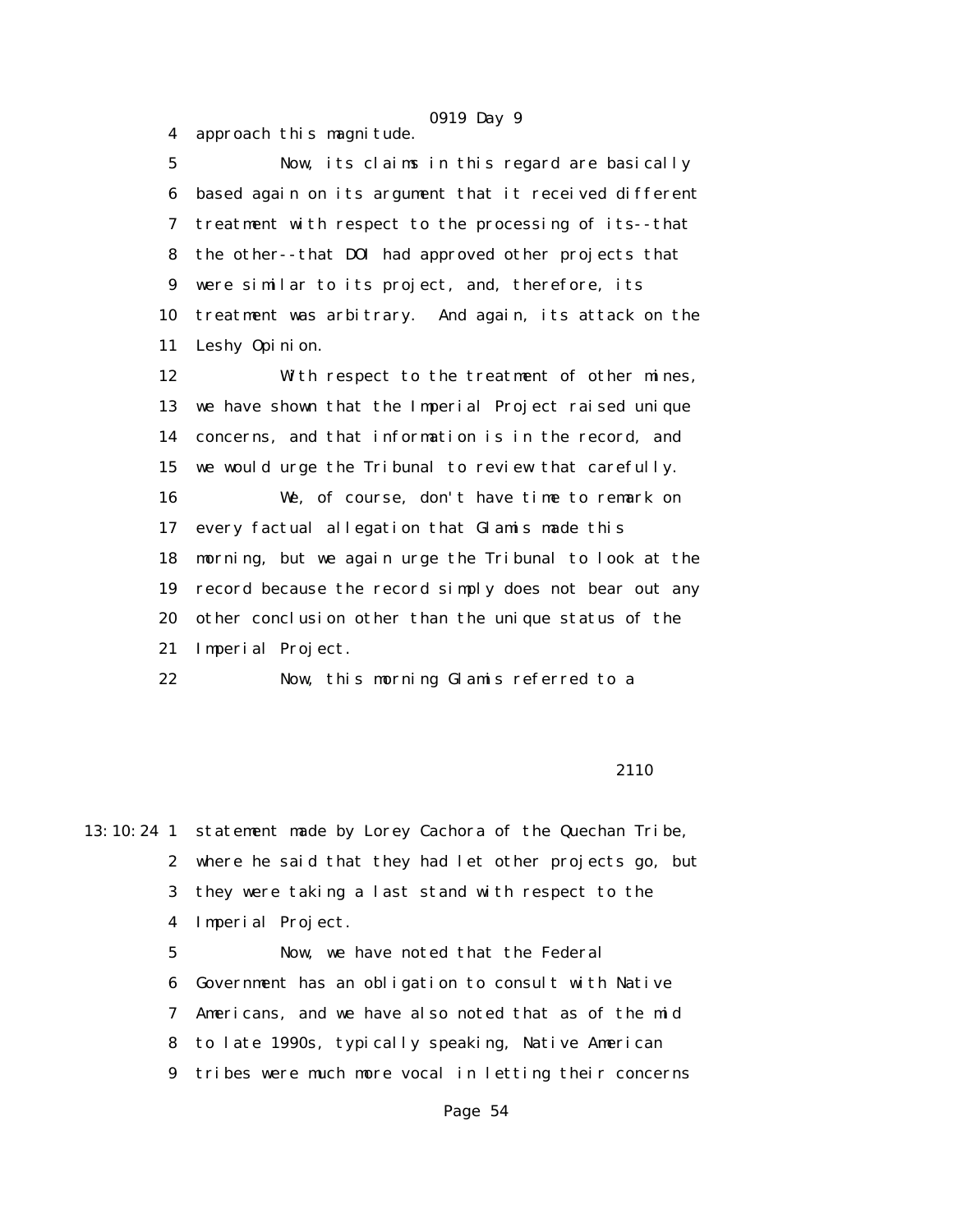4 approach this magnitude.

 5 Now, its claims in this regard are basically 6 based again on its argument that it received different 7 treatment with respect to the processing of its--that 8 the other--that DOI had approved other projects that 9 were similar to its project, and, therefore, its 10 treatment was arbitrary. And again, its attack on the 11 Leshy Opinion.

 12 With respect to the treatment of other mines, 13 we have shown that the Imperial Project raised unique 14 concerns, and that information is in the record, and 15 we would urge the Tribunal to review that carefully. 16 We, of course, don't have time to remark on 17 every factual allegation that Glamis made this 18 morning, but we again urge the Tribunal to look at the 19 record because the record simply does not bear out any 20 other conclusion other than the unique status of the 21 Imperial Project.

22 Now, this morning Glamis referred to a

2110

13:10:24 1 statement made by Lorey Cachora of the Quechan Tribe, 2 where he said that they had let other projects go, but 3 they were taking a last stand with respect to the 4 Imperial Project. 5 Now, we have noted that the Federal

 6 Government has an obligation to consult with Native 7 Americans, and we have also noted that as of the mid 8 to late 1990s, typically speaking, Native American 9 tribes were much more vocal in letting their concerns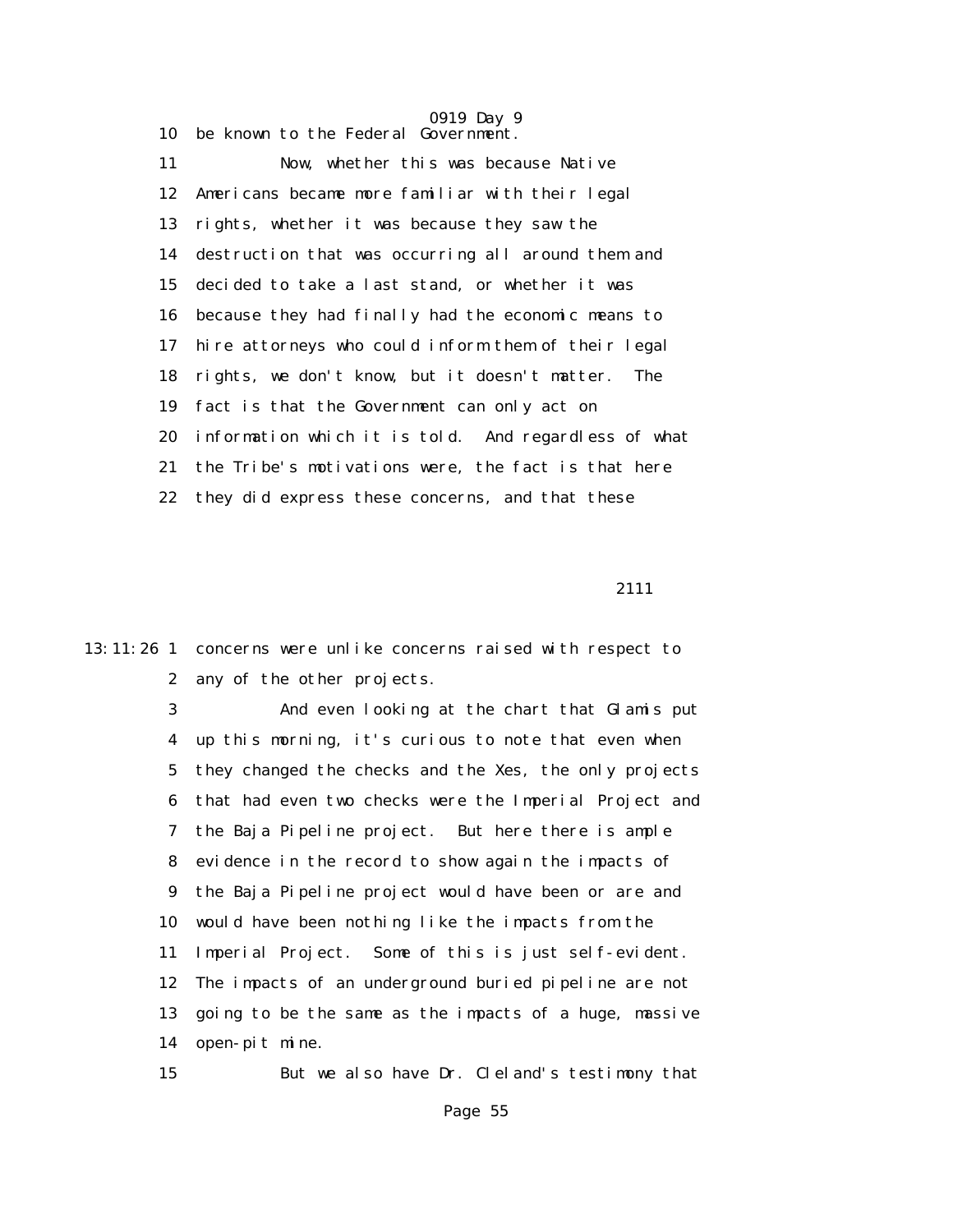10 be known to the Federal Government. 11 Now, whether this was because Native 12 Americans became more familiar with their legal 13 rights, whether it was because they saw the 14 destruction that was occurring all around them and 15 decided to take a last stand, or whether it was 16 because they had finally had the economic means to 17 hire attorneys who could inform them of their legal 18 rights, we don't know, but it doesn't matter. The 19 fact is that the Government can only act on 20 information which it is told. And regardless of what 21 the Tribe's motivations were, the fact is that here 22 they did express these concerns, and that these

2111

13:11:26 1 concerns were unlike concerns raised with respect to 2 any of the other projects.

> 3 And even looking at the chart that Glamis put 4 up this morning, it's curious to note that even when 5 they changed the checks and the Xes, the only projects 6 that had even two checks were the Imperial Project and 7 the Baja Pipeline project. But here there is ample 8 evidence in the record to show again the impacts of 9 the Baja Pipeline project would have been or are and 10 would have been nothing like the impacts from the 11 Imperial Project. Some of this is just self-evident. 12 The impacts of an underground buried pipeline are not 13 going to be the same as the impacts of a huge, massive 14 open-pit mine.

> 15 But we also have Dr. Cleland's testimony that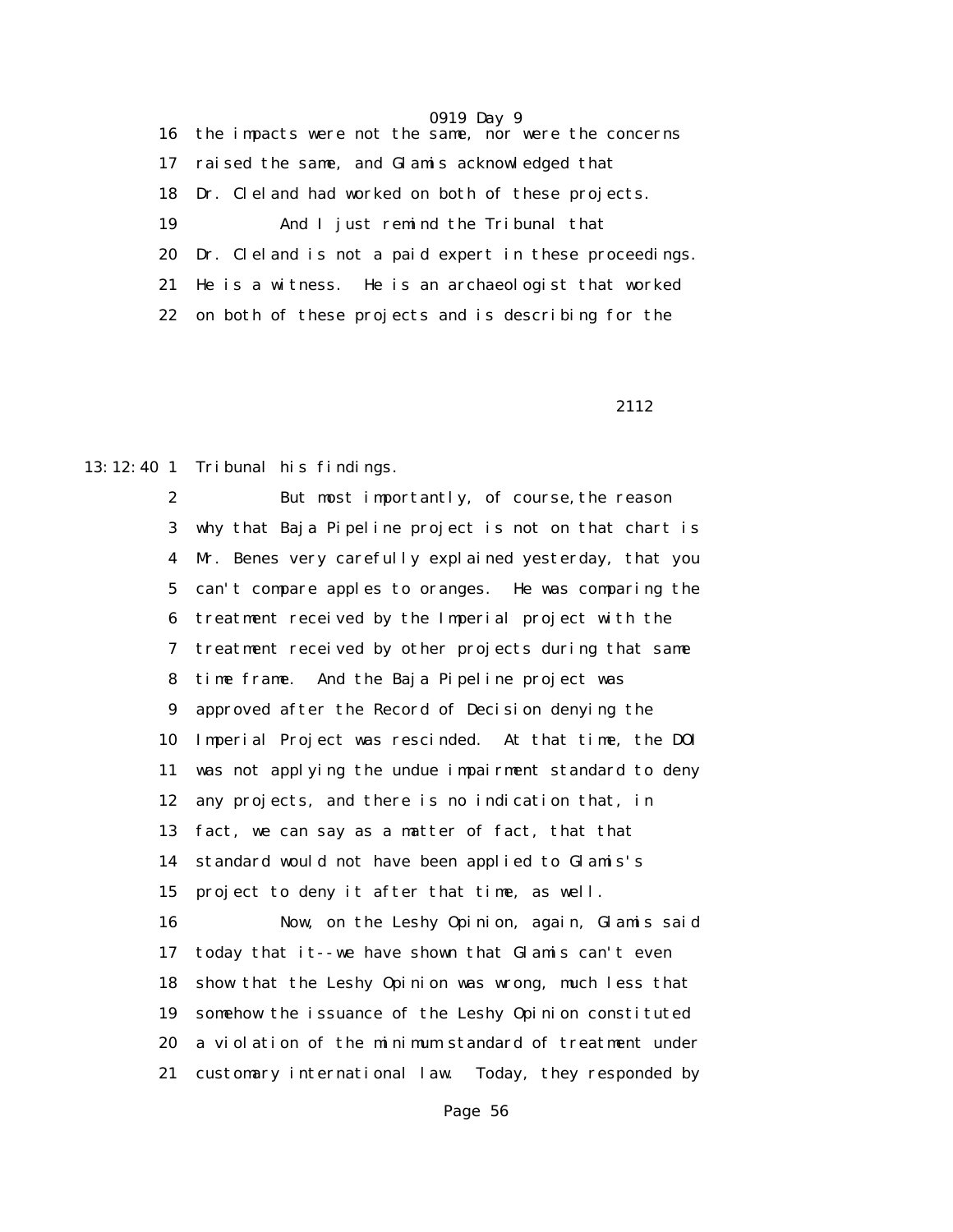16 the impacts were not the same, nor were the concerns 17 raised the same, and Glamis acknowledged that 18 Dr. Cleland had worked on both of these projects. 19 And I just remind the Tribunal that 20 Dr. Cleland is not a paid expert in these proceedings. 21 He is a witness. He is an archaeologist that worked 22 on both of these projects and is describing for the

2112

13:12:40 1 Tribunal his findings.

 2 But most importantly, of course,the reason 3 why that Baja Pipeline project is not on that chart is 4 Mr. Benes very carefully explained yesterday, that you 5 can't compare apples to oranges. He was comparing the 6 treatment received by the Imperial project with the 7 treatment received by other projects during that same 8 time frame. And the Baja Pipeline project was 9 approved after the Record of Decision denying the 10 Imperial Project was rescinded. At that time, the DOI 11 was not applying the undue impairment standard to deny 12 any projects, and there is no indication that, in 13 fact, we can say as a matter of fact, that that 14 standard would not have been applied to Glamis's 15 project to deny it after that time, as well. 16 Now, on the Leshy Opinion, again, Glamis said 17 today that it--we have shown that Glamis can't even 18 show that the Leshy Opinion was wrong, much less that 19 somehow the issuance of the Leshy Opinion constituted 20 a violation of the minimum standard of treatment under 21 customary international law. Today, they responded by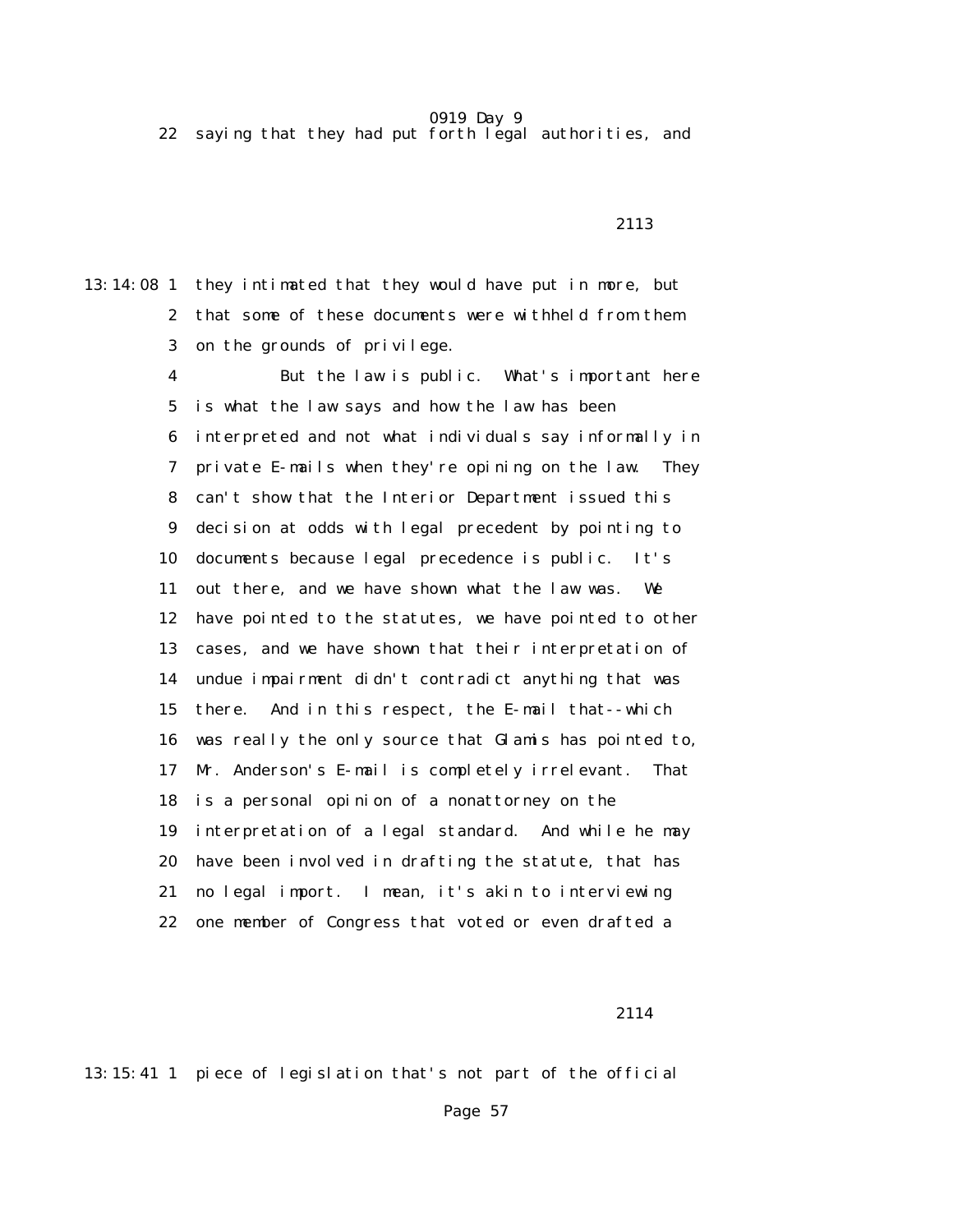22 saying that they had put forth legal authorities, and

13:14:08 1 they intimated that they would have put in more, but 2 that some of these documents were withheld from them 3 on the grounds of privilege.

> 4 But the law is public. What's important here 5 is what the law says and how the law has been 6 interpreted and not what individuals say informally in 7 private E-mails when they're opining on the law. They 8 can't show that the Interior Department issued this 9 decision at odds with legal precedent by pointing to 10 documents because legal precedence is public. It's 11 out there, and we have shown what the law was. We 12 have pointed to the statutes, we have pointed to other 13 cases, and we have shown that their interpretation of 14 undue impairment didn't contradict anything that was 15 there. And in this respect, the E-mail that--which 16 was really the only source that Glamis has pointed to, 17 Mr. Anderson's E-mail is completely irrelevant. That 18 is a personal opinion of a nonattorney on the 19 interpretation of a legal standard. And while he may 20 have been involved in drafting the statute, that has 21 no legal import. I mean, it's akin to interviewing 22 one member of Congress that voted or even drafted a

2114

13:15:41 1 piece of legislation that's not part of the official

### 2113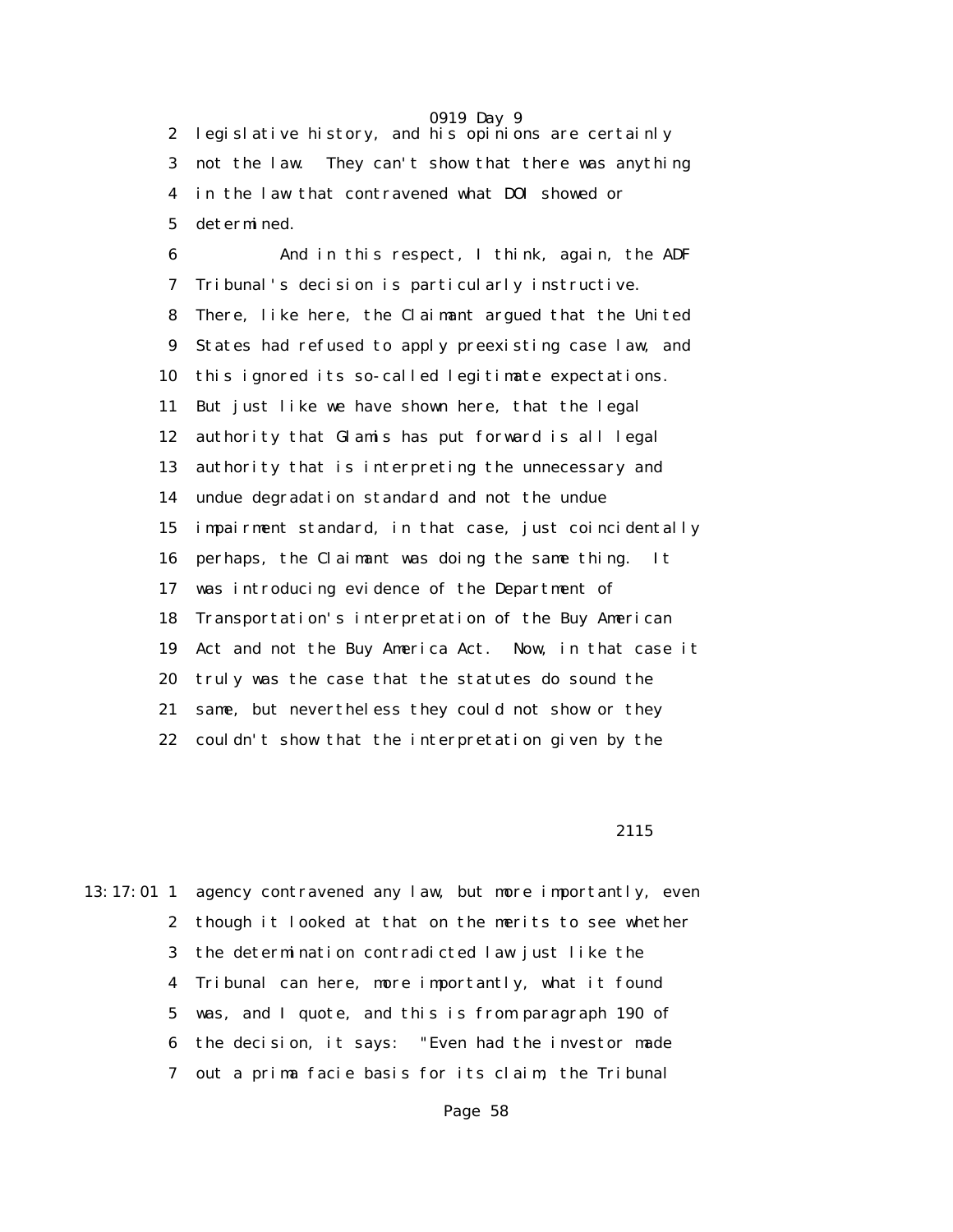2 legislative history, and his opinions are certainly 3 not the law. They can't show that there was anything 4 in the law that contravened what DOI showed or 5 determined.

 6 And in this respect, I think, again, the ADF 7 Tribunal's decision is particularly instructive. 8 There, like here, the Claimant argued that the United 9 States had refused to apply preexisting case law, and 10 this ignored its so-called legitimate expectations. 11 But just like we have shown here, that the legal 12 authority that Glamis has put forward is all legal 13 authority that is interpreting the unnecessary and 14 undue degradation standard and not the undue 15 impairment standard, in that case, just coincidentally 16 perhaps, the Claimant was doing the same thing. It 17 was introducing evidence of the Department of 18 Transportation's interpretation of the Buy American 19 Act and not the Buy America Act. Now, in that case it 20 truly was the case that the statutes do sound the 21 same, but nevertheless they could not show or they 22 couldn't show that the interpretation given by the

2115

13:17:01 1 agency contravened any law, but more importantly, even 2 though it looked at that on the merits to see whether 3 the determination contradicted law just like the 4 Tribunal can here, more importantly, what it found 5 was, and I quote, and this is from paragraph 190 of 6 the decision, it says: "Even had the investor made 7 out a prima facie basis for its claim, the Tribunal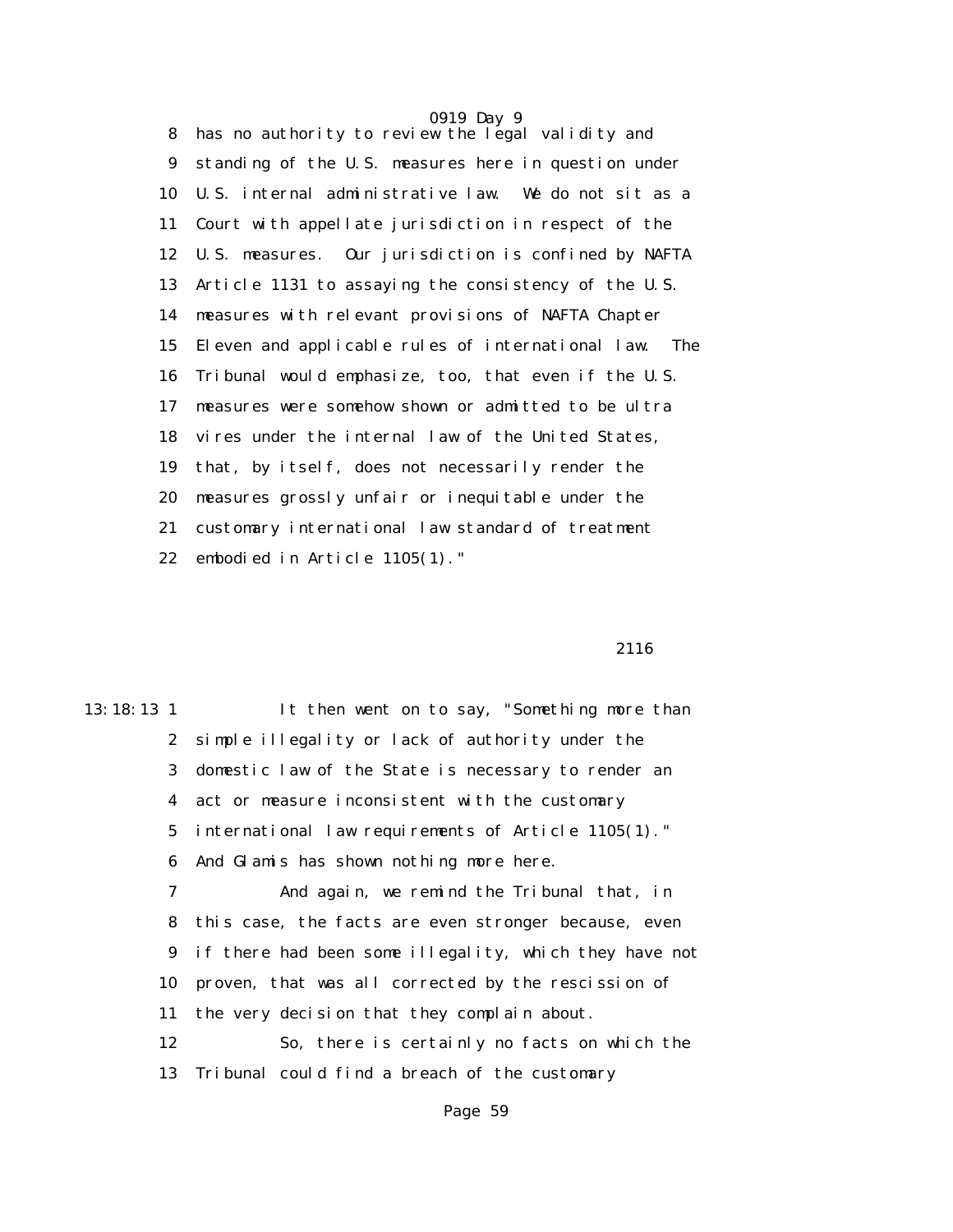0919 Day 9 8 has no authority to review the legal validity and 9 standing of the U.S. measures here in question under 10 U.S. internal administrative law. We do not sit as a 11 Court with appellate jurisdiction in respect of the 12 U.S. measures. Our jurisdiction is confined by NAFTA 13 Article 1131 to assaying the consistency of the U.S. 14 measures with relevant provisions of NAFTA Chapter 15 Eleven and applicable rules of international law. The 16 Tribunal would emphasize, too, that even if the U.S. 17 measures were somehow shown or admitted to be ultra 18 vires under the internal law of the United States, 19 that, by itself, does not necessarily render the 20 measures grossly unfair or inequitable under the 21 customary international law standard of treatment 22 embodied in Article 1105(1)."

#### 2116

13:18:13 1 It then went on to say, "Something more than 2 simple illegality or lack of authority under the 3 domestic law of the State is necessary to render an 4 act or measure inconsistent with the customary 5 international law requirements of Article 1105(1)." 6 And Glamis has shown nothing more here. 7 And again, we remind the Tribunal that, in 8 this case, the facts are even stronger because, even 9 if there had been some illegality, which they have not 10 proven, that was all corrected by the rescission of 11 the very decision that they complain about. 12 So, there is certainly no facts on which the 13 Tribunal could find a breach of the customary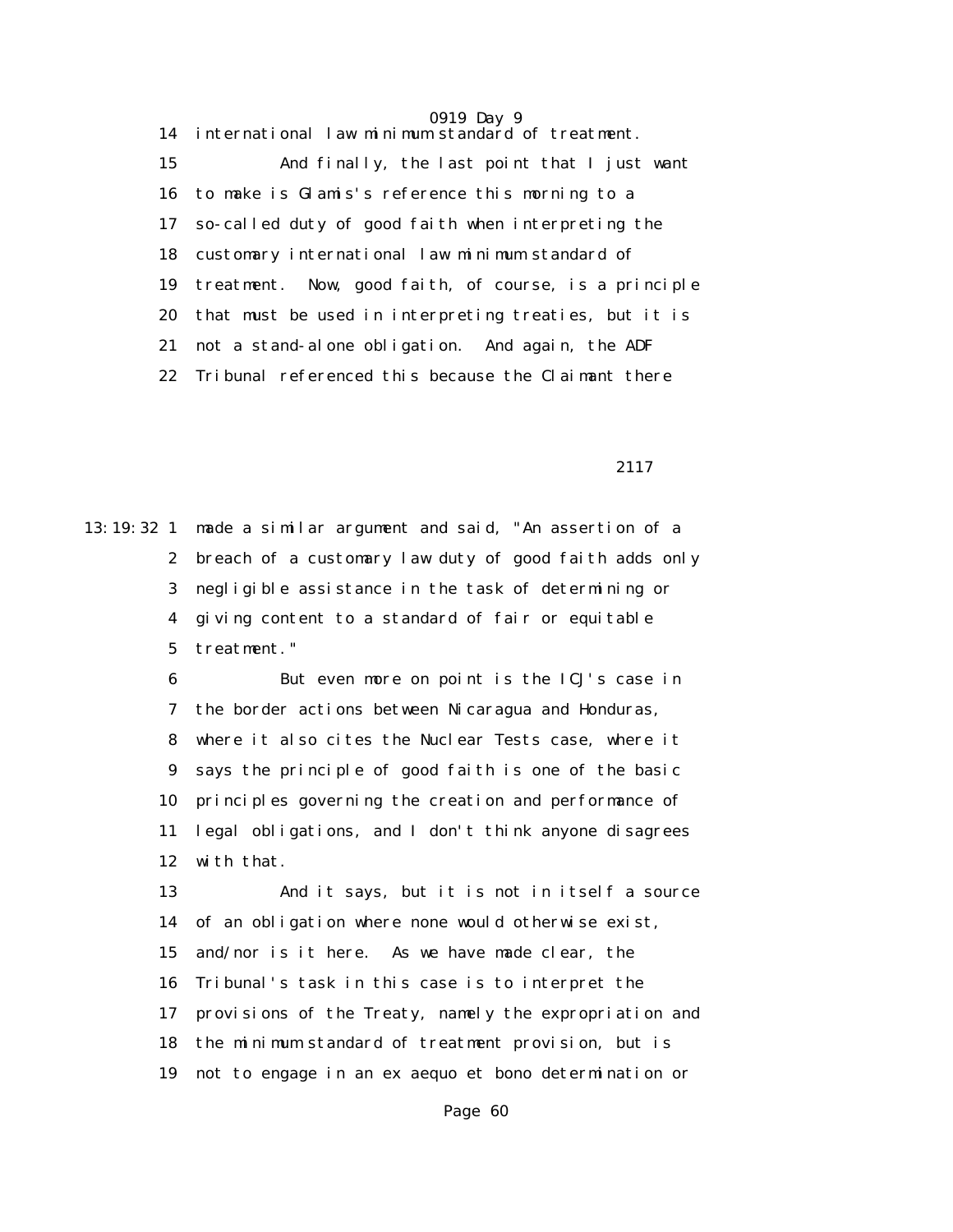14 international law minimum standard of treatment. 15 And finally, the last point that I just want 16 to make is Glamis's reference this morning to a 17 so-called duty of good faith when interpreting the 18 customary international law minimum standard of 19 treatment. Now, good faith, of course, is a principle 20 that must be used in interpreting treaties, but it is 21 not a stand-alone obligation. And again, the ADF 22 Tribunal referenced this because the Claimant there

2117

13:19:32 1 made a similar argument and said, "An assertion of a 2 breach of a customary law duty of good faith adds only 3 negligible assistance in the task of determining or 4 giving content to a standard of fair or equitable 5 treatment."

> 6 But even more on point is the ICJ's case in 7 the border actions between Nicaragua and Honduras, 8 where it also cites the Nuclear Tests case, where it 9 says the principle of good faith is one of the basic 10 principles governing the creation and performance of 11 legal obligations, and I don't think anyone disagrees 12 with that.

 13 And it says, but it is not in itself a source 14 of an obligation where none would otherwise exist, 15 and/nor is it here. As we have made clear, the 16 Tribunal's task in this case is to interpret the 17 provisions of the Treaty, namely the expropriation and 18 the minimum standard of treatment provision, but is 19 not to engage in an ex aequo et bono determination or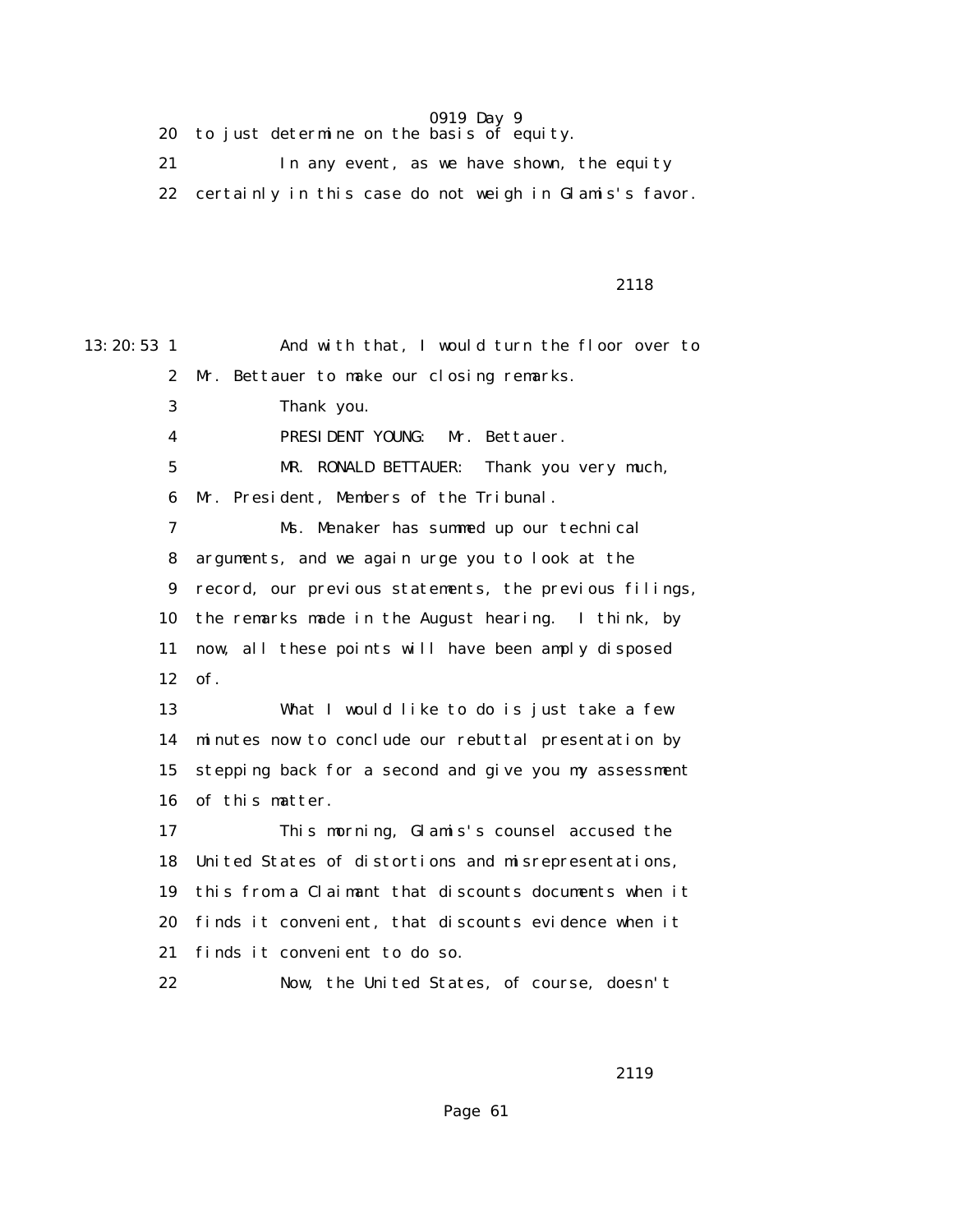20 to just determine on the basis of equity.

 21 In any event, as we have shown, the equity 22 certainly in this case do not weigh in Glamis's favor.

#### 2118

13:20:53 1 And with that, I would turn the floor over to 2 Mr. Bettauer to make our closing remarks. 3 Thank you. 4 PRESIDENT YOUNG: Mr. Bettauer. 5 MR. RONALD BETTAUER: Thank you very much, 6 Mr. President, Members of the Tribunal. 7 Ms. Menaker has summed up our technical 8 arguments, and we again urge you to look at the 9 record, our previous statements, the previous filings, 10 the remarks made in the August hearing. I think, by 11 now, all these points will have been amply disposed 12 of. 13 What I would like to do is just take a few 14 minutes now to conclude our rebuttal presentation by 15 stepping back for a second and give you my assessment 16 of this matter. 17 This morning, Glamis's counsel accused the 18 United States of distortions and misrepresentations, 19 this from a Claimant that discounts documents when it 20 finds it convenient, that discounts evidence when it 21 finds it convenient to do so. 22 Now, the United States, of course, doesn't

2119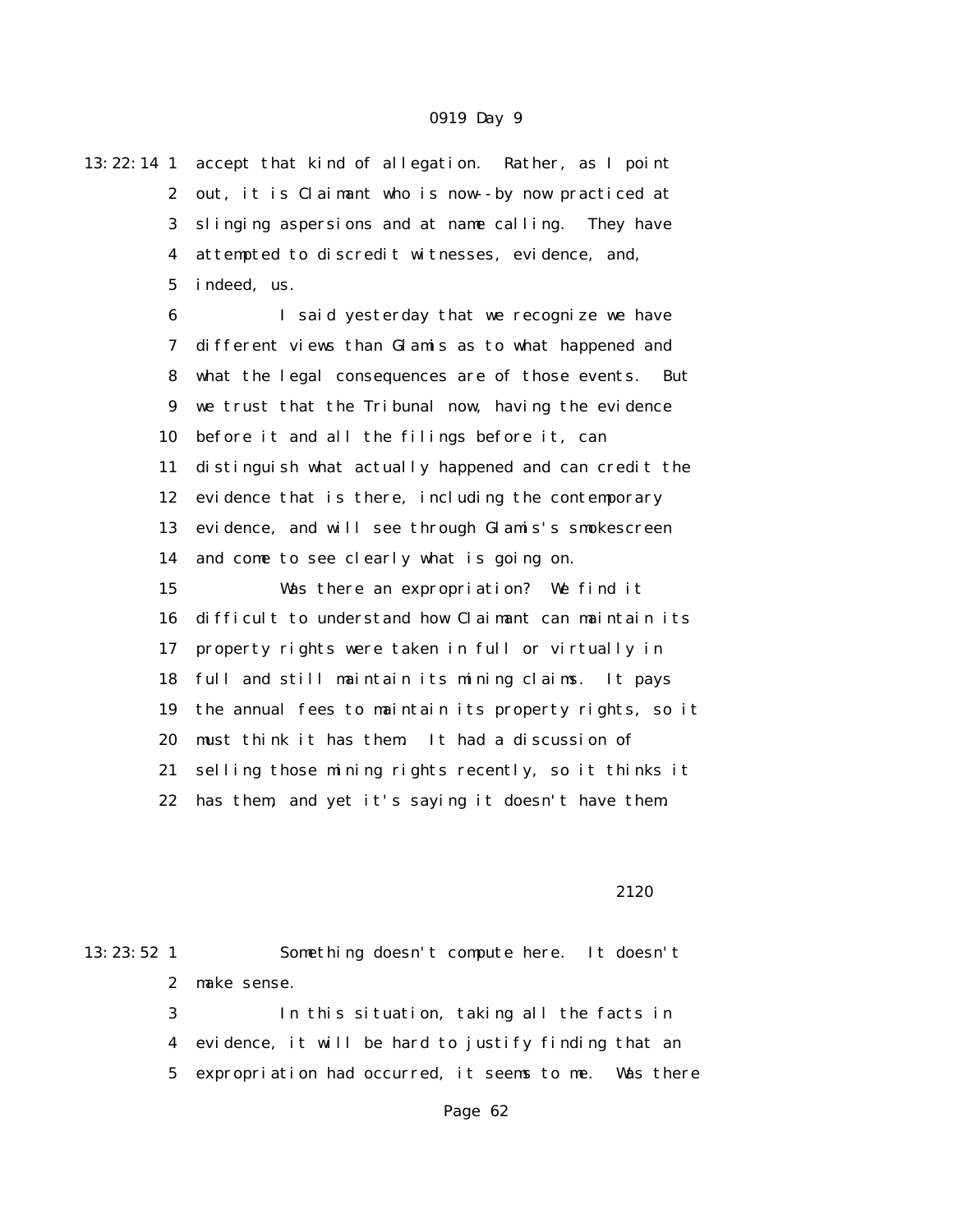13:22:14 1 accept that kind of allegation. Rather, as I point 2 out, it is Claimant who is now--by now practiced at 3 slinging aspersions and at name calling. They have 4 attempted to discredit witnesses, evidence, and, 5 indeed, us.

> 6 I said yesterday that we recognize we have 7 different views than Glamis as to what happened and 8 what the legal consequences are of those events. But 9 we trust that the Tribunal now, having the evidence 10 before it and all the filings before it, can 11 distinguish what actually happened and can credit the 12 evidence that is there, including the contemporary 13 evidence, and will see through Glamis's smokescreen 14 and come to see clearly what is going on. 15 Was there an expropriation? We find it 16 difficult to understand how Claimant can maintain its 17 property rights were taken in full or virtually in 18 full and still maintain its mining claims. It pays 19 the annual fees to maintain its property rights, so it 20 must think it has them. It had a discussion of 21 selling those mining rights recently, so it thinks it 22 has them, and yet it's saying it doesn't have them.

#### 2120

13:23:52 1 Something doesn't compute here. It doesn't 2 make sense. 3 In this situation, taking all the facts in 4 evidence, it will be hard to justify finding that an 5 expropriation had occurred, it seems to me. Was there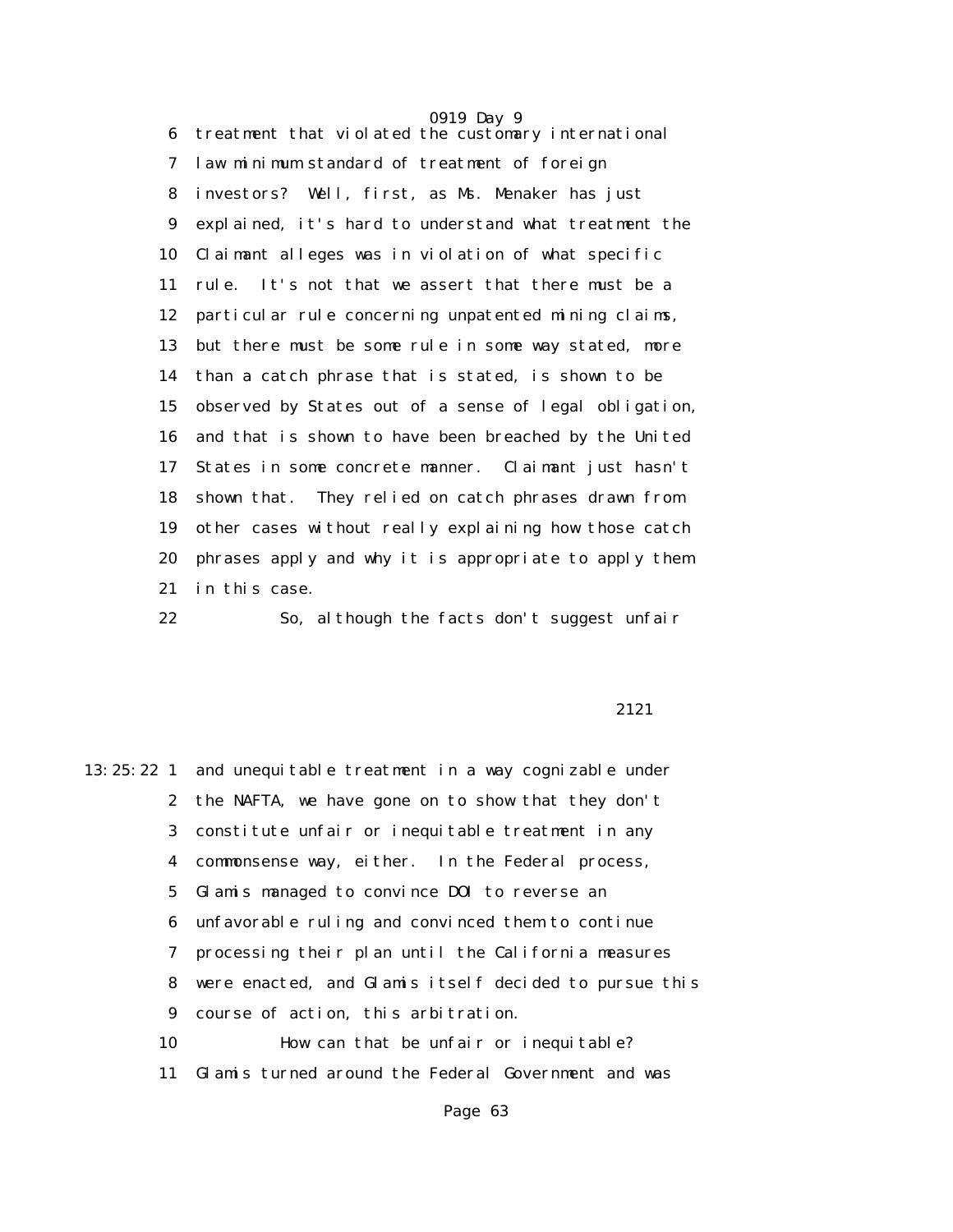0919 Day 9 6 treatment that violated the customary international 7 law minimum standard of treatment of foreign 8 investors? Well, first, as Ms. Menaker has just 9 explained, it's hard to understand what treatment the 10 Claimant alleges was in violation of what specific 11 rule. It's not that we assert that there must be a 12 particular rule concerning unpatented mining claims, 13 but there must be some rule in some way stated, more 14 than a catch phrase that is stated, is shown to be 15 observed by States out of a sense of legal obligation, 16 and that is shown to have been breached by the United 17 States in some concrete manner. Claimant just hasn't 18 shown that. They relied on catch phrases drawn from 19 other cases without really explaining how those catch 20 phrases apply and why it is appropriate to apply them 21 in this case.

22 So, although the facts don't suggest unfair

#### 2121

13:25:22 1 and unequitable treatment in a way cognizable under 2 the NAFTA, we have gone on to show that they don't 3 constitute unfair or inequitable treatment in any 4 commonsense way, either. In the Federal process, 5 Glamis managed to convince DOI to reverse an 6 unfavorable ruling and convinced them to continue 7 processing their plan until the California measures 8 were enacted, and Glamis itself decided to pursue this 9 course of action, this arbitration. 10 How can that be unfair or inequitable? 11 Glamis turned around the Federal Government and was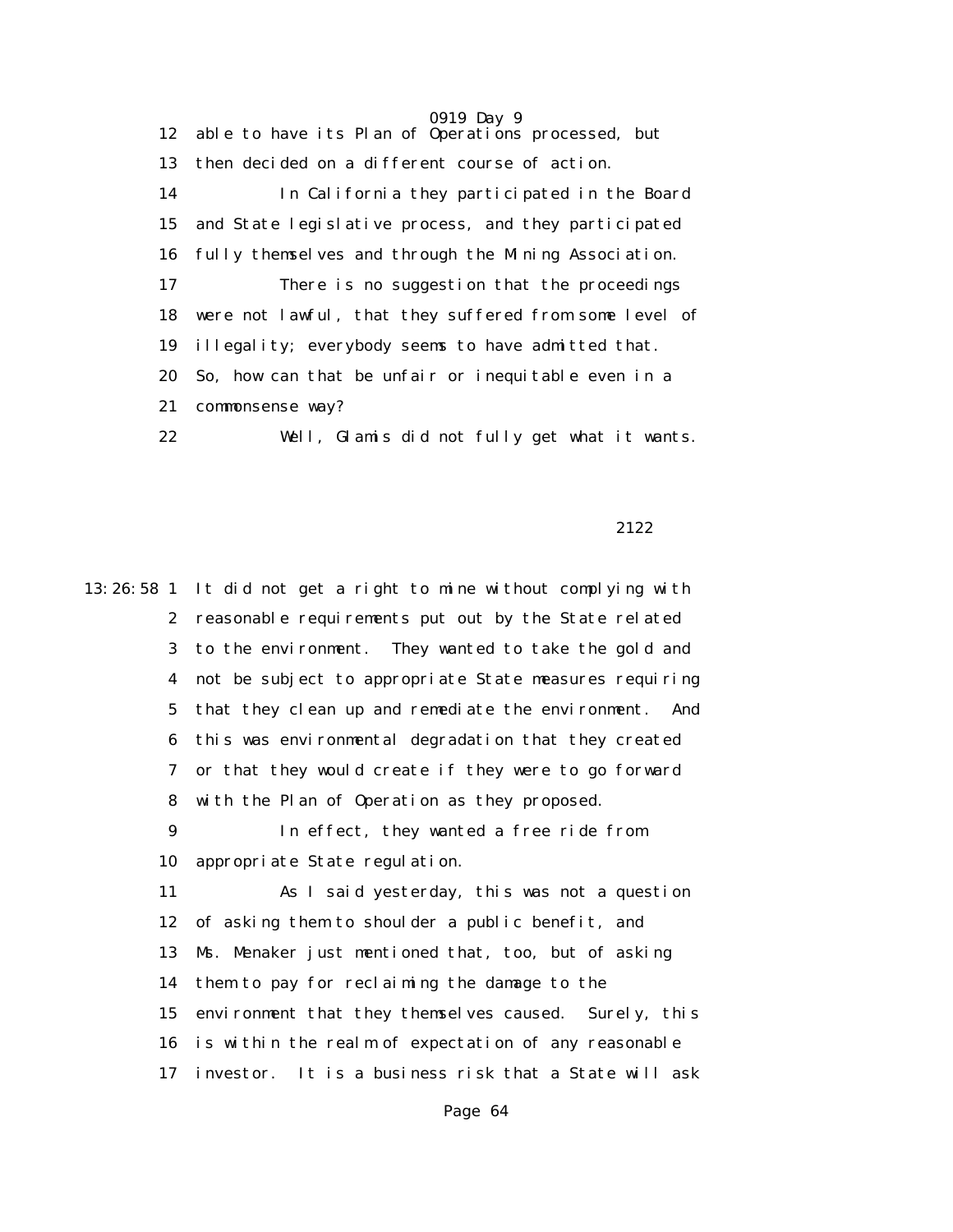0919 Day 9 12 able to have its Plan of Operations processed, but 13 then decided on a different course of action. 14 In California they participated in the Board 15 and State legislative process, and they participated 16 fully themselves and through the Mining Association. 17 There is no suggestion that the proceedings 18 were not lawful, that they suffered from some level of 19 illegality; everybody seems to have admitted that. 20 So, how can that be unfair or inequitable even in a 21 commonsense way? 22 Well, Glamis did not fully get what it wants.

2122

13:26:58 1 It did not get a right to mine without complying with 2 reasonable requirements put out by the State related 3 to the environment. They wanted to take the gold and 4 not be subject to appropriate State measures requiring 5 that they clean up and remediate the environment. And 6 this was environmental degradation that they created 7 or that they would create if they were to go forward 8 with the Plan of Operation as they proposed. 9 In effect, they wanted a free ride from 10 appropriate State regulation. 11 As I said yesterday, this was not a question 12 of asking them to shoulder a public benefit, and 13 Ms. Menaker just mentioned that, too, but of asking 14 them to pay for reclaiming the damage to the 15 environment that they themselves caused. Surely, this 16 is within the realm of expectation of any reasonable 17 investor. It is a business risk that a State will ask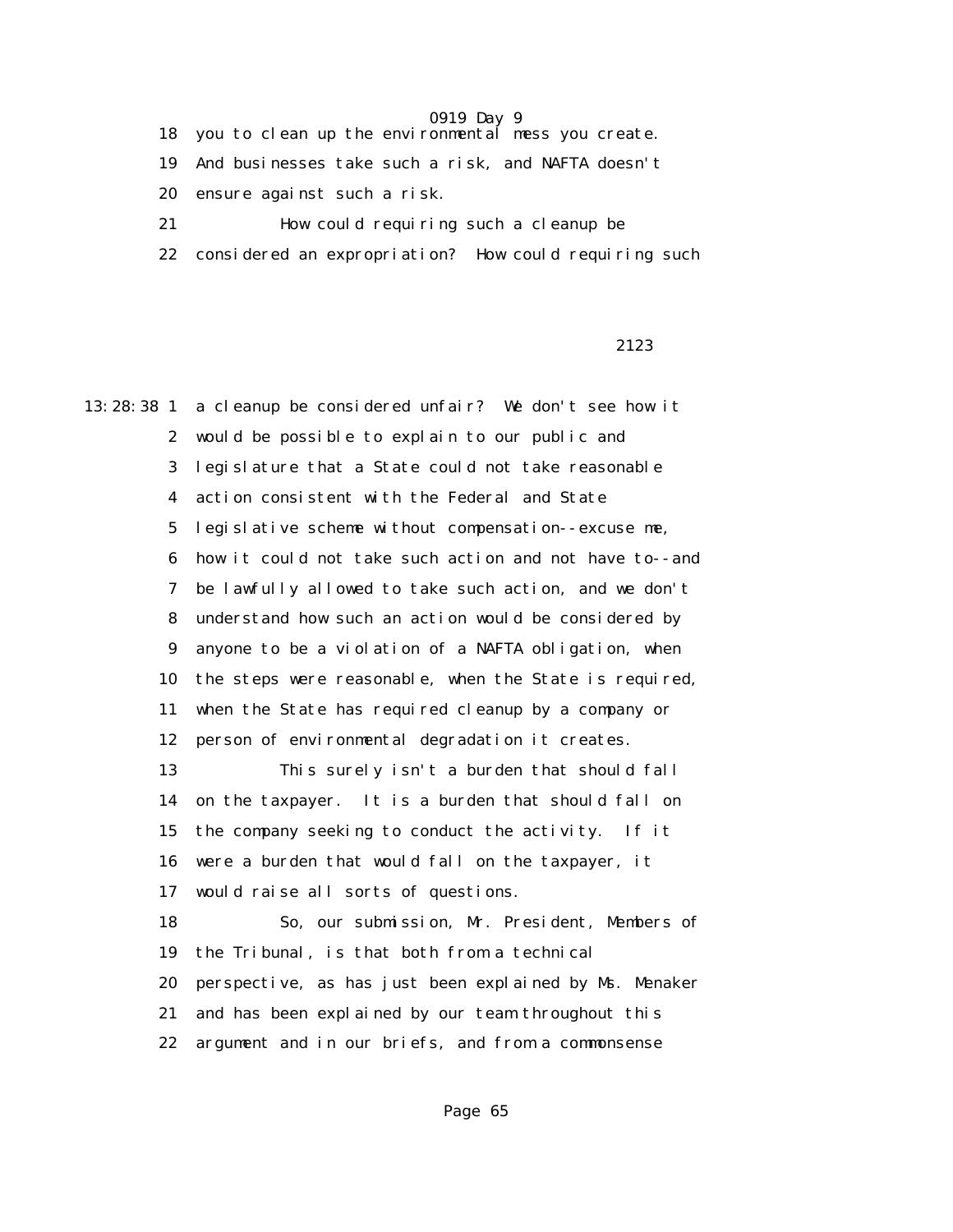18 you to clean up the environmental mess you create.

19 And businesses take such a risk, and NAFTA doesn't

20 ensure against such a risk.

21 How could requiring such a cleanup be

22 considered an expropriation? How could requiring such

2123

13:28:38 1 a cleanup be considered unfair? We don't see how it 2 would be possible to explain to our public and 3 legislature that a State could not take reasonable 4 action consistent with the Federal and State 5 legislative scheme without compensation--excuse me, 6 how it could not take such action and not have to--and 7 be lawfully allowed to take such action, and we don't 8 understand how such an action would be considered by 9 anyone to be a violation of a NAFTA obligation, when 10 the steps were reasonable, when the State is required, 11 when the State has required cleanup by a company or 12 person of environmental degradation it creates. 13 This surely isn't a burden that should fall 14 on the taxpayer. It is a burden that should fall on 15 the company seeking to conduct the activity. If it 16 were a burden that would fall on the taxpayer, it

17 would raise all sorts of questions.

 18 So, our submission, Mr. President, Members of 19 the Tribunal, is that both from a technical 20 perspective, as has just been explained by Ms. Menaker 21 and has been explained by our team throughout this 22 argument and in our briefs, and from a commonsense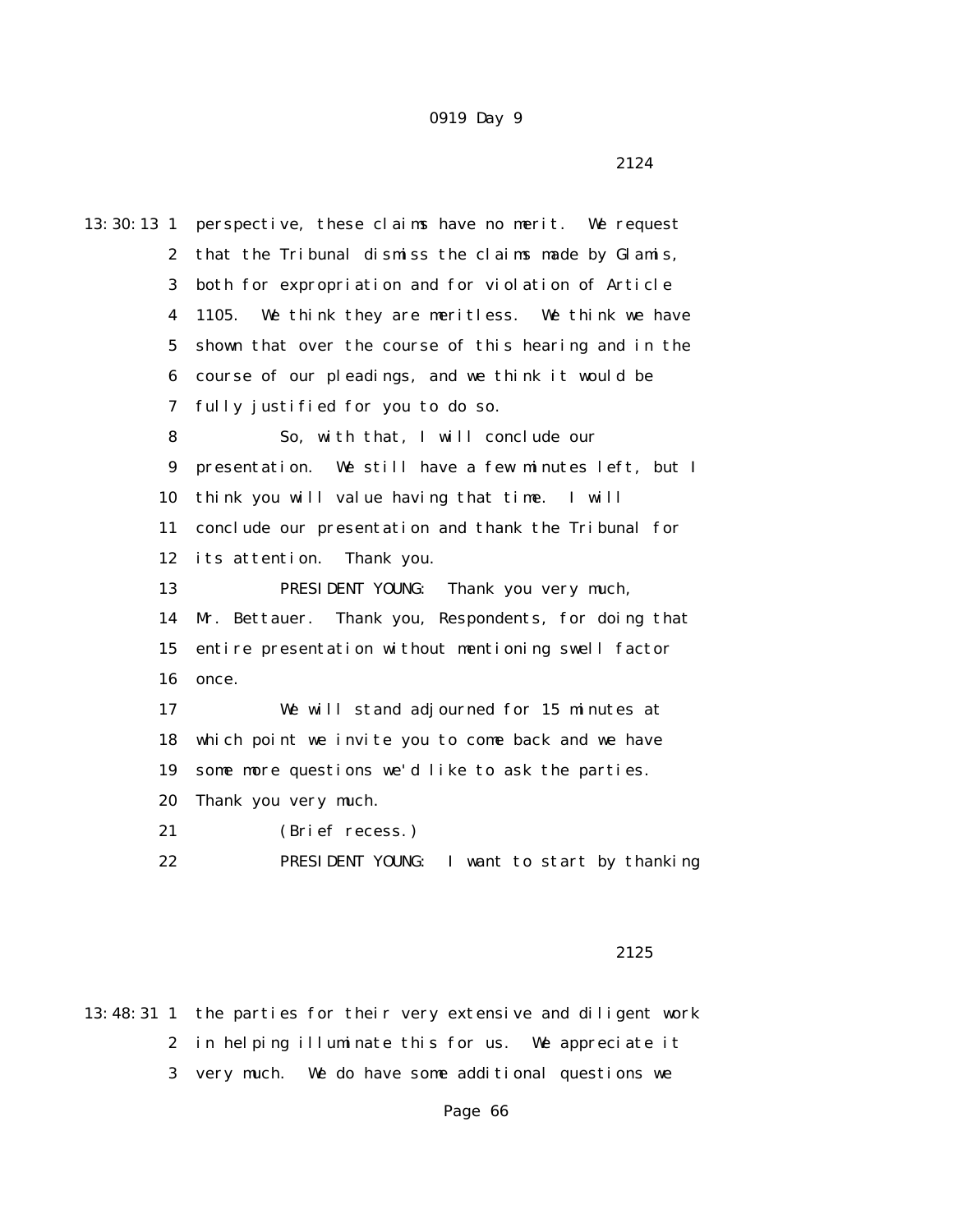13:30:13 1 perspective, these claims have no merit. We request 2 that the Tribunal dismiss the claims made by Glamis, 3 both for expropriation and for violation of Article 4 1105. We think they are meritless. We think we have 5 shown that over the course of this hearing and in the 6 course of our pleadings, and we think it would be 7 fully justified for you to do so. 8 So, with that, I will conclude our 9 presentation. We still have a few minutes left, but I 10 think you will value having that time. I will 11 conclude our presentation and thank the Tribunal for 12 its attention. Thank you. 13 PRESIDENT YOUNG: Thank you very much, 14 Mr. Bettauer. Thank you, Respondents, for doing that 15 entire presentation without mentioning swell factor 16 once. 17 We will stand adjourned for 15 minutes at 18 which point we invite you to come back and we have 19 some more questions we'd like to ask the parties. 20 Thank you very much. 21 (Brief recess.) 22 PRESIDENT YOUNG: I want to start by thanking

### 2125

13:48:31 1 the parties for their very extensive and diligent work 2 in helping illuminate this for us. We appreciate it 3 very much. We do have some additional questions we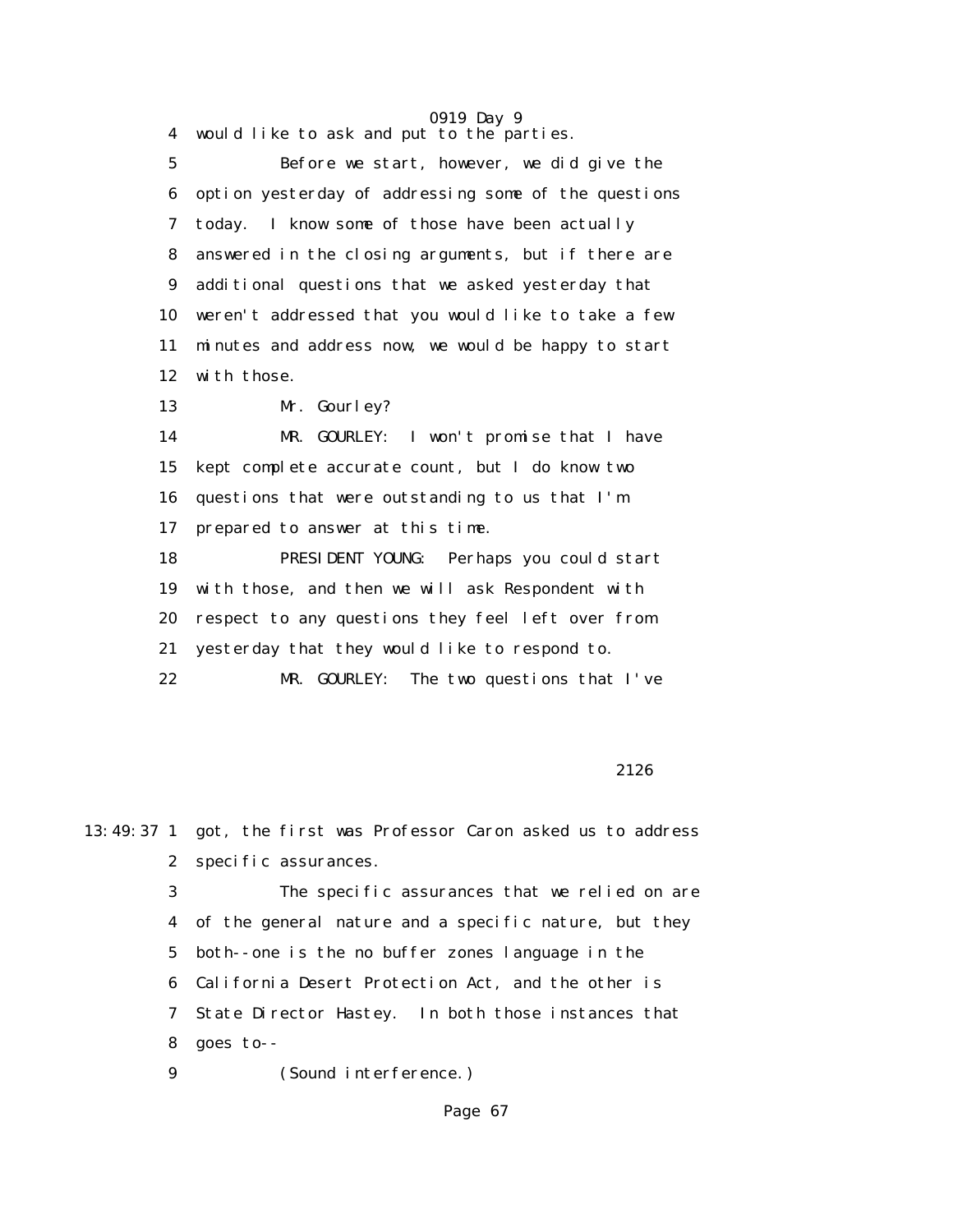4 would like to ask and put to the parties.

 5 Before we start, however, we did give the 6 option yesterday of addressing some of the questions 7 today. I know some of those have been actually 8 answered in the closing arguments, but if there are 9 additional questions that we asked yesterday that 10 weren't addressed that you would like to take a few 11 minutes and address now, we would be happy to start 12 with those.

13 Mr. Gourley?

 14 MR. GOURLEY: I won't promise that I have 15 kept complete accurate count, but I do know two 16 questions that were outstanding to us that I'm 17 prepared to answer at this time. 18 PRESIDENT YOUNG: Perhaps you could start 19 with those, and then we will ask Respondent with

20 respect to any questions they feel left over from

21 yesterday that they would like to respond to.

22 MR. GOURLEY: The two questions that I've

2126

13:49:37 1 got, the first was Professor Caron asked us to address 2 specific assurances.

> 3 The specific assurances that we relied on are 4 of the general nature and a specific nature, but they 5 both--one is the no buffer zones language in the 6 California Desert Protection Act, and the other is 7 State Director Hastey. In both those instances that 8 goes to--

9 (Sound interference.)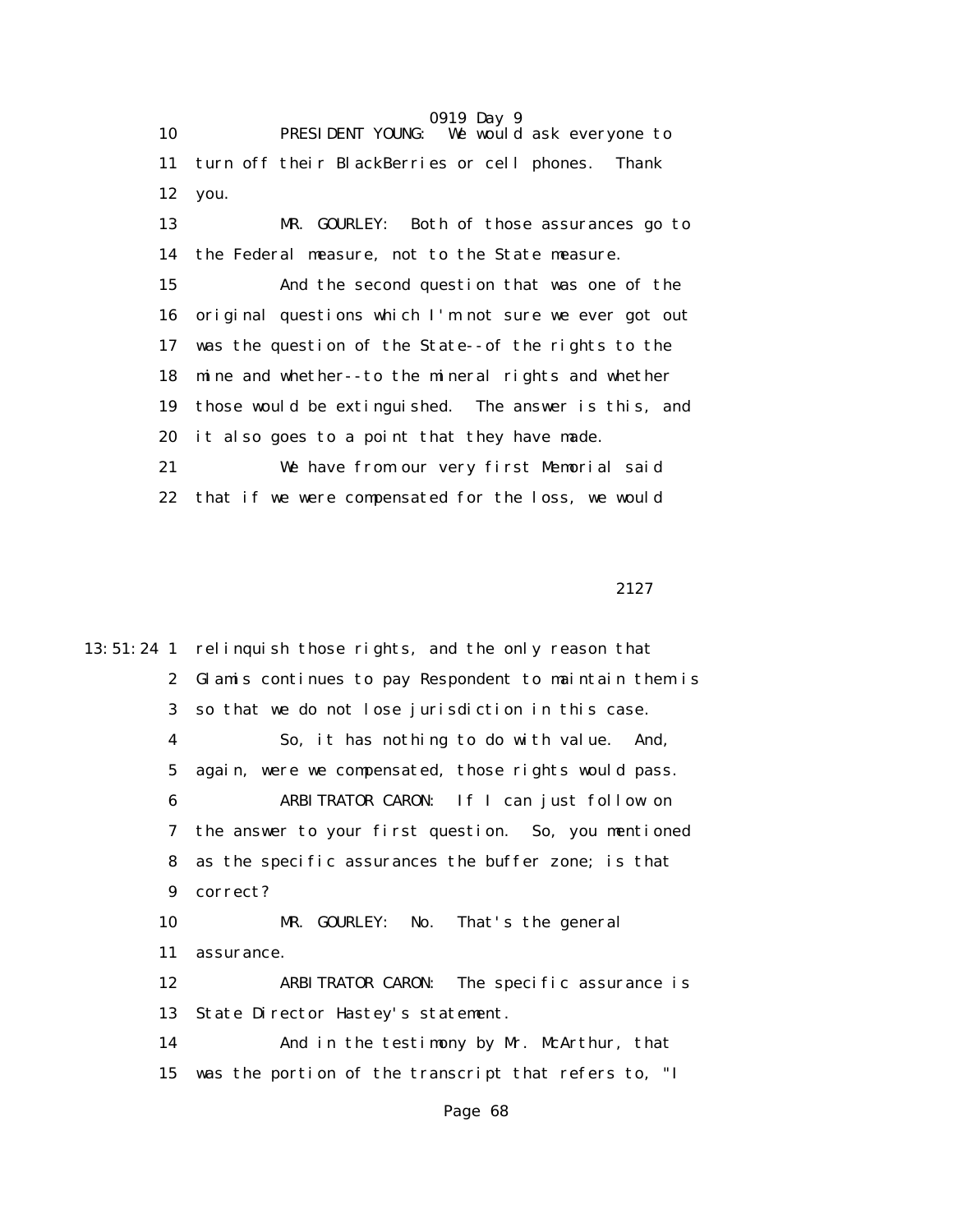0919 Day 9 10 PRESIDENT YOUNG: We would ask everyone to 11 turn off their BlackBerries or cell phones. Thank 12 you. 13 MR. GOURLEY: Both of those assurances go to 14 the Federal measure, not to the State measure. 15 And the second question that was one of the 16 original questions which I'm not sure we ever got out 17 was the question of the State--of the rights to the 18 mine and whether--to the mineral rights and whether 19 those would be extinguished. The answer is this, and 20 it also goes to a point that they have made. 21 We have from our very first Memorial said 22 that if we were compensated for the loss, we would

2127

13:51:24 1 relinquish those rights, and the only reason that 2 Glamis continues to pay Respondent to maintain them is 3 so that we do not lose jurisdiction in this case. 4 So, it has nothing to do with value. And, 5 again, were we compensated, those rights would pass. 6 ARBITRATOR CARON: If I can just follow on 7 the answer to your first question. So, you mentioned 8 as the specific assurances the buffer zone; is that 9 correct? 10 MR. GOURLEY: No. That's the general 11 assurance. 12 ARBITRATOR CARON: The specific assurance is 13 State Director Hastey's statement. 14 And in the testimony by Mr. McArthur, that 15 was the portion of the transcript that refers to, "I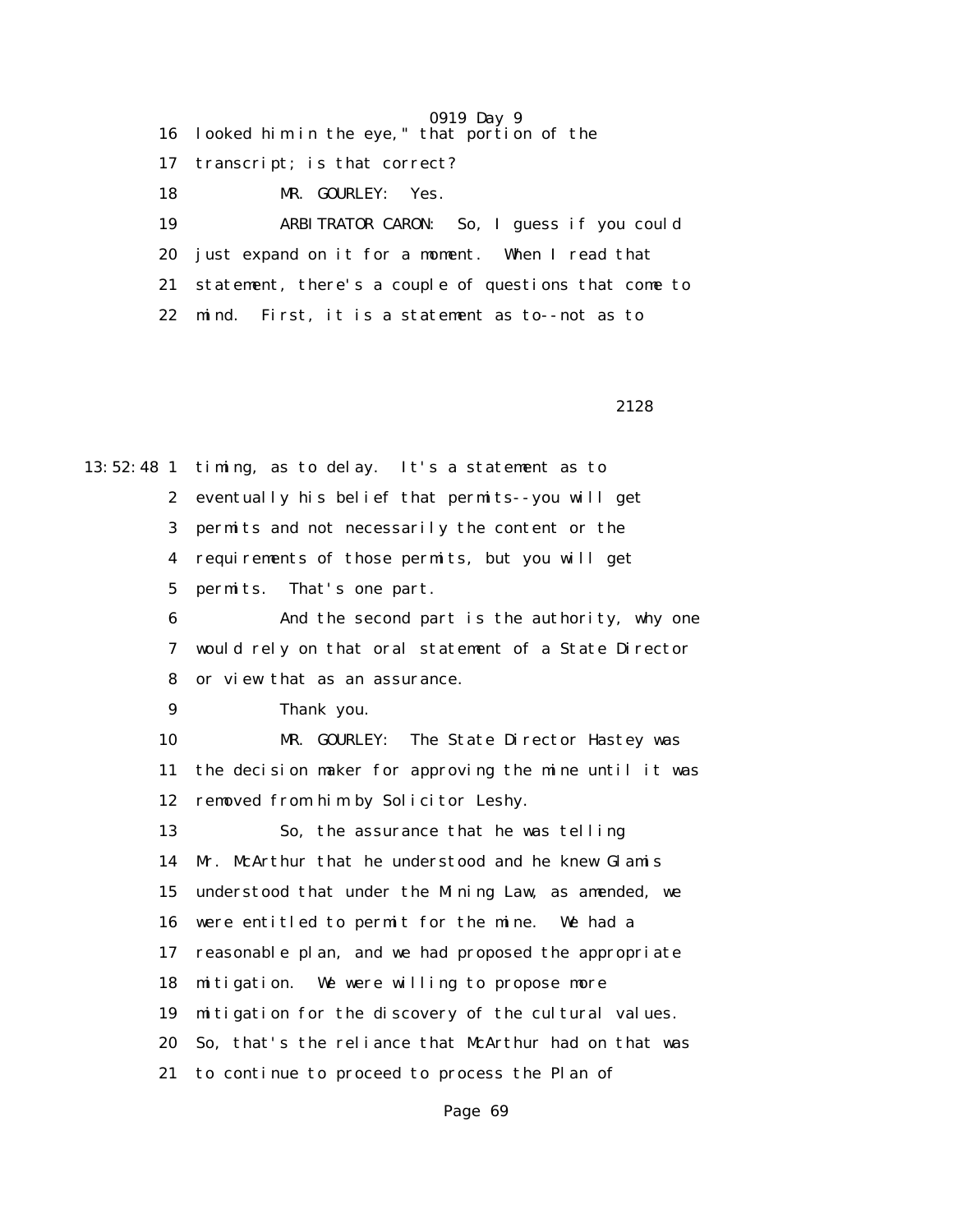16 looked him in the eye," that portion of the

17 transcript; is that correct?

18 MR. GOURLEY: Yes.

 19 ARBITRATOR CARON: So, I guess if you could 20 just expand on it for a moment. When I read that 21 statement, there's a couple of questions that come to 22 mind. First, it is a statement as to--not as to

2128

13:52:48 1 timing, as to delay. It's a statement as to 2 eventually his belief that permits--you will get 3 permits and not necessarily the content or the 4 requirements of those permits, but you will get 5 permits. That's one part. 6 And the second part is the authority, why one 7 would rely on that oral statement of a State Director 8 or view that as an assurance. 9 Thank you. 10 MR. GOURLEY: The State Director Hastey was 11 the decision maker for approving the mine until it was 12 removed from him by Solicitor Leshy. 13 So, the assurance that he was telling 14 Mr. McArthur that he understood and he knew Glamis 15 understood that under the Mining Law, as amended, we 16 were entitled to permit for the mine. We had a 17 reasonable plan, and we had proposed the appropriate 18 mitigation. We were willing to propose more 19 mitigation for the discovery of the cultural values. 20 So, that's the reliance that McArthur had on that was 21 to continue to proceed to process the Plan of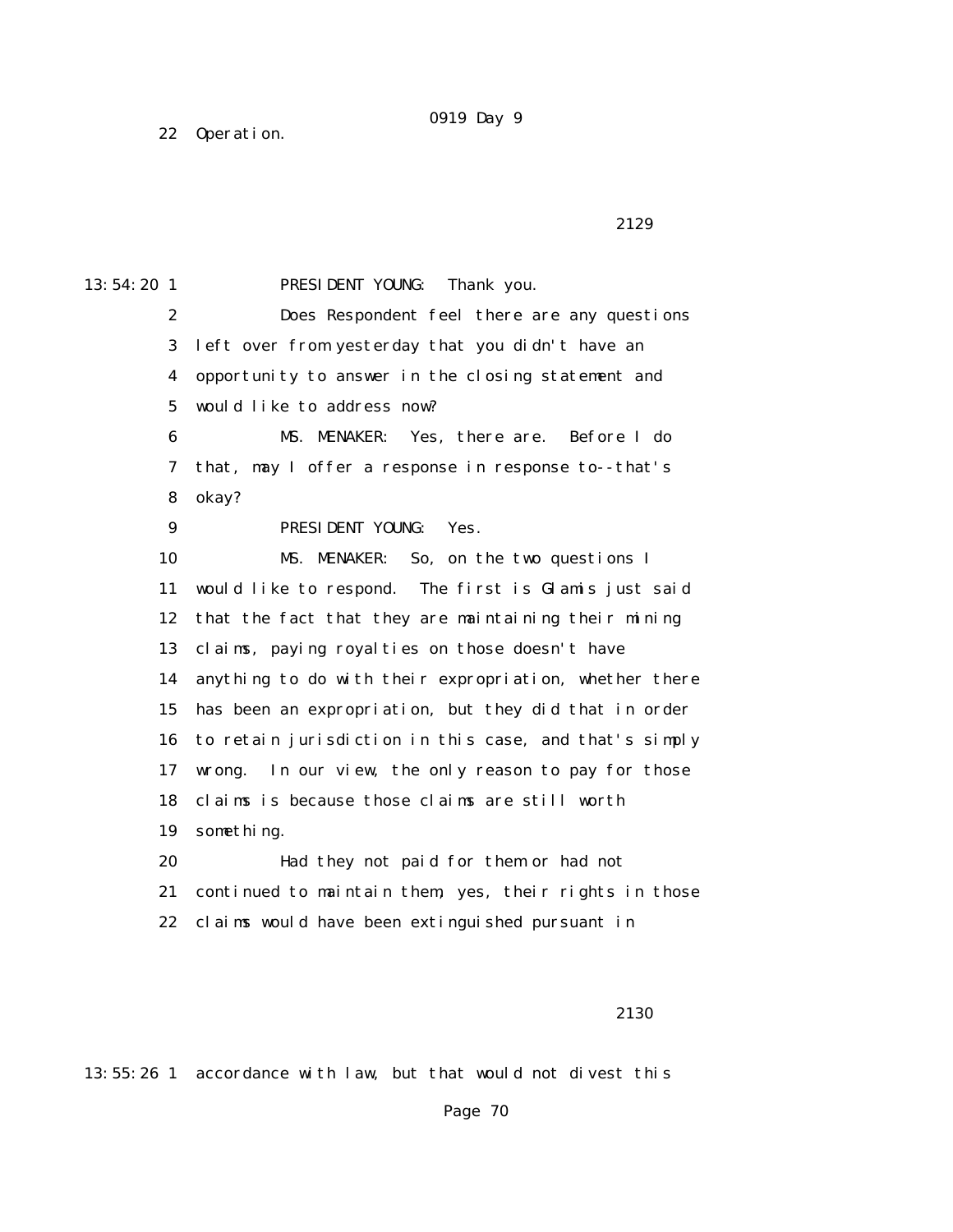22 Operation.

```
 2129
```
13:54:20 1 PRESIDENT YOUNG: Thank you. 2 Does Respondent feel there are any questions 3 left over from yesterday that you didn't have an 4 opportunity to answer in the closing statement and 5 would like to address now? 6 MS. MENAKER: Yes, there are. Before I do 7 that, may I offer a response in response to--that's 8 okay? 9 PRESIDENT YOUNG: Yes. 10 MS. MENAKER: So, on the two questions I 11 would like to respond. The first is Glamis just said 12 that the fact that they are maintaining their mining 13 claims, paying royalties on those doesn't have 14 anything to do with their expropriation, whether there 15 has been an expropriation, but they did that in order 16 to retain jurisdiction in this case, and that's simply 17 wrong. In our view, the only reason to pay for those 18 claims is because those claims are still worth 19 something. 20 Had they not paid for them or had not 21 continued to maintain them, yes, their rights in those 22 claims would have been extinguished pursuant in

2130

13:55:26 1 accordance with law, but that would not divest this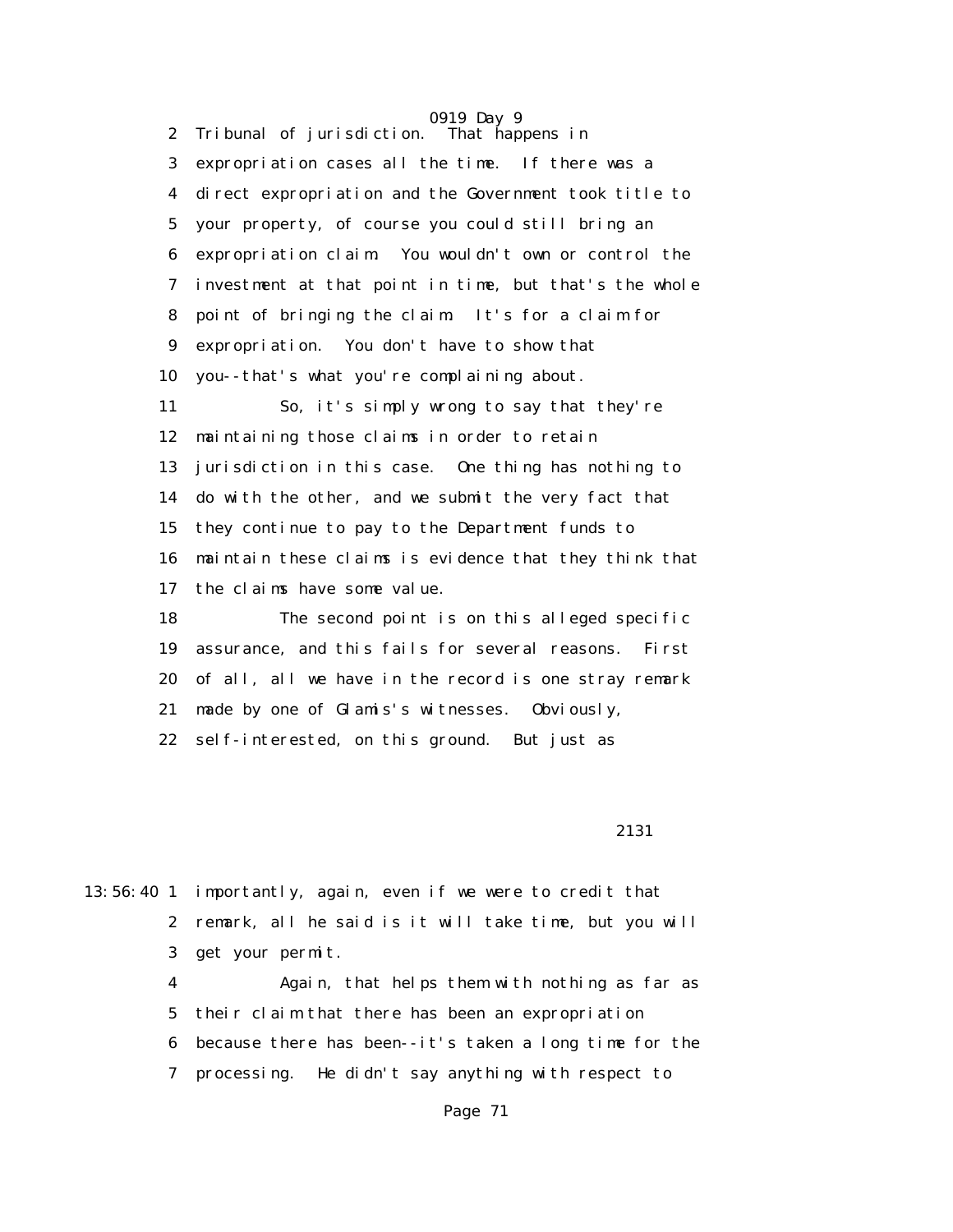0919 Day 9 2 Tribunal of jurisdiction. That happens in 3 expropriation cases all the time. If there was a 4 direct expropriation and the Government took title to 5 your property, of course you could still bring an 6 expropriation claim. You wouldn't own or control the 7 investment at that point in time, but that's the whole 8 point of bringing the claim. It's for a claim for 9 expropriation. You don't have to show that 10 you--that's what you're complaining about. 11 So, it's simply wrong to say that they're 12 maintaining those claims in order to retain 13 jurisdiction in this case. One thing has nothing to 14 do with the other, and we submit the very fact that 15 they continue to pay to the Department funds to 16 maintain these claims is evidence that they think that 17 the claims have some value. 18 The second point is on this alleged specific 19 assurance, and this fails for several reasons. First 20 of all, all we have in the record is one stray remark 21 made by one of Glamis's witnesses. Obviously, 22 self-interested, on this ground. But just as

2131

13:56:40 1 importantly, again, even if we were to credit that 2 remark, all he said is it will take time, but you will 3 get your permit.

> 4 Again, that helps them with nothing as far as 5 their claim that there has been an expropriation 6 because there has been--it's taken a long time for the 7 processing. He didn't say anything with respect to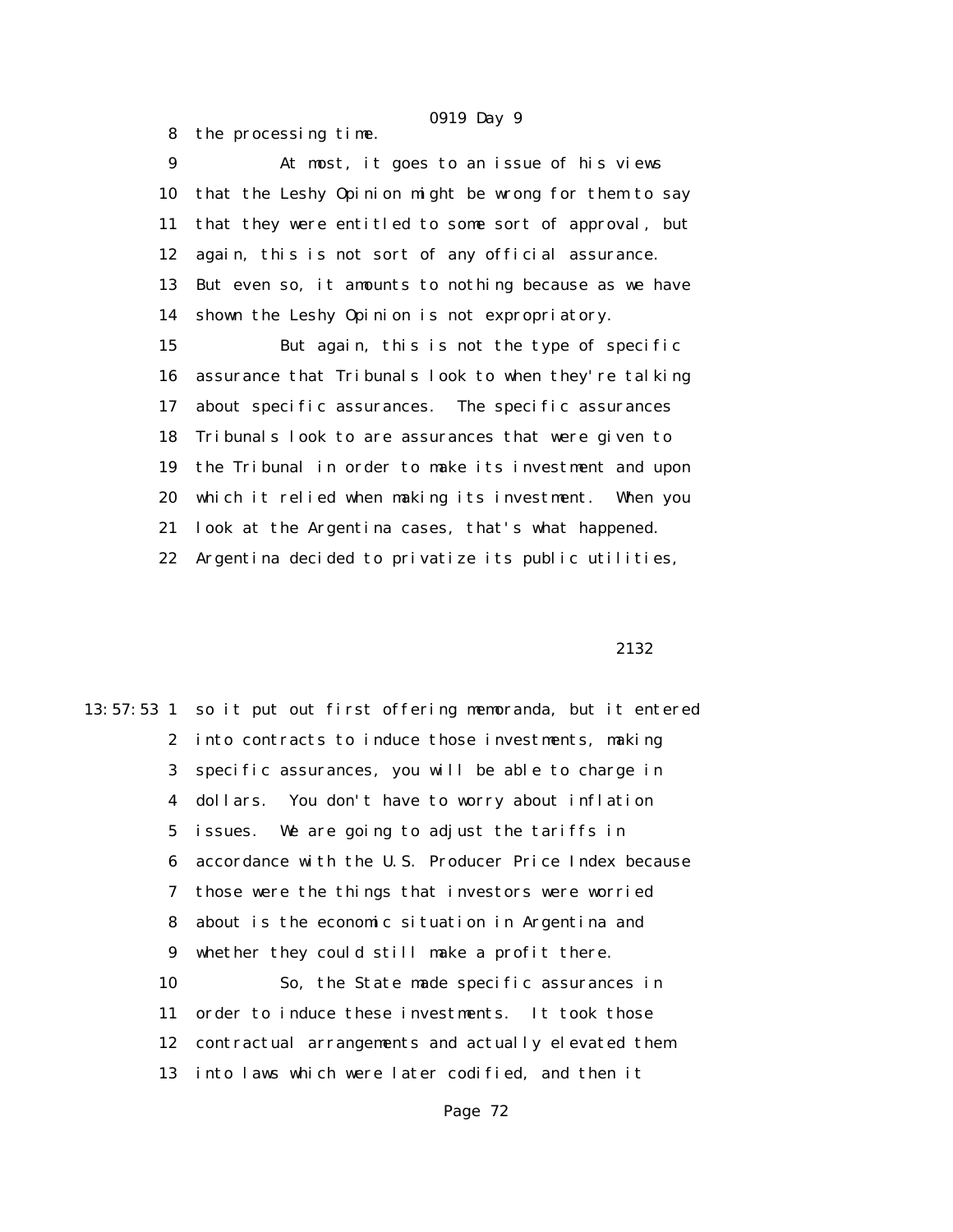8 the processing time.

 9 At most, it goes to an issue of his views 10 that the Leshy Opinion might be wrong for them to say 11 that they were entitled to some sort of approval, but 12 again, this is not sort of any official assurance. 13 But even so, it amounts to nothing because as we have 14 shown the Leshy Opinion is not expropriatory.

 15 But again, this is not the type of specific 16 assurance that Tribunals look to when they're talking 17 about specific assurances. The specific assurances 18 Tribunals look to are assurances that were given to 19 the Tribunal in order to make its investment and upon 20 which it relied when making its investment. When you 21 look at the Argentina cases, that's what happened. 22 Argentina decided to privatize its public utilities,

### 2132

13:57:53 1 so it put out first offering memoranda, but it entered 2 into contracts to induce those investments, making 3 specific assurances, you will be able to charge in 4 dollars. You don't have to worry about inflation 5 issues. We are going to adjust the tariffs in 6 accordance with the U.S. Producer Price Index because 7 those were the things that investors were worried 8 about is the economic situation in Argentina and 9 whether they could still make a profit there. 10 So, the State made specific assurances in 11 order to induce these investments. It took those 12 contractual arrangements and actually elevated them 13 into laws which were later codified, and then it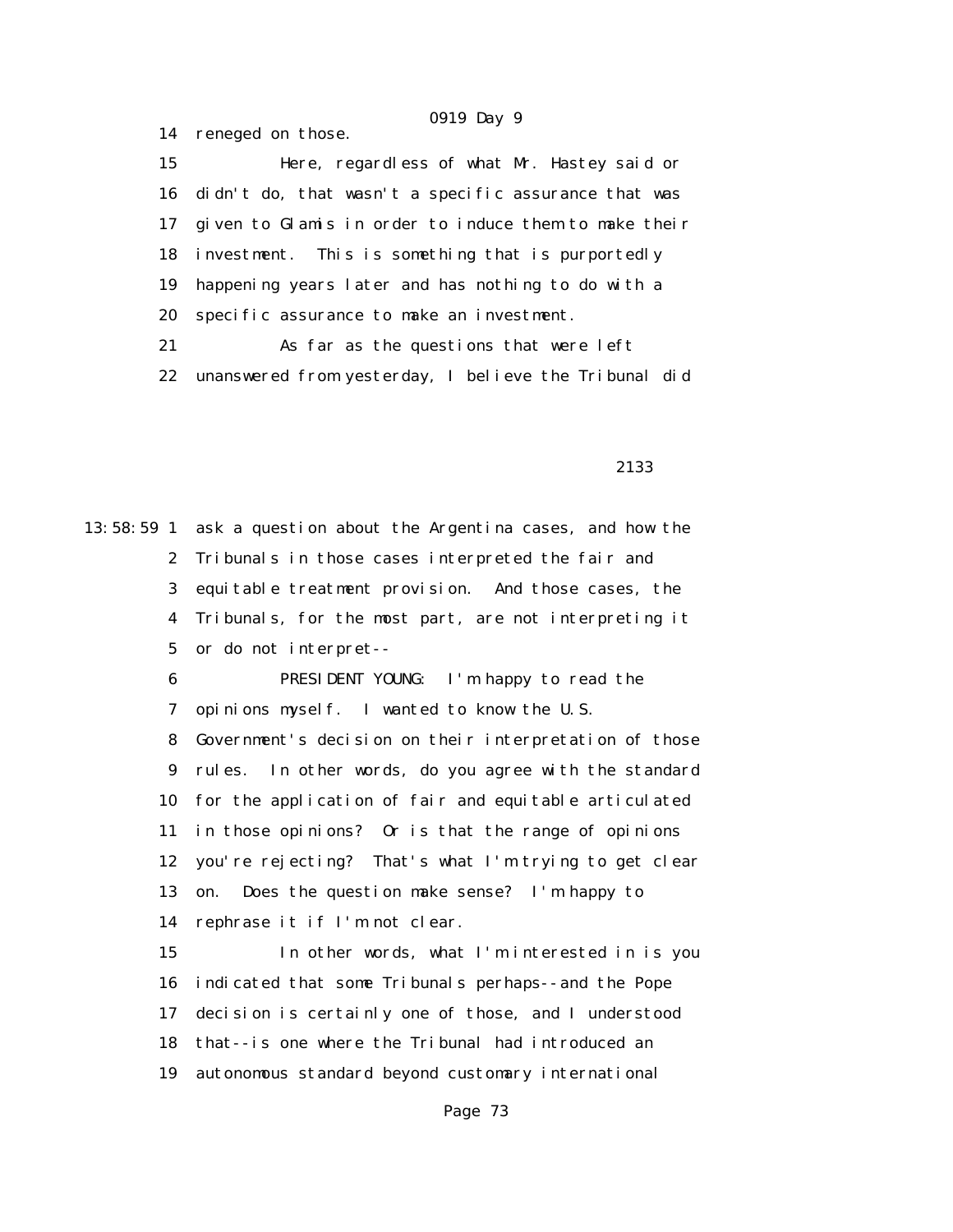15 Here, regardless of what Mr. Hastey said or 16 didn't do, that wasn't a specific assurance that was 17 given to Glamis in order to induce them to make their 18 investment. This is something that is purportedly 19 happening years later and has nothing to do with a 20 specific assurance to make an investment. 21 As far as the questions that were left 22 unanswered from yesterday, I believe the Tribunal did

14 reneged on those.

2133

13:58:59 1 ask a question about the Argentina cases, and how the 2 Tribunals in those cases interpreted the fair and 3 equitable treatment provision. And those cases, the 4 Tribunals, for the most part, are not interpreting it 5 or do not interpret-- 6 PRESIDENT YOUNG: I'm happy to read the 7 opinions myself. I wanted to know the U.S. 8 Government's decision on their interpretation of those 9 rules. In other words, do you agree with the standard 10 for the application of fair and equitable articulated 11 in those opinions? Or is that the range of opinions 12 you're rejecting? That's what I'm trying to get clear 13 on. Does the question make sense? I'm happy to 14 rephrase it if I'm not clear. 15 In other words, what I'm interested in is you 16 indicated that some Tribunals perhaps--and the Pope

17 decision is certainly one of those, and I understood

18 that--is one where the Tribunal had introduced an

19 autonomous standard beyond customary international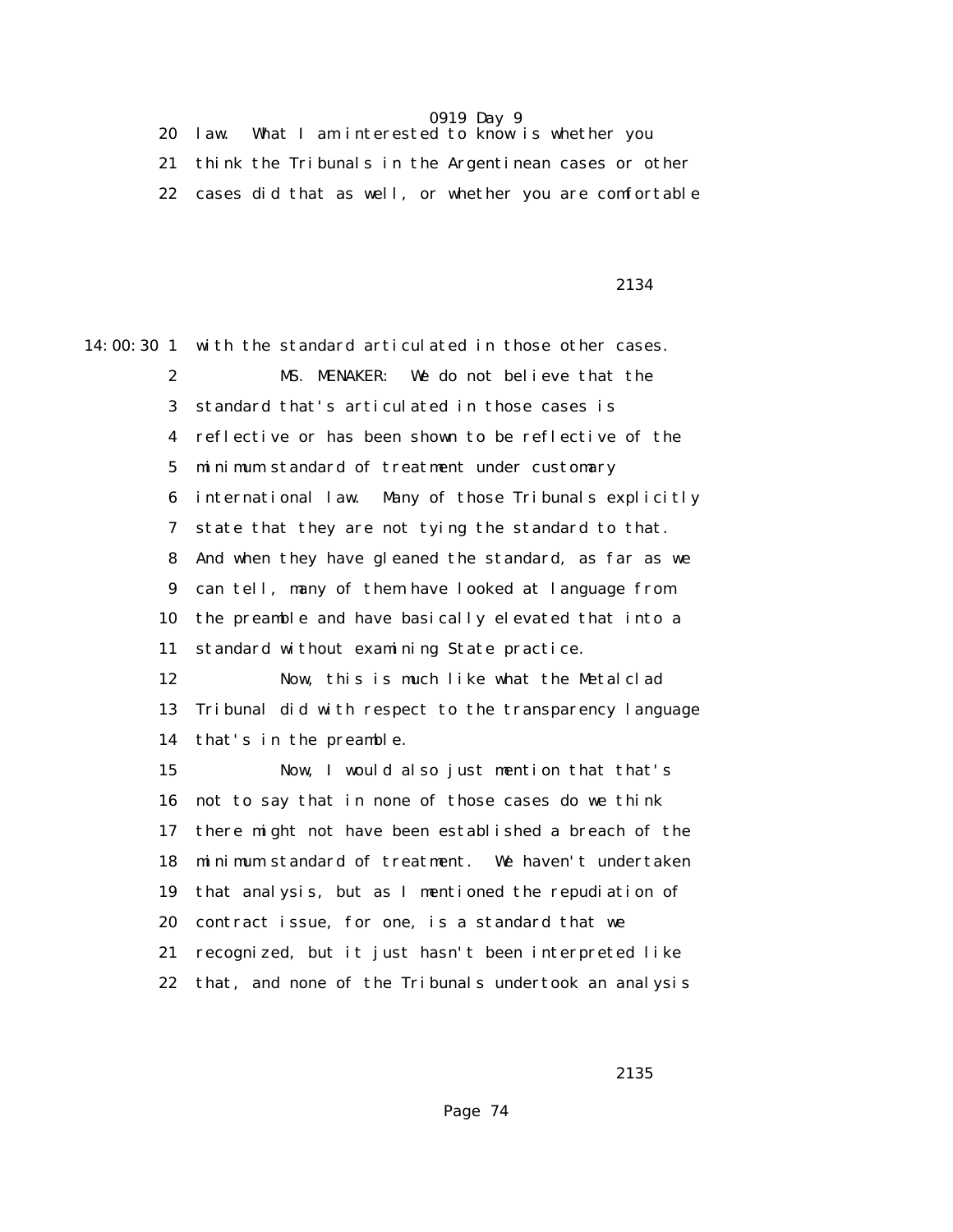20 law. What I am interested to know is whether you 21 think the Tribunals in the Argentinean cases or other 22 cases did that as well, or whether you are comfortable

#### 2134

14:00:30 1 with the standard articulated in those other cases. 2 MS. MENAKER: We do not believe that the 3 standard that's articulated in those cases is 4 reflective or has been shown to be reflective of the 5 minimum standard of treatment under customary 6 international law. Many of those Tribunals explicitly 7 state that they are not tying the standard to that. 8 And when they have gleaned the standard, as far as we 9 can tell, many of them have looked at language from 10 the preamble and have basically elevated that into a 11 standard without examining State practice. 12 Now, this is much like what the Metalclad 13 Tribunal did with respect to the transparency language 14 that's in the preamble. 15 Now, I would also just mention that that's 16 not to say that in none of those cases do we think 17 there might not have been established a breach of the 18 minimum standard of treatment. We haven't undertaken 19 that analysis, but as I mentioned the repudiation of 20 contract issue, for one, is a standard that we 21 recognized, but it just hasn't been interpreted like 22 that, and none of the Tribunals undertook an analysis

<u>2135</u>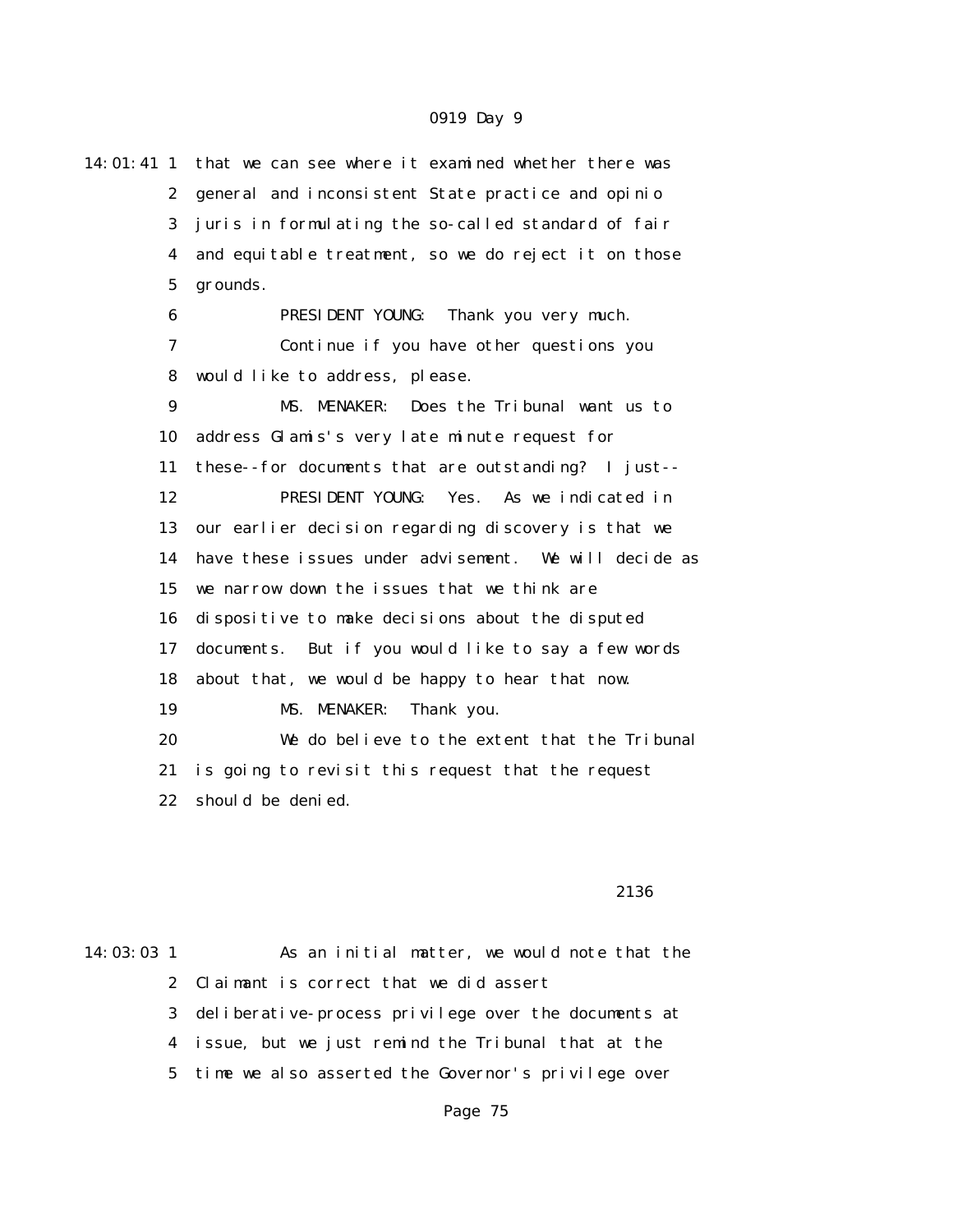| $14:01:41$ 1     | that we can see where it examined whether there was    |  |  |  |
|------------------|--------------------------------------------------------|--|--|--|
| $\mathbf{2}$     | general and inconsistent State practice and opinio     |  |  |  |
| 3                | juris in formulating the so-called standard of fair    |  |  |  |
| 4                | and equitable treatment, so we do reject it on those   |  |  |  |
| $\bf 5$          | grounds.                                               |  |  |  |
| 6                | PRESIDENT YOUNG:<br>Thank you very much.               |  |  |  |
| 7                | Continue if you have other questions you               |  |  |  |
| 8                | would like to address, please.                         |  |  |  |
| $\boldsymbol{9}$ | Does the Tribunal want us to<br>MS. MENAKER:           |  |  |  |
| 10               | address Glamis's very late minute request for          |  |  |  |
| 11               | these--for documents that are outstanding? I just--    |  |  |  |
| 12               | PRESIDENT YOUNG:<br>Yes. As we indicated in            |  |  |  |
| 13               | our earlier decision regarding discovery is that we    |  |  |  |
| 14               | have these issues under advisement. We will decide as  |  |  |  |
| 15               | we narrow down the issues that we think are            |  |  |  |
| 16               | dispositive to make decisions about the disputed       |  |  |  |
| 17               | But if you would like to say a few words<br>documents. |  |  |  |
| 18               | about that, we would be happy to hear that now.        |  |  |  |
| 19               | MS. MENAKER:<br>Thank you.                             |  |  |  |
| 20               | We do believe to the extent that the Tribunal          |  |  |  |
| 21               | is going to revisit this request that the request      |  |  |  |
| 22               | should be denied.                                      |  |  |  |
|                  |                                                        |  |  |  |

#### 2136

14:03:03 1 As an initial matter, we would note that the 2 Claimant is correct that we did assert 3 deliberative-process privilege over the documents at 4 issue, but we just remind the Tribunal that at the 5 time we also asserted the Governor's privilege over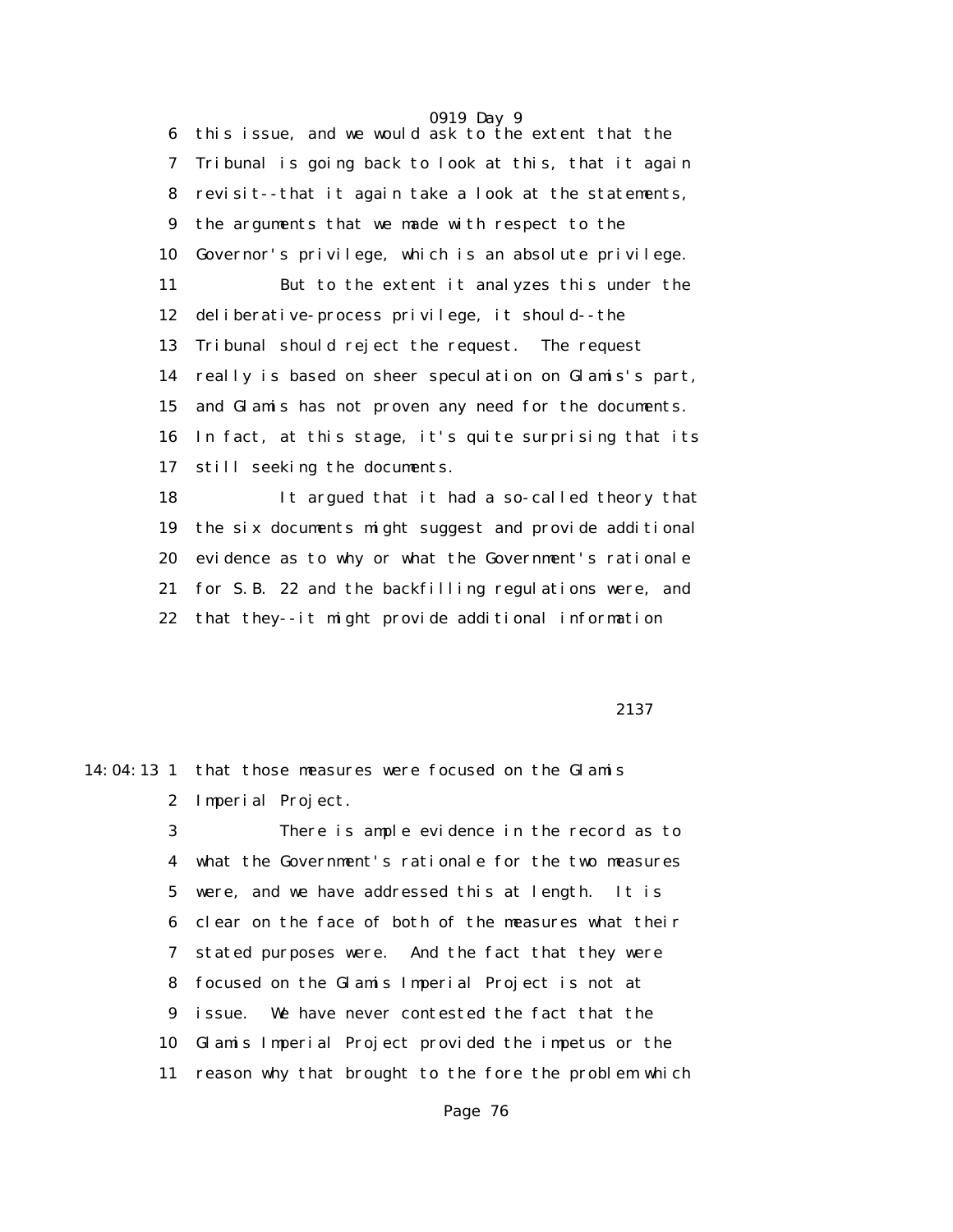6 this issue, and we would ask to the extent that the 7 Tribunal is going back to look at this, that it again 8 revisit--that it again take a look at the statements, 9 the arguments that we made with respect to the 10 Governor's privilege, which is an absolute privilege. 11 But to the extent it analyzes this under the 12 deliberative-process privilege, it should--the 13 Tribunal should reject the request. The request 14 really is based on sheer speculation on Glamis's part, 15 and Glamis has not proven any need for the documents. 16 In fact, at this stage, it's quite surprising that its 17 still seeking the documents.

 18 It argued that it had a so-called theory that 19 the six documents might suggest and provide additional 20 evidence as to why or what the Government's rationale 21 for S.B. 22 and the backfilling regulations were, and 22 that they--it might provide additional information

2137 **2137** 

# 14:04:13 1 that those measures were focused on the Glamis 2 Imperial Project.

 3 There is ample evidence in the record as to 4 what the Government's rationale for the two measures 5 were, and we have addressed this at length. It is 6 clear on the face of both of the measures what their 7 stated purposes were. And the fact that they were 8 focused on the Glamis Imperial Project is not at 9 issue. We have never contested the fact that the 10 Glamis Imperial Project provided the impetus or the 11 reason why that brought to the fore the problem which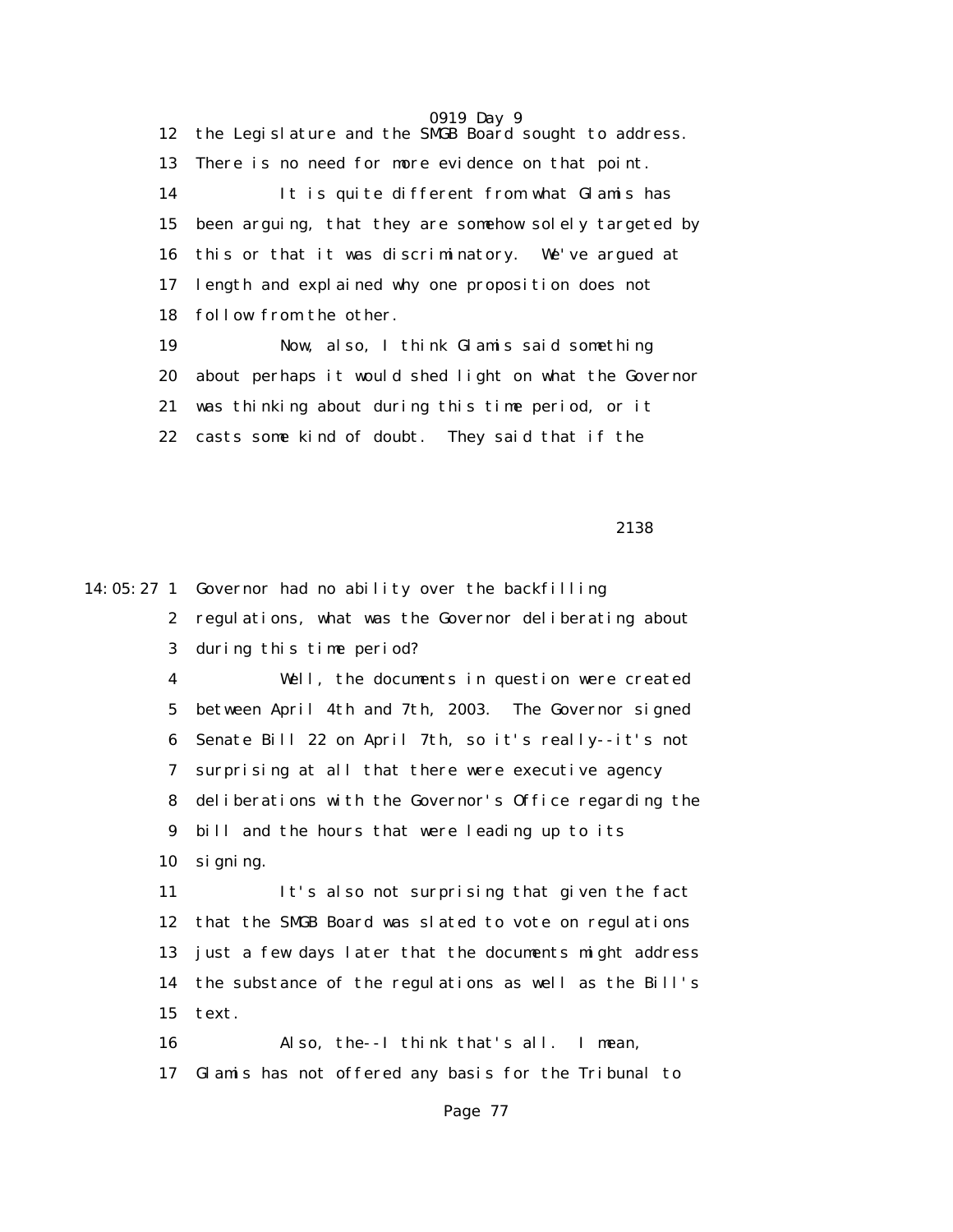0919 Day 9 12 the Legislature and the SMGB Board sought to address. 13 There is no need for more evidence on that point. 14 It is quite different from what Glamis has 15 been arguing, that they are somehow solely targeted by 16 this or that it was discriminatory. We've argued at 17 length and explained why one proposition does not 18 follow from the other. 19 Now, also, I think Glamis said something 20 about perhaps it would shed light on what the Governor 21 was thinking about during this time period, or it 22 casts some kind of doubt. They said that if the

2138

14:05:27 1 Governor had no ability over the backfilling

| 2 regulations, what was the Governor deliberating about |
|---------------------------------------------------------|
| 3 during this time period?                              |

 4 Well, the documents in question were created 5 between April 4th and 7th, 2003. The Governor signed 6 Senate Bill 22 on April 7th, so it's really--it's not 7 surprising at all that there were executive agency 8 deliberations with the Governor's Office regarding the 9 bill and the hours that were leading up to its 10 signing.

 11 It's also not surprising that given the fact 12 that the SMGB Board was slated to vote on regulations 13 just a few days later that the documents might address 14 the substance of the regulations as well as the Bill's 15 text.

 16 Also, the--I think that's all. I mean, 17 Glamis has not offered any basis for the Tribunal to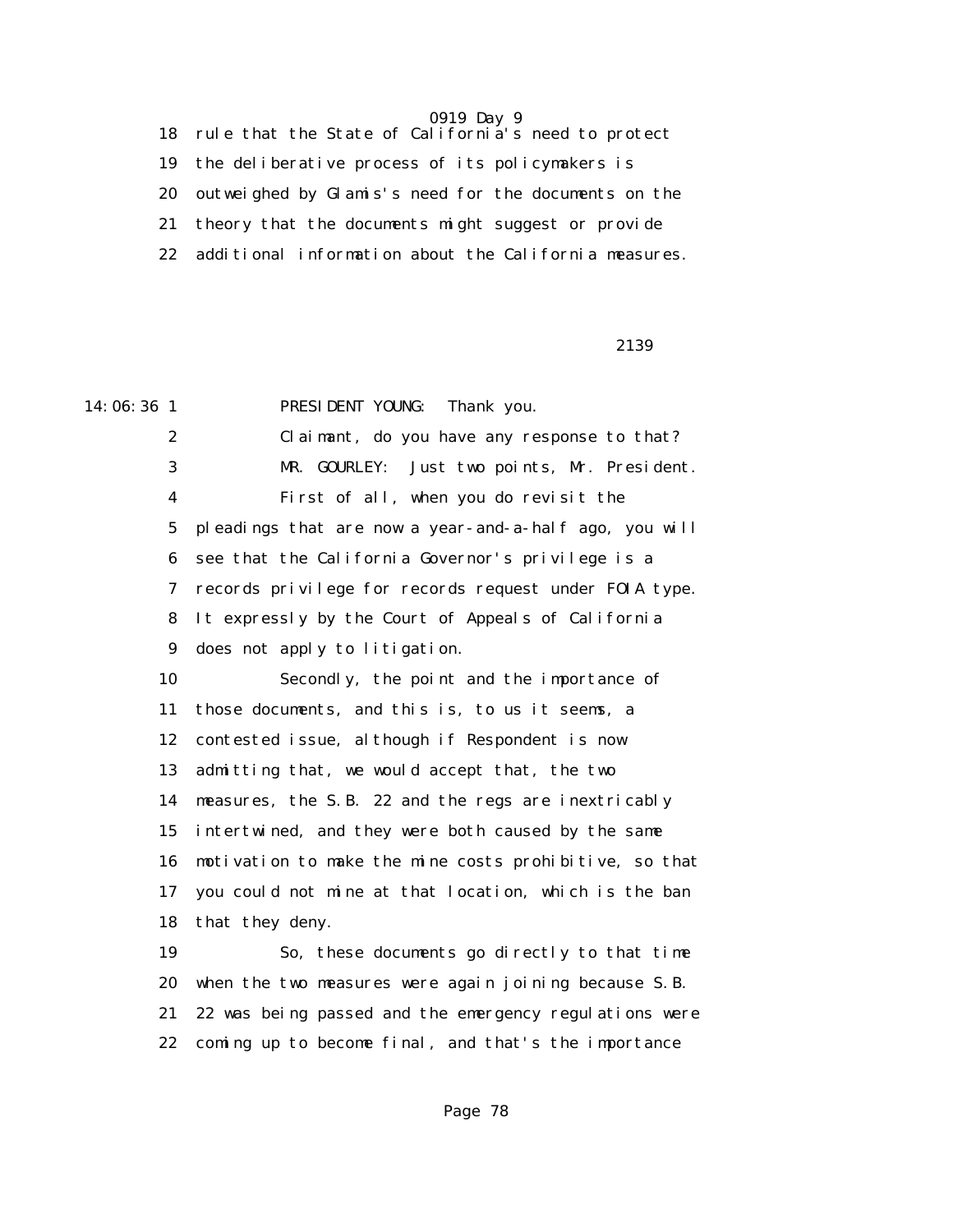18 rule that the State of California's need to protect 19 the deliberative process of its policymakers is 20 outweighed by Glamis's need for the documents on the 21 theory that the documents might suggest or provide 22 additional information about the California measures.

2139

14:06:36 1 PRESIDENT YOUNG: Thank you. 2 Claimant, do you have any response to that? 3 MR. GOURLEY: Just two points, Mr. President. 4 First of all, when you do revisit the 5 pleadings that are now a year-and-a-half ago, you will 6 see that the California Governor's privilege is a 7 records privilege for records request under FOIA type. 8 It expressly by the Court of Appeals of California 9 does not apply to litigation. 10 Secondly, the point and the importance of 11 those documents, and this is, to us it seems, a 12 contested issue, although if Respondent is now 13 admitting that, we would accept that, the two 14 measures, the S.B. 22 and the regs are inextricably 15 intertwined, and they were both caused by the same 16 motivation to make the mine costs prohibitive, so that 17 you could not mine at that location, which is the ban 18 that they deny. 19 So, these documents go directly to that time 20 when the two measures were again joining because S.B. 21 22 was being passed and the emergency regulations were 22 coming up to become final, and that's the importance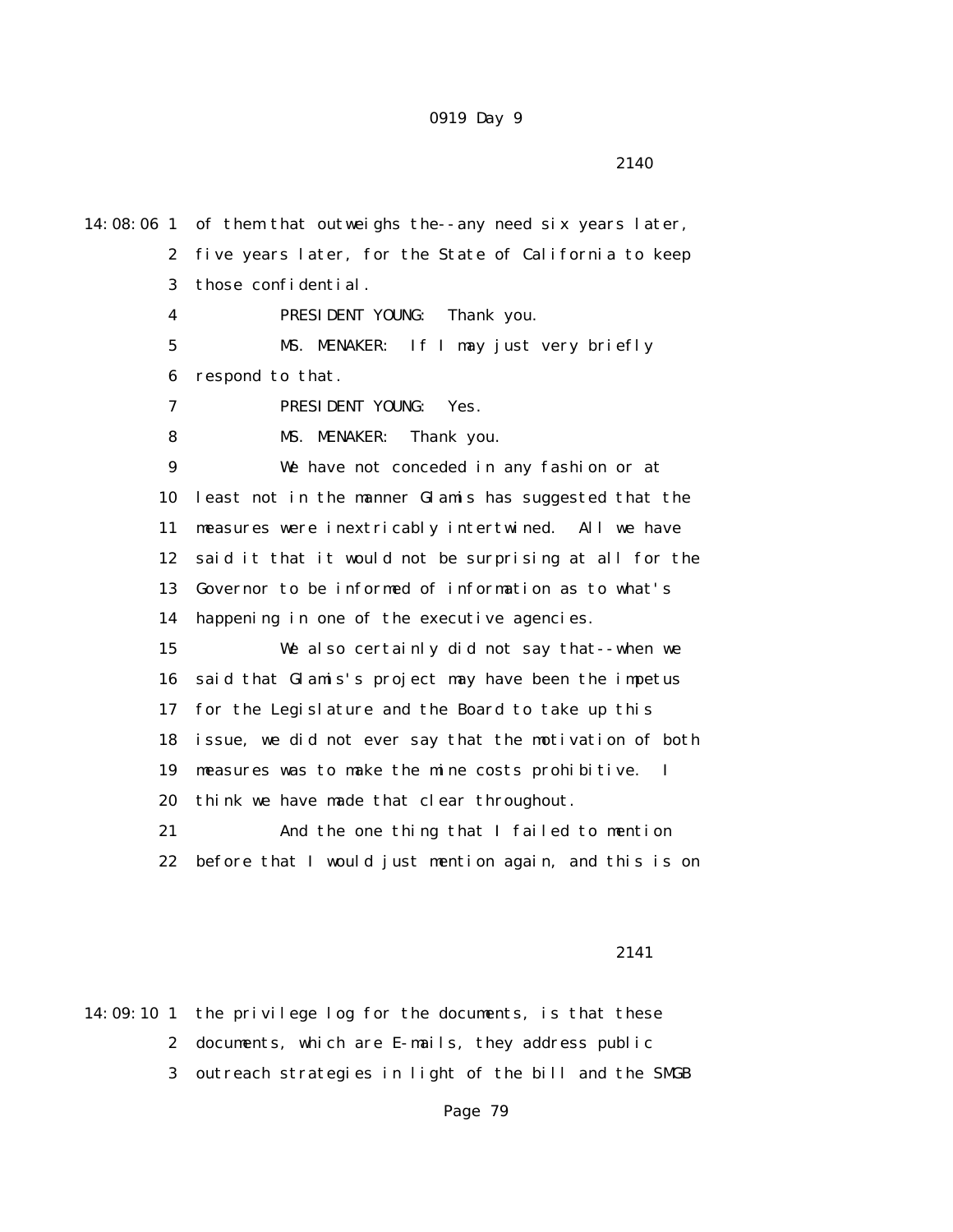14:08:06 1 of them that outweighs the--any need six years later, 2 five years later, for the State of California to keep 3 those confidential. 4 PRESIDENT YOUNG: Thank you. 5 MS. MENAKER: If I may just very briefly 6 respond to that. 7 PRESIDENT YOUNG: Yes. 8 MS. MENAKER: Thank you. 9 We have not conceded in any fashion or at 10 least not in the manner Glamis has suggested that the 11 measures were inextricably intertwined. All we have 12 said it that it would not be surprising at all for the 13 Governor to be informed of information as to what's 14 happening in one of the executive agencies. 15 We also certainly did not say that--when we 16 said that Glamis's project may have been the impetus 17 for the Legislature and the Board to take up this 18 issue, we did not ever say that the motivation of both 19 measures was to make the mine costs prohibitive. I 20 think we have made that clear throughout. 21 And the one thing that I failed to mention 22 before that I would just mention again, and this is on

2141

14:09:10 1 the privilege log for the documents, is that these 2 documents, which are E-mails, they address public 3 outreach strategies in light of the bill and the SMGB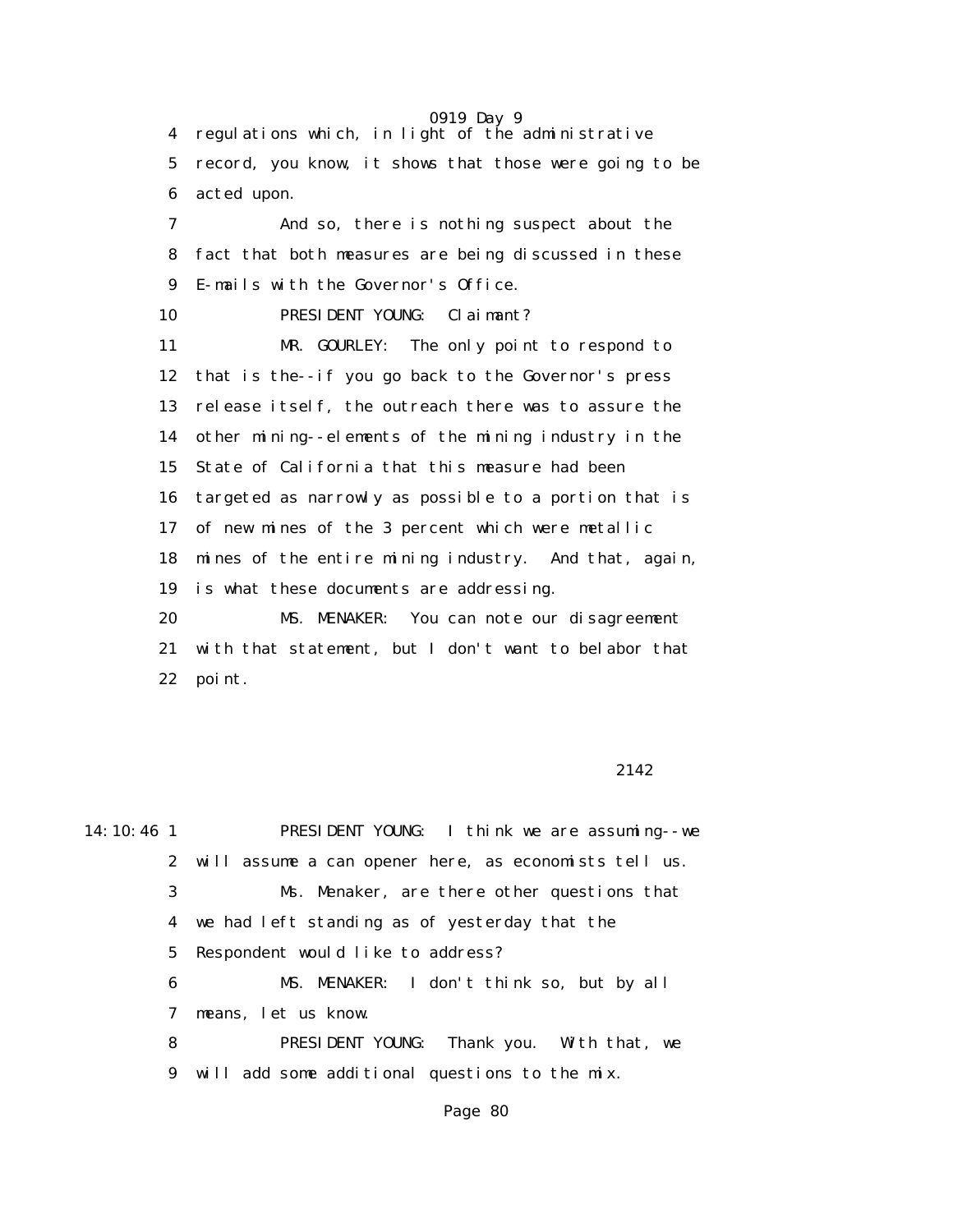0919 Day 9 4 regulations which, in light of the administrative 5 record, you know, it shows that those were going to be 6 acted upon. 7 And so, there is nothing suspect about the 8 fact that both measures are being discussed in these 9 E-mails with the Governor's Office. 10 PRESIDENT YOUNG: Claimant? 11 MR. GOURLEY: The only point to respond to 12 that is the--if you go back to the Governor's press 13 release itself, the outreach there was to assure the 14 other mining--elements of the mining industry in the 15 State of California that this measure had been 16 targeted as narrowly as possible to a portion that is 17 of new mines of the 3 percent which were metallic 18 mines of the entire mining industry. And that, again, 19 is what these documents are addressing. 20 MS. MENAKER: You can note our disagreement 21 with that statement, but I don't want to belabor that 22 point.

#### 2142

14:10:46 1 PRESIDENT YOUNG: I think we are assuming--we 2 will assume a can opener here, as economists tell us. 3 Ms. Menaker, are there other questions that 4 we had left standing as of yesterday that the 5 Respondent would like to address? 6 MS. MENAKER: I don't think so, but by all 7 means, let us know. 8 PRESIDENT YOUNG: Thank you. With that, we 9 will add some additional questions to the mix.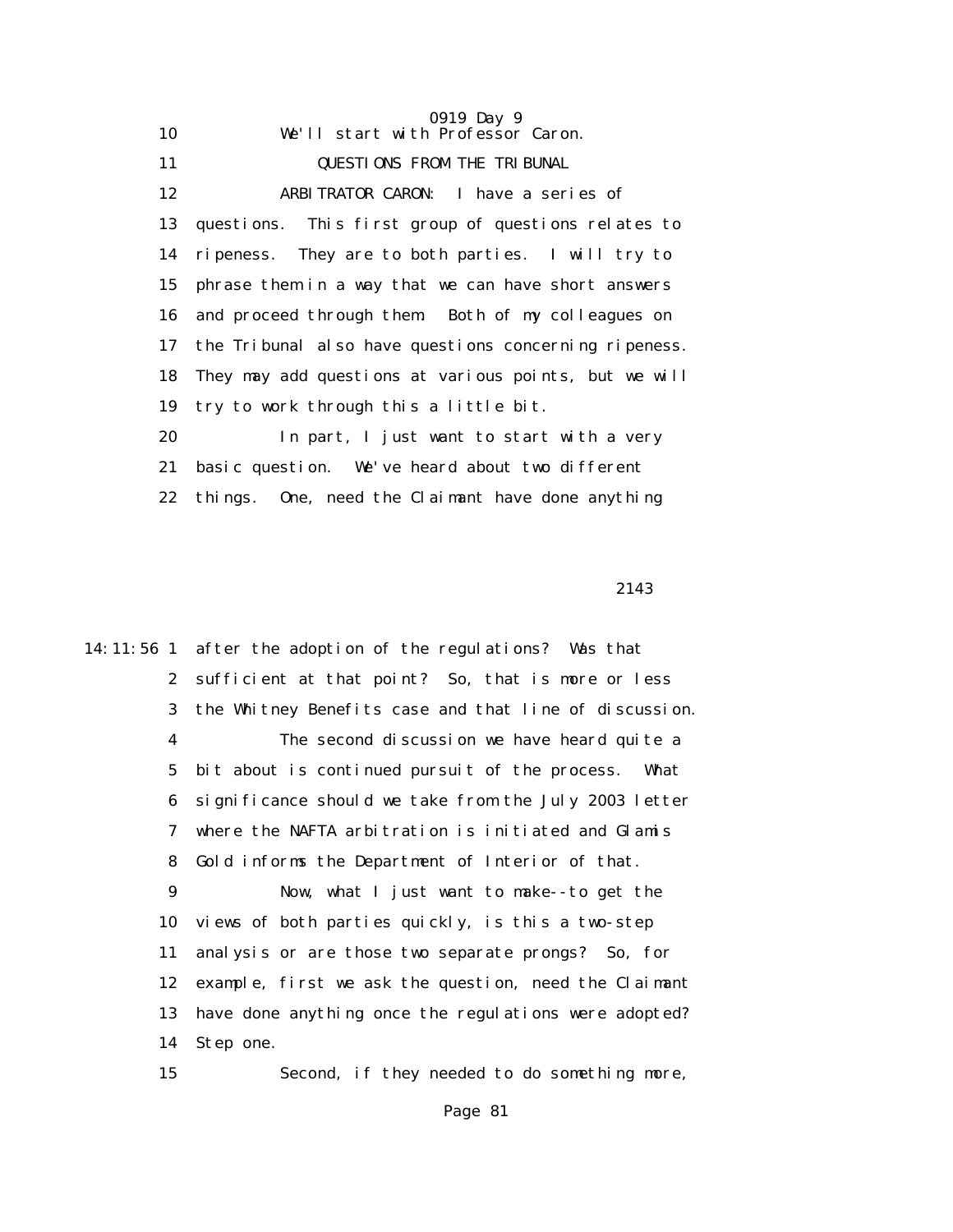|    | 0919 Day 9                                            |
|----|-------------------------------------------------------|
| 10 | We'll start with Professor Caron.                     |
| 11 | <b>QUESTIONS FROM THE TRIBUNAL</b>                    |
| 12 | ARBITRATOR CARON: I have a series of                  |
| 13 | questions. This first group of questions relates to   |
| 14 | ripeness. They are to both parties. I will try to     |
| 15 | phrase them in a way that we can have short answers   |
| 16 | and proceed through them. Both of my colleagues on    |
| 17 | the Tribunal also have questions concerning ripeness. |
| 18 | They may add questions at various points, but we will |
| 19 | try to work through this a little bit.                |
| 20 | In part, I just want to start with a very             |
| 21 | basic question. We've heard about two different       |
| 22 | things. One, need the Claimant have done anything     |

2143

14:11:56 1 after the adoption of the regulations? Was that 2 sufficient at that point? So, that is more or less 3 the Whitney Benefits case and that line of discussion. 4 The second discussion we have heard quite a 5 bit about is continued pursuit of the process. What 6 significance should we take from the July 2003 letter 7 where the NAFTA arbitration is initiated and Glamis 8 Gold informs the Department of Interior of that. 9 Now, what I just want to make--to get the 10 views of both parties quickly, is this a two-step 11 analysis or are those two separate prongs? So, for 12 example, first we ask the question, need the Claimant 13 have done anything once the regulations were adopted? 14 Step one. 15 Second, if they needed to do something more,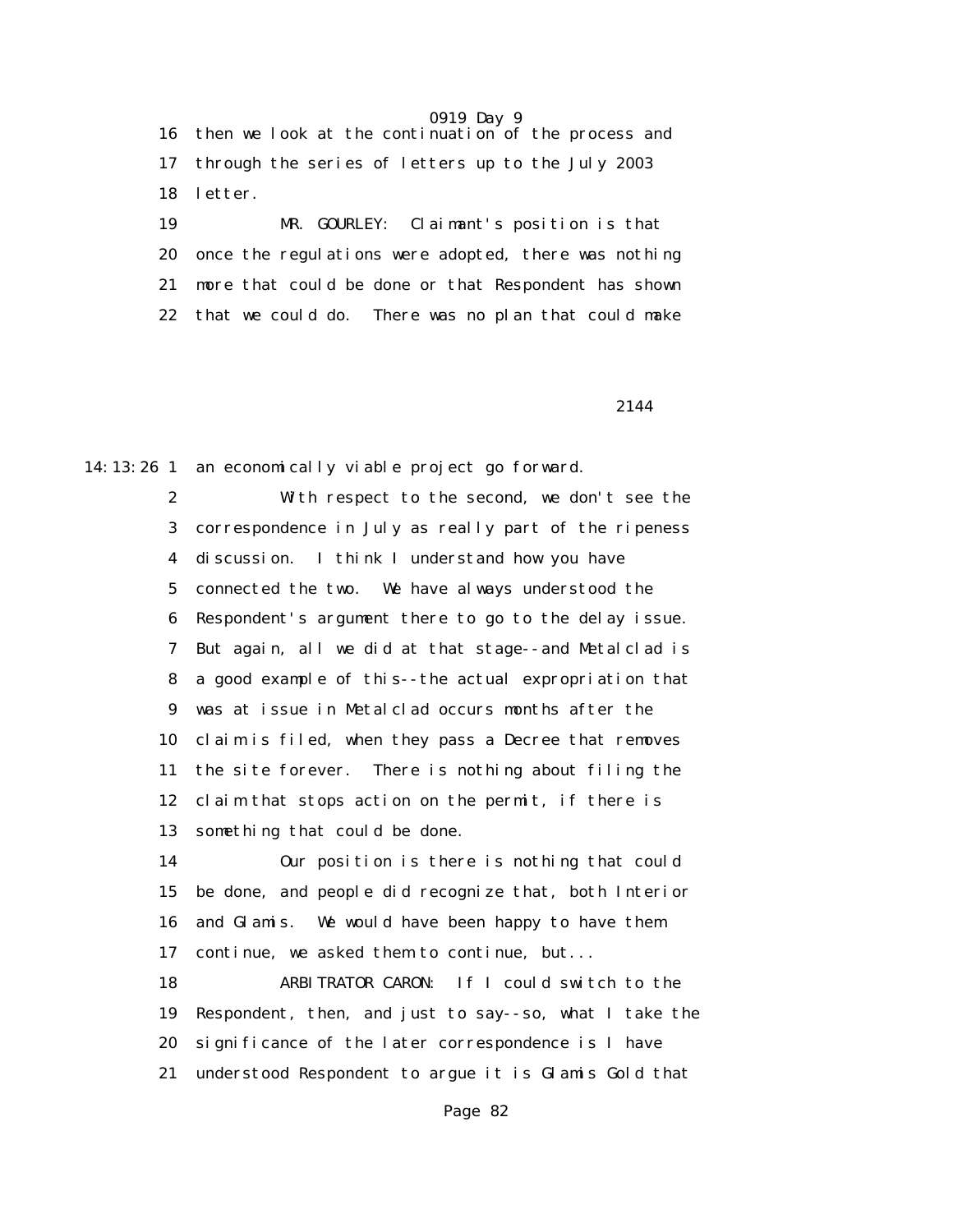16 then we look at the continuation of the process and 17 through the series of letters up to the July 2003 18 letter.

 19 MR. GOURLEY: Claimant's position is that 20 once the regulations were adopted, there was nothing 21 more that could be done or that Respondent has shown 22 that we could do. There was no plan that could make

2144

14:13:26 1 an economically viable project go forward.

 2 With respect to the second, we don't see the 3 correspondence in July as really part of the ripeness 4 discussion. I think I understand how you have 5 connected the two. We have always understood the 6 Respondent's argument there to go to the delay issue. 7 But again, all we did at that stage--and Metalclad is 8 a good example of this--the actual expropriation that 9 was at issue in Metalclad occurs months after the 10 claim is filed, when they pass a Decree that removes 11 the site forever. There is nothing about filing the 12 claim that stops action on the permit, if there is 13 something that could be done.

 14 Our position is there is nothing that could 15 be done, and people did recognize that, both Interior 16 and Glamis. We would have been happy to have them 17 continue, we asked them to continue, but...

 18 ARBITRATOR CARON: If I could switch to the 19 Respondent, then, and just to say--so, what I take the 20 significance of the later correspondence is I have 21 understood Respondent to argue it is Glamis Gold that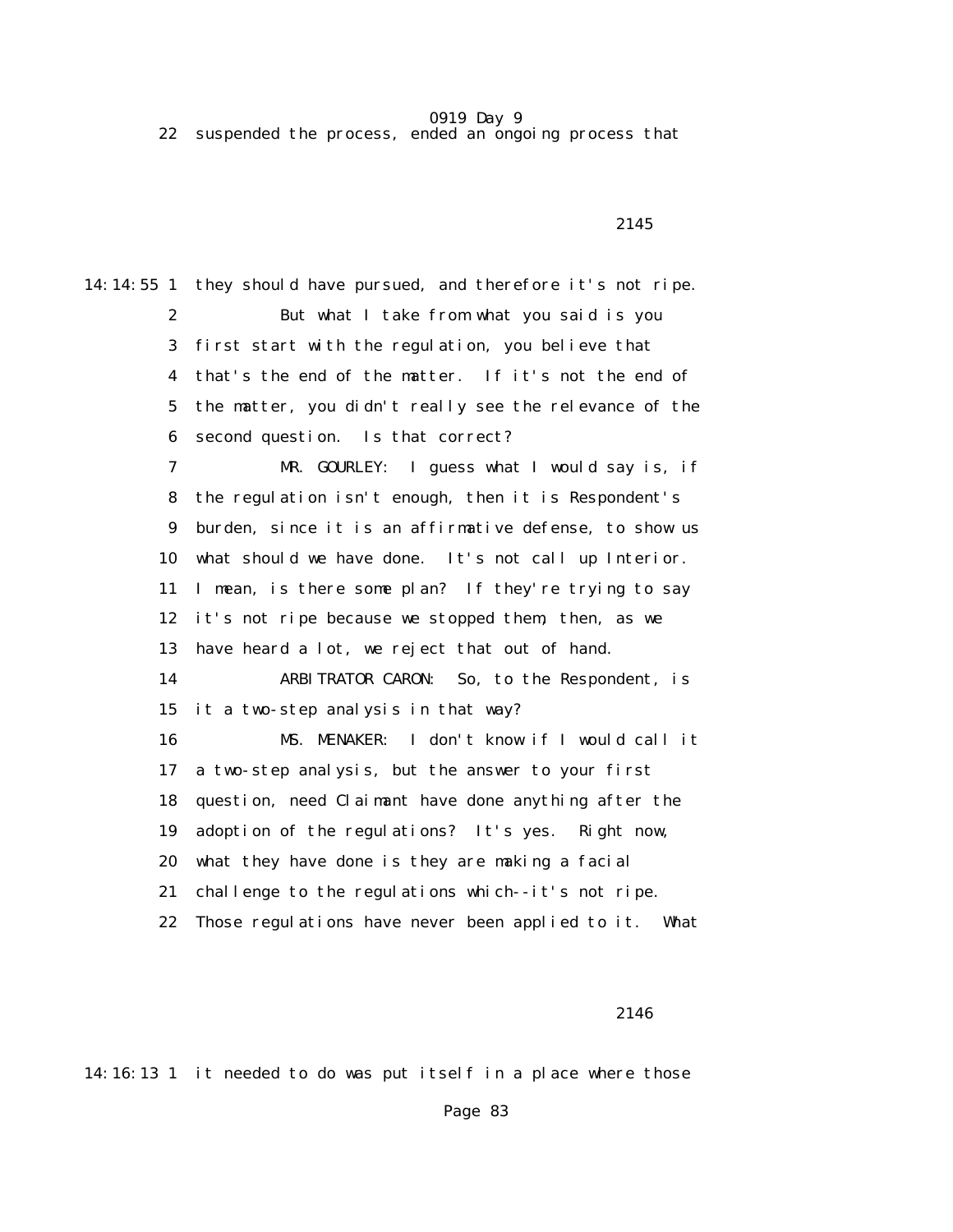22 suspended the process, ended an ongoing process that

2145

14:14:55 1 they should have pursued, and therefore it's not ripe. 2 But what I take from what you said is you 3 first start with the regulation, you believe that 4 that's the end of the matter. If it's not the end of 5 the matter, you didn't really see the relevance of the 6 second question. Is that correct? 7 MR. GOURLEY: I guess what I would say is, if 8 the regulation isn't enough, then it is Respondent's 9 burden, since it is an affirmative defense, to show us 10 what should we have done. It's not call up Interior. 11 I mean, is there some plan? If they're trying to say 12 it's not ripe because we stopped them, then, as we 13 have heard a lot, we reject that out of hand. 14 ARBITRATOR CARON: So, to the Respondent, is 15 it a two-step analysis in that way? 16 MS. MENAKER: I don't know if I would call it 17 a two-step analysis, but the answer to your first 18 question, need Claimant have done anything after the 19 adoption of the regulations? It's yes. Right now, 20 what they have done is they are making a facial 21 challenge to the regulations which--it's not ripe. 22 Those regulations have never been applied to it. What

2146

14:16:13 1 it needed to do was put itself in a place where those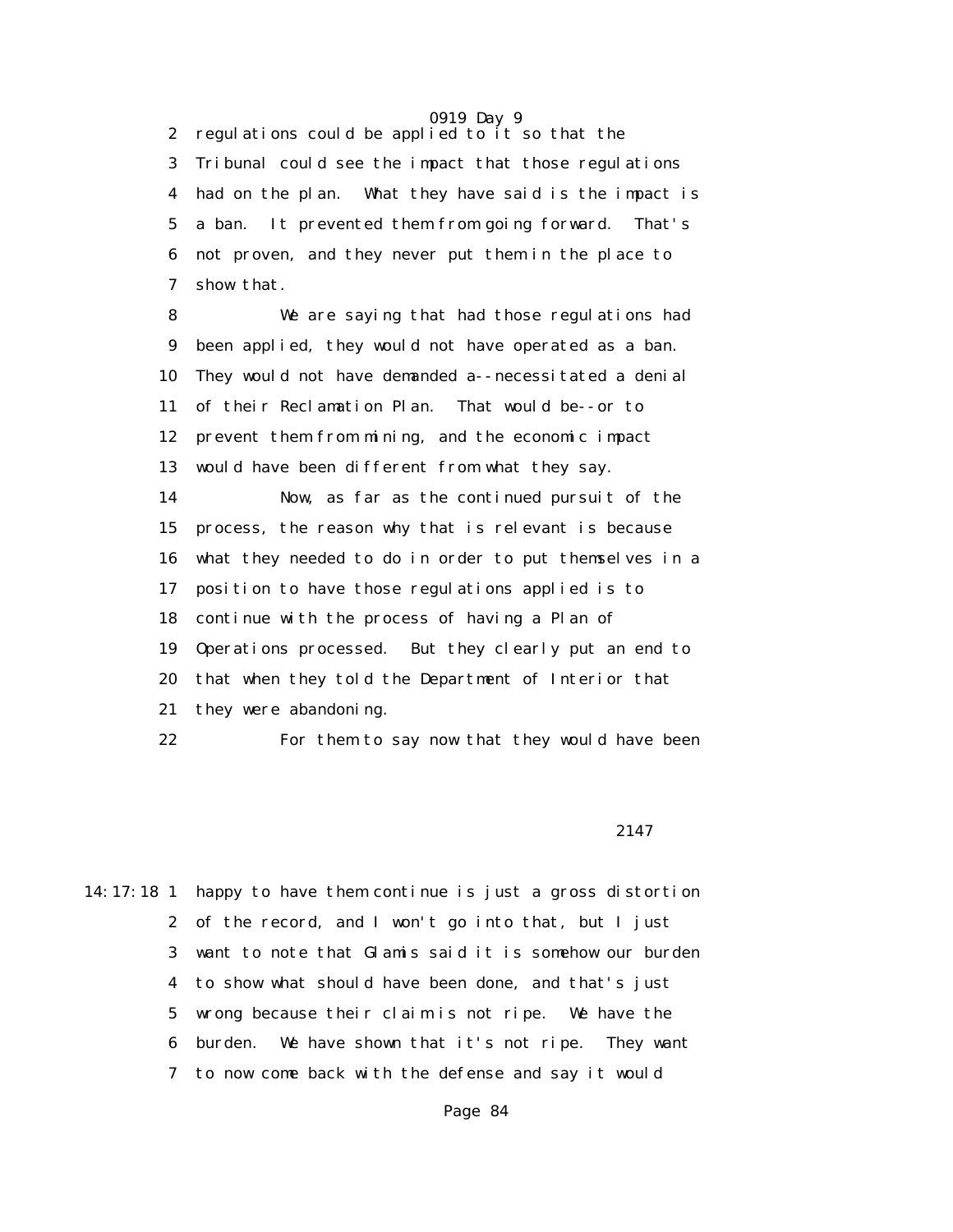2 regulations could be applied to it so that the 3 Tribunal could see the impact that those regulations 4 had on the plan. What they have said is the impact is 5 a ban. It prevented them from going forward. That's 6 not proven, and they never put them in the place to 7 show that.

 8 We are saying that had those regulations had 9 been applied, they would not have operated as a ban. 10 They would not have demanded a--necessitated a denial 11 of their Reclamation Plan. That would be--or to 12 prevent them from mining, and the economic impact 13 would have been different from what they say. 14 Now, as far as the continued pursuit of the 15 process, the reason why that is relevant is because 16 what they needed to do in order to put themselves in a 17 position to have those regulations applied is to 18 continue with the process of having a Plan of 19 Operations processed. But they clearly put an end to 20 that when they told the Department of Interior that 21 they were abandoning.

22 For them to say now that they would have been

2147

14:17:18 1 happy to have them continue is just a gross distortion 2 of the record, and I won't go into that, but I just 3 want to note that Glamis said it is somehow our burden 4 to show what should have been done, and that's just 5 wrong because their claim is not ripe. We have the 6 burden. We have shown that it's not ripe. They want 7 to now come back with the defense and say it would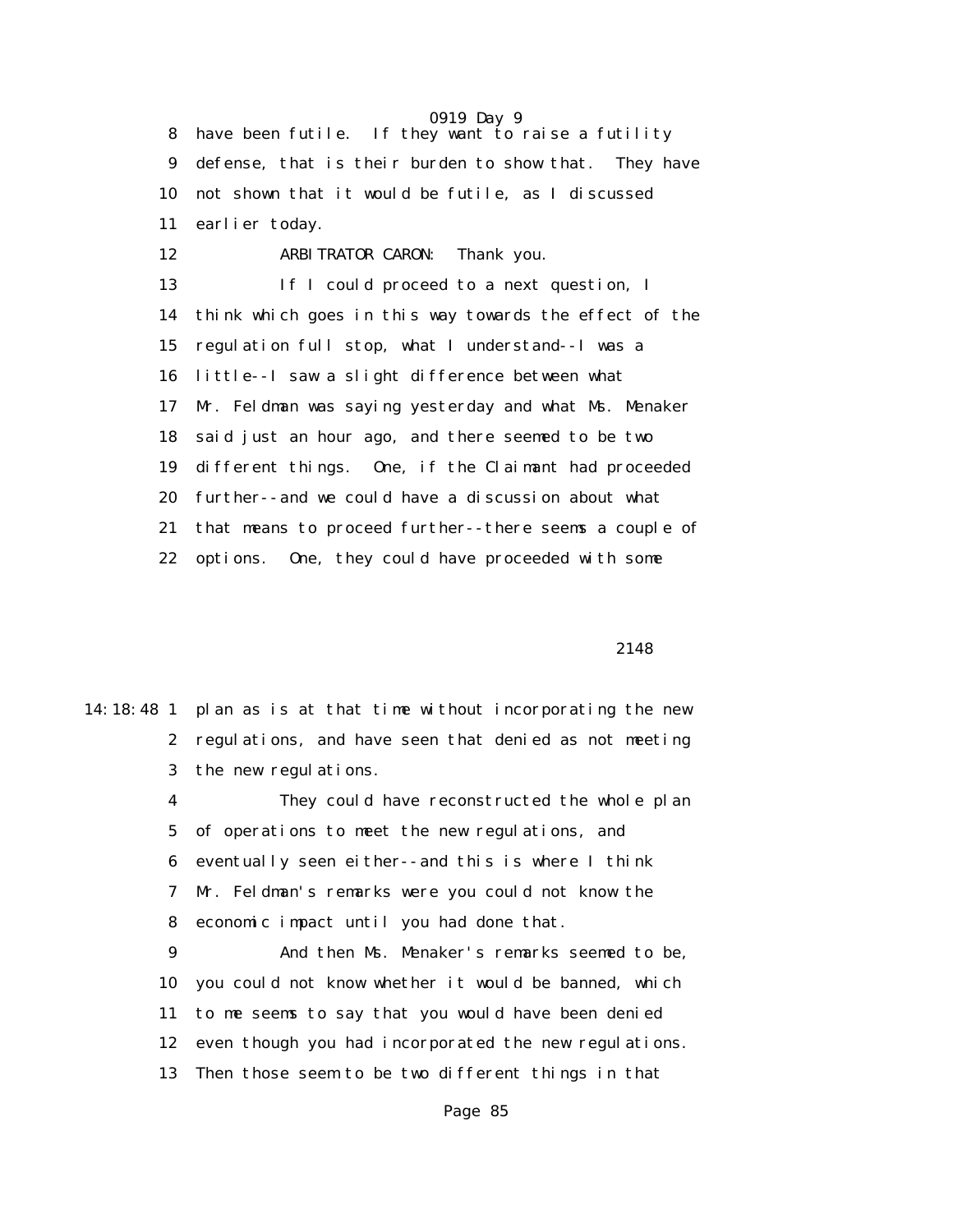0919 Day 9 8 have been futile. If they want to raise a futility 9 defense, that is their burden to show that. They have 10 not shown that it would be futile, as I discussed 11 earlier today. 12 ARBITRATOR CARON: Thank you. 13 If I could proceed to a next question, I 14 think which goes in this way towards the effect of the 15 regulation full stop, what I understand--I was a 16 little--I saw a slight difference between what 17 Mr. Feldman was saying yesterday and what Ms. Menaker 18 said just an hour ago, and there seemed to be two 19 different things. One, if the Claimant had proceeded 20 further--and we could have a discussion about what 21 that means to proceed further--there seems a couple of 22 options. One, they could have proceeded with some

2148

|              | 14:18:48 1 plan as is at that time without incorporating the new |
|--------------|------------------------------------------------------------------|
| $\mathbf{2}$ | regulations, and have seen that denied as not meeting            |
|              | 3 the new regulations.                                           |
| 4            | They could have reconstructed the whole plan                     |
| $5^{\circ}$  | of operations to meet the new regulations, and                   |
| 6            | eventually seen either--and this is where I think                |
|              | 7 Mr. Feldman's remarks were you could not know the              |
| 8            | economic impact until you had done that.                         |
| 9            | And then Ms. Menaker's remarks seemed to be,                     |
| 10           | you could not know whether it would be banned, which             |
| 11           | to me seems to say that you would have been denied               |
| 12           | even though you had incorporated the new regulations.            |
| 13           | Then those seem to be two different things in that               |
|              |                                                                  |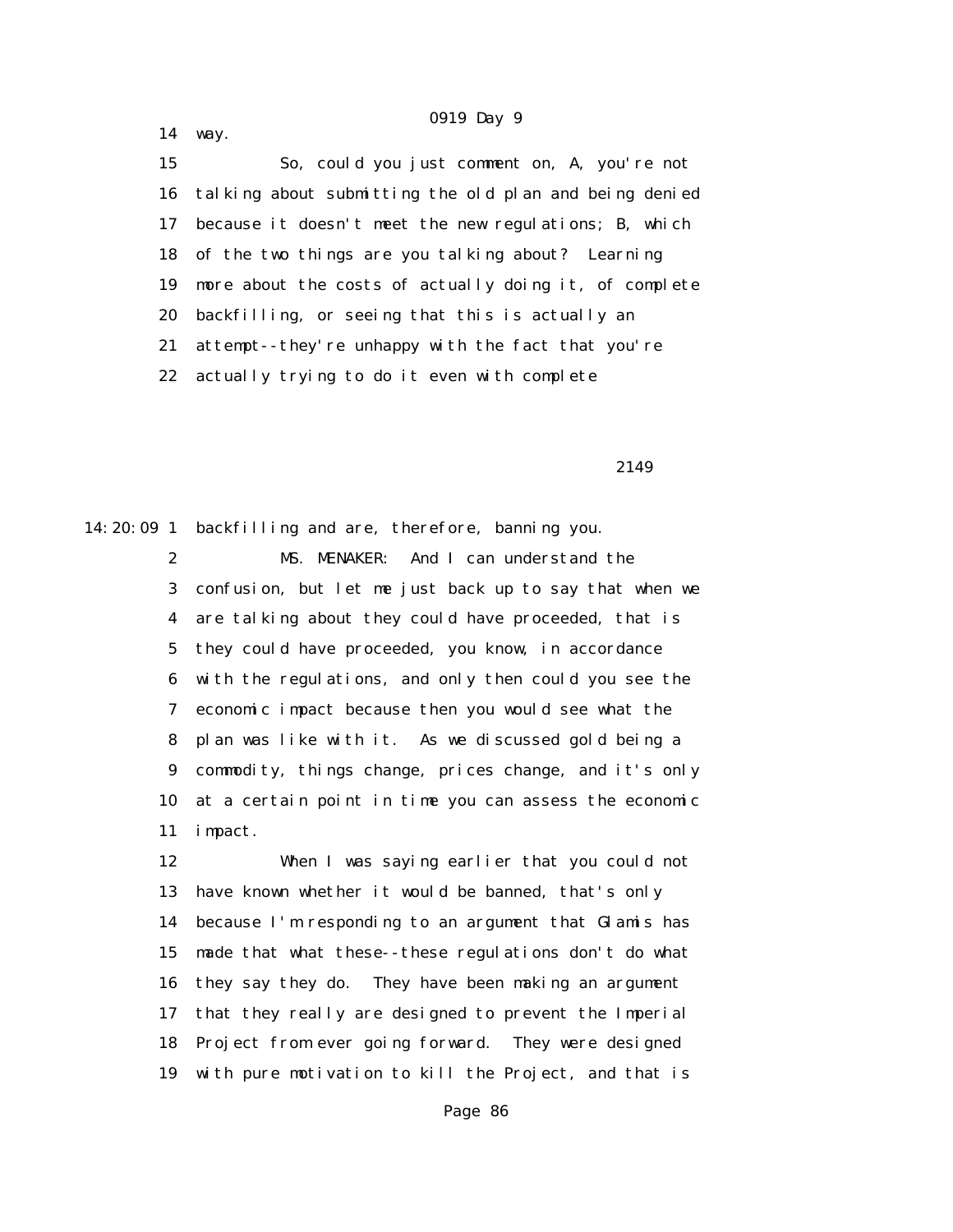14 way.

 15 So, could you just comment on, A, you're not 16 talking about submitting the old plan and being denied 17 because it doesn't meet the new regulations; B, which 18 of the two things are you talking about? Learning 19 more about the costs of actually doing it, of complete 20 backfilling, or seeing that this is actually an 21 attempt--they're unhappy with the fact that you're 22 actually trying to do it even with complete

2149

14:20:09 1 backfilling and are, therefore, banning you. 2 MS. MENAKER: And I can understand the 3 confusion, but let me just back up to say that when we 4 are talking about they could have proceeded, that is 5 they could have proceeded, you know, in accordance 6 with the regulations, and only then could you see the 7 economic impact because then you would see what the 8 plan was like with it. As we discussed gold being a 9 commodity, things change, prices change, and it's only 10 at a certain point in time you can assess the economic 11 impact.

> 12 When I was saying earlier that you could not 13 have known whether it would be banned, that's only 14 because I'm responding to an argument that Glamis has 15 made that what these--these regulations don't do what 16 they say they do. They have been making an argument 17 that they really are designed to prevent the Imperial 18 Project from ever going forward. They were designed 19 with pure motivation to kill the Project, and that is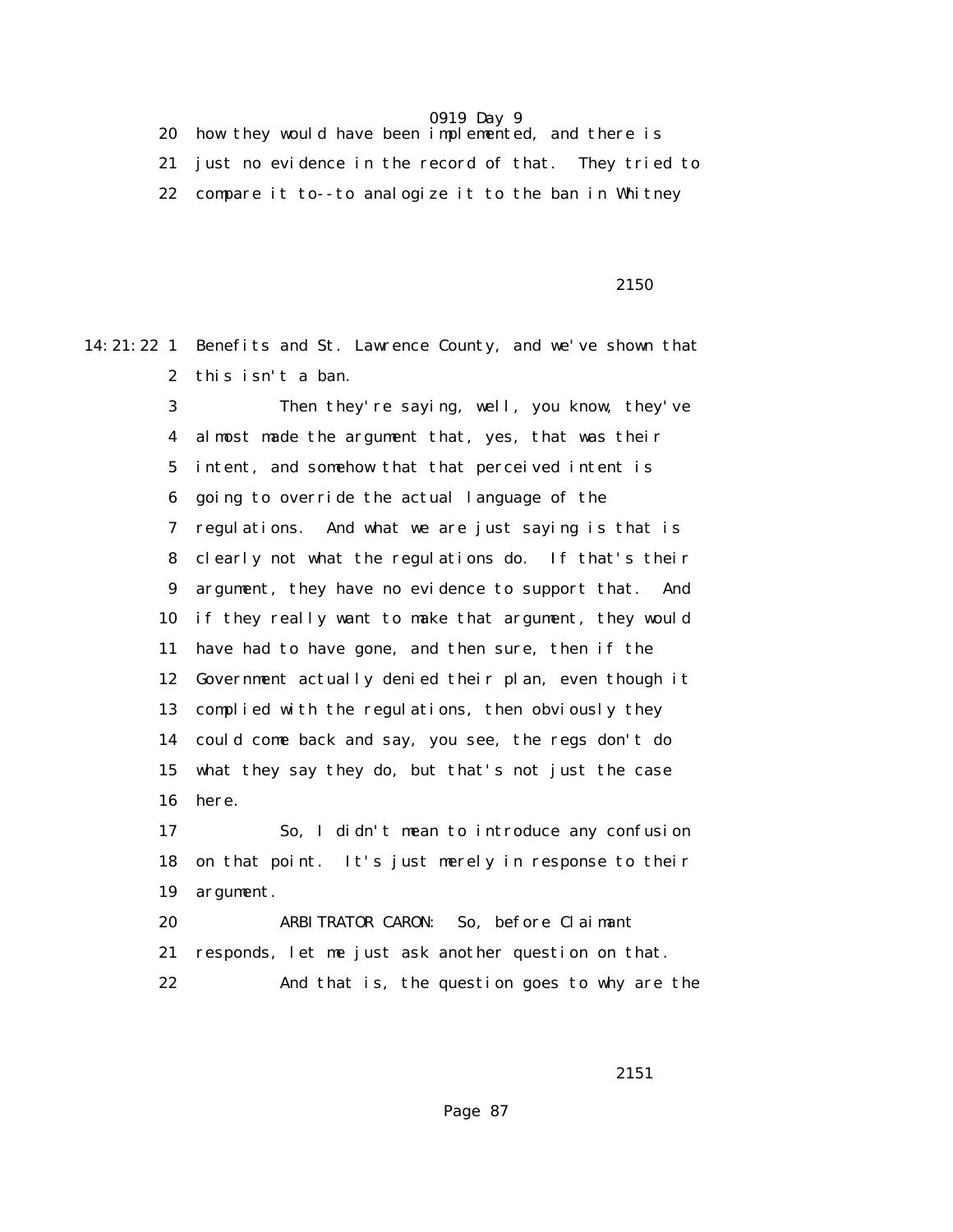20 how they would have been implemented, and there is 21 just no evidence in the record of that. They tried to 22 compare it to--to analogize it to the ban in Whitney

 $2150$ 

14:21:22 1 Benefits and St. Lawrence County, and we've shown that 2 this isn't a ban.

> 3 Then they're saying, well, you know, they've 4 almost made the argument that, yes, that was their 5 intent, and somehow that that perceived intent is 6 going to override the actual language of the 7 regulations. And what we are just saying is that is 8 clearly not what the regulations do. If that's their 9 argument, they have no evidence to support that. And 10 if they really want to make that argument, they would 11 have had to have gone, and then sure, then if the 12 Government actually denied their plan, even though it 13 complied with the regulations, then obviously they 14 could come back and say, you see, the regs don't do 15 what they say they do, but that's not just the case 16 here.

> 17 So, I didn't mean to introduce any confusion 18 on that point. It's just merely in response to their 19 argument.

 20 ARBITRATOR CARON: So, before Claimant 21 responds, let me just ask another question on that. 22 And that is, the question goes to why are the

2151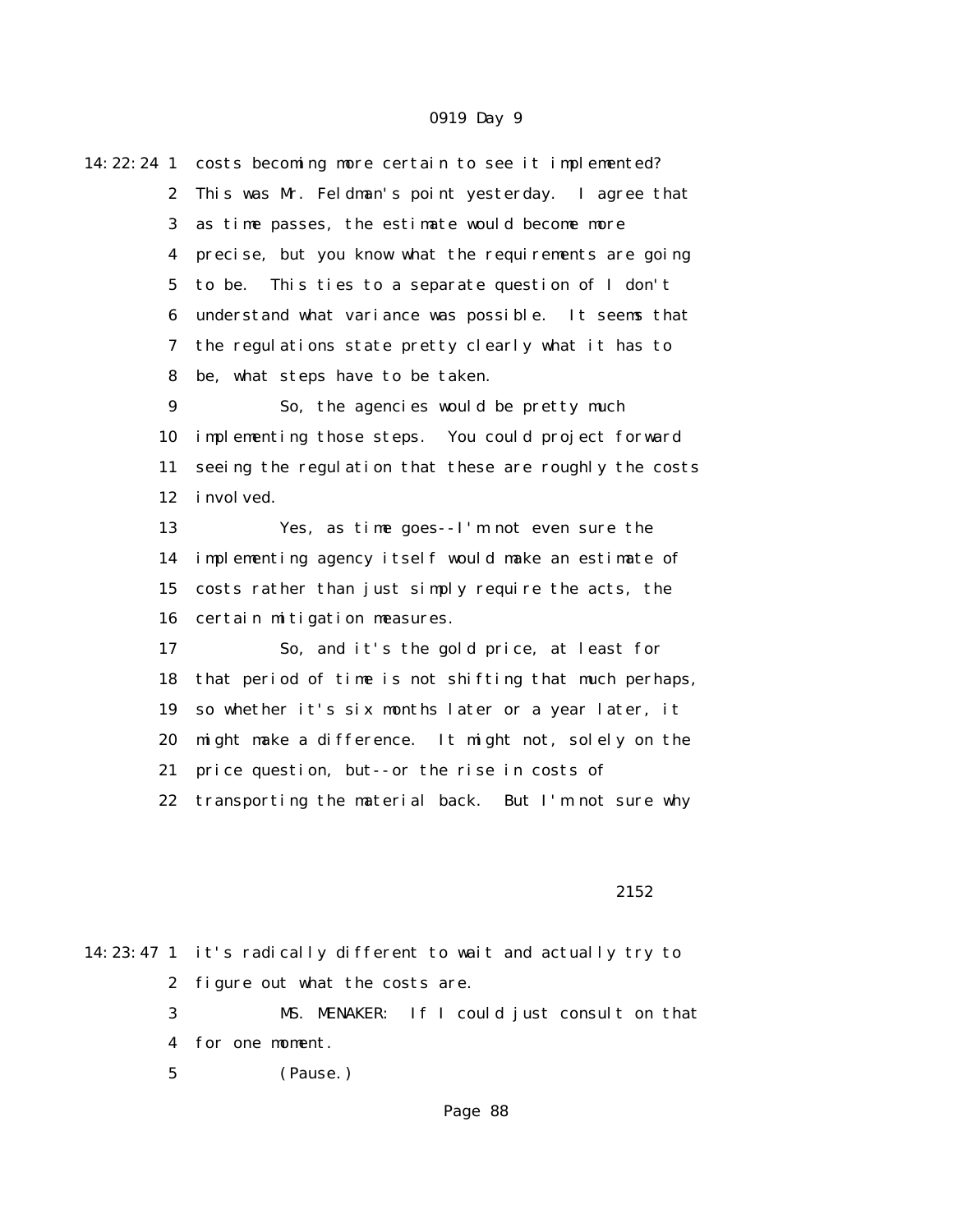| 14: 22: 24 1     | costs becoming more certain to see it implemented?     |  |  |  |
|------------------|--------------------------------------------------------|--|--|--|
| $\boldsymbol{2}$ | This was Mr. Feldman's point yesterday. I agree that   |  |  |  |
| 3                | as time passes, the estimate would become more         |  |  |  |
| 4                | precise, but you know what the requirements are going  |  |  |  |
| $\mathbf 5$      | This ties to a separate question of I don't<br>to be.  |  |  |  |
| 6                | understand what variance was possible. It seems that   |  |  |  |
| 7                | the regulations state pretty clearly what it has to    |  |  |  |
| 8                | be, what steps have to be taken.                       |  |  |  |
| $\boldsymbol{9}$ | So, the agencies would be pretty much                  |  |  |  |
| 10               | implementing those steps. You could project forward    |  |  |  |
| 11               | seeing the regulation that these are roughly the costs |  |  |  |
| 12               | i nvol ved.                                            |  |  |  |
| 13               | Yes, as time goes--I'm not even sure the               |  |  |  |
| 14               | implementing agency itself would make an estimate of   |  |  |  |
| 15               | costs rather than just simply require the acts, the    |  |  |  |
| 16               | certain mitigation measures.                           |  |  |  |
| 17               | So, and it's the gold price, at least for              |  |  |  |
| 18               | that period of time is not shifting that much perhaps, |  |  |  |
| 19               | so whether it's six months later or a year later, it   |  |  |  |
| 20               | might make a difference. It might not, solely on the   |  |  |  |
| 21               | price question, but--or the rise in costs of           |  |  |  |
| 22               | transporting the material back. But I'm not sure why   |  |  |  |
|                  |                                                        |  |  |  |
|                  |                                                        |  |  |  |

#### 2152

|             | 14:23:47 1 it's radically different to wait and actually try to |                                              |  |
|-------------|-----------------------------------------------------------------|----------------------------------------------|--|
|             | 2 figure out what the costs are.                                |                                              |  |
| $3^{\circ}$ |                                                                 | MS. MENAKER: If I could just consult on that |  |
|             | 4 for one moment.                                               |                                              |  |
|             | $5\degree$<br>(Pause.)                                          |                                              |  |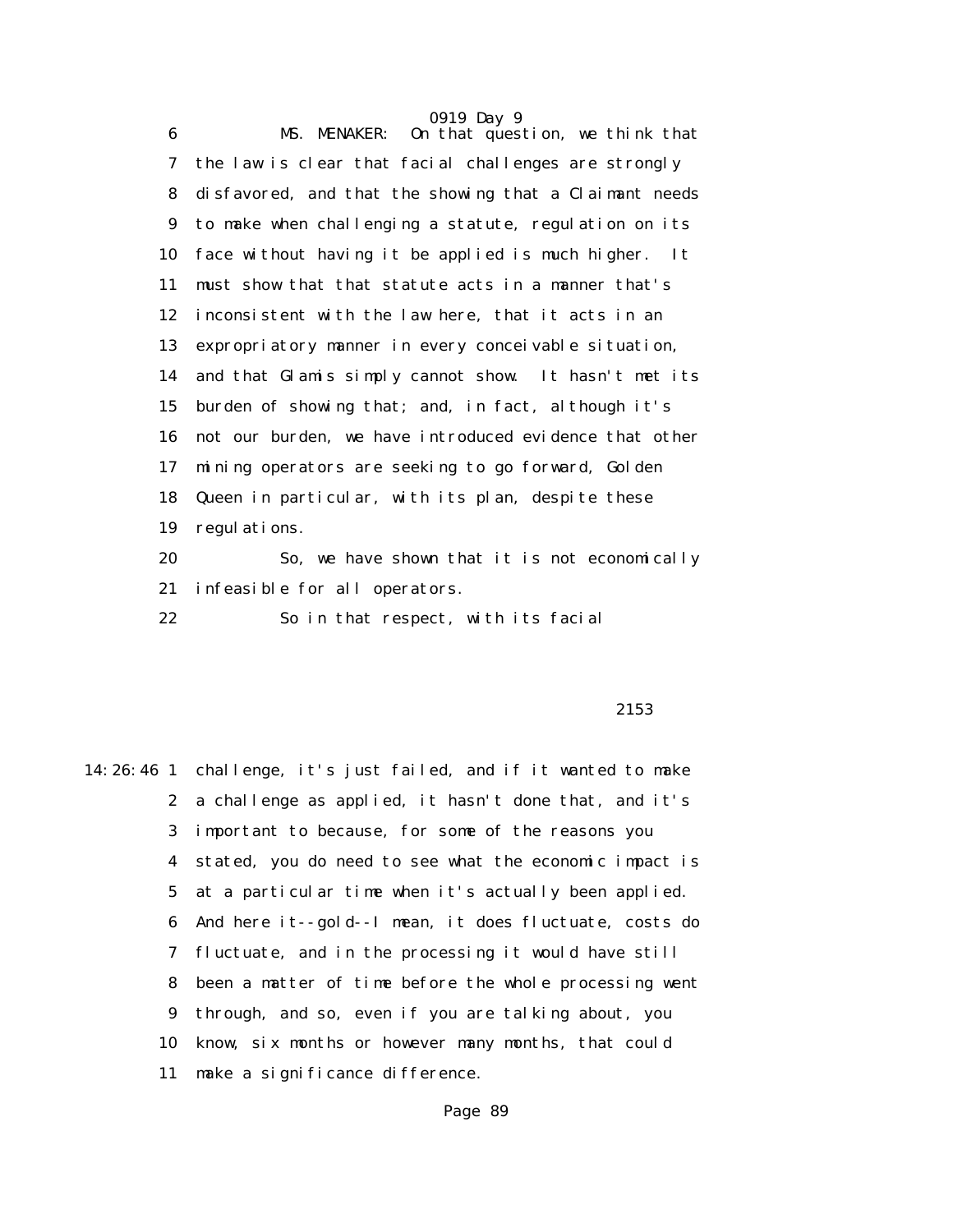0919 Day 9 6 MS. MENAKER: On that question, we think that 7 the law is clear that facial challenges are strongly 8 disfavored, and that the showing that a Claimant needs 9 to make when challenging a statute, regulation on its 10 face without having it be applied is much higher. It 11 must show that that statute acts in a manner that's 12 inconsistent with the law here, that it acts in an 13 expropriatory manner in every conceivable situation, 14 and that Glamis simply cannot show. It hasn't met its 15 burden of showing that; and, in fact, although it's 16 not our burden, we have introduced evidence that other 17 mining operators are seeking to go forward, Golden 18 Queen in particular, with its plan, despite these 19 regulations. 20 So, we have shown that it is not economically 21 infeasible for all operators. 22 So in that respect, with its facial

#### $2153$

14:26:46 1 challenge, it's just failed, and if it wanted to make 2 a challenge as applied, it hasn't done that, and it's 3 important to because, for some of the reasons you 4 stated, you do need to see what the economic impact is 5 at a particular time when it's actually been applied. 6 And here it--gold--I mean, it does fluctuate, costs do 7 fluctuate, and in the processing it would have still 8 been a matter of time before the whole processing went 9 through, and so, even if you are talking about, you 10 know, six months or however many months, that could 11 make a significance difference.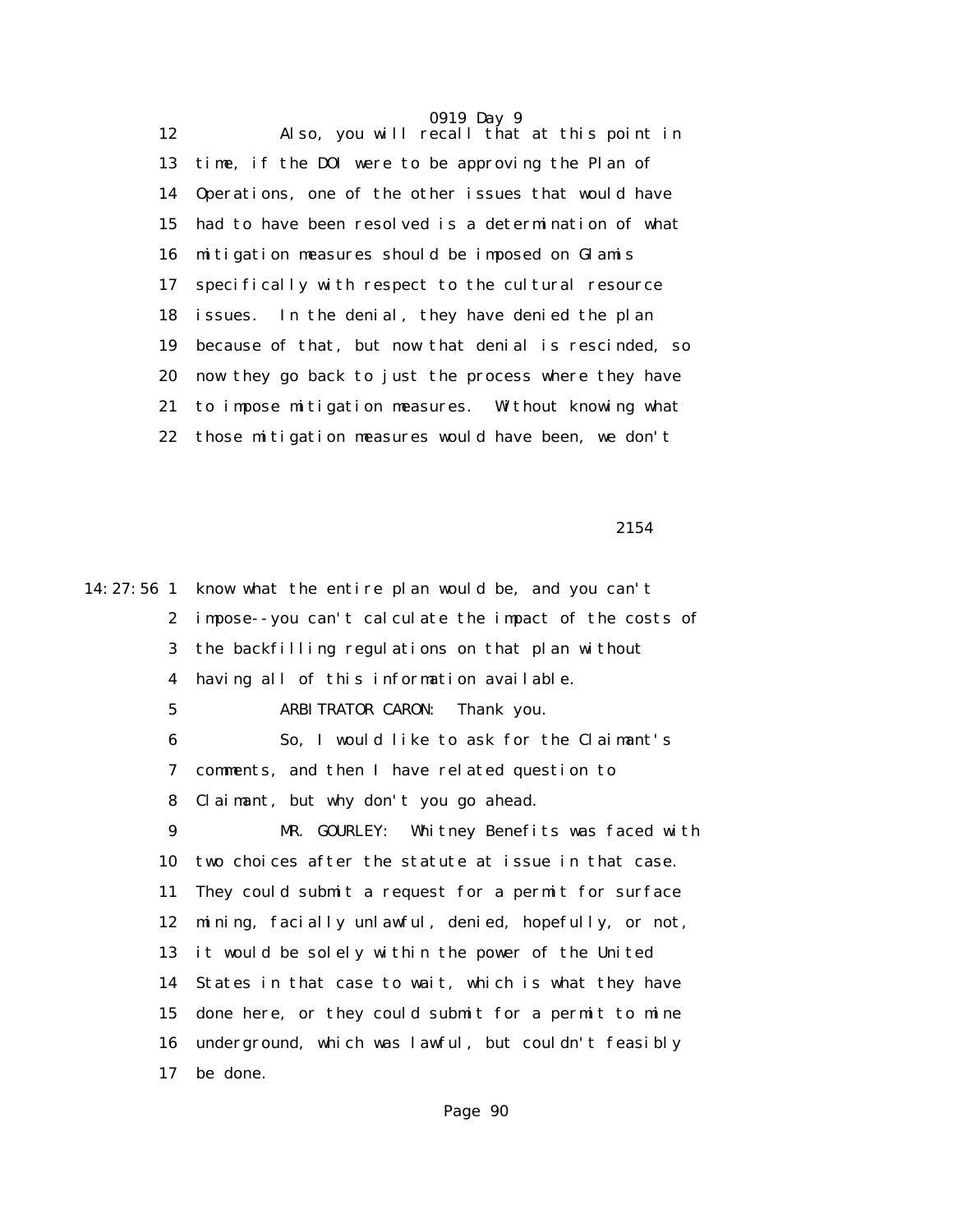12 Also, you will recall that at this point in 13 time, if the DOI were to be approving the Plan of 14 Operations, one of the other issues that would have 15 had to have been resolved is a determination of what 16 mitigation measures should be imposed on Glamis 17 specifically with respect to the cultural resource 18 issues. In the denial, they have denied the plan 19 because of that, but now that denial is rescinded, so 20 now they go back to just the process where they have 21 to impose mitigation measures. Without knowing what 22 those mitigation measures would have been, we don't

2154

14:27:56 1 know what the entire plan would be, and you can't 2 impose--you can't calculate the impact of the costs of 3 the backfilling regulations on that plan without 4 having all of this information available. 5 ARBITRATOR CARON: Thank you. 6 So, I would like to ask for the Claimant's 7 comments, and then I have related question to 8 Claimant, but why don't you go ahead. 9 MR. GOURLEY: Whitney Benefits was faced with 10 two choices after the statute at issue in that case. 11 They could submit a request for a permit for surface 12 mining, facially unlawful, denied, hopefully, or not, 13 it would be solely within the power of the United 14 States in that case to wait, which is what they have 15 done here, or they could submit for a permit to mine 16 underground, which was lawful, but couldn't feasibly 17 be done.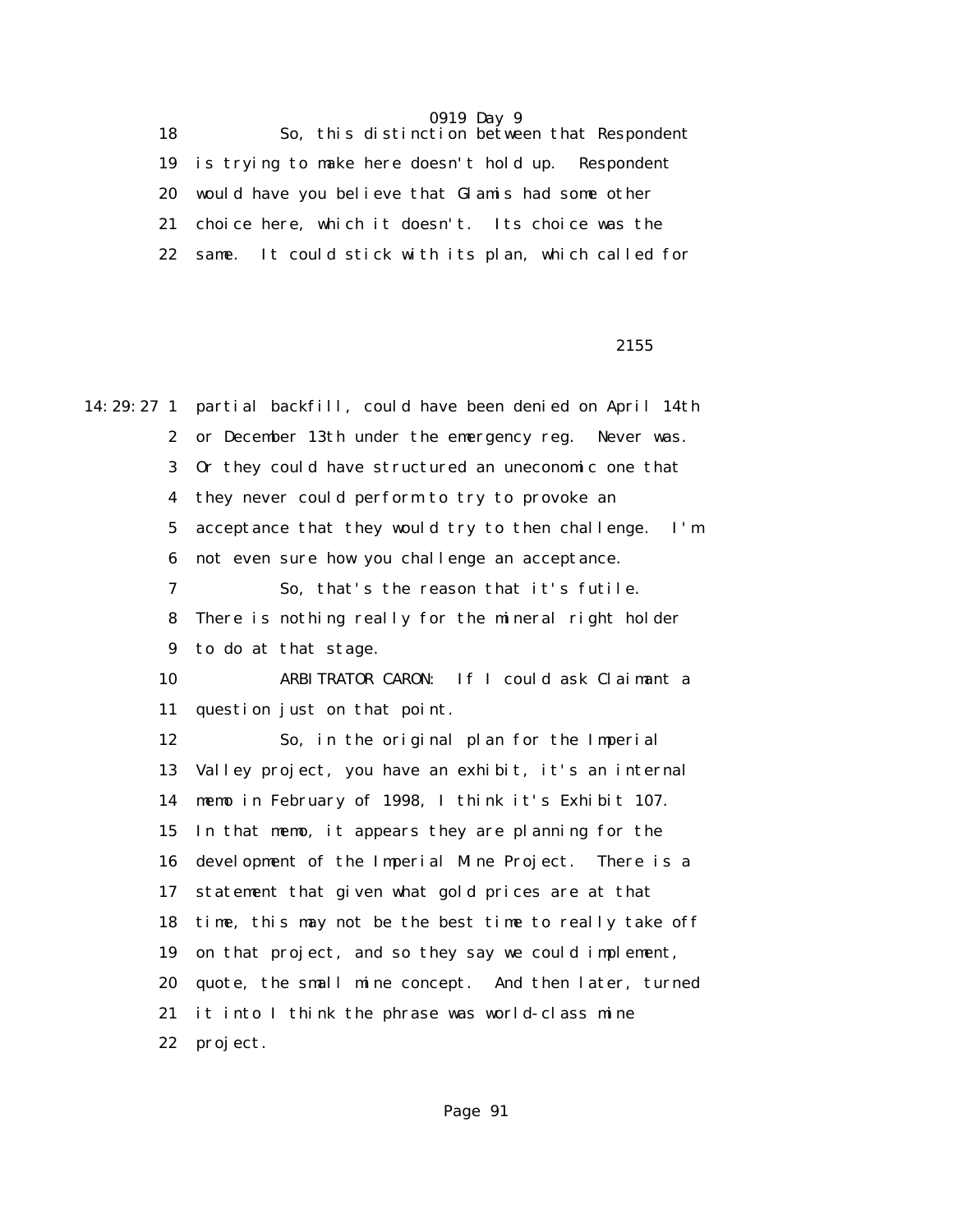18 So, this distinction between that Respondent 19 is trying to make here doesn't hold up. Respondent 20 would have you believe that Glamis had some other 21 choice here, which it doesn't. Its choice was the 22 same. It could stick with its plan, which called for

<u>2155</u>

14:29:27 1 partial backfill, could have been denied on April 14th 2 or December 13th under the emergency reg. Never was. 3 Or they could have structured an uneconomic one that 4 they never could perform to try to provoke an 5 acceptance that they would try to then challenge. I'm 6 not even sure how you challenge an acceptance. 7 So, that's the reason that it's futile. 8 There is nothing really for the mineral right holder 9 to do at that stage. 10 ARBITRATOR CARON: If I could ask Claimant a 11 question just on that point. 12 So, in the original plan for the Imperial 13 Valley project, you have an exhibit, it's an internal 14 memo in February of 1998, I think it's Exhibit 107. 15 In that memo, it appears they are planning for the 16 development of the Imperial Mine Project. There is a 17 statement that given what gold prices are at that 18 time, this may not be the best time to really take off 19 on that project, and so they say we could implement, 20 quote, the small mine concept. And then later, turned 21 it into I think the phrase was world-class mine 22 project.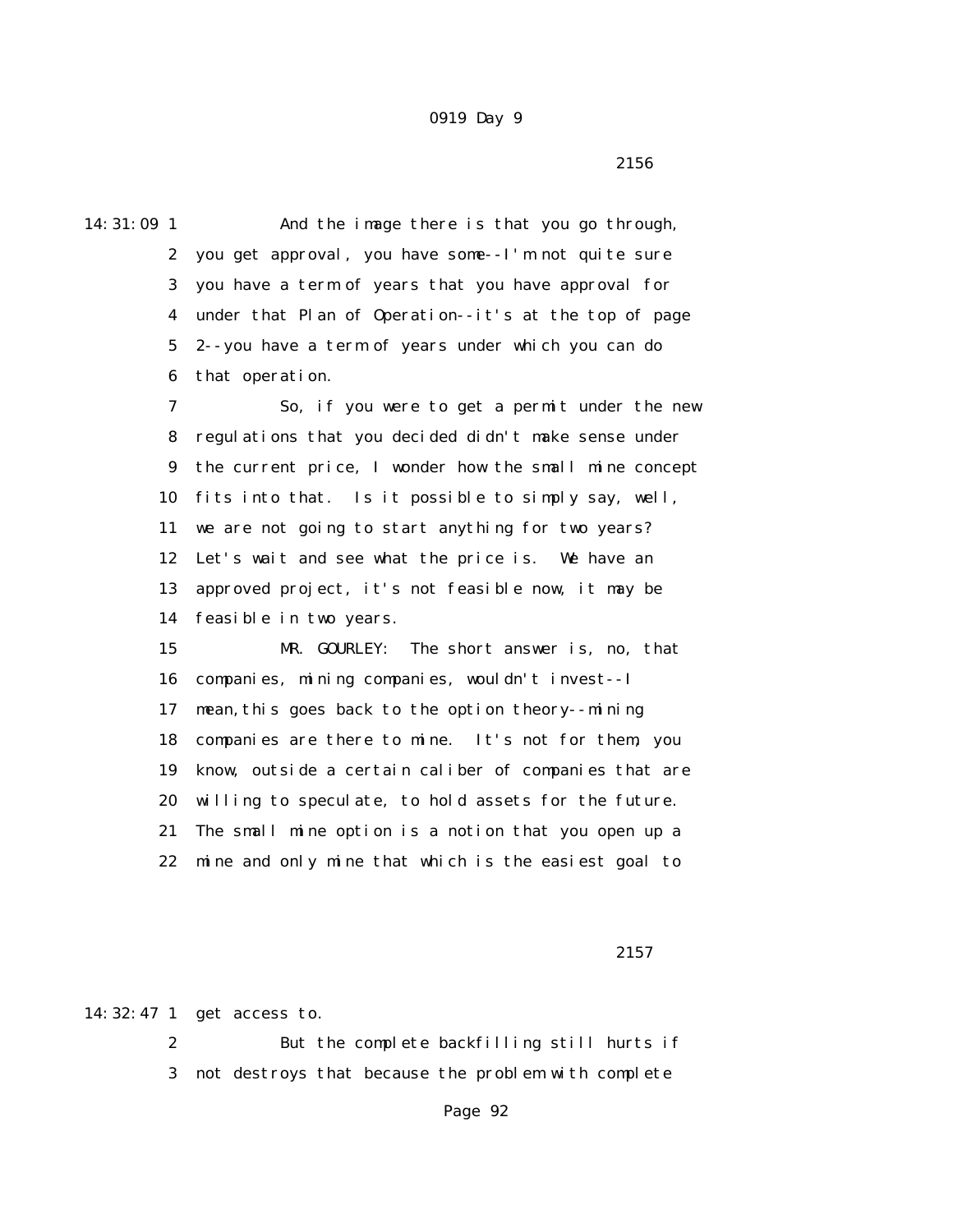$2156$ 

14:31:09 1 And the image there is that you go through, 2 you get approval, you have some--I'm not quite sure 3 you have a term of years that you have approval for 4 under that Plan of Operation--it's at the top of page 5 2--you have a term of years under which you can do 6 that operation. 7 So, if you were to get a permit under the new 8 regulations that you decided didn't make sense under 9 the current price, I wonder how the small mine concept 10 fits into that. Is it possible to simply say, well, 11 we are not going to start anything for two years? 12 Let's wait and see what the price is. We have an 13 approved project, it's not feasible now, it may be 14 feasible in two years. 15 MR. GOURLEY: The short answer is, no, that 16 companies, mining companies, wouldn't invest--I 17 mean,this goes back to the option theory--mining 18 companies are there to mine. It's not for them, you 19 know, outside a certain caliber of companies that are 20 willing to speculate, to hold assets for the future. 21 The small mine option is a notion that you open up a 22 mine and only mine that which is the easiest goal to

<u>2157</u>

14:32:47 1 get access to.

 2 But the complete backfilling still hurts if 3 not destroys that because the problem with complete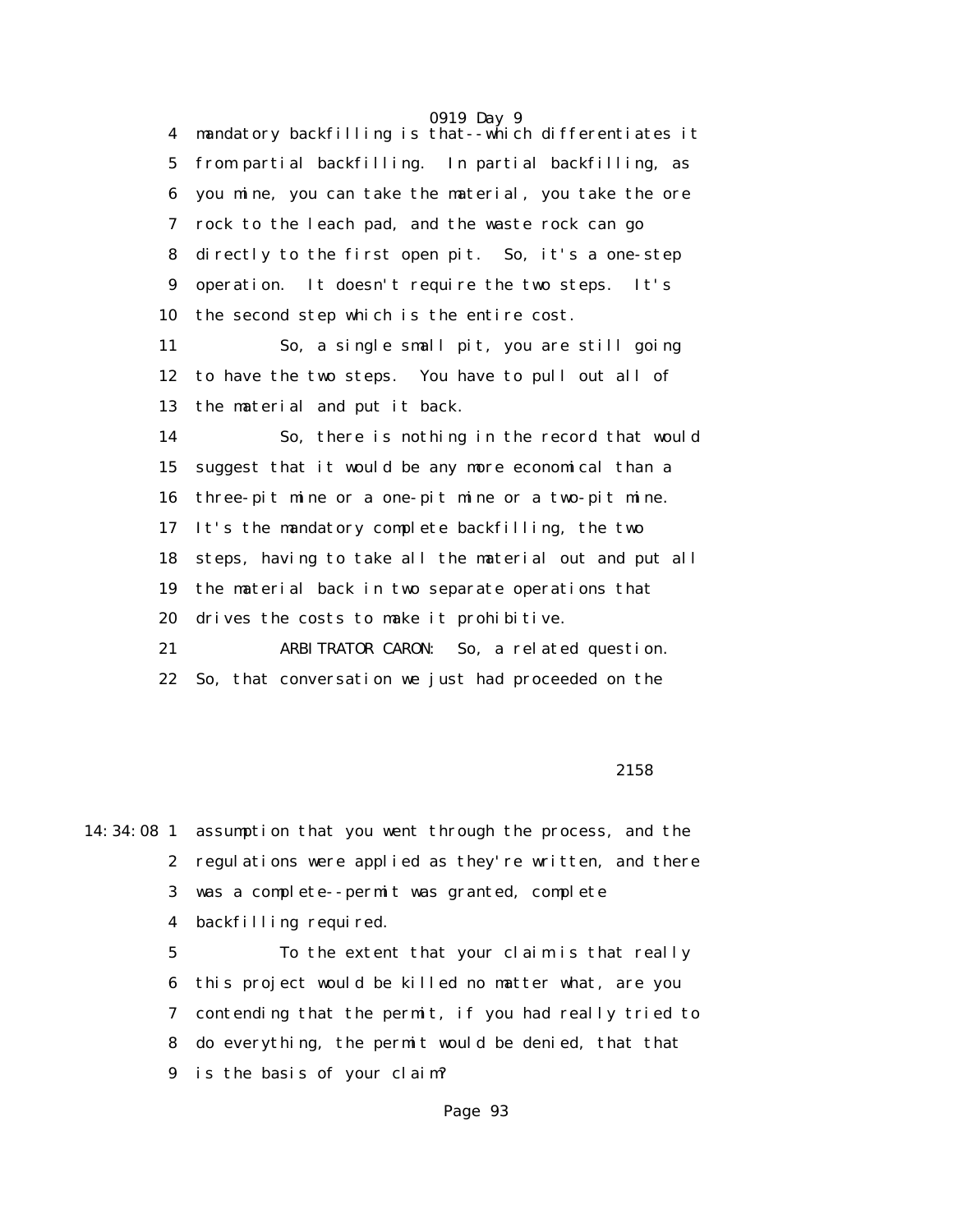0919 Day 9 4 mandatory backfilling is that--which differentiates it 5 from partial backfilling. In partial backfilling, as 6 you mine, you can take the material, you take the ore 7 rock to the leach pad, and the waste rock can go 8 directly to the first open pit. So, it's a one-step 9 operation. It doesn't require the two steps. It's 10 the second step which is the entire cost. 11 So, a single small pit, you are still going 12 to have the two steps. You have to pull out all of 13 the material and put it back. 14 So, there is nothing in the record that would 15 suggest that it would be any more economical than a 16 three-pit mine or a one-pit mine or a two-pit mine. 17 It's the mandatory complete backfilling, the two 18 steps, having to take all the material out and put all 19 the material back in two separate operations that 20 drives the costs to make it prohibitive. 21 ARBITRATOR CARON: So, a related question. 22 So, that conversation we just had proceeded on the

#### $2158$

14:34:08 1 assumption that you went through the process, and the 2 regulations were applied as they're written, and there 3 was a complete--permit was granted, complete 4 backfilling required.

 5 To the extent that your claim is that really 6 this project would be killed no matter what, are you 7 contending that the permit, if you had really tried to 8 do everything, the permit would be denied, that that 9 is the basis of your claim?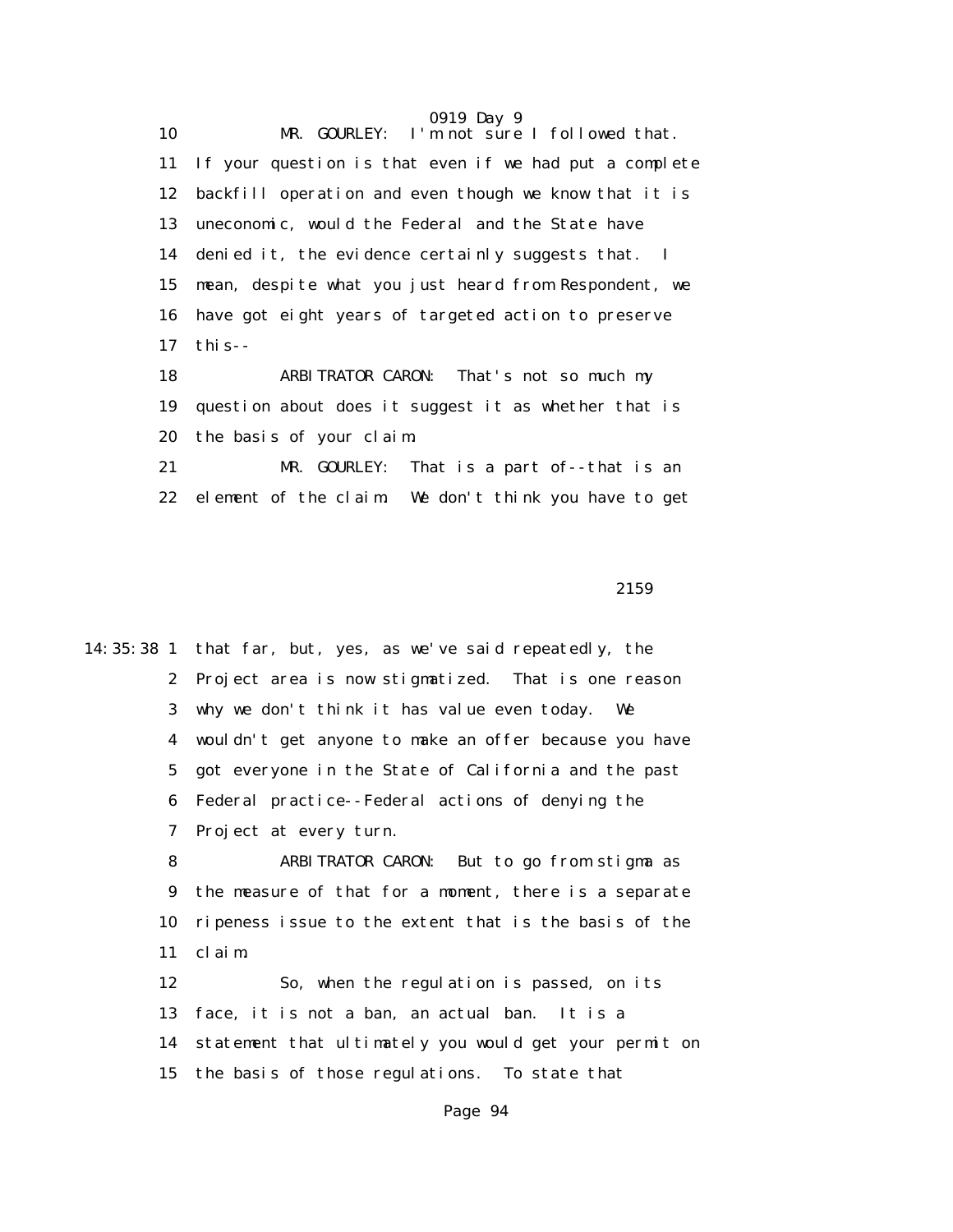0919 Day 9 10 MR. GOURLEY: I'm not sure I followed that. 11 If your question is that even if we had put a complete 12 backfill operation and even though we know that it is 13 uneconomic, would the Federal and the State have 14 denied it, the evidence certainly suggests that. I 15 mean, despite what you just heard from Respondent, we 16 have got eight years of targeted action to preserve 17 this--

 18 ARBITRATOR CARON: That's not so much my 19 question about does it suggest it as whether that is 20 the basis of your claim.

 21 MR. GOURLEY: That is a part of--that is an 22 element of the claim. We don't think you have to get

 $2159$ 

14:35:38 1 that far, but, yes, as we've said repeatedly, the 2 Project area is now stigmatized. That is one reason 3 why we don't think it has value even today. We 4 wouldn't get anyone to make an offer because you have 5 got everyone in the State of California and the past 6 Federal practice--Federal actions of denying the 7 Project at every turn.

> 8 ARBITRATOR CARON: But to go from stigma as 9 the measure of that for a moment, there is a separate 10 ripeness issue to the extent that is the basis of the 11 claim.

 12 So, when the regulation is passed, on its 13 face, it is not a ban, an actual ban. It is a 14 statement that ultimately you would get your permit on 15 the basis of those regulations. To state that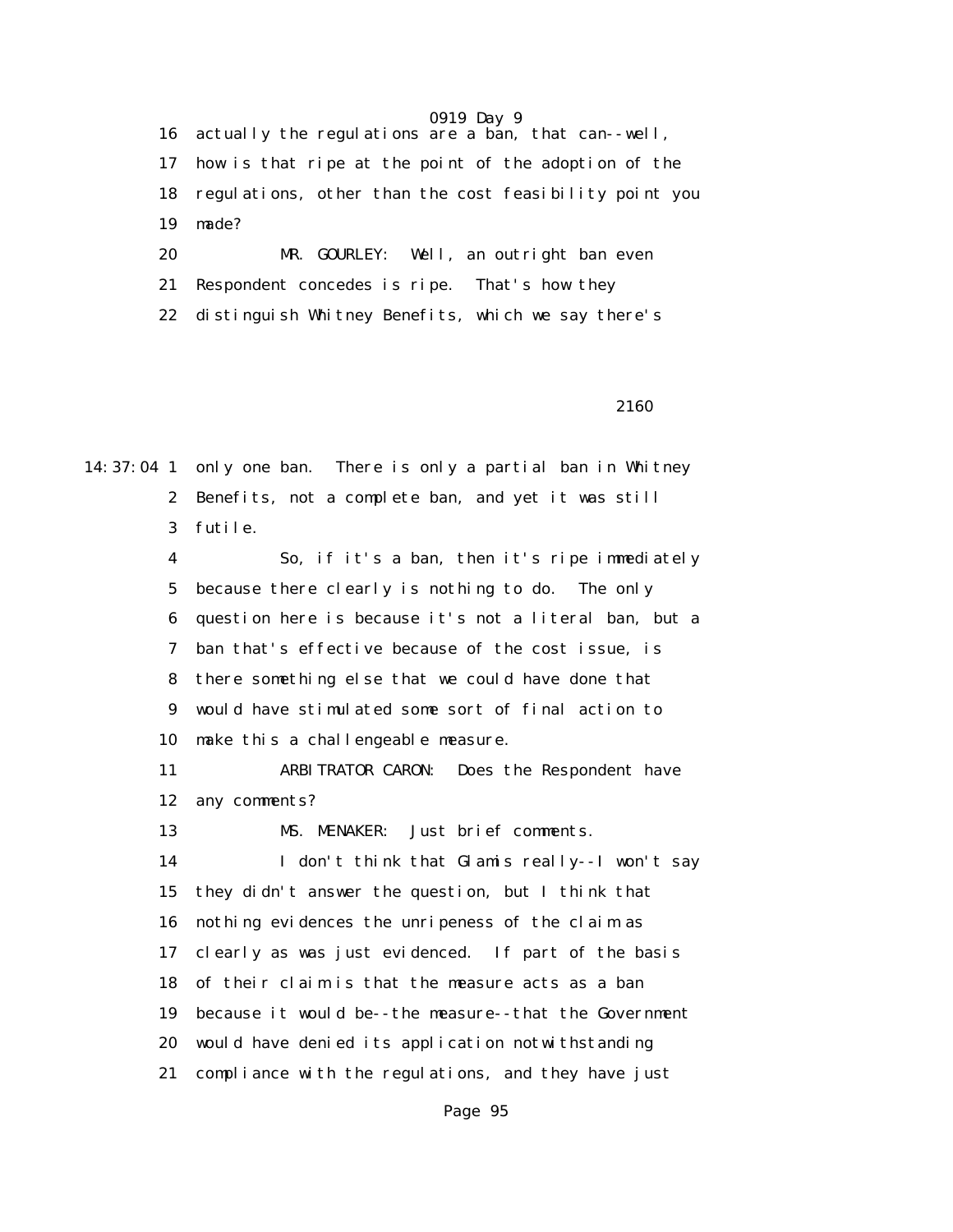16 actually the regulations are a ban, that can--well, 17 how is that ripe at the point of the adoption of the 18 regulations, other than the cost feasibility point you 19 made?

 20 MR. GOURLEY: Well, an outright ban even 21 Respondent concedes is ripe. That's how they 22 distinguish Whitney Benefits, which we say there's

#### 2160

14:37:04 1 only one ban. There is only a partial ban in Whitney 2 Benefits, not a complete ban, and yet it was still 3 futile.

> 4 So, if it's a ban, then it's ripe immediately 5 because there clearly is nothing to do. The only 6 question here is because it's not a literal ban, but a 7 ban that's effective because of the cost issue, is 8 there something else that we could have done that 9 would have stimulated some sort of final action to 10 make this a challengeable measure.

 11 ARBITRATOR CARON: Does the Respondent have 12 any comments?

13 MS. MENAKER: Just brief comments.

 14 I don't think that Glamis really--I won't say 15 they didn't answer the question, but I think that 16 nothing evidences the unripeness of the claim as 17 clearly as was just evidenced. If part of the basis 18 of their claim is that the measure acts as a ban 19 because it would be--the measure--that the Government 20 would have denied its application notwithstanding 21 compliance with the regulations, and they have just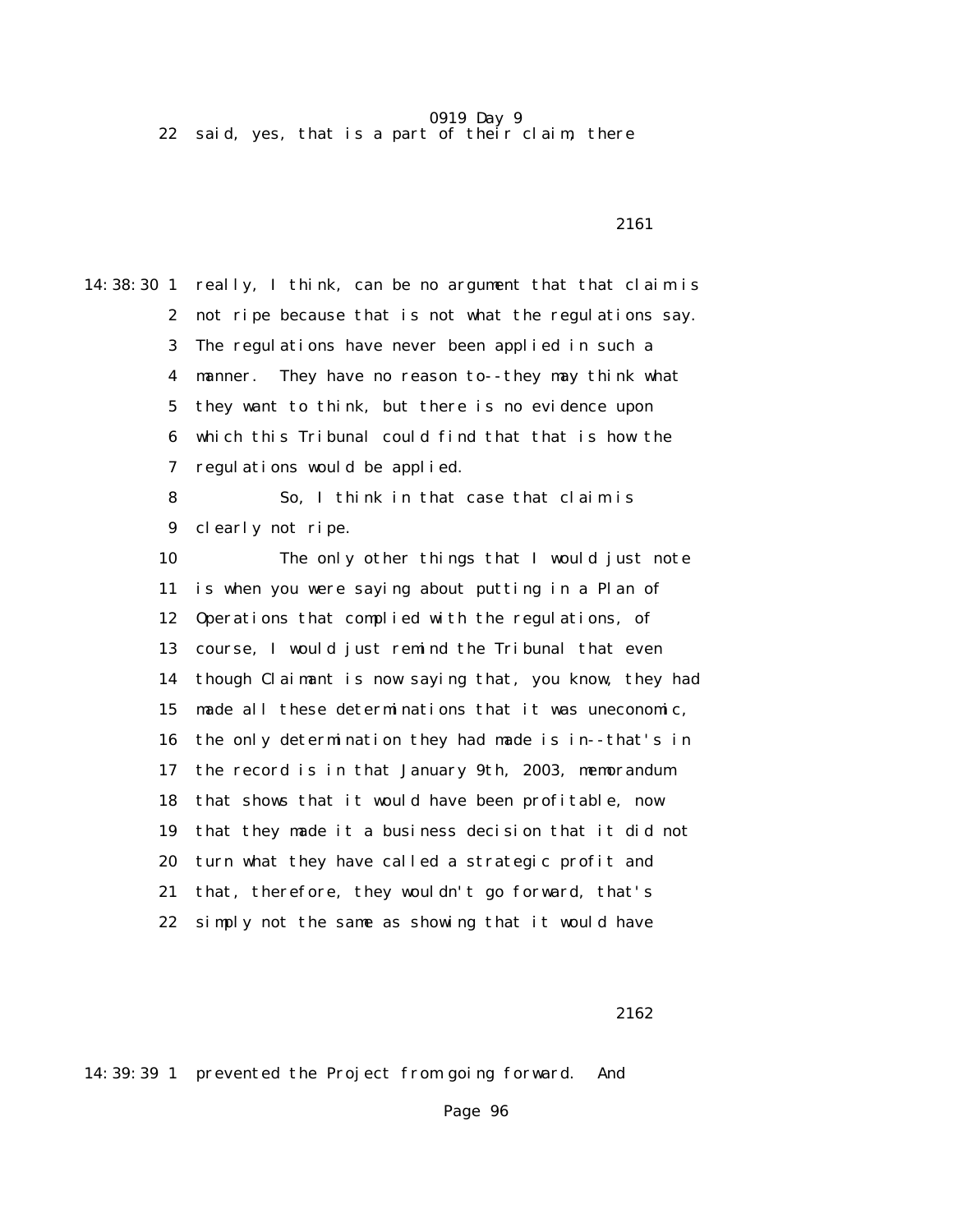22 said, yes, that is a part of their claim, there

14:38:30 1 really, I think, can be no argument that that claim is 2 not ripe because that is not what the regulations say. 3 The regulations have never been applied in such a 4 manner. They have no reason to--they may think what 5 they want to think, but there is no evidence upon 6 which this Tribunal could find that that is how the 7 regulations would be applied. 8 So, I think in that case that claim is 9 clearly not ripe. 10 The only other things that I would just note 11 is when you were saying about putting in a Plan of 12 Operations that complied with the regulations, of 13 course, I would just remind the Tribunal that even 14 though Claimant is now saying that, you know, they had 15 made all these determinations that it was uneconomic, 16 the only determination they had made is in--that's in 17 the record is in that January 9th, 2003, memorandum 18 that shows that it would have been profitable, now 19 that they made it a business decision that it did not 20 turn what they have called a strategic profit and 21 that, therefore, they wouldn't go forward, that's 22 simply not the same as showing that it would have

2161

2162

14:39:39 1 prevented the Project from going forward. And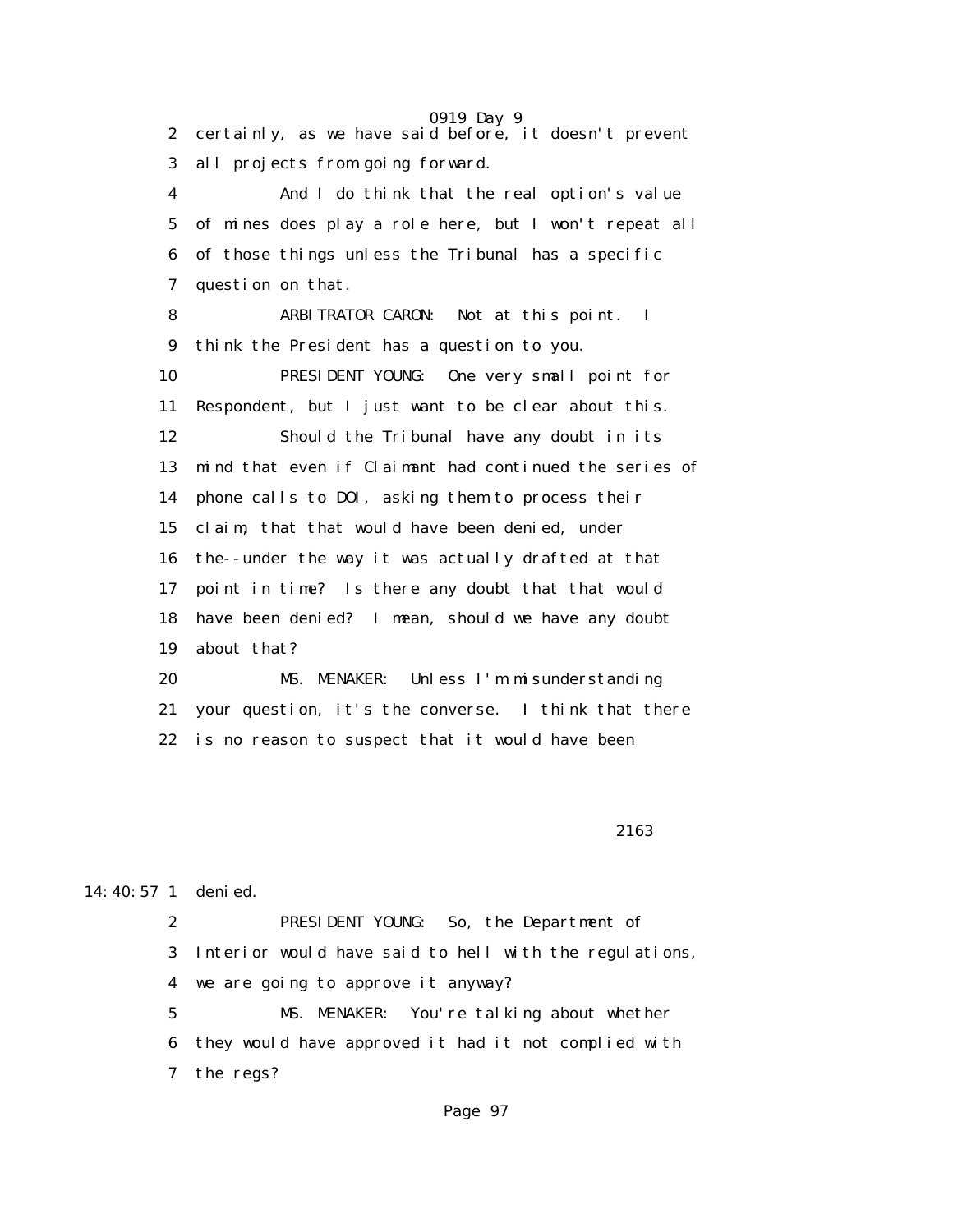0919 Day 9 2 certainly, as we have said before, it doesn't prevent 3 all projects from going forward. 4 And I do think that the real option's value 5 of mines does play a role here, but I won't repeat all 6 of those things unless the Tribunal has a specific 7 question on that. 8 ARBITRATOR CARON: Not at this point. I 9 think the President has a question to you. 10 PRESIDENT YOUNG: One very small point for 11 Respondent, but I just want to be clear about this. 12 Should the Tribunal have any doubt in its 13 mind that even if Claimant had continued the series of 14 phone calls to DOI, asking them to process their 15 claim, that that would have been denied, under 16 the--under the way it was actually drafted at that 17 point in time? Is there any doubt that that would 18 have been denied? I mean, should we have any doubt 19 about that? 20 MS. MENAKER: Unless I'm misunderstanding 21 your question, it's the converse. I think that there

22 is no reason to suspect that it would have been

2163

#### 14:40:57 1 denied.

 2 PRESIDENT YOUNG: So, the Department of 3 Interior would have said to hell with the regulations, 4 we are going to approve it anyway?

 5 MS. MENAKER: You're talking about whether 6 they would have approved it had it not complied with 7 the regs?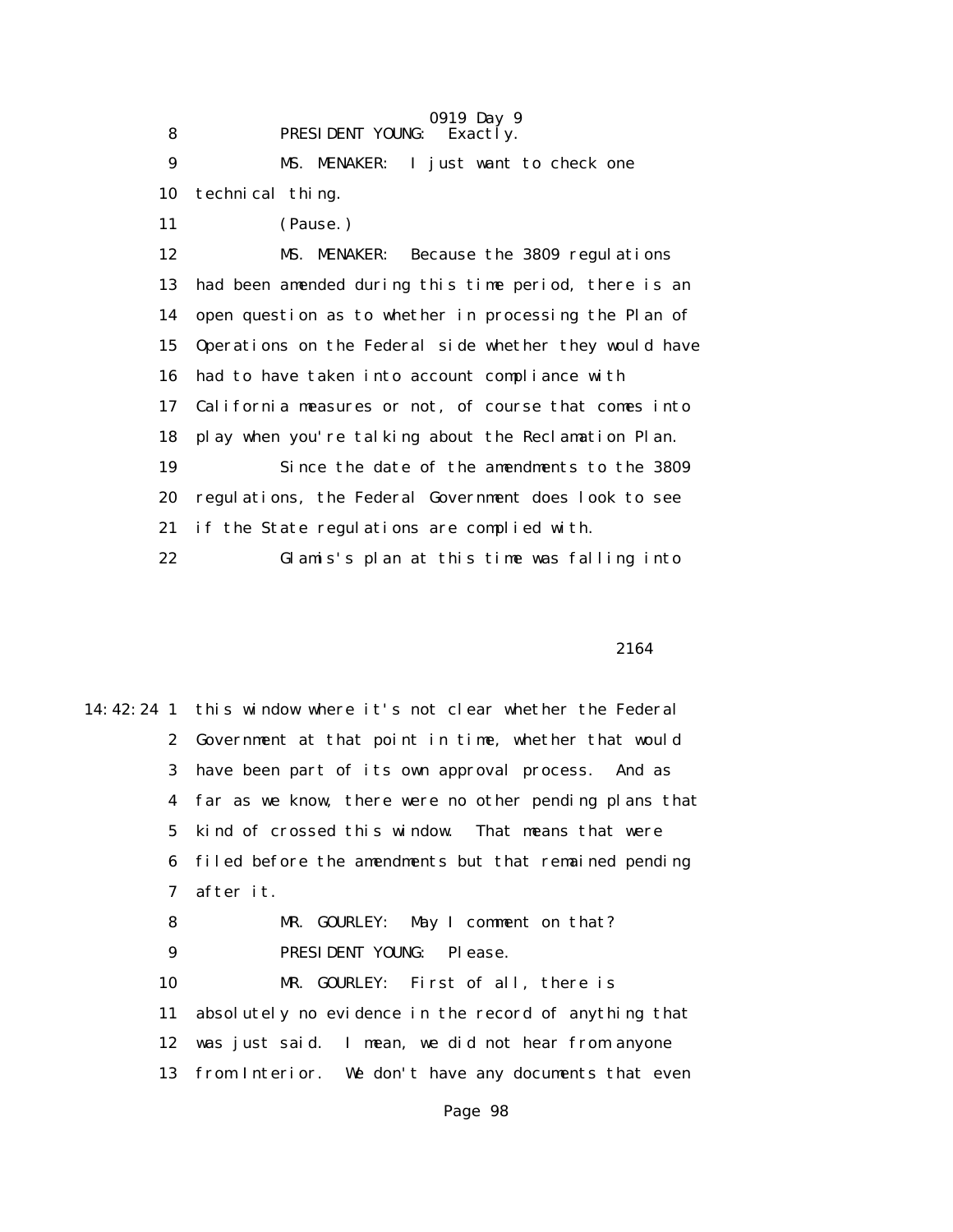0919 Day 9 8 **PRESIDENT YOUNG:** Exactly. 9 MS. MENAKER: I just want to check one 10 technical thing. 11 (Pause.) 12 MS. MENAKER: Because the 3809 regulations 13 had been amended during this time period, there is an 14 open question as to whether in processing the Plan of 15 Operations on the Federal side whether they would have 16 had to have taken into account compliance with 17 California measures or not, of course that comes into 18 play when you're talking about the Reclamation Plan. 19 Since the date of the amendments to the 3809 20 regulations, the Federal Government does look to see 21 if the State regulations are complied with. 22 Glamis's plan at this time was falling into

2164

14:42:24 1 this window where it's not clear whether the Federal 2 Government at that point in time, whether that would 3 have been part of its own approval process. And as 4 far as we know, there were no other pending plans that 5 kind of crossed this window. That means that were 6 filed before the amendments but that remained pending 7 after it. 8 MR. GOURLEY: May I comment on that? 9 PRESIDENT YOUNG: Please. 10 MR. GOURLEY: First of all, there is 11 absolutely no evidence in the record of anything that 12 was just said. I mean, we did not hear from anyone 13 from Interior. We don't have any documents that even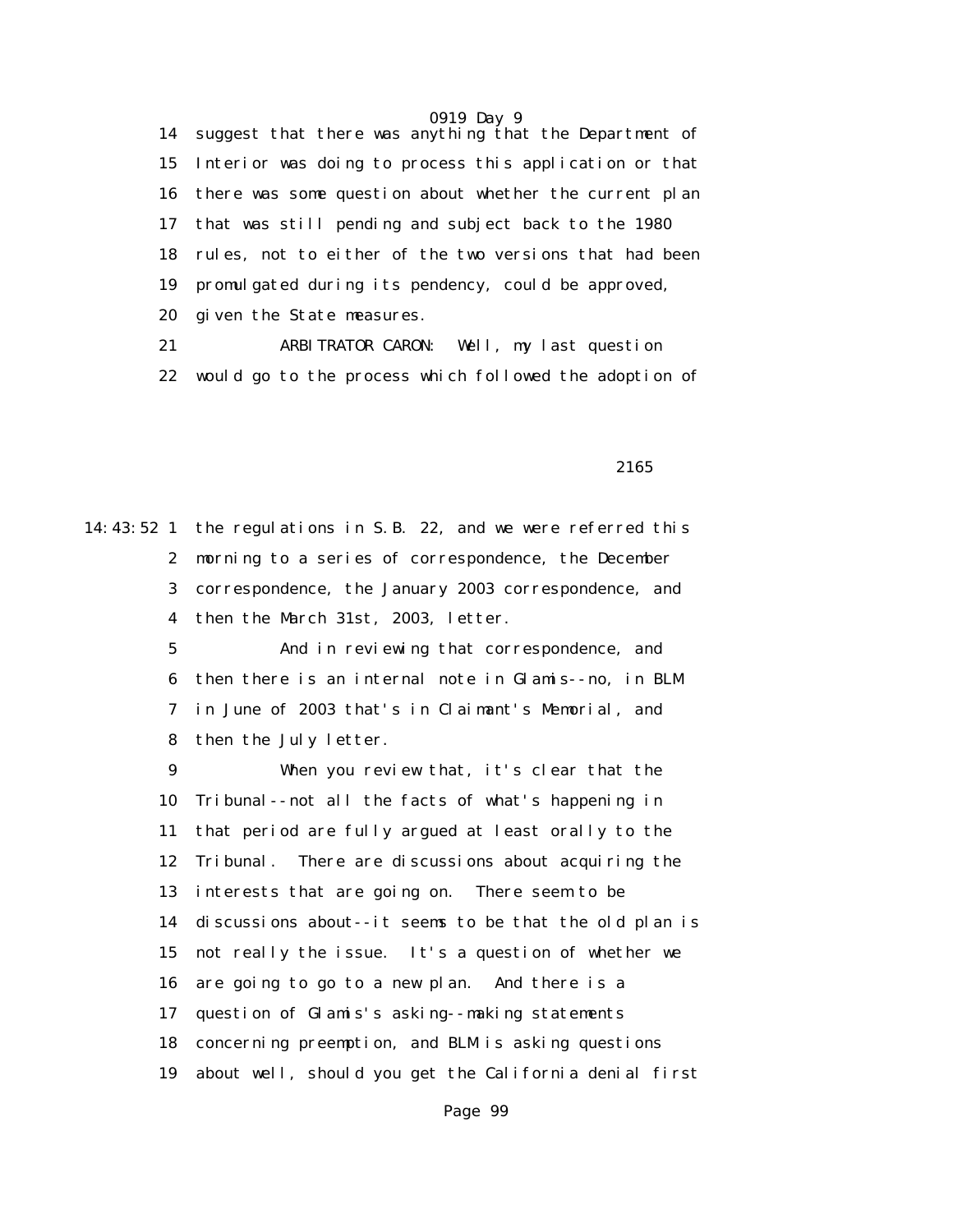14 suggest that there was anything that the Department of 15 Interior was doing to process this application or that 16 there was some question about whether the current plan 17 that was still pending and subject back to the 1980 18 rules, not to either of the two versions that had been 19 promulgated during its pendency, could be approved, 20 given the State measures.

 21 ARBITRATOR CARON: Well, my last question 22 would go to the process which followed the adoption of

2165

14:43:52 1 the regulations in S.B. 22, and we were referred this 2 morning to a series of correspondence, the December 3 correspondence, the January 2003 correspondence, and 4 then the March 31st, 2003, letter.

> 5 And in reviewing that correspondence, and 6 then there is an internal note in Glamis--no, in BLM 7 in June of 2003 that's in Claimant's Memorial, and 8 then the July letter.

 9 When you review that, it's clear that the 10 Tribunal--not all the facts of what's happening in 11 that period are fully argued at least orally to the 12 Tribunal. There are discussions about acquiring the 13 interests that are going on. There seem to be 14 discussions about--it seems to be that the old plan is 15 not really the issue. It's a question of whether we 16 are going to go to a new plan. And there is a 17 question of Glamis's asking--making statements 18 concerning preemption, and BLM is asking questions 19 about well, should you get the California denial first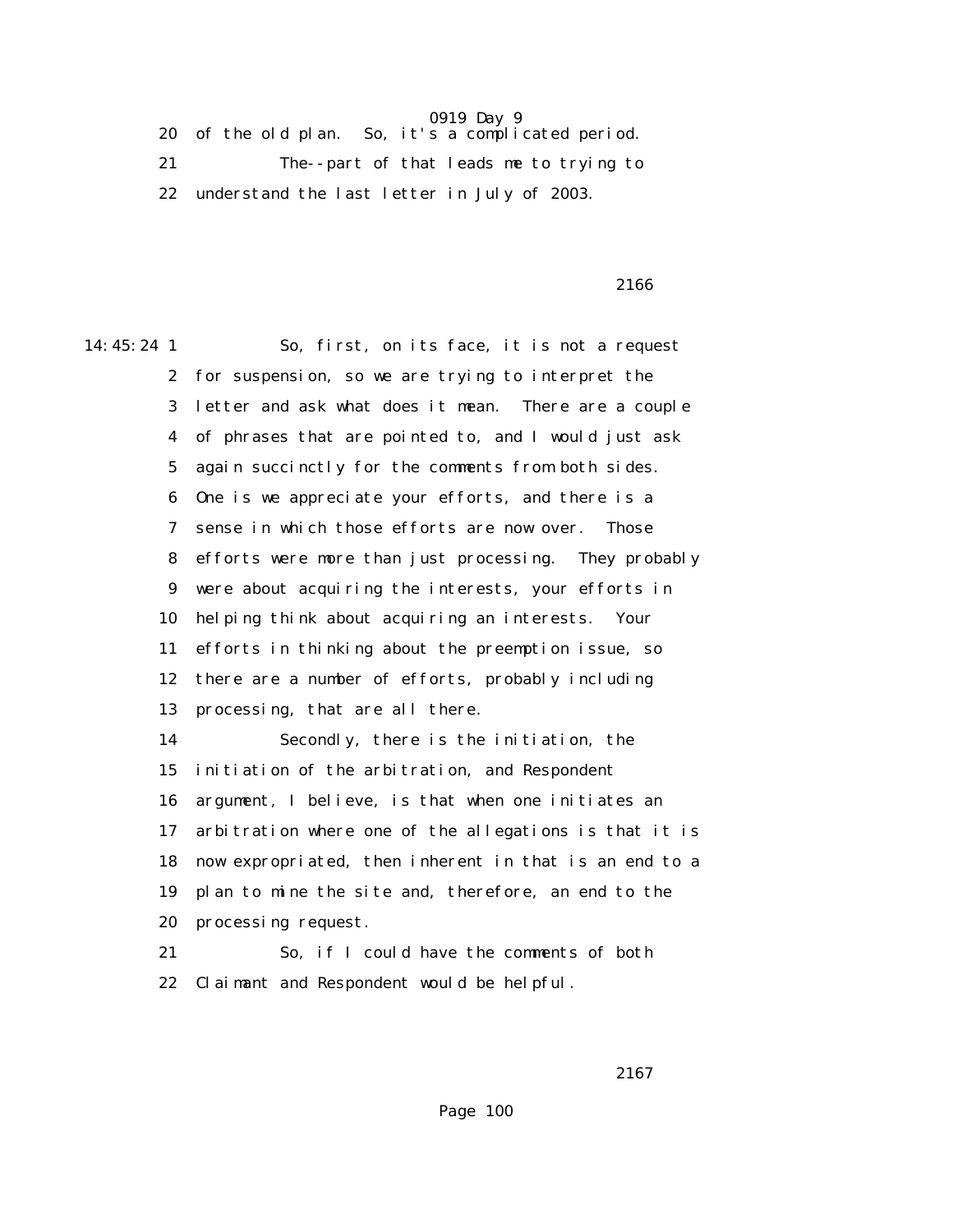20 of the old plan. So, it's a complicated period. 21 The--part of that leads me to trying to 22 understand the last letter in July of 2003.

2166

14:45:24 1 So, first, on its face, it is not a request

 2 for suspension, so we are trying to interpret the 3 letter and ask what does it mean. There are a couple 4 of phrases that are pointed to, and I would just ask 5 again succinctly for the comments from both sides. 6 One is we appreciate your efforts, and there is a 7 sense in which those efforts are now over. Those 8 efforts were more than just processing. They probably 9 were about acquiring the interests, your efforts in 10 helping think about acquiring an interests. Your 11 efforts in thinking about the preemption issue, so 12 there are a number of efforts, probably including 13 processing, that are all there. 14 Secondly, there is the initiation, the 15 initiation of the arbitration, and Respondent 16 argument, I believe, is that when one initiates an 17 arbitration where one of the allegations is that it is 18 now expropriated, then inherent in that is an end to a 19 plan to mine the site and, therefore, an end to the

20 processing request.

 21 So, if I could have the comments of both 22 Claimant and Respondent would be helpful.

<u>2167</u>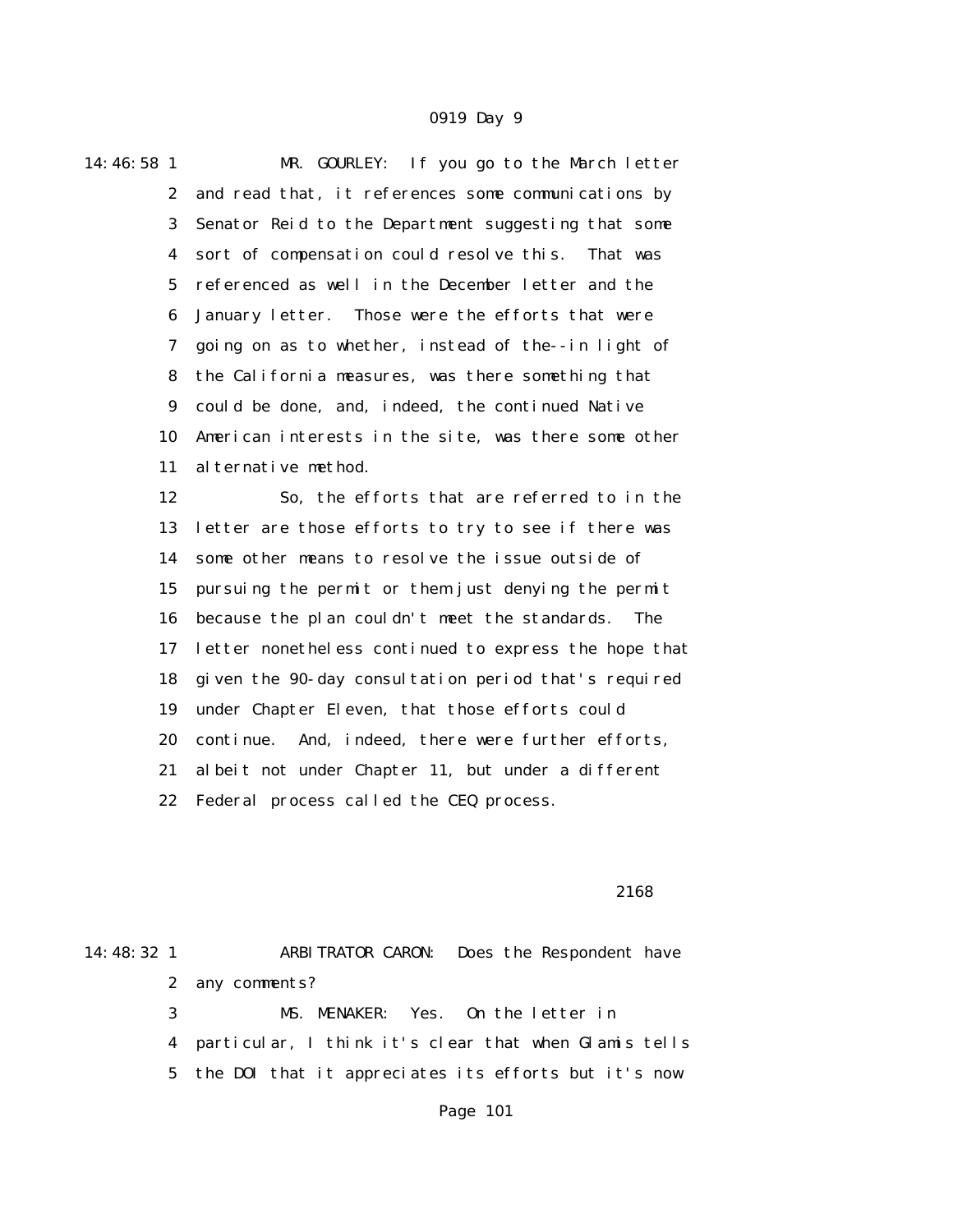14:46:58 1 MR. GOURLEY: If you go to the March letter 2 and read that, it references some communications by 3 Senator Reid to the Department suggesting that some 4 sort of compensation could resolve this. That was 5 referenced as well in the December letter and the 6 January letter. Those were the efforts that were 7 going on as to whether, instead of the--in light of 8 the California measures, was there something that 9 could be done, and, indeed, the continued Native 10 American interests in the site, was there some other 11 alternative method. 12 So, the efforts that are referred to in the 13 letter are those efforts to try to see if there was 14 some other means to resolve the issue outside of 15 pursuing the permit or them just denying the permit 16 because the plan couldn't meet the standards. The 17 letter nonetheless continued to express the hope that 18 given the 90-day consultation period that's required 19 under Chapter Eleven, that those efforts could 20 continue. And, indeed, there were further efforts, 21 albeit not under Chapter 11, but under a different

22 Federal process called the CEQ process.

#### 2168

14:48:32 1 ARBITRATOR CARON: Does the Respondent have 2 any comments? 3 MS. MENAKER: Yes. On the letter in 4 particular, I think it's clear that when Glamis tells 5 the DOI that it appreciates its efforts but it's now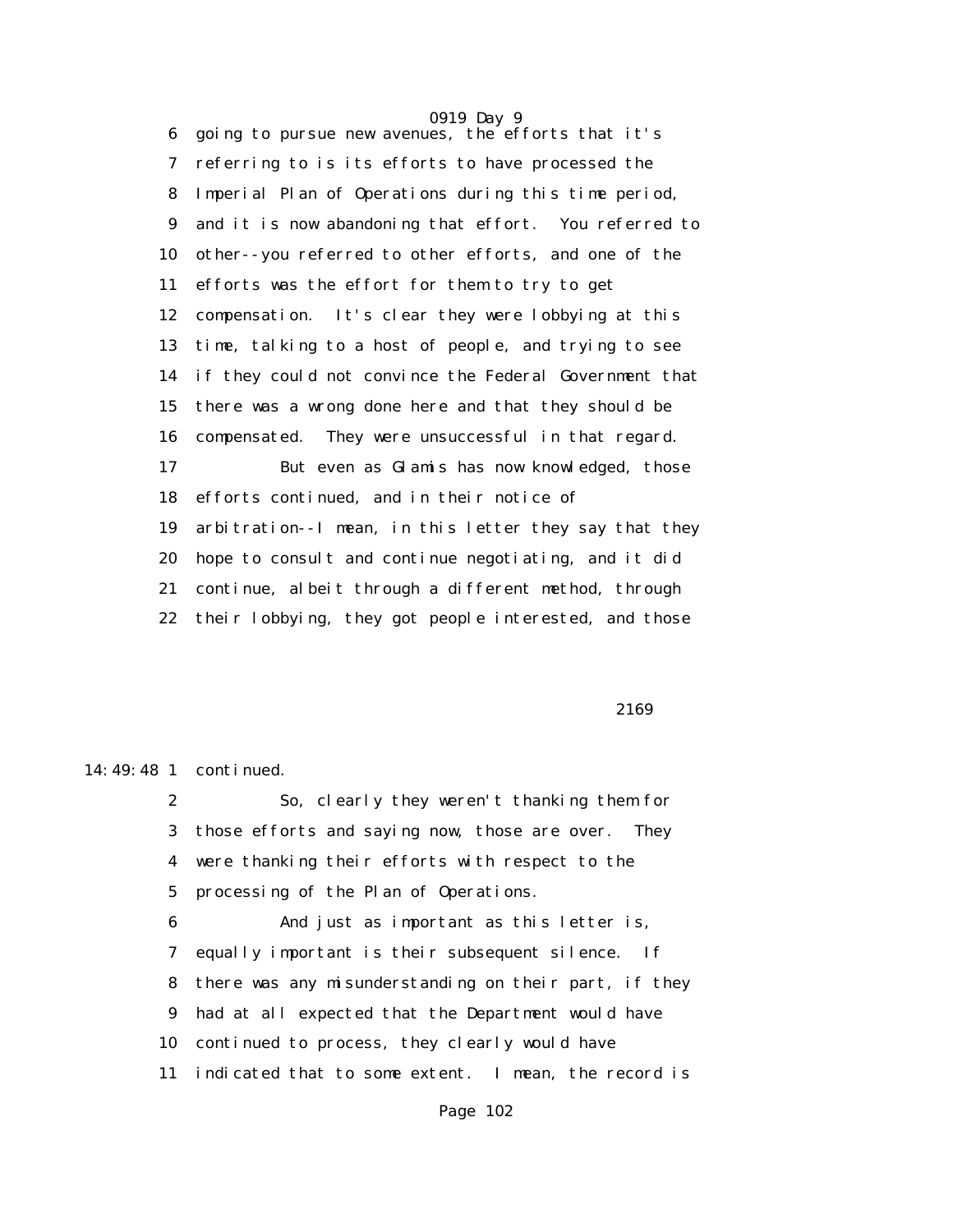0919 Day 9 6 going to pursue new avenues, the efforts that it's 7 referring to is its efforts to have processed the 8 Imperial Plan of Operations during this time period, 9 and it is now abandoning that effort. You referred to 10 other--you referred to other efforts, and one of the 11 efforts was the effort for them to try to get 12 compensation. It's clear they were lobbying at this 13 time, talking to a host of people, and trying to see 14 if they could not convince the Federal Government that 15 there was a wrong done here and that they should be 16 compensated. They were unsuccessful in that regard. 17 But even as Glamis has now knowledged, those 18 efforts continued, and in their notice of 19 arbitration--I mean, in this letter they say that they 20 hope to consult and continue negotiating, and it did 21 continue, albeit through a different method, through 22 their lobbying, they got people interested, and those

2169

14:49:48 1 continued.

 2 So, clearly they weren't thanking them for 3 those efforts and saying now, those are over. They 4 were thanking their efforts with respect to the 5 processing of the Plan of Operations.

 6 And just as important as this letter is, 7 equally important is their subsequent silence. If 8 there was any misunderstanding on their part, if they 9 had at all expected that the Department would have 10 continued to process, they clearly would have 11 indicated that to some extent. I mean, the record is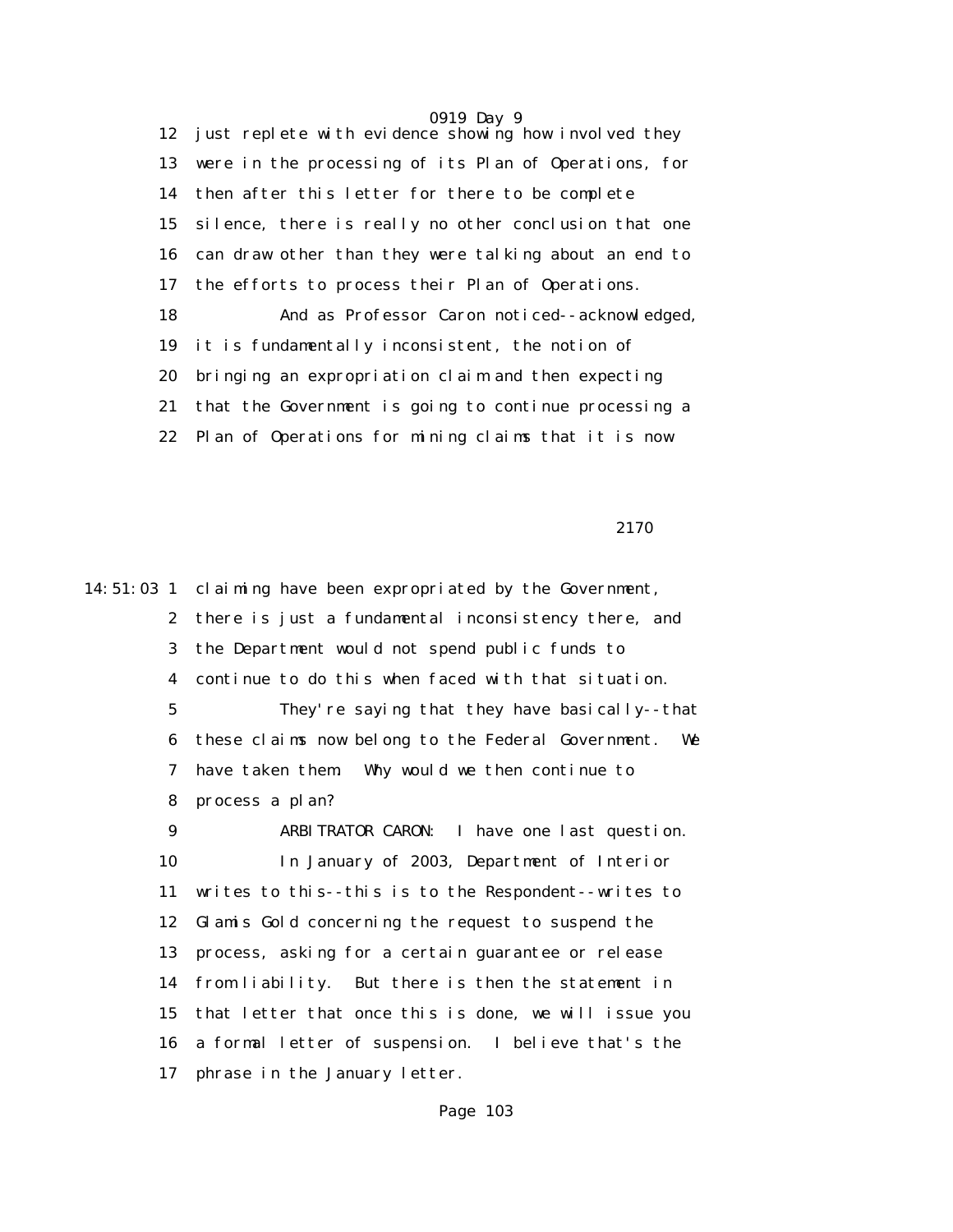0919 Day 9 12 just replete with evidence showing how involved they 13 were in the processing of its Plan of Operations, for 14 then after this letter for there to be complete 15 silence, there is really no other conclusion that one 16 can draw other than they were talking about an end to 17 the efforts to process their Plan of Operations. 18 And as Professor Caron noticed--acknowledged, 19 it is fundamentally inconsistent, the notion of 20 bringing an expropriation claim and then expecting 21 that the Government is going to continue processing a 22 Plan of Operations for mining claims that it is now

<u>2170</u>

14:51:03 1 claiming have been expropriated by the Government, 2 there is just a fundamental inconsistency there, and 3 the Department would not spend public funds to 4 continue to do this when faced with that situation. 5 They're saying that they have basically--that 6 these claims now belong to the Federal Government. We 7 have taken them. Why would we then continue to 8 process a plan? 9 ARBITRATOR CARON: I have one last question. 10 In January of 2003, Department of Interior 11 writes to this--this is to the Respondent--writes to 12 Glamis Gold concerning the request to suspend the 13 process, asking for a certain guarantee or release 14 from liability. But there is then the statement in 15 that letter that once this is done, we will issue you 16 a formal letter of suspension. I believe that's the 17 phrase in the January letter.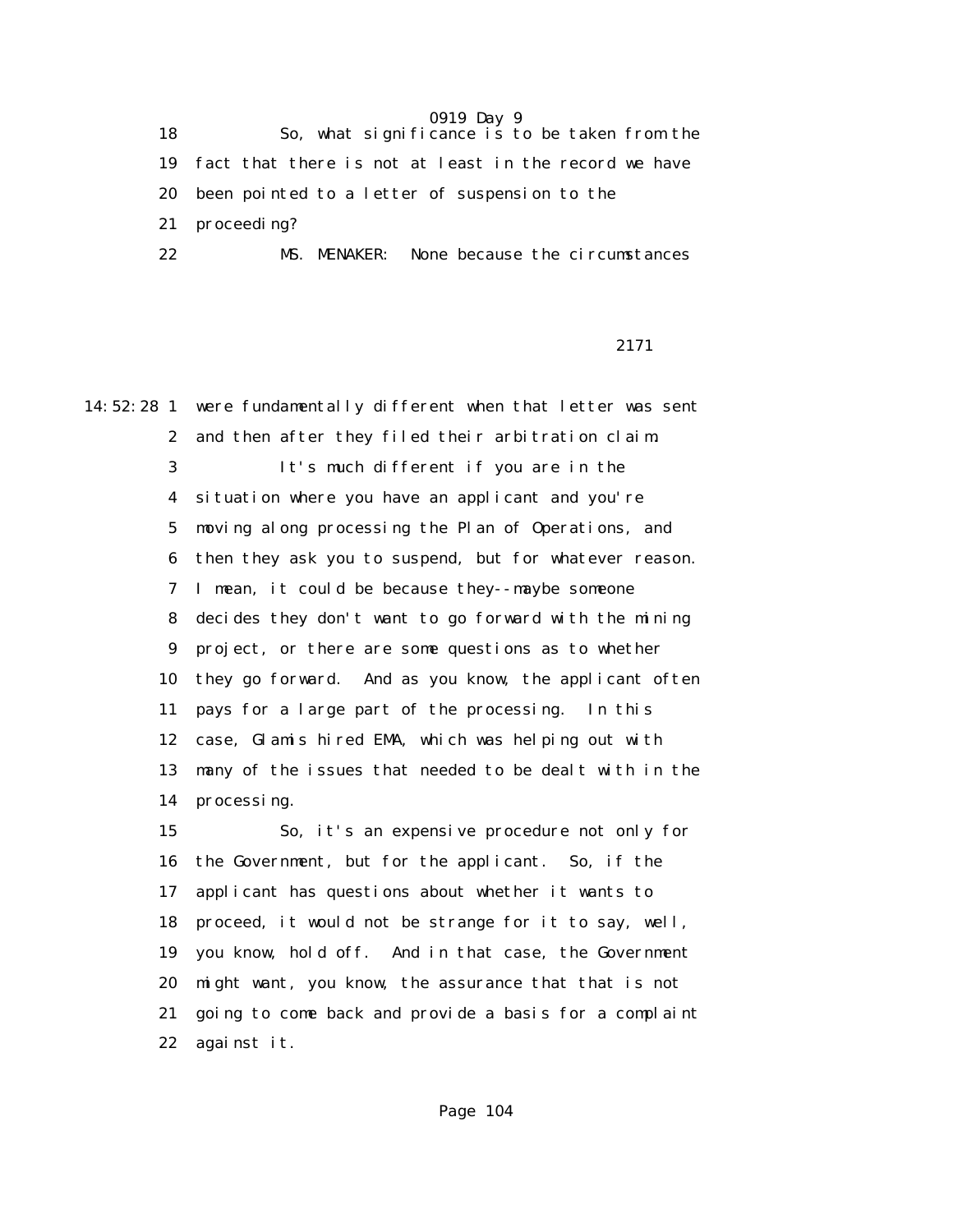18 So, what significance is to be taken from the 19 fact that there is not at least in the record we have 20 been pointed to a letter of suspension to the 21 proceeding? 22 MS. MENAKER: None because the circumstances

2171

14:52:28 1 were fundamentally different when that letter was sent 2 and then after they filed their arbitration claim. 3 It's much different if you are in the 4 situation where you have an applicant and you're 5 moving along processing the Plan of Operations, and 6 then they ask you to suspend, but for whatever reason. 7 I mean, it could be because they--maybe someone 8 decides they don't want to go forward with the mining 9 project, or there are some questions as to whether 10 they go forward. And as you know, the applicant often 11 pays for a large part of the processing. In this 12 case, Glamis hired EMA, which was helping out with 13 many of the issues that needed to be dealt with in the 14 processing. 15 So, it's an expensive procedure not only for 16 the Government, but for the applicant. So, if the 17 applicant has questions about whether it wants to 18 proceed, it would not be strange for it to say, well, 19 you know, hold off. And in that case, the Government 20 might want, you know, the assurance that that is not 21 going to come back and provide a basis for a complaint 22 against it.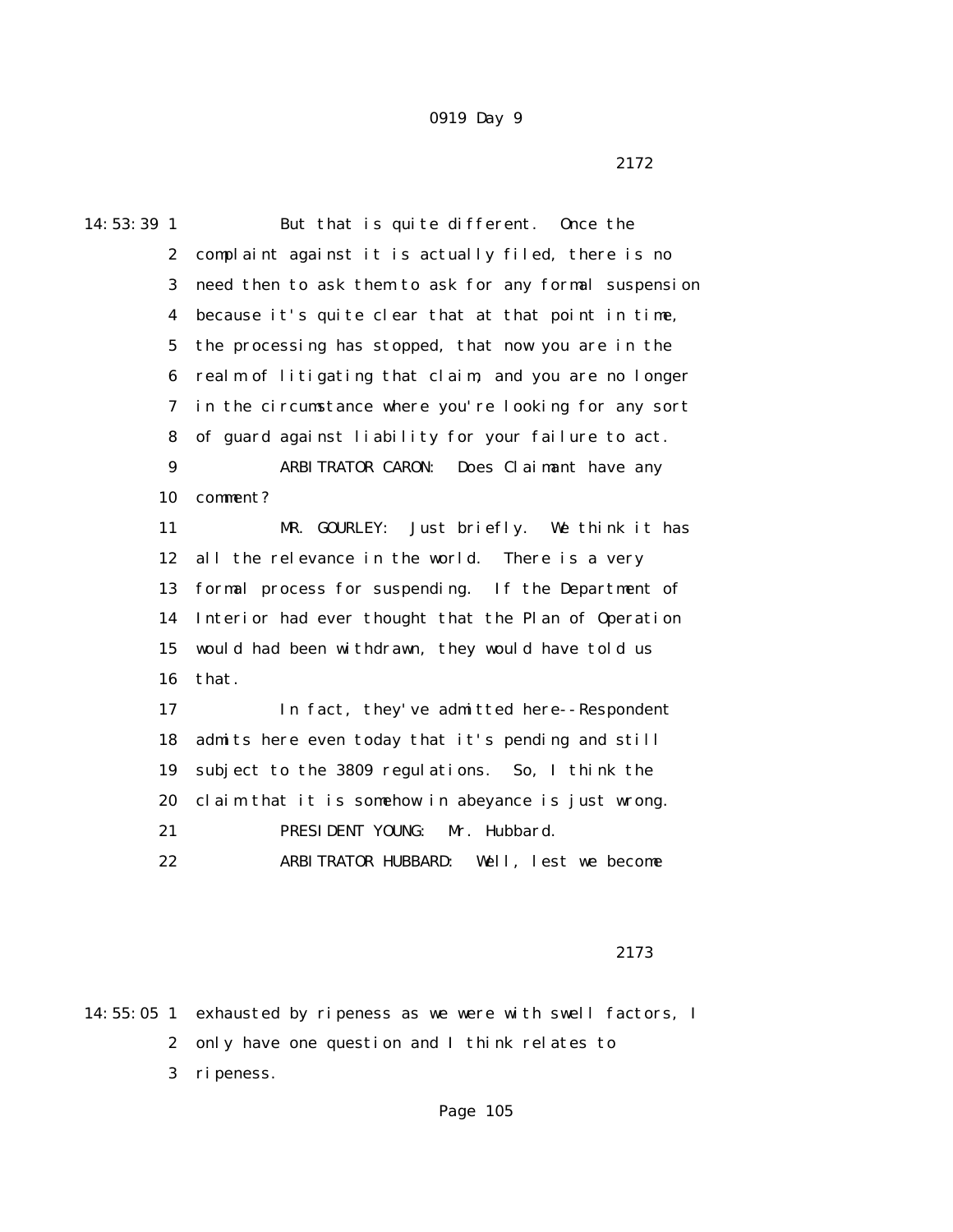2172

14:53:39 1 But that is quite different. Once the 2 complaint against it is actually filed, there is no 3 need then to ask them to ask for any formal suspension 4 because it's quite clear that at that point in time, 5 the processing has stopped, that now you are in the 6 realm of litigating that claim, and you are no longer 7 in the circumstance where you're looking for any sort 8 of guard against liability for your failure to act. 9 ARBITRATOR CARON: Does Claimant have any 10 comment? 11 MR. GOURLEY: Just briefly. We think it has 12 all the relevance in the world. There is a very 13 formal process for suspending. If the Department of 14 Interior had ever thought that the Plan of Operation 15 would had been withdrawn, they would have told us 16 that. 17 In fact, they've admitted here--Respondent 18 admits here even today that it's pending and still 19 subject to the 3809 regulations. So, I think the 20 claim that it is somehow in abeyance is just wrong. 21 PRESIDENT YOUNG: Mr. Hubbard. 22 ARBITRATOR HUBBARD: Well, lest we become

2173

14:55:05 1 exhausted by ripeness as we were with swell factors, I 2 only have one question and I think relates to 3 ripeness.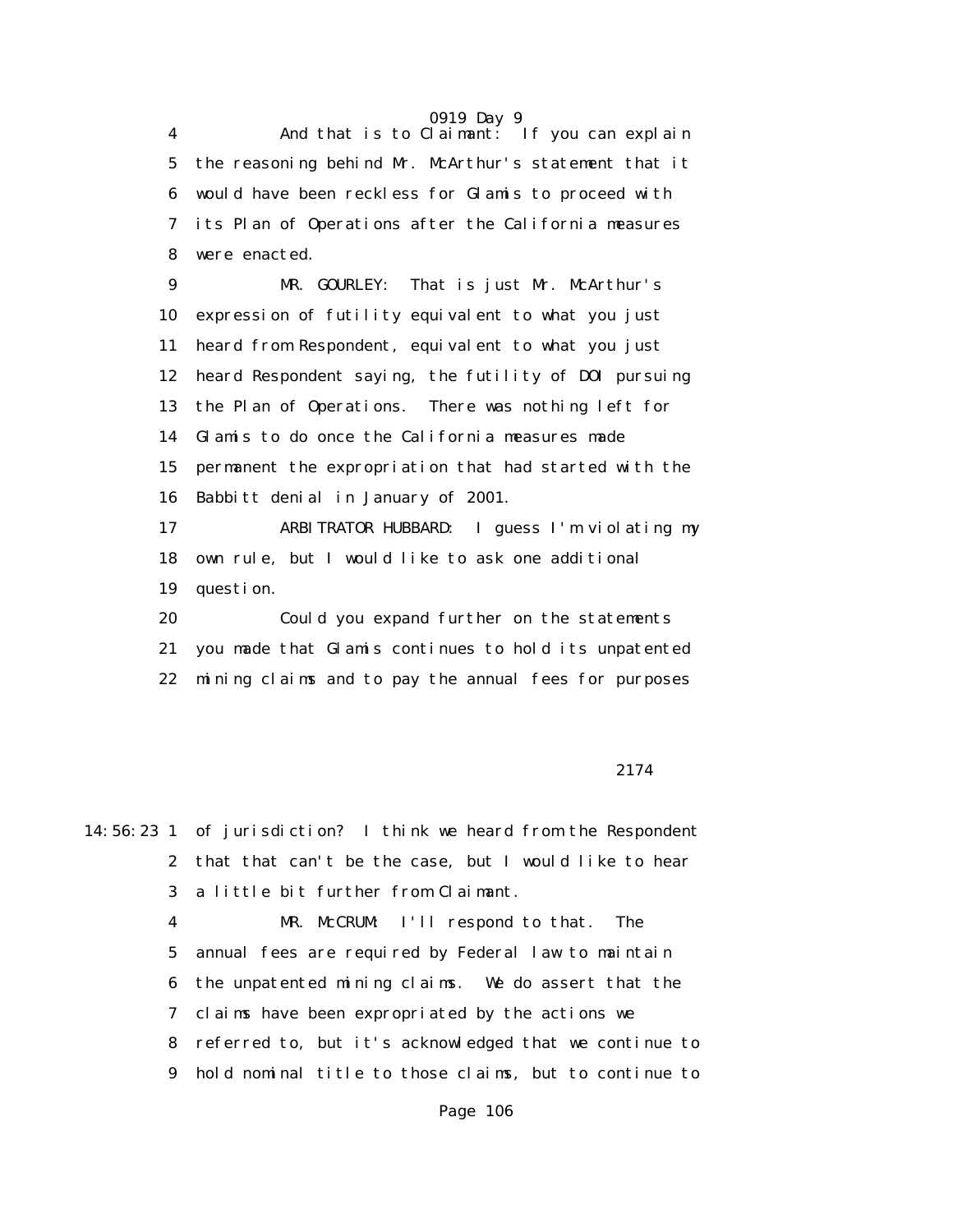4 And that is to Claimant: If you can explain 5 the reasoning behind Mr. McArthur's statement that it 6 would have been reckless for Glamis to proceed with 7 its Plan of Operations after the California measures 8 were enacted.

 9 MR. GOURLEY: That is just Mr. McArthur's 10 expression of futility equivalent to what you just 11 heard from Respondent, equivalent to what you just 12 heard Respondent saying, the futility of DOI pursuing 13 the Plan of Operations. There was nothing left for 14 Glamis to do once the California measures made 15 permanent the expropriation that had started with the 16 Babbitt denial in January of 2001. 17 ARBITRATOR HUBBARD: I guess I'm violating my

 18 own rule, but I would like to ask one additional 19 question.

 20 Could you expand further on the statements 21 you made that Glamis continues to hold its unpatented 22 mining claims and to pay the annual fees for purposes

#### 2174

14:56:23 1 of jurisdiction? I think we heard from the Respondent 2 that that can't be the case, but I would like to hear 3 a little bit further from Claimant.

> 4 MR. McCRUM: I'll respond to that. The 5 annual fees are required by Federal law to maintain 6 the unpatented mining claims. We do assert that the 7 claims have been expropriated by the actions we 8 referred to, but it's acknowledged that we continue to 9 hold nominal title to those claims, but to continue to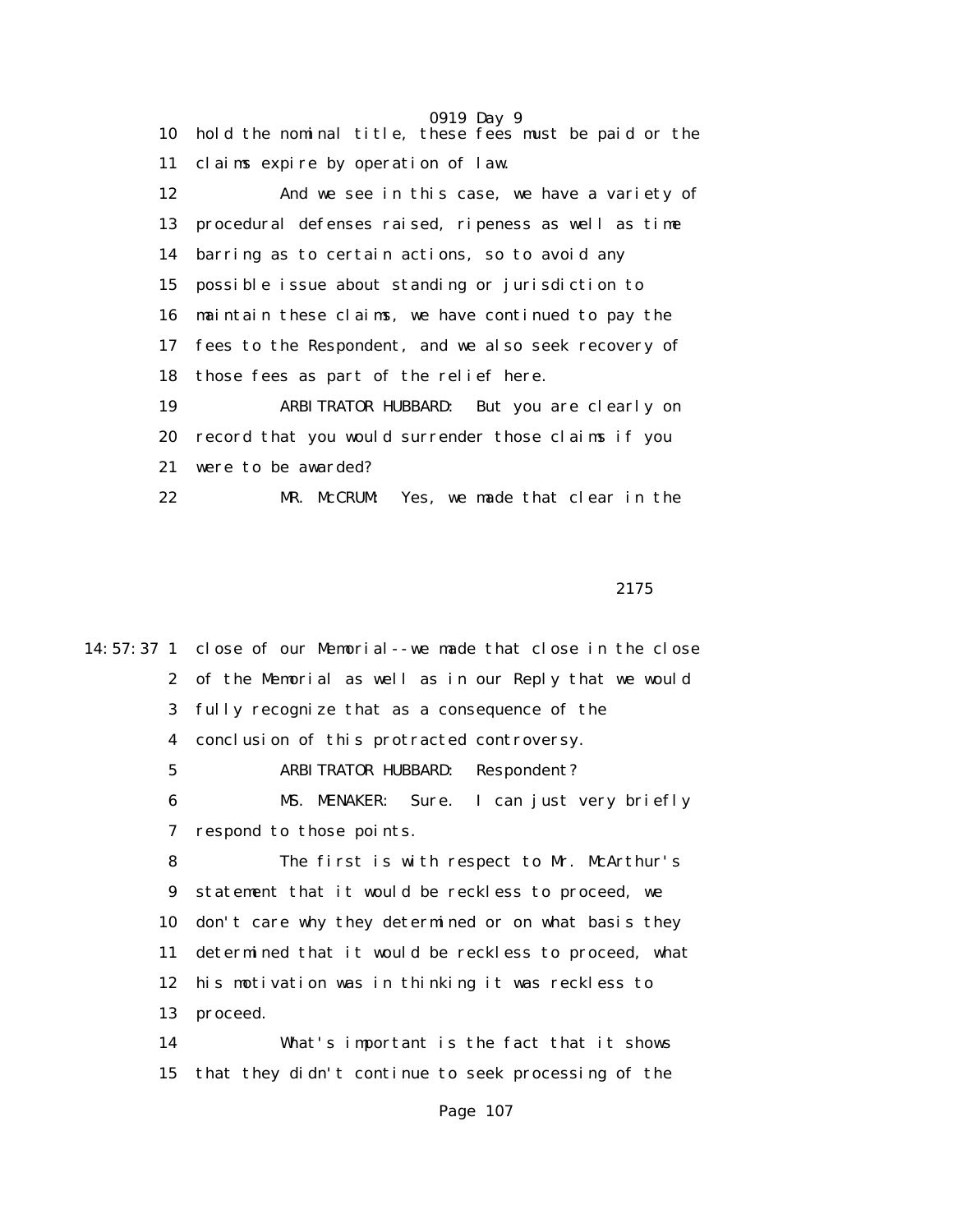0919 Day 9 10 hold the nominal title, these fees must be paid or the 11 claims expire by operation of law. 12 And we see in this case, we have a variety of 13 procedural defenses raised, ripeness as well as time 14 barring as to certain actions, so to avoid any 15 possible issue about standing or jurisdiction to 16 maintain these claims, we have continued to pay the 17 fees to the Respondent, and we also seek recovery of 18 those fees as part of the relief here. 19 ARBITRATOR HUBBARD: But you are clearly on 20 record that you would surrender those claims if you 21 were to be awarded? 22 MR. McCRUM: Yes, we made that clear in the

<u>2175</u>

14:57:37 1 close of our Memorial--we made that close in the close 2 of the Memorial as well as in our Reply that we would 3 fully recognize that as a consequence of the 4 conclusion of this protracted controversy. 5 ARBITRATOR HUBBARD: Respondent? 6 MS. MENAKER: Sure. I can just very briefly 7 respond to those points. 8 The first is with respect to Mr. McArthur's 9 statement that it would be reckless to proceed, we 10 don't care why they determined or on what basis they 11 determined that it would be reckless to proceed, what 12 his motivation was in thinking it was reckless to 13 proceed. 14 What's important is the fact that it shows 15 that they didn't continue to seek processing of the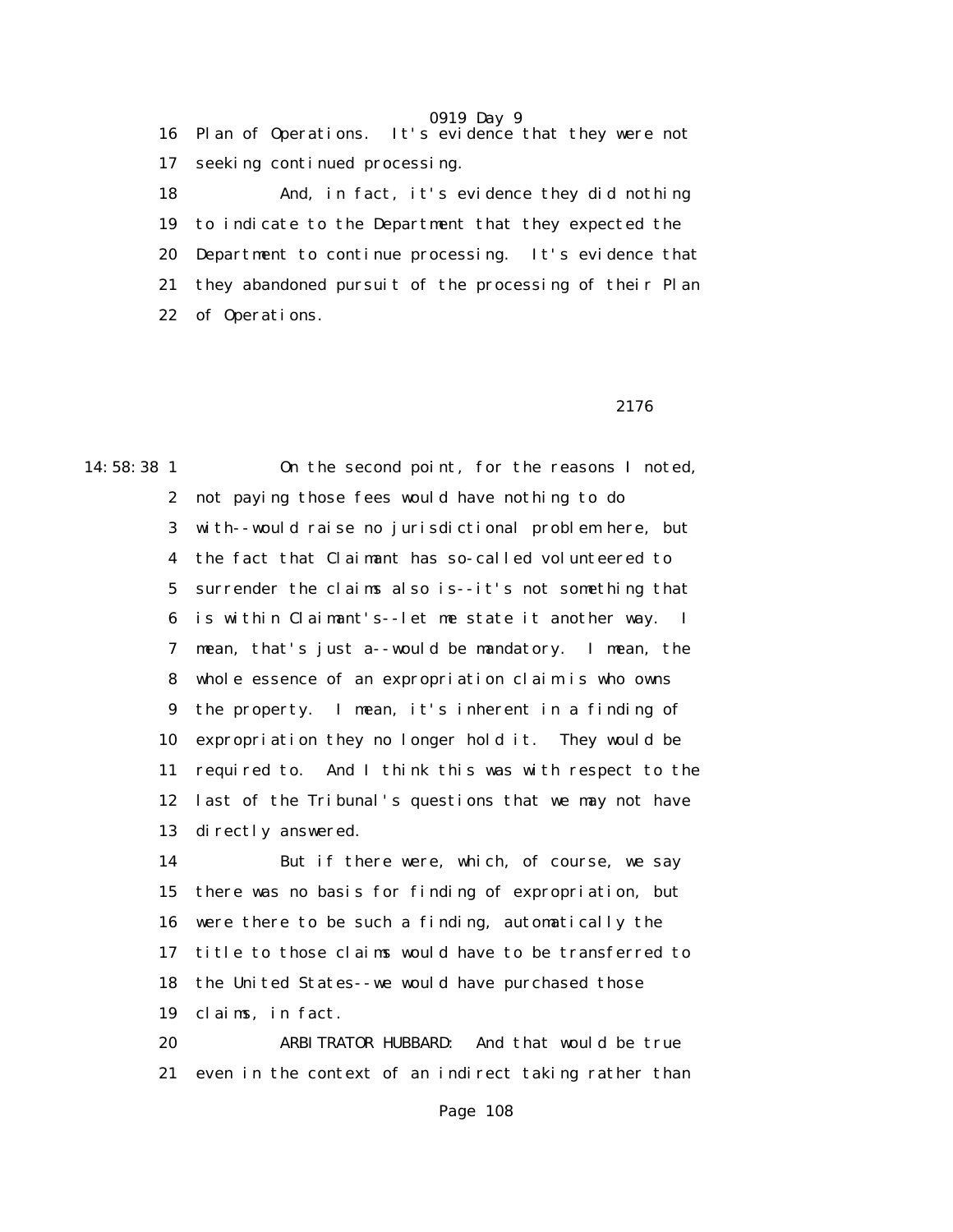0919 Day 9 16 Plan of Operations. It's evidence that they were not 17 seeking continued processing. 18 And, in fact, it's evidence they did nothing

 19 to indicate to the Department that they expected the 20 Department to continue processing. It's evidence that 21 they abandoned pursuit of the processing of their Plan 22 of Operations.

#### 2176

14:58:38 1 On the second point, for the reasons I noted, 2 not paying those fees would have nothing to do 3 with--would raise no jurisdictional problem here, but 4 the fact that Claimant has so-called volunteered to 5 surrender the claims also is--it's not something that 6 is within Claimant's--let me state it another way. I 7 mean, that's just a--would be mandatory. I mean, the 8 whole essence of an expropriation claim is who owns 9 the property. I mean, it's inherent in a finding of 10 expropriation they no longer hold it. They would be 11 required to. And I think this was with respect to the 12 last of the Tribunal's questions that we may not have 13 directly answered.

> 14 But if there were, which, of course, we say 15 there was no basis for finding of expropriation, but 16 were there to be such a finding, automatically the 17 title to those claims would have to be transferred to 18 the United States--we would have purchased those 19 claims, in fact.

> 20 ARBITRATOR HUBBARD: And that would be true 21 even in the context of an indirect taking rather than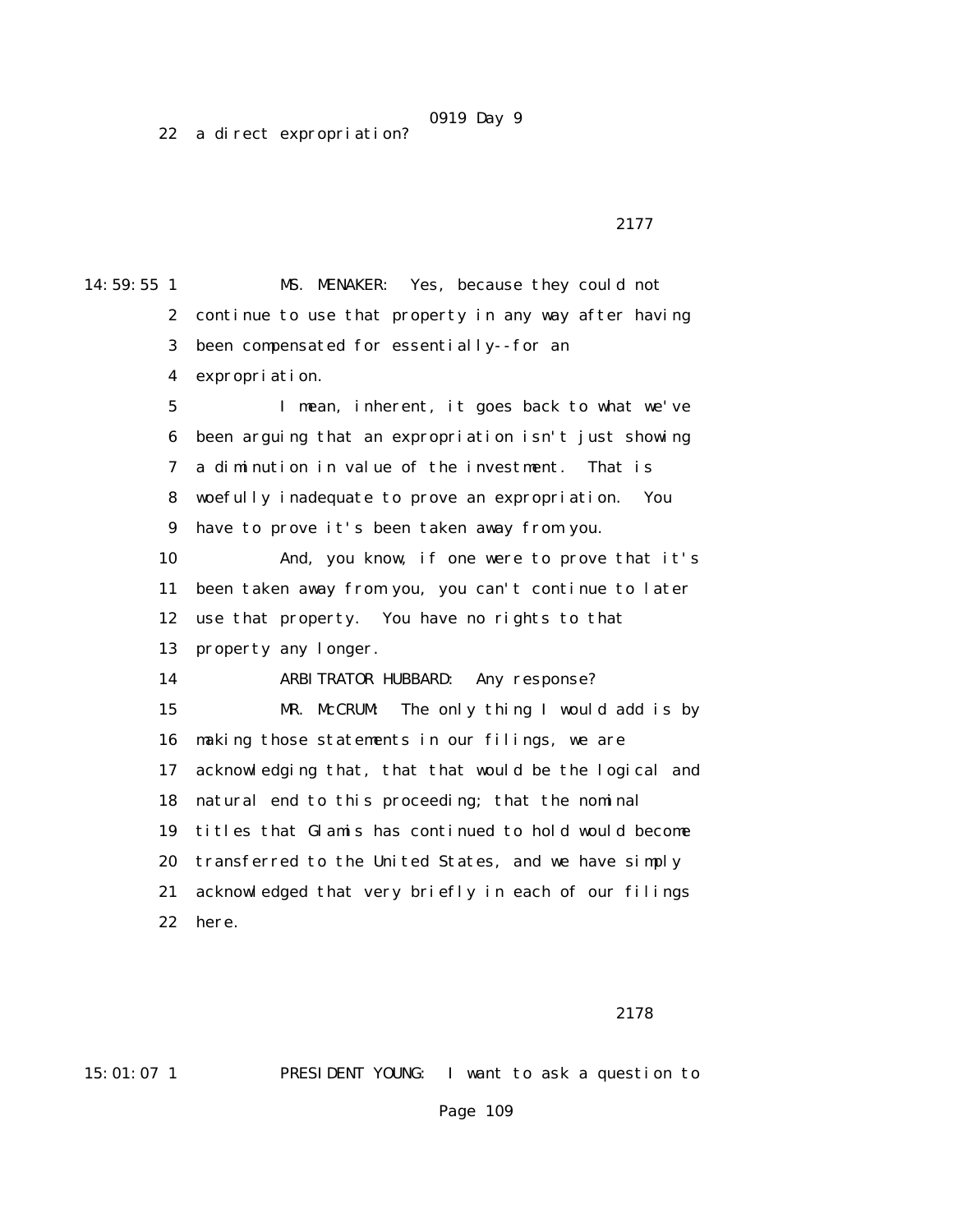22 a direct expropriation?

14:59:55 1 MS. MENAKER: Yes, because they could not 2 continue to use that property in any way after having 3 been compensated for essentially--for an 4 expropriation. 5 I mean, inherent, it goes back to what we've 6 been arguing that an expropriation isn't just showing 7 a diminution in value of the investment. That is 8 woefully inadequate to prove an expropriation. You 9 have to prove it's been taken away from you. 10 And, you know, if one were to prove that it's 11 been taken away from you, you can't continue to later 12 use that property. You have no rights to that 13 property any longer. 14 ARBITRATOR HUBBARD: Any response? 15 MR. McCRUM: The only thing I would add is by 16 making those statements in our filings, we are 17 acknowledging that, that that would be the logical and 18 natural end to this proceeding; that the nominal 19 titles that Glamis has continued to hold would become 20 transferred to the United States, and we have simply 21 acknowledged that very briefly in each of our filings 22 here.

2178

15:01:07 1 PRESIDENT YOUNG: I want to ask a question to

Page 109

### 2177 **2177**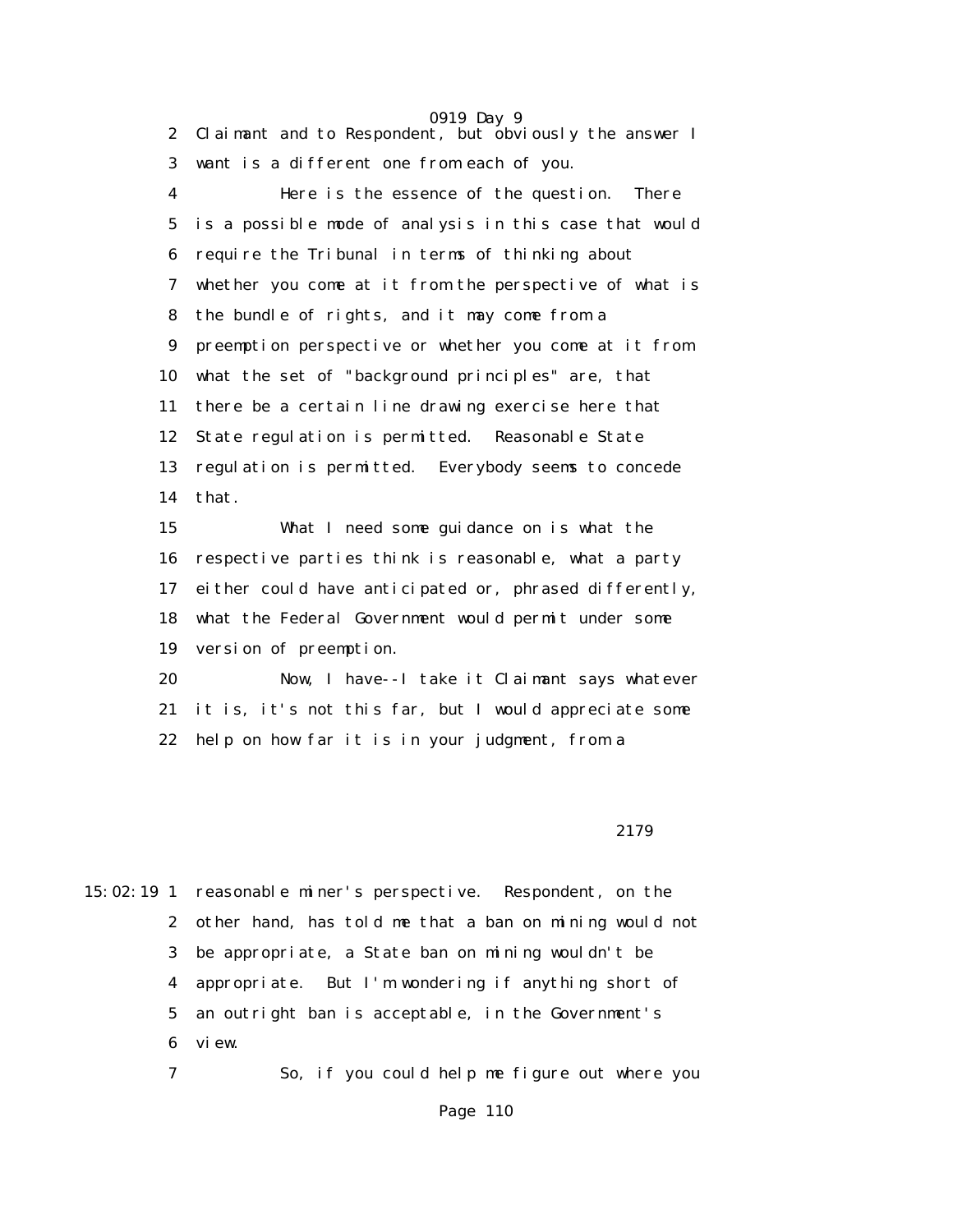0919 Day 9 2 Claimant and to Respondent, but obviously the answer I 3 want is a different one from each of you. 4 Here is the essence of the question. There 5 is a possible mode of analysis in this case that would 6 require the Tribunal in terms of thinking about 7 whether you come at it from the perspective of what is 8 the bundle of rights, and it may come from a 9 preemption perspective or whether you come at it from 10 what the set of "background principles" are, that 11 there be a certain line drawing exercise here that 12 State regulation is permitted. Reasonable State 13 regulation is permitted. Everybody seems to concede 14 that. 15 What I need some guidance on is what the 16 respective parties think is reasonable, what a party 17 either could have anticipated or, phrased differently, 18 what the Federal Government would permit under some 19 version of preemption. 20 Now, I have--I take it Claimant says whatever 21 it is, it's not this far, but I would appreciate some 22 help on how far it is in your judgment, from a

2179

15:02:19 1 reasonable miner's perspective. Respondent, on the 2 other hand, has told me that a ban on mining would not 3 be appropriate, a State ban on mining wouldn't be 4 appropriate. But I'm wondering if anything short of 5 an outright ban is acceptable, in the Government's 6 view.

7 So, if you could help me figure out where you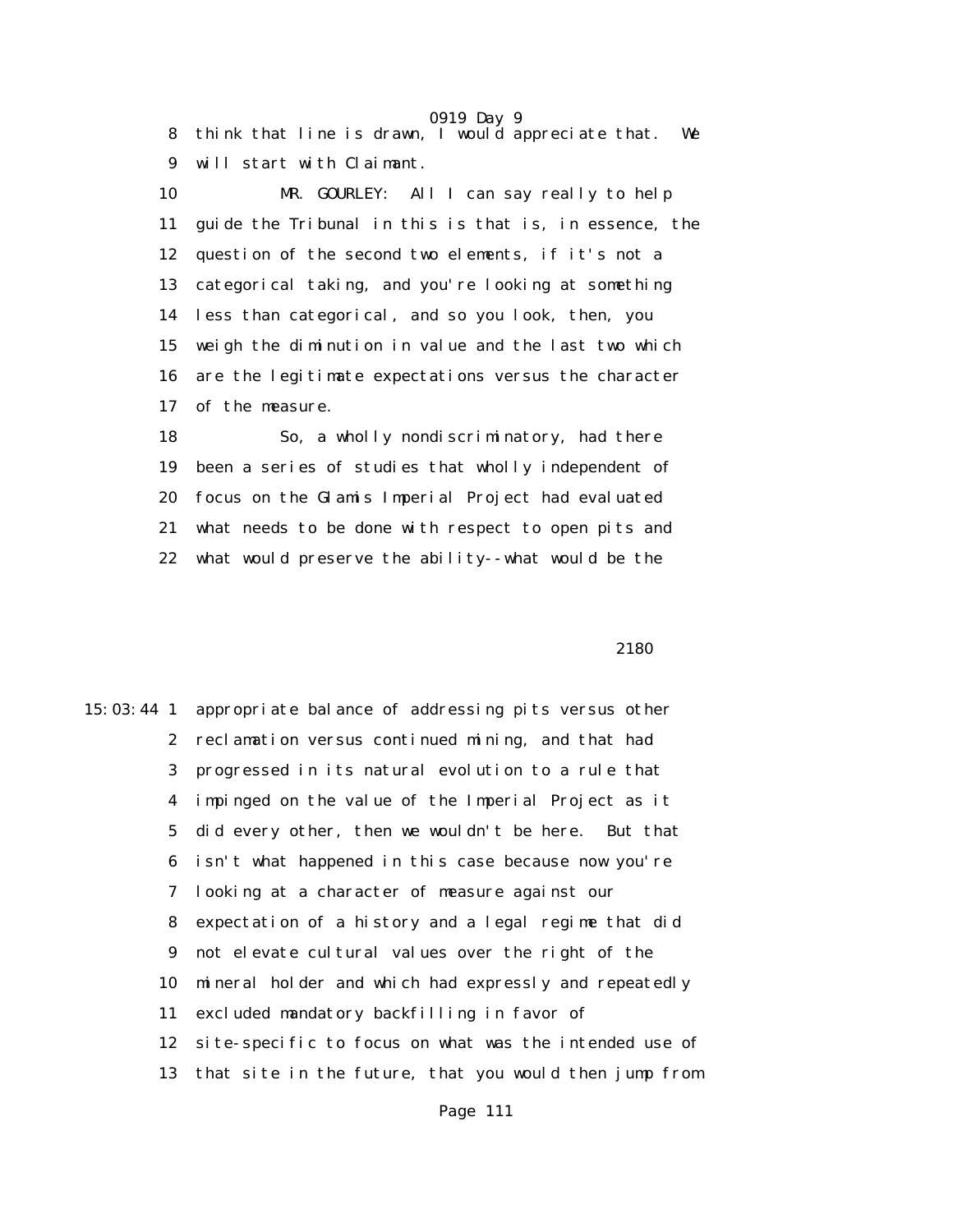0919 Day 9 8 think that line is drawn, I would appreciate that. We 9 will start with Claimant.

 10 MR. GOURLEY: All I can say really to help 11 guide the Tribunal in this is that is, in essence, the 12 question of the second two elements, if it's not a 13 categorical taking, and you're looking at something 14 less than categorical, and so you look, then, you 15 weigh the diminution in value and the last two which 16 are the legitimate expectations versus the character 17 of the measure.

 18 So, a wholly nondiscriminatory, had there 19 been a series of studies that wholly independent of 20 focus on the Glamis Imperial Project had evaluated 21 what needs to be done with respect to open pits and 22 what would preserve the ability--what would be the

2180 and 2180 and 2180 and 2180 and 2180 and 2180 and 2180 and 2180 and 2180 and 2180 and 2180 and 2180 and 21

15:03:44 1 appropriate balance of addressing pits versus other 2 reclamation versus continued mining, and that had 3 progressed in its natural evolution to a rule that 4 impinged on the value of the Imperial Project as it 5 did every other, then we wouldn't be here. But that 6 isn't what happened in this case because now you're 7 looking at a character of measure against our 8 expectation of a history and a legal regime that did 9 not elevate cultural values over the right of the 10 mineral holder and which had expressly and repeatedly 11 excluded mandatory backfilling in favor of 12 site-specific to focus on what was the intended use of 13 that site in the future, that you would then jump from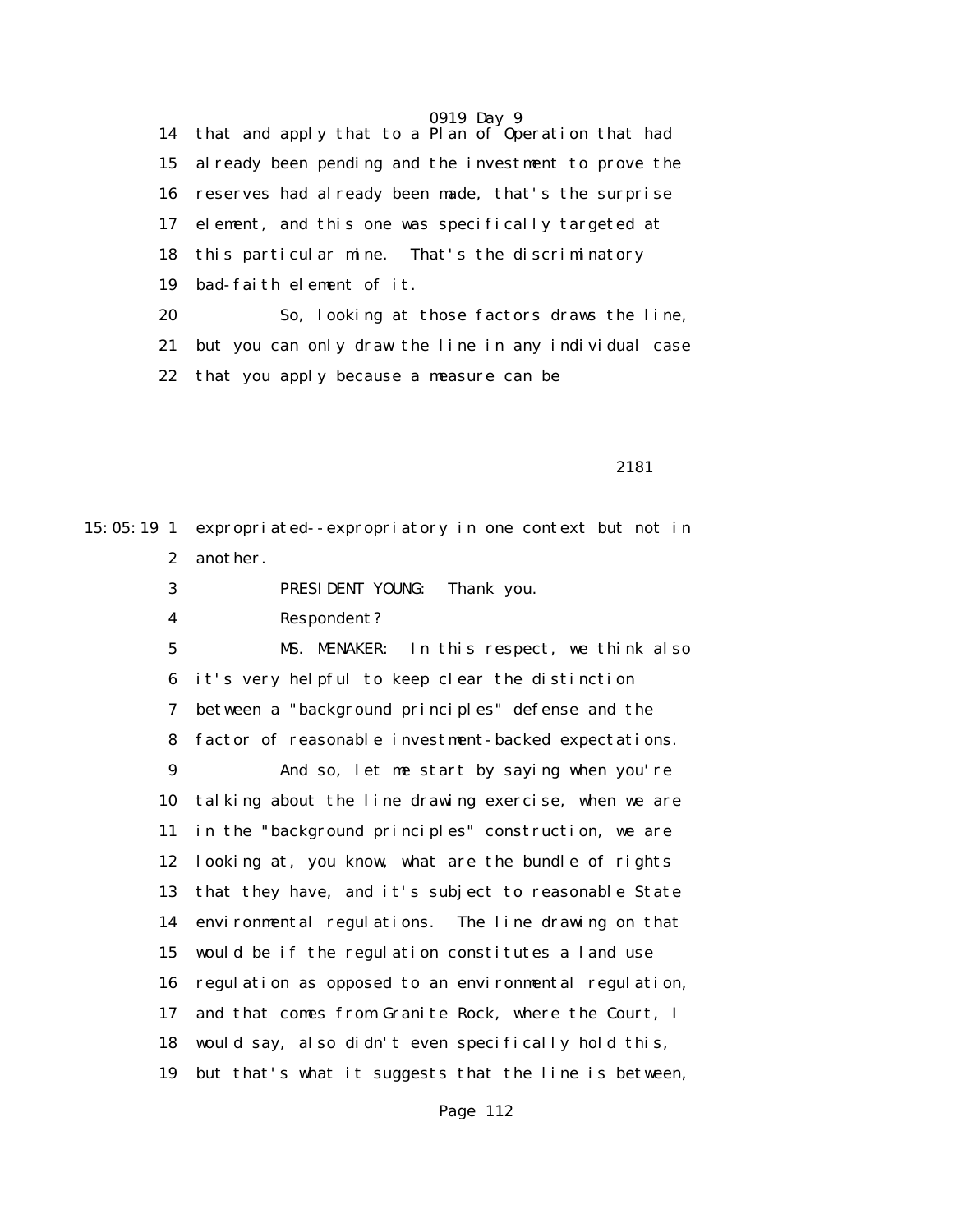14 that and apply that to a Plan of Operation that had 15 already been pending and the investment to prove the 16 reserves had already been made, that's the surprise 17 element, and this one was specifically targeted at 18 this particular mine. That's the discriminatory 19 bad-faith element of it. 20 So, looking at those factors draws the line, 21 but you can only draw the line in any individual case 22 that you apply because a measure can be

2181

15:05:19 1 expropriated--expropriatory in one context but not in 2 another.

3 PRESIDENT YOUNG: Thank you.

4 Respondent?

 5 MS. MENAKER: In this respect, we think also 6 it's very helpful to keep clear the distinction 7 between a "background principles" defense and the 8 factor of reasonable investment-backed expectations.

 9 And so, let me start by saying when you're 10 talking about the line drawing exercise, when we are 11 in the "background principles" construction, we are 12 looking at, you know, what are the bundle of rights 13 that they have, and it's subject to reasonable State 14 environmental regulations. The line drawing on that 15 would be if the regulation constitutes a land use 16 regulation as opposed to an environmental regulation, 17 and that comes from Granite Rock, where the Court, I 18 would say, also didn't even specifically hold this, 19 but that's what it suggests that the line is between,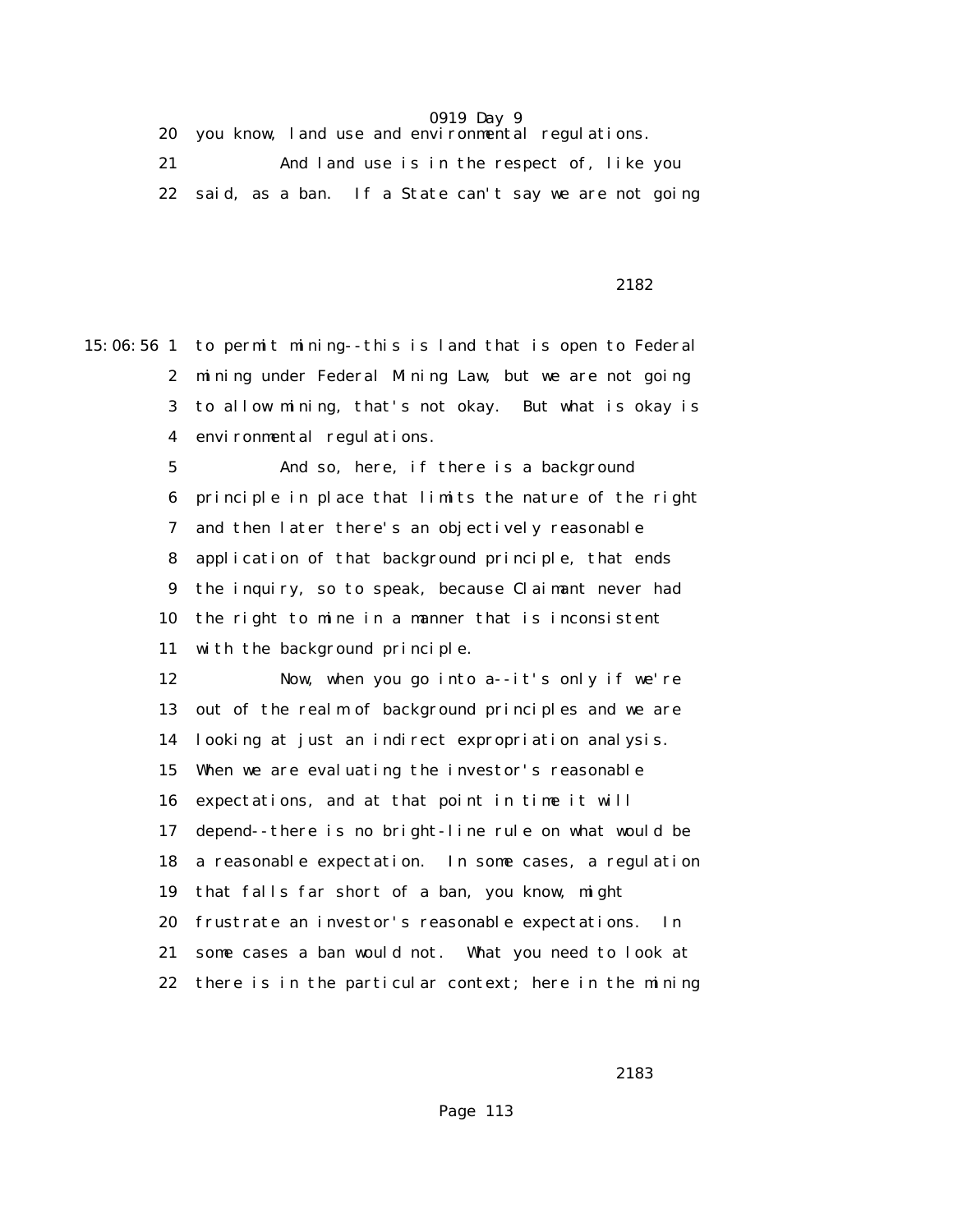20 you know, land use and environmental regulations.

 21 And land use is in the respect of, like you 22 said, as a ban. If a State can't say we are not going

2182

15:06:56 1 to permit mining--this is land that is open to Federal 2 mining under Federal Mining Law, but we are not going 3 to allow mining, that's not okay. But what is okay is 4 environmental regulations.

> 5 And so, here, if there is a background 6 principle in place that limits the nature of the right 7 and then later there's an objectively reasonable 8 application of that background principle, that ends 9 the inquiry, so to speak, because Claimant never had 10 the right to mine in a manner that is inconsistent 11 with the background principle.

> 12 Now, when you go into a--it's only if we're 13 out of the realm of background principles and we are 14 looking at just an indirect expropriation analysis. 15 When we are evaluating the investor's reasonable 16 expectations, and at that point in time it will 17 depend--there is no bright-line rule on what would be 18 a reasonable expectation. In some cases, a regulation 19 that falls far short of a ban, you know, might 20 frustrate an investor's reasonable expectations. In 21 some cases a ban would not. What you need to look at 22 there is in the particular context; here in the mining

2183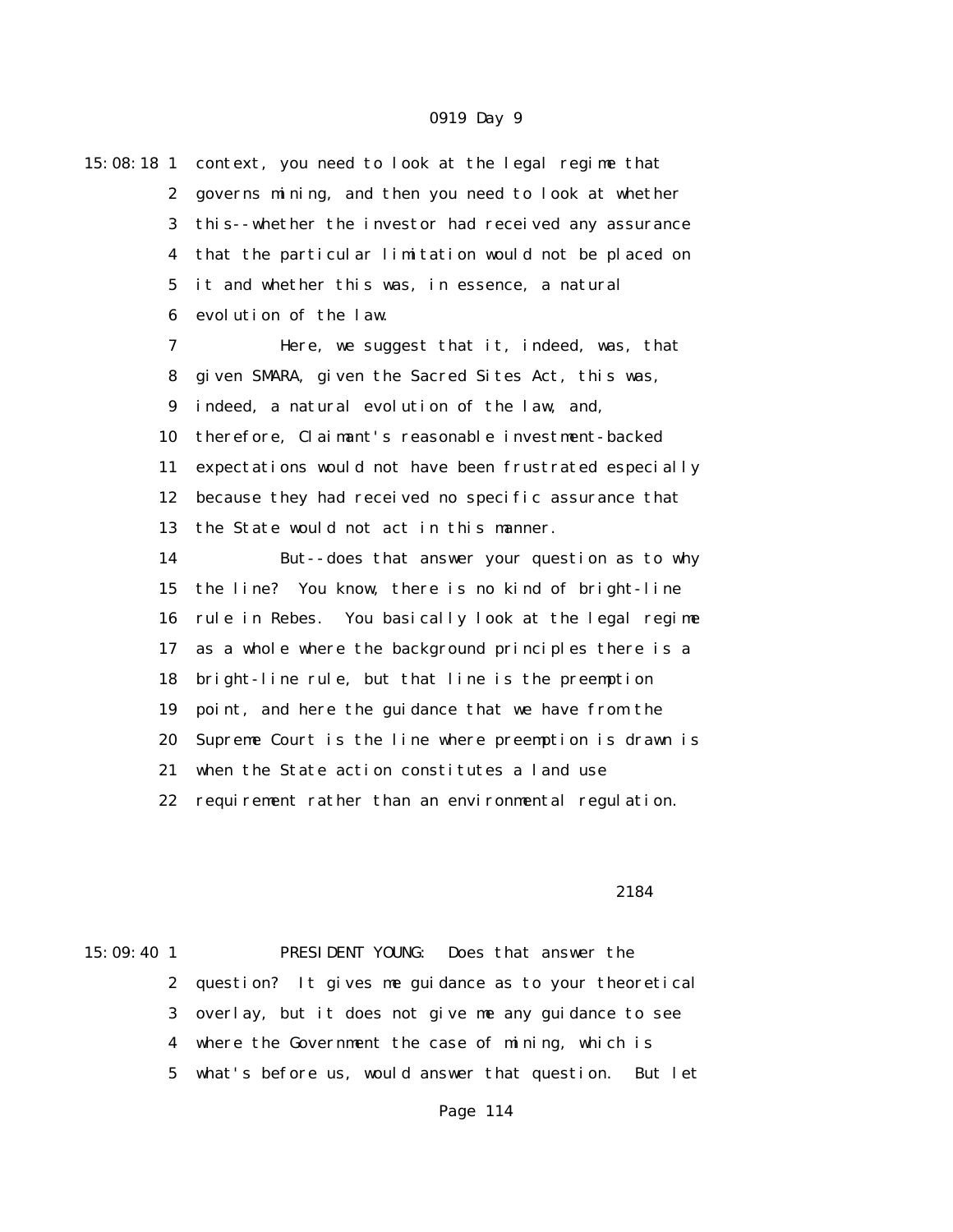| 15:08:18 1       | context, you need to look at the legal regime that     |
|------------------|--------------------------------------------------------|
| $\boldsymbol{2}$ | governs mining, and then you need to look at whether   |
| 3                | this--whether the investor had received any assurance  |
| 4                | that the particular limitation would not be placed on  |
| $\overline{5}$   | it and whether this was, in essence, a natural         |
| $\boldsymbol{6}$ | evolution of the law.                                  |
| 7                | Here, we suggest that it, indeed, was, that            |
| 8                | given SMARA, given the Sacred Sites Act, this was,     |
| 9                | indeed, a natural evolution of the law, and,           |
| 10               | therefore, Claimant's reasonable investment-backed     |
| 11               | expectations would not have been frustrated especially |
| 12               | because they had received no specific assurance that   |
| 13               | the State would not act in this manner.                |
| 14               | But--does that answer your question as to why          |
| 15               | the line? You know, there is no kind of bright-line    |
| 16               | rule in Rebes. You basically look at the legal regime  |
| 17               | as a whole where the background principles there is a  |
| 18               | bright-line rule, but that line is the preemption      |
| 19               | point, and here the guidance that we have from the     |
| 20               | Supreme Court is the line where preemption is drawn is |
| 21               | when the State action constitutes a land use           |
| 22               | requirement rather than an environmental regulation.   |
|                  |                                                        |

#### 2184

15:09:40 1 PRESIDENT YOUNG: Does that answer the 2 question? It gives me guidance as to your theoretical 3 overlay, but it does not give me any guidance to see 4 where the Government the case of mining, which is 5 what's before us, would answer that question. But let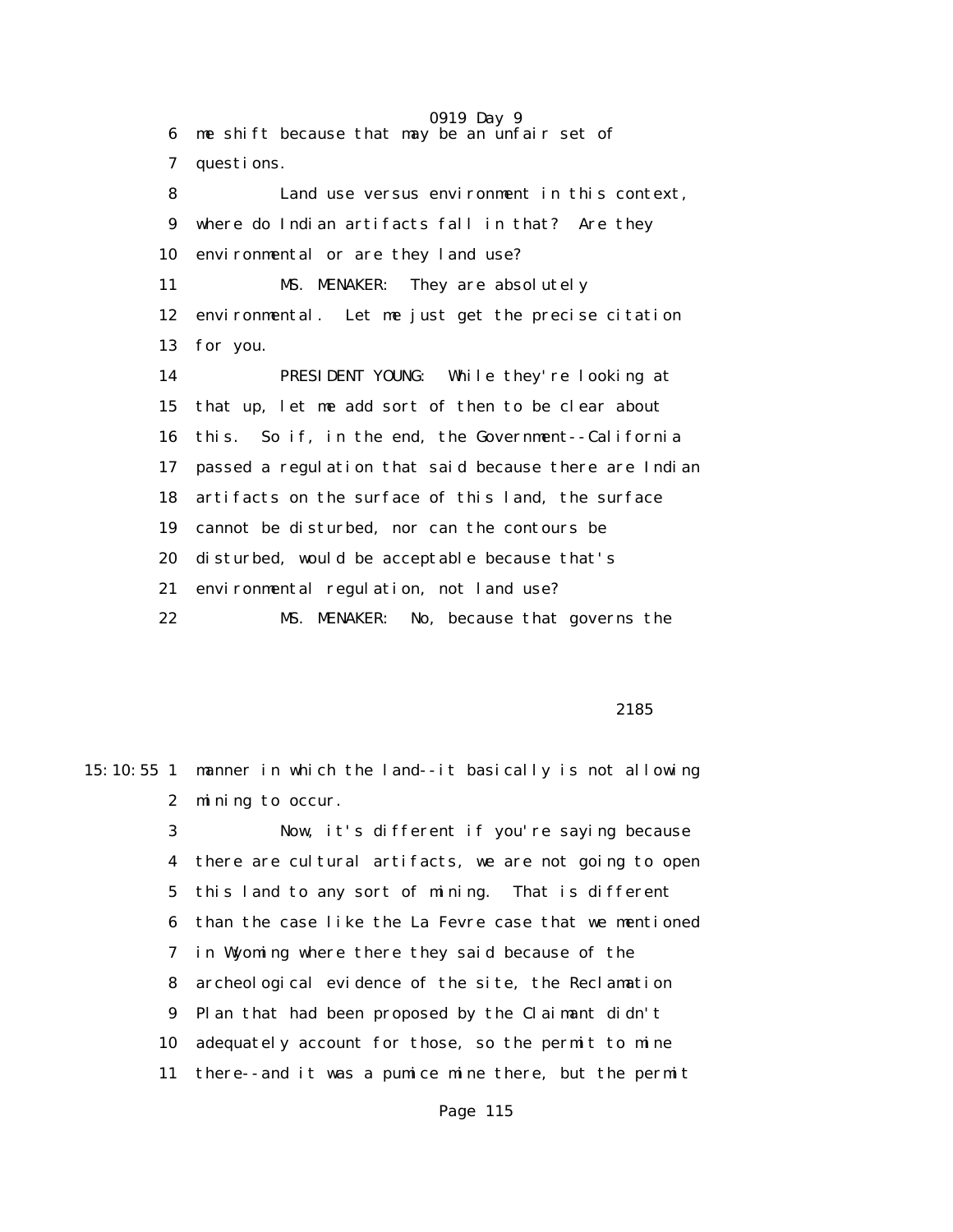0919 Day 9 6 me shift because that may be an unfair set of 7 questions. 8 Land use versus environment in this context, 9 where do Indian artifacts fall in that? Are they 10 environmental or are they land use? 11 MS. MENAKER: They are absolutely 12 environmental. Let me just get the precise citation 13 for you. 14 PRESIDENT YOUNG: While they're looking at 15 that up, let me add sort of then to be clear about 16 this. So if, in the end, the Government--California 17 passed a regulation that said because there are Indian 18 artifacts on the surface of this land, the surface 19 cannot be disturbed, nor can the contours be 20 disturbed, would be acceptable because that's 21 environmental regulation, not land use? 22 MS. MENAKER: No, because that governs the

2185

15:10:55 1 manner in which the land--it basically is not allowing 2 mining to occur. 3 Now, it's different if you're saying because 4 there are cultural artifacts, we are not going to open 5 this land to any sort of mining. That is different

> 6 than the case like the La Fevre case that we mentioned 7 in Wyoming where there they said because of the 8 archeological evidence of the site, the Reclamation 9 Plan that had been proposed by the Claimant didn't 10 adequately account for those, so the permit to mine 11 there--and it was a pumice mine there, but the permit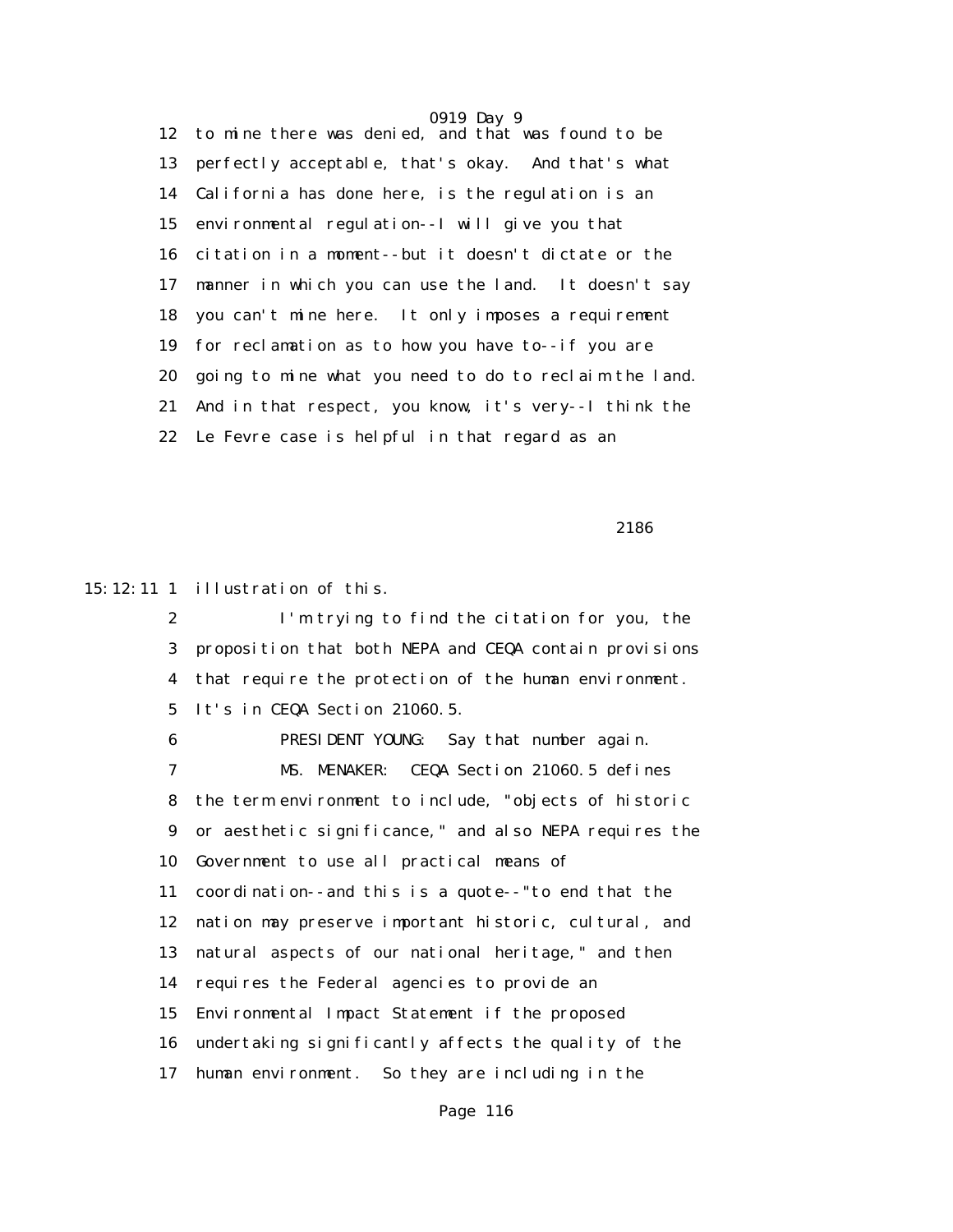0919 Day 9 12 to mine there was denied, and that was found to be 13 perfectly acceptable, that's okay. And that's what 14 California has done here, is the regulation is an 15 environmental regulation--I will give you that 16 citation in a moment--but it doesn't dictate or the 17 manner in which you can use the land. It doesn't say 18 you can't mine here. It only imposes a requirement 19 for reclamation as to how you have to--if you are 20 going to mine what you need to do to reclaim the land. 21 And in that respect, you know, it's very--I think the 22 Le Fevre case is helpful in that regard as an

2186

15:12:11 1 illustration of this.

 2 I'm trying to find the citation for you, the 3 proposition that both NEPA and CEQA contain provisions 4 that require the protection of the human environment. 5 It's in CEQA Section 21060.5.

 6 PRESIDENT YOUNG: Say that number again. 7 MS. MENAKER: CEQA Section 21060.5 defines 8 the term environment to include, "objects of historic 9 or aesthetic significance," and also NEPA requires the 10 Government to use all practical means of 11 coordination--and this is a quote--"to end that the 12 nation may preserve important historic, cultural, and 13 natural aspects of our national heritage," and then 14 requires the Federal agencies to provide an 15 Environmental Impact Statement if the proposed 16 undertaking significantly affects the quality of the 17 human environment. So they are including in the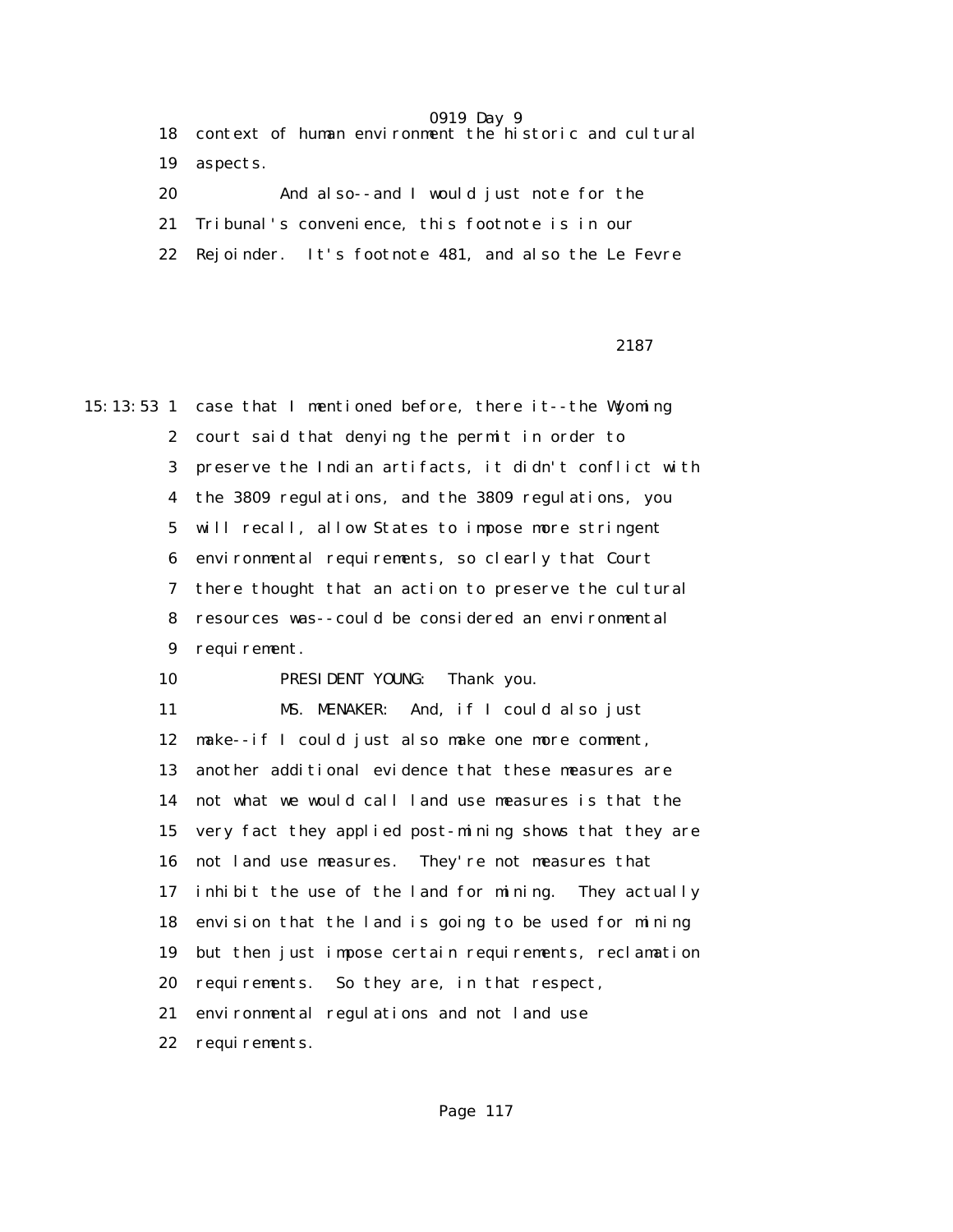|    | 18 context of human environment the historic and cultural |
|----|-----------------------------------------------------------|
| 19 | aspects.                                                  |
| 20 | And also--and I would just note for the                   |
|    | 21 Tribunal's convenience, this footnote is in our        |
|    | 22 Rejoinder. It's footnote 481, and also the Le Fevre    |
|    |                                                           |

2187 **2187** 

15:13:53 1 case that I mentioned before, there it--the Wyoming 2 court said that denying the permit in order to 3 preserve the Indian artifacts, it didn't conflict with 4 the 3809 regulations, and the 3809 regulations, you 5 will recall, allow States to impose more stringent 6 environmental requirements, so clearly that Court 7 there thought that an action to preserve the cultural 8 resources was--could be considered an environmental 9 requirement. 10 PRESIDENT YOUNG: Thank you. 11 MS. MENAKER: And, if I could also just 12 make--if I could just also make one more comment, 13 another additional evidence that these measures are 14 not what we would call land use measures is that the 15 very fact they applied post-mining shows that they are 16 not land use measures. They're not measures that 17 inhibit the use of the land for mining. They actually 18 envision that the land is going to be used for mining 19 but then just impose certain requirements, reclamation 20 requirements. So they are, in that respect, 21 environmental regulations and not land use 22 requirements.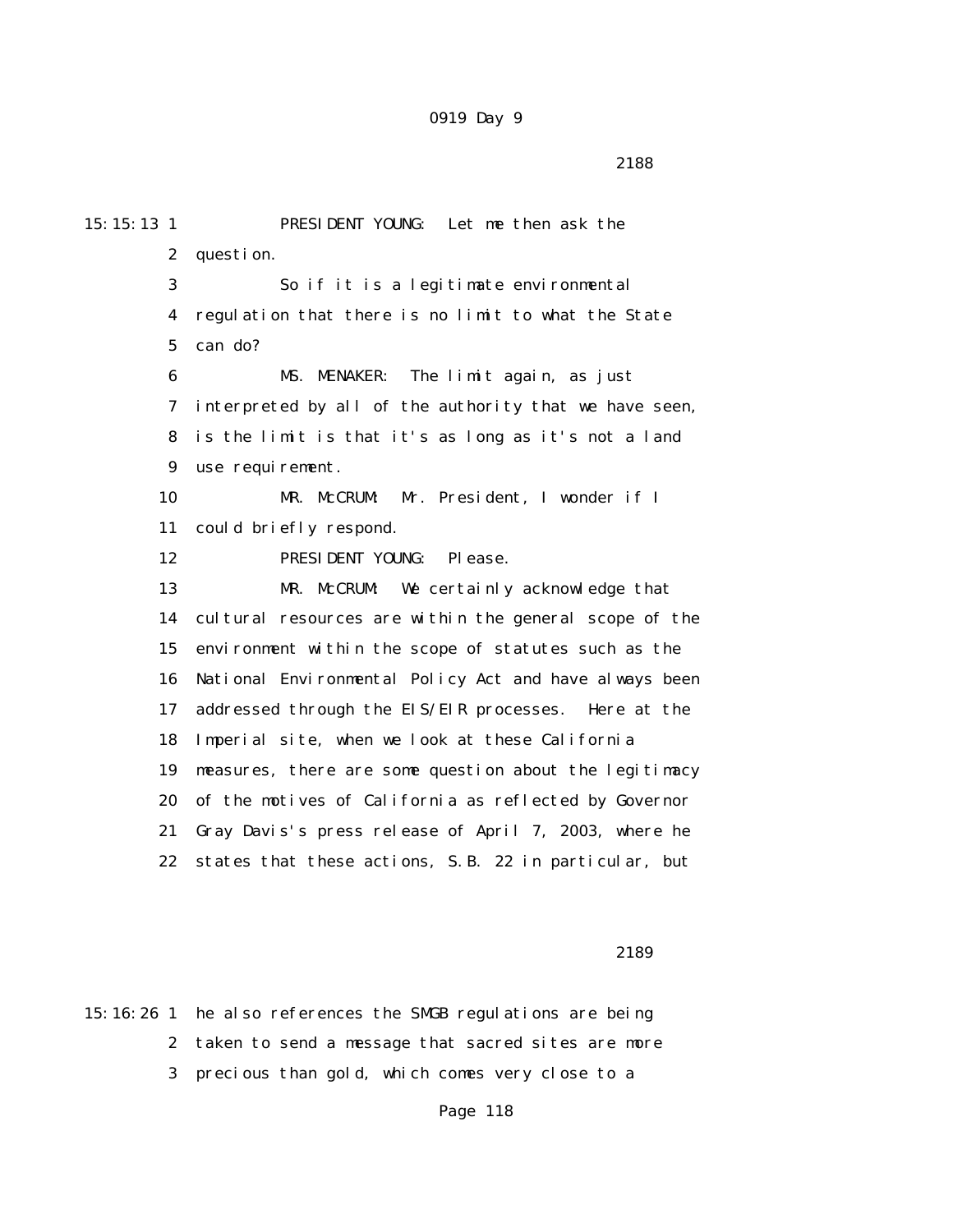2188

15:15:13 1 PRESIDENT YOUNG: Let me then ask the 2 question. 3 So if it is a legitimate environmental 4 regulation that there is no limit to what the State 5 can do? 6 MS. MENAKER: The limit again, as just 7 interpreted by all of the authority that we have seen, 8 is the limit is that it's as long as it's not a land 9 use requirement. 10 MR. McCRUM: Mr. President, I wonder if I 11 could briefly respond. 12 PRESIDENT YOUNG: Please. 13 MR. McCRUM: We certainly acknowledge that 14 cultural resources are within the general scope of the 15 environment within the scope of statutes such as the 16 National Environmental Policy Act and have always been 17 addressed through the EIS/EIR processes. Here at the 18 Imperial site, when we look at these California 19 measures, there are some question about the legitimacy 20 of the motives of California as reflected by Governor 21 Gray Davis's press release of April 7, 2003, where he 22 states that these actions, S.B. 22 in particular, but

2189

15:16:26 1 he also references the SMGB regulations are being 2 taken to send a message that sacred sites are more 3 precious than gold, which comes very close to a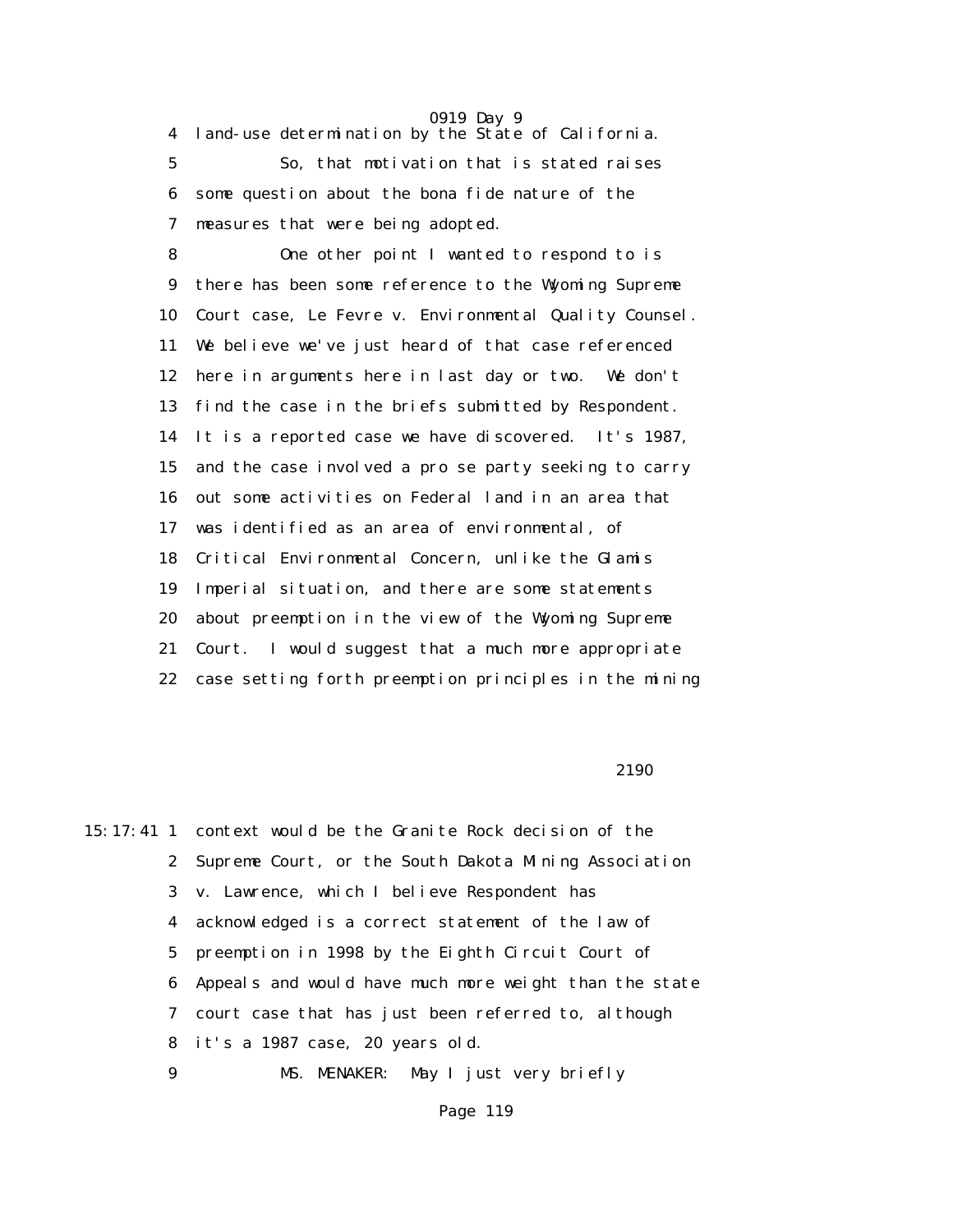4 land-use determination by the State of California.

 5 So, that motivation that is stated raises 6 some question about the bona fide nature of the 7 measures that were being adopted.

 8 One other point I wanted to respond to is 9 there has been some reference to the Wyoming Supreme 10 Court case, Le Fevre v. Environmental Quality Counsel. 11 We believe we've just heard of that case referenced 12 here in arguments here in last day or two. We don't 13 find the case in the briefs submitted by Respondent. 14 It is a reported case we have discovered. It's 1987, 15 and the case involved a pro se party seeking to carry 16 out some activities on Federal land in an area that 17 was identified as an area of environmental, of 18 Critical Environmental Concern, unlike the Glamis 19 Imperial situation, and there are some statements 20 about preemption in the view of the Wyoming Supreme 21 Court. I would suggest that a much more appropriate 22 case setting forth preemption principles in the mining

2190 and 2190 and 2190 and 2190 and 2190 and 2190 and 2190 and 2190 and 2190 and 2190 and 2190 and 2190 and 21

15:17:41 1 context would be the Granite Rock decision of the 2 Supreme Court, or the South Dakota Mining Association 3 v. Lawrence, which I believe Respondent has 4 acknowledged is a correct statement of the law of 5 preemption in 1998 by the Eighth Circuit Court of 6 Appeals and would have much more weight than the state 7 court case that has just been referred to, although 8 it's a 1987 case, 20 years old. 9 MS. MENAKER: May I just very briefly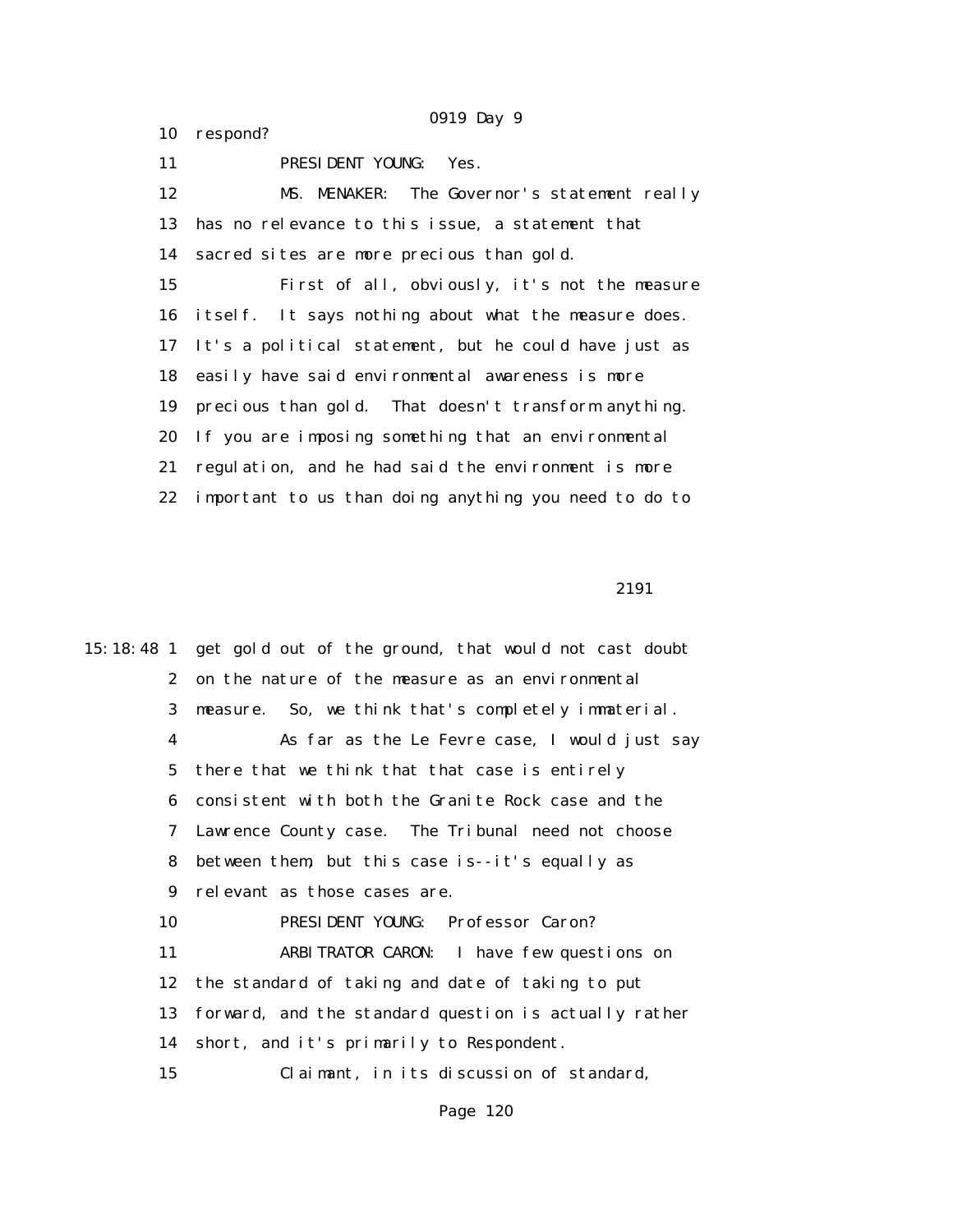11 PRESIDENT YOUNG: Yes. 12 MS. MENAKER: The Governor's statement really 13 has no relevance to this issue, a statement that 14 sacred sites are more precious than gold. 15 First of all, obviously, it's not the measure 16 itself. It says nothing about what the measure does. 17 It's a political statement, but he could have just as 18 easily have said environmental awareness is more 19 precious than gold. That doesn't transform anything. 20 If you are imposing something that an environmental 21 regulation, and he had said the environment is more 22 important to us than doing anything you need to do to

10 respond?

2191 **2191** 

15:18:48 1 get gold out of the ground, that would not cast doubt 2 on the nature of the measure as an environmental 3 measure. So, we think that's completely immaterial. 4 As far as the Le Fevre case, I would just say 5 there that we think that that case is entirely 6 consistent with both the Granite Rock case and the 7 Lawrence County case. The Tribunal need not choose 8 between them, but this case is--it's equally as 9 relevant as those cases are. 10 PRESIDENT YOUNG: Professor Caron? 11 ARBITRATOR CARON: I have few questions on 12 the standard of taking and date of taking to put 13 forward, and the standard question is actually rather 14 short, and it's primarily to Respondent. 15 Claimant, in its discussion of standard,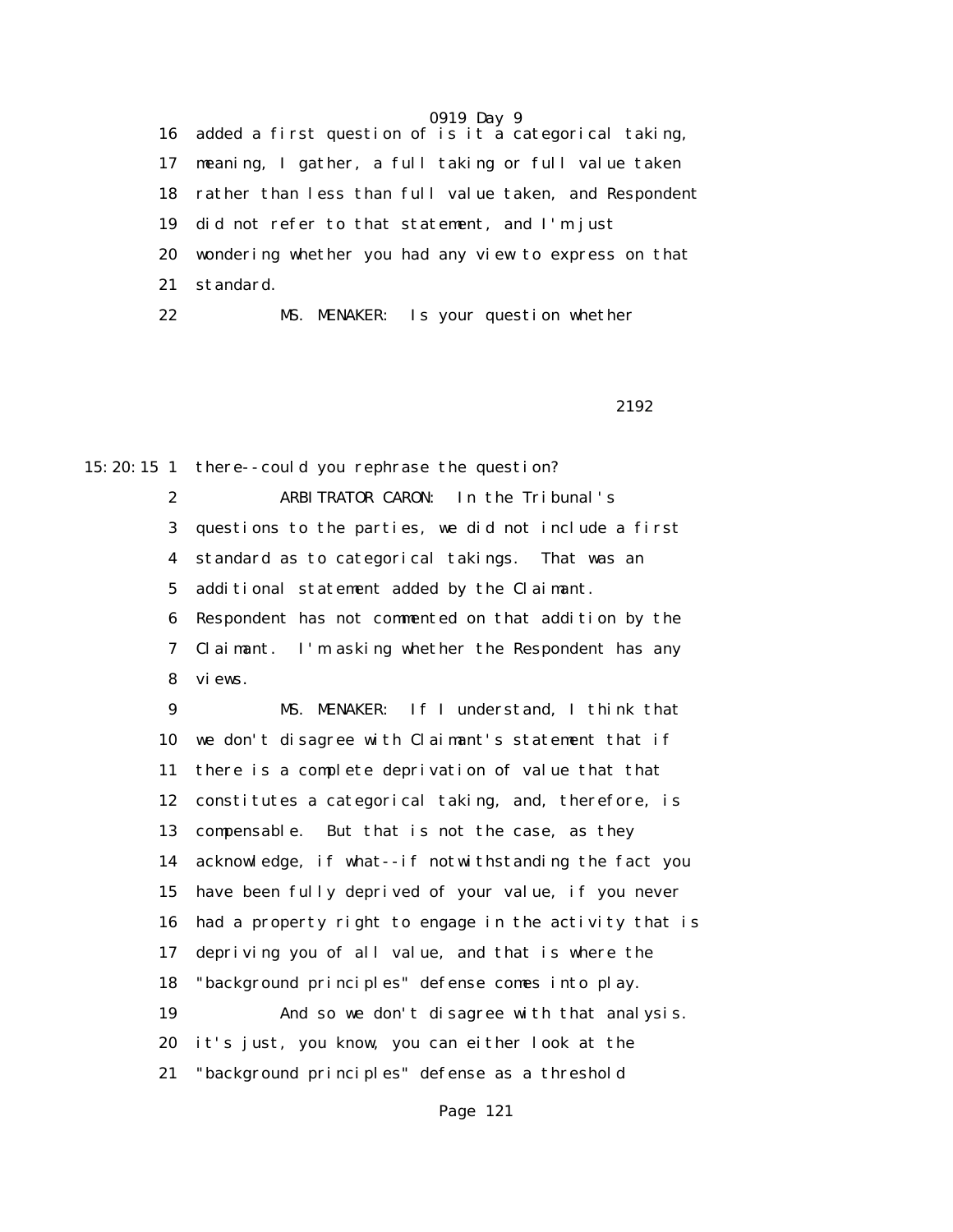16 added a first question of is it a categorical taking, 17 meaning, I gather, a full taking or full value taken 18 rather than less than full value taken, and Respondent 19 did not refer to that statement, and I'm just 20 wondering whether you had any view to express on that 21 standard. 22 MS. MENAKER: Is your question whether

2192

15:20:15 1 there--could you rephrase the question?

 2 ARBITRATOR CARON: In the Tribunal's 3 questions to the parties, we did not include a first 4 standard as to categorical takings. That was an 5 additional statement added by the Claimant. 6 Respondent has not commented on that addition by the 7 Claimant. I'm asking whether the Respondent has any 8 views.

 9 MS. MENAKER: If I understand, I think that 10 we don't disagree with Claimant's statement that if 11 there is a complete deprivation of value that that 12 constitutes a categorical taking, and, therefore, is 13 compensable. But that is not the case, as they 14 acknowledge, if what--if notwithstanding the fact you 15 have been fully deprived of your value, if you never 16 had a property right to engage in the activity that is 17 depriving you of all value, and that is where the 18 "background principles" defense comes into play. 19 And so we don't disagree with that analysis. 20 it's just, you know, you can either look at the 21 "background principles" defense as a threshold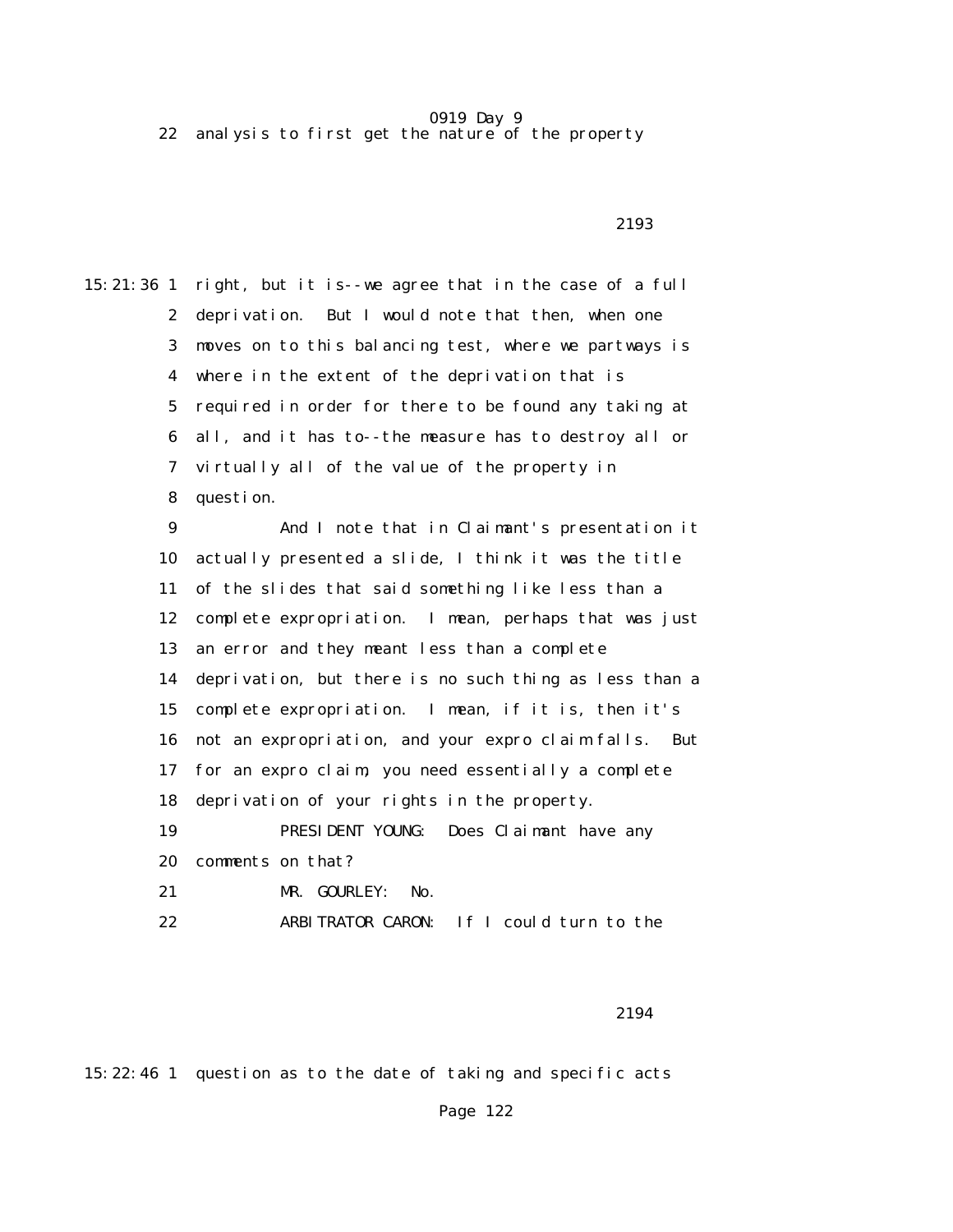22 analysis to first get the nature of the property

2193

15:21:36 1 right, but it is--we agree that in the case of a full 2 deprivation. But I would note that then, when one 3 moves on to this balancing test, where we partways is 4 where in the extent of the deprivation that is 5 required in order for there to be found any taking at 6 all, and it has to--the measure has to destroy all or 7 virtually all of the value of the property in 8 question. 9 And I note that in Claimant's presentation it 10 actually presented a slide, I think it was the title 11 of the slides that said something like less than a 12 complete expropriation. I mean, perhaps that was just 13 an error and they meant less than a complete 14 deprivation, but there is no such thing as less than a 15 complete expropriation. I mean, if it is, then it's 16 not an expropriation, and your expro claim falls. But 17 for an expro claim, you need essentially a complete 18 deprivation of your rights in the property. 19 PRESIDENT YOUNG: Does Claimant have any 20 comments on that? 21 MR. GOURLEY: No. 22 ARBITRATOR CARON: If I could turn to the

2194

15:22:46 1 question as to the date of taking and specific acts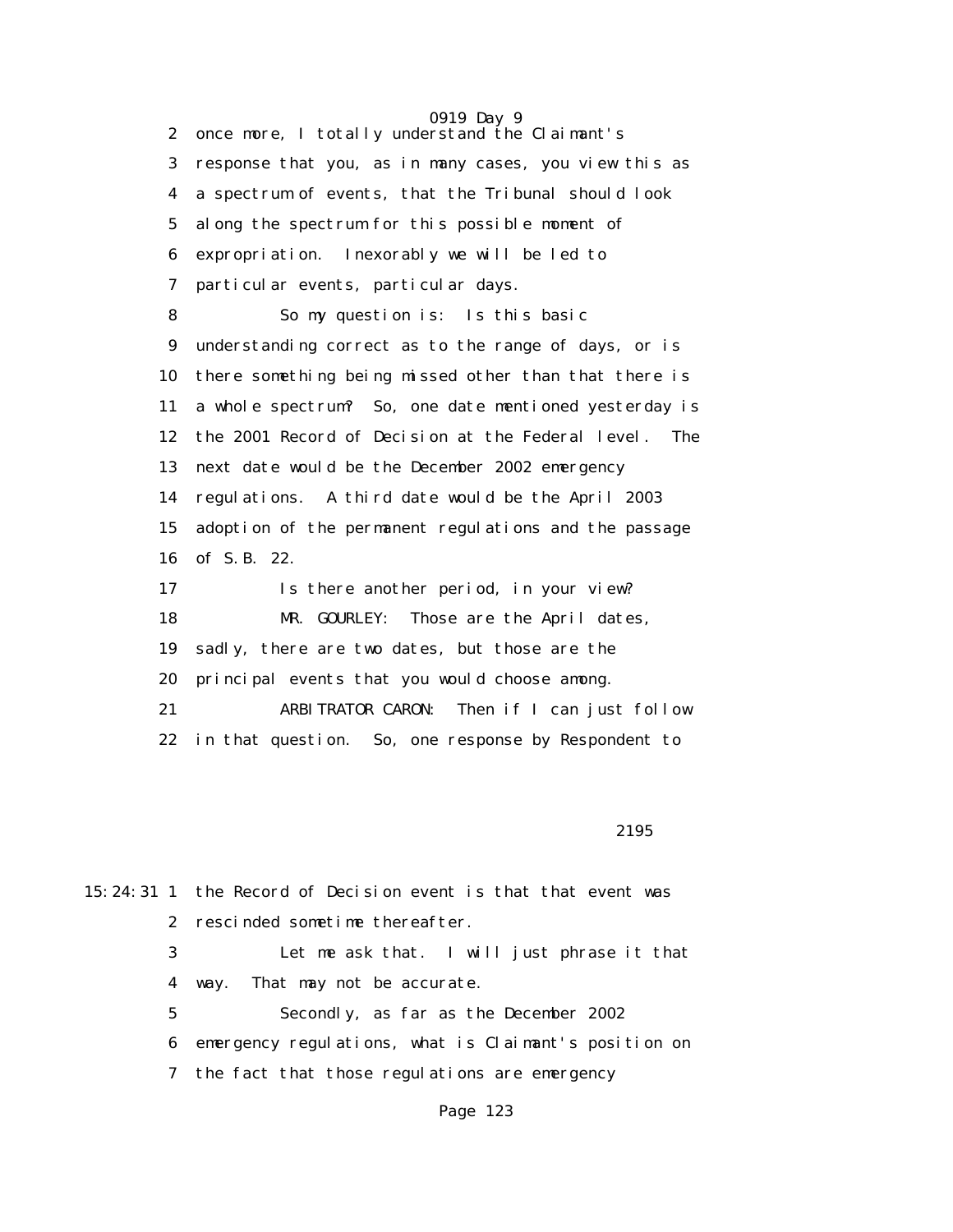0919 Day 9 2 once more, I totally understand the Claimant's 3 response that you, as in many cases, you view this as 4 a spectrum of events, that the Tribunal should look 5 along the spectrum for this possible moment of 6 expropriation. Inexorably we will be led to 7 particular events, particular days. 8 So my question is: Is this basic 9 understanding correct as to the range of days, or is 10 there something being missed other than that there is 11 a whole spectrum? So, one date mentioned yesterday is 12 the 2001 Record of Decision at the Federal level. The 13 next date would be the December 2002 emergency 14 regulations. A third date would be the April 2003 15 adoption of the permanent regulations and the passage 16 of S.B. 22. 17 Is there another period, in your view? 18 MR. GOURLEY: Those are the April dates, 19 sadly, there are two dates, but those are the 20 principal events that you would choose among. 21 ARBITRATOR CARON: Then if I can just follow 22 in that question. So, one response by Respondent to

<u>2195</u>

|             | 15:24:31 1 the Record of Decision event is that that event was |
|-------------|----------------------------------------------------------------|
|             | 2 rescinded sometime thereafter.                               |
| 3           | Let me ask that. I will just phrase it that                    |
| 4           | That may not be accurate.<br>way.                              |
| $5^{\circ}$ | Secondly, as far as the December 2002                          |
|             | 6 emergency regulations, what is Claimant's position on        |
|             | 7 the fact that those regulations are emergency                |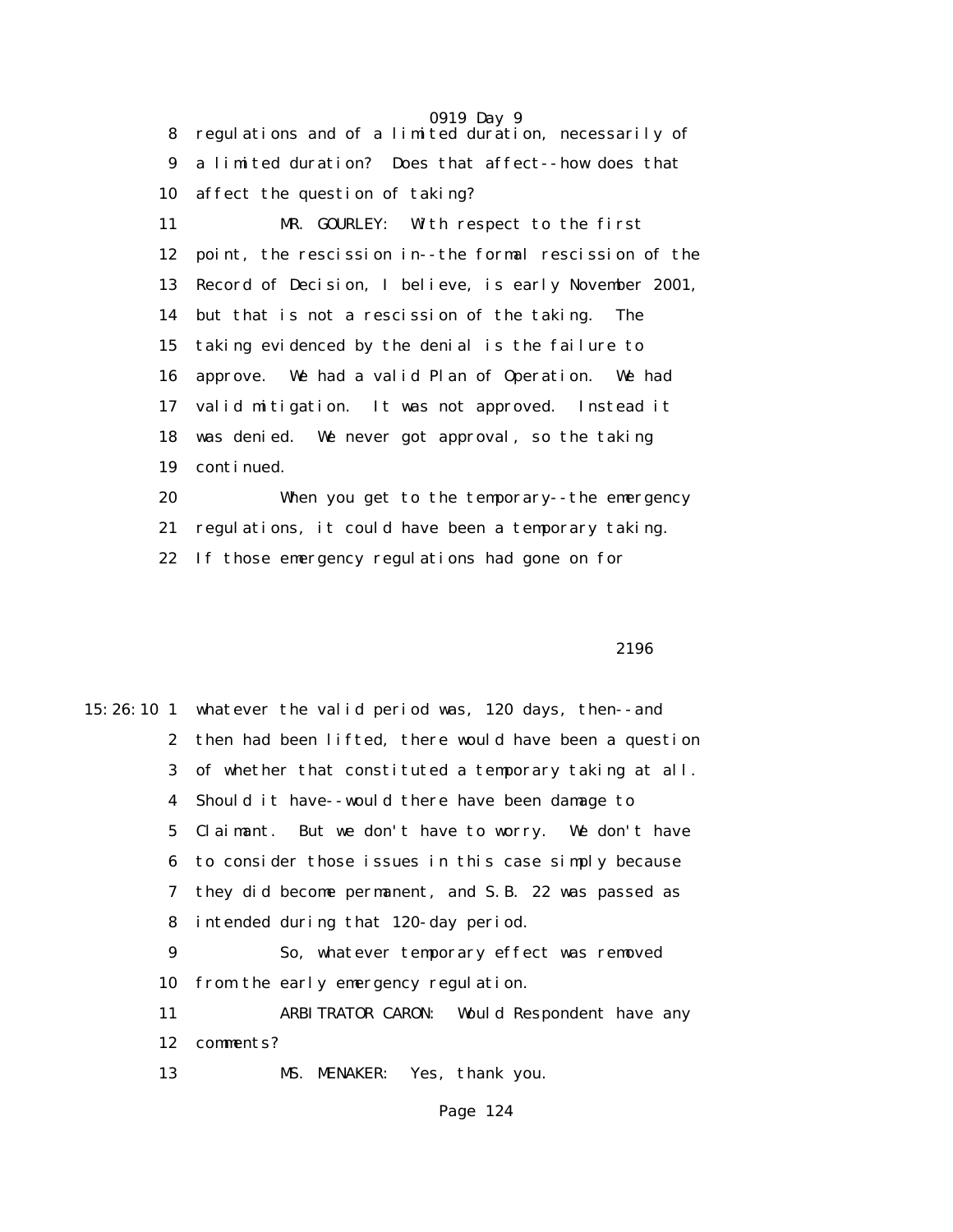0919 Day 9 8 regulations and of a limited duration, necessarily of 9 a limited duration? Does that affect--how does that 10 affect the question of taking? 11 MR. GOURLEY: With respect to the first 12 point, the rescission in--the formal rescission of the 13 Record of Decision, I believe, is early November 2001, 14 but that is not a rescission of the taking. The 15 taking evidenced by the denial is the failure to 16 approve. We had a valid Plan of Operation. We had 17 valid mitigation. It was not approved. Instead it 18 was denied. We never got approval, so the taking 19 continued. 20 When you get to the temporary--the emergency

21 regulations, it could have been a temporary taking.

22 If those emergency regulations had gone on for

 $2196$ 

15:26:10 1 whatever the valid period was, 120 days, then--and 2 then had been lifted, there would have been a question 3 of whether that constituted a temporary taking at all. 4 Should it have--would there have been damage to 5 Claimant. But we don't have to worry. We don't have 6 to consider those issues in this case simply because 7 they did become permanent, and S.B. 22 was passed as 8 intended during that 120-day period. 9 So, whatever temporary effect was removed 10 from the early emergency regulation. 11 ARBITRATOR CARON: Would Respondent have any 12 comments? 13 MS. MENAKER: Yes, thank you.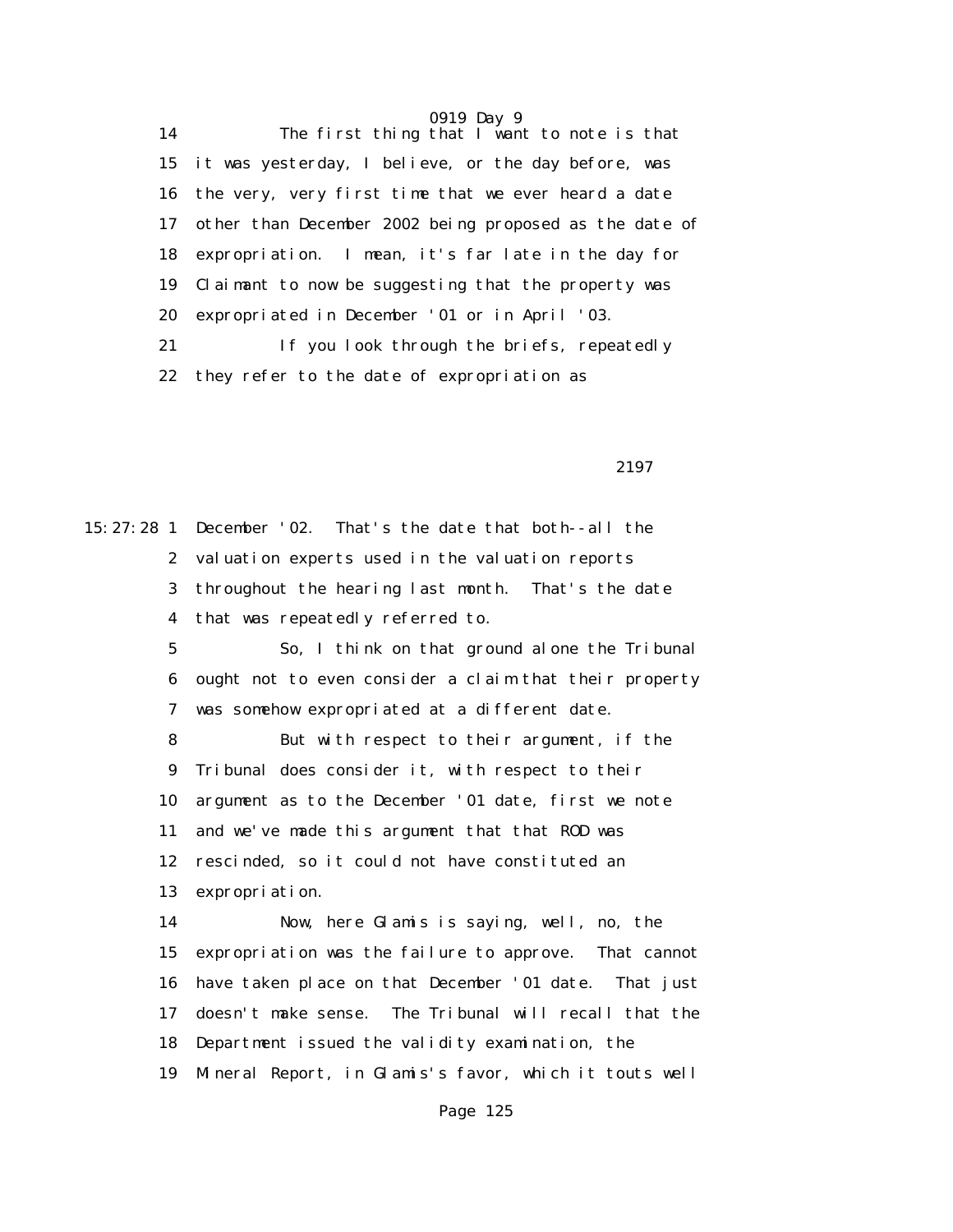14 The first thing that I want to note is that 15 it was yesterday, I believe, or the day before, was 16 the very, very first time that we ever heard a date 17 other than December 2002 being proposed as the date of 18 expropriation. I mean, it's far late in the day for 19 Claimant to now be suggesting that the property was 20 expropriated in December '01 or in April '03. 21 If you look through the briefs, repeatedly 22 they refer to the date of expropriation as

2197 **2197** 

15:27:28 1 December '02. That's the date that both--all the 2 valuation experts used in the valuation reports 3 throughout the hearing last month. That's the date 4 that was repeatedly referred to. 5 So, I think on that ground alone the Tribunal 6 ought not to even consider a claim that their property 7 was somehow expropriated at a different date. 8 But with respect to their argument, if the 9 Tribunal does consider it, with respect to their 10 argument as to the December '01 date, first we note 11 and we've made this argument that that ROD was 12 rescinded, so it could not have constituted an 13 expropriation. 14 Now, here Glamis is saying, well, no, the 15 expropriation was the failure to approve. That cannot 16 have taken place on that December '01 date. That just 17 doesn't make sense. The Tribunal will recall that the 18 Department issued the validity examination, the 19 Mineral Report, in Glamis's favor, which it touts well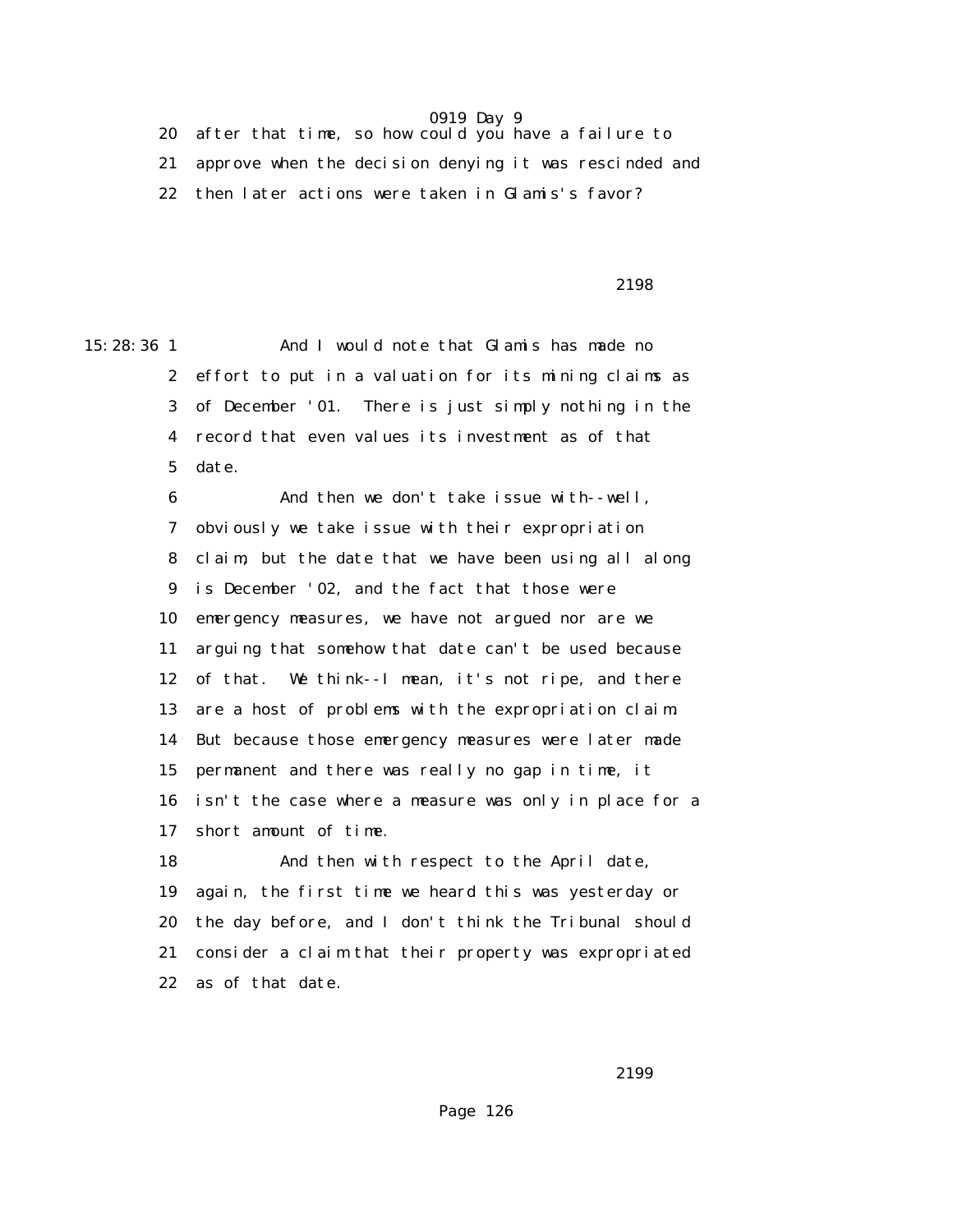20 after that time, so how could you have a failure to 21 approve when the decision denying it was rescinded and 22 then later actions were taken in Glamis's favor?

2198

15:28:36 1 And I would note that Glamis has made no 2 effort to put in a valuation for its mining claims as 3 of December '01. There is just simply nothing in the 4 record that even values its investment as of that 5 date.

> 6 And then we don't take issue with--well, 7 obviously we take issue with their expropriation 8 claim, but the date that we have been using all along 9 is December '02, and the fact that those were 10 emergency measures, we have not argued nor are we 11 arguing that somehow that date can't be used because 12 of that. We think--I mean, it's not ripe, and there 13 are a host of problems with the expropriation claim. 14 But because those emergency measures were later made 15 permanent and there was really no gap in time, it 16 isn't the case where a measure was only in place for a 17 short amount of time.

 18 And then with respect to the April date, 19 again, the first time we heard this was yesterday or 20 the day before, and I don't think the Tribunal should 21 consider a claim that their property was expropriated 22 as of that date.

2199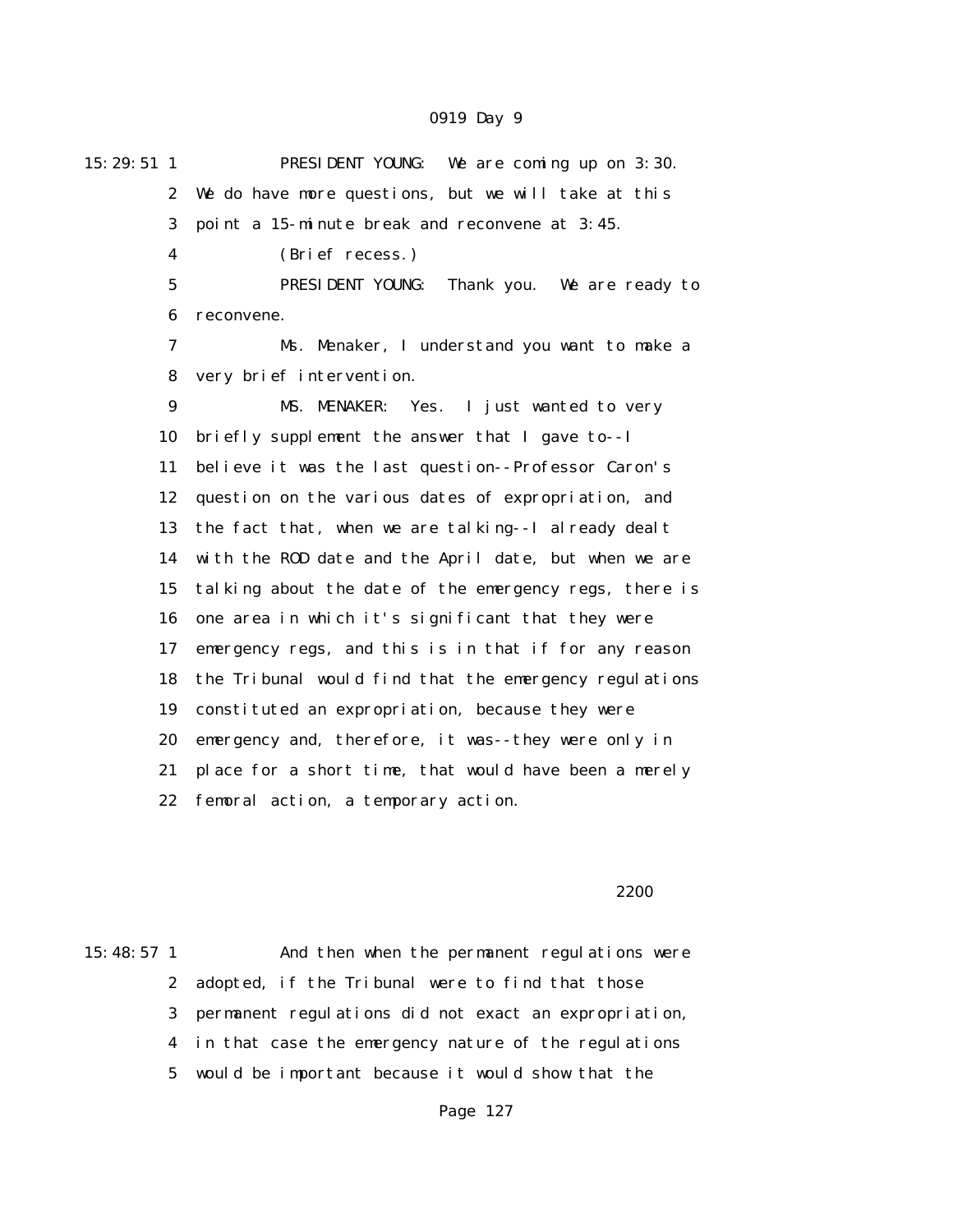| $15:29:51$ 1 | PRESIDENT YOUNG: We are coming up on 3:30.             |
|--------------|--------------------------------------------------------|
| $\mathbf{2}$ | We do have more questions, but we will take at this    |
| 3            | point a 15-minute break and reconvene at 3:45.         |
| 4            | (Brief recess.)                                        |
| 5            | PRESIDENT YOUNG:<br>Thank you. We are ready to         |
| 6            | reconvene.                                             |
| 7            | Ms. Menaker, I understand you want to make a           |
| 8            | very brief intervention.                               |
| 9            | MS. MENAKER: Yes. I just wanted to very                |
| 10           | briefly supplement the answer that I gave to--I        |
| 11           | believe it was the last question--Professor Caron's    |
| 12           | question on the various dates of expropriation, and    |
| 13           | the fact that, when we are talking--I already dealt    |
| 14           | with the ROD date and the April date, but when we are  |
| 15           | talking about the date of the emergency regs, there is |
| 16           | one area in which it's significant that they were      |
| 17           | emergency regs, and this is in that if for any reason  |
| 18           | the Tribunal would find that the emergency regulations |
| 19           | constituted an expropriation, because they were        |
| 20           | emergency and, therefore, it was--they were only in    |
| 21           | place for a short time, that would have been a merely  |
| 22           | femoral action, a temporary action.                    |

#### $2200$

15:48:57 1 And then when the permanent regulations were 2 adopted, if the Tribunal were to find that those 3 permanent regulations did not exact an expropriation, 4 in that case the emergency nature of the regulations 5 would be important because it would show that the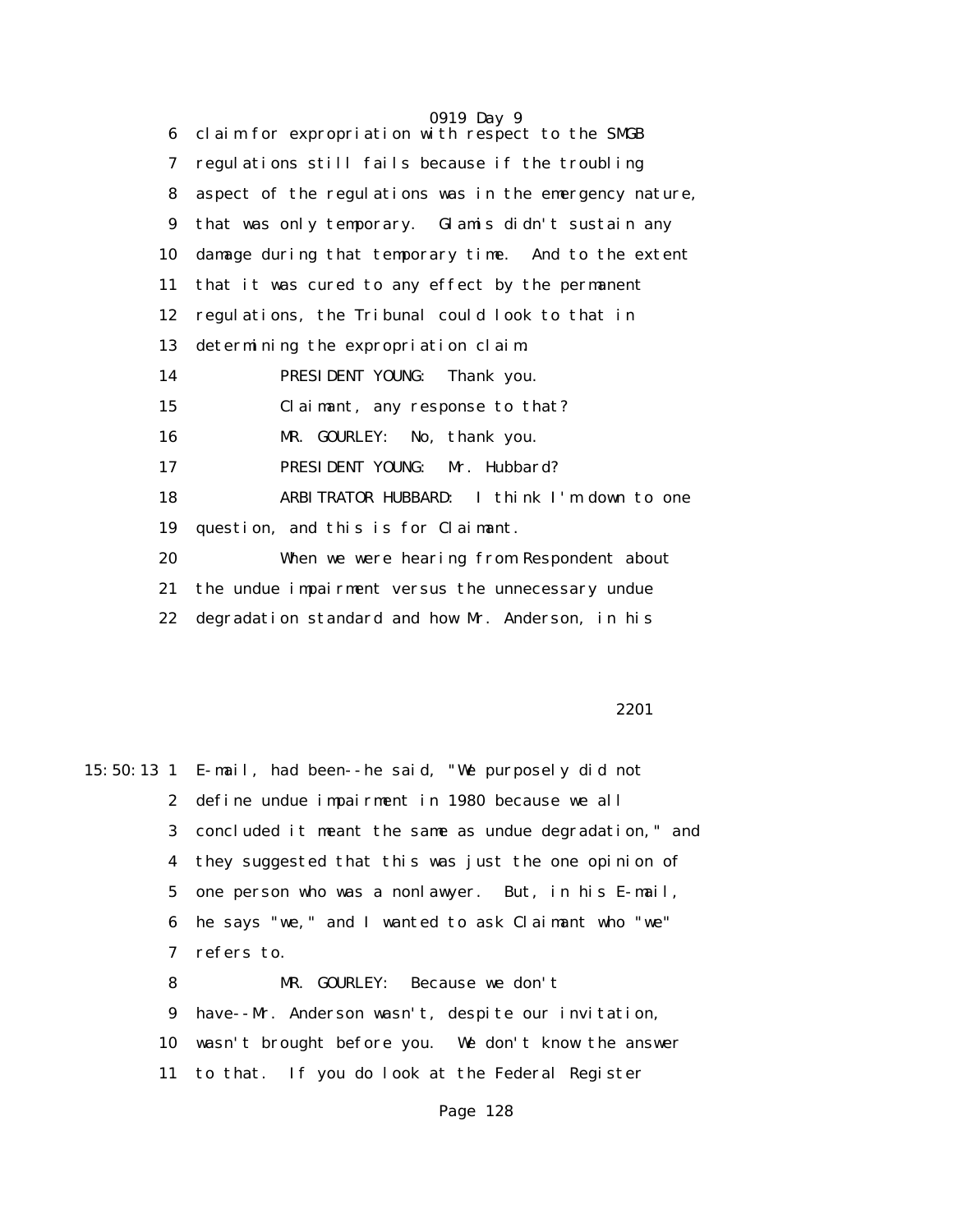0919 Day 9 6 claim for expropriation with respect to the SMGB 7 regulations still fails because if the troubling 8 aspect of the regulations was in the emergency nature, 9 that was only temporary. Glamis didn't sustain any 10 damage during that temporary time. And to the extent 11 that it was cured to any effect by the permanent 12 regulations, the Tribunal could look to that in 13 determining the expropriation claim. 14 PRESIDENT YOUNG: Thank you. 15 Claimant, any response to that? 16 MR. GOURLEY: No, thank you. 17 PRESIDENT YOUNG: Mr. Hubbard? 18 ARBITRATOR HUBBARD: I think I'm down to one 19 question, and this is for Claimant. 20 When we were hearing from Respondent about 21 the undue impairment versus the unnecessary undue 22 degradation standard and how Mr. Anderson, in his

2201<sup>2</sup>

15:50:13 1 E-mail, had been--he said, "We purposely did not 2 define undue impairment in 1980 because we all 3 concluded it meant the same as undue degradation," and 4 they suggested that this was just the one opinion of 5 one person who was a nonlawyer. But, in his E-mail, 6 he says "we," and I wanted to ask Claimant who "we" 7 refers to. 8 MR. GOURLEY: Because we don't 9 have--Mr. Anderson wasn't, despite our invitation, 10 wasn't brought before you. We don't know the answer 11 to that. If you do look at the Federal Register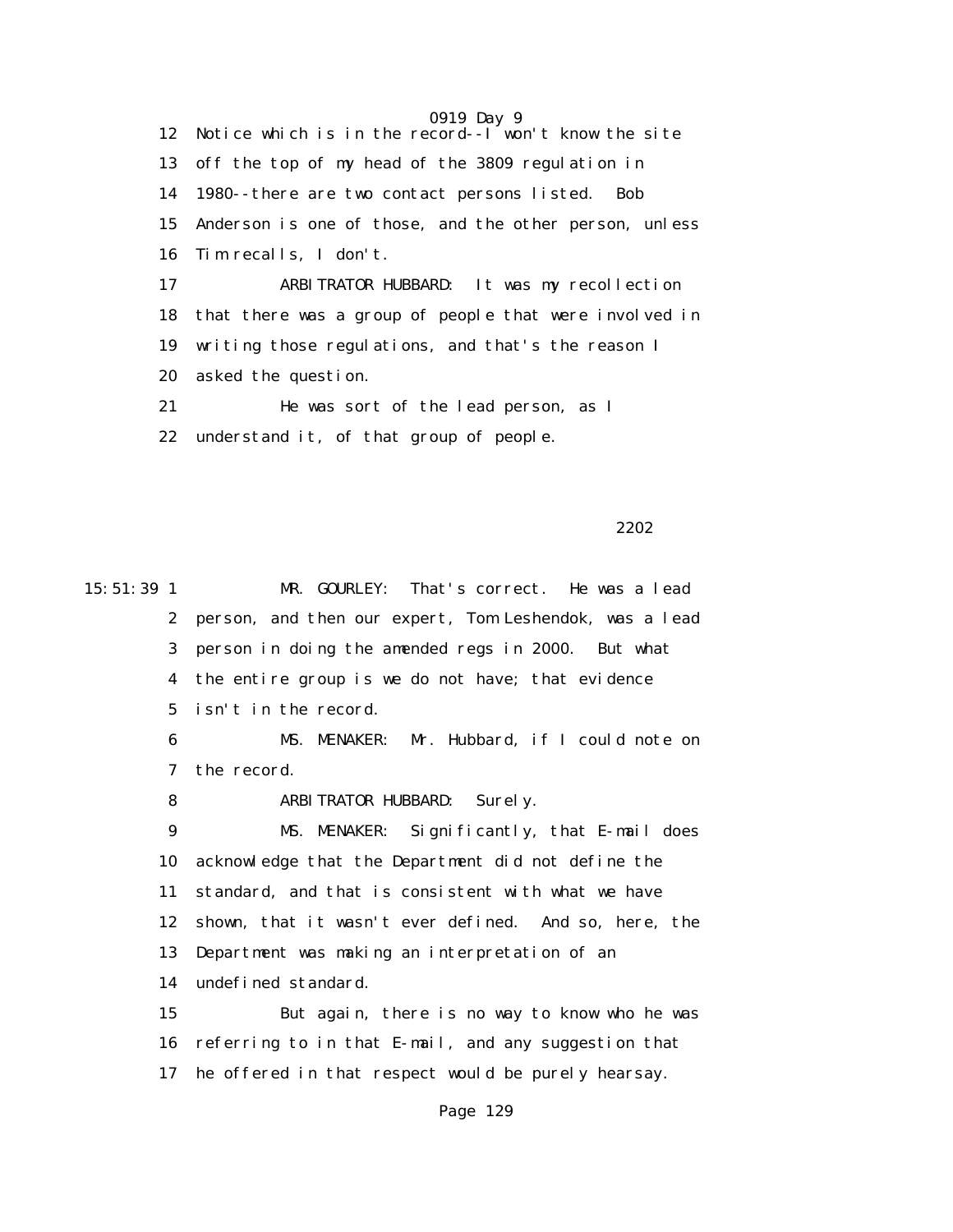0919 Day 9 12 Notice which is in the record--I won't know the site 13 off the top of my head of the 3809 regulation in 14 1980--there are two contact persons listed. Bob 15 Anderson is one of those, and the other person, unless 16 Tim recalls, I don't. 17 ARBITRATOR HUBBARD: It was my recollection 18 that there was a group of people that were involved in 19 writing those regulations, and that's the reason I 20 asked the question. 21 He was sort of the lead person, as I

22 understand it, of that group of people.

2202 and 2202 and 2202 and 2202 and 2202 and 2202

15:51:39 1 MR. GOURLEY: That's correct. He was a lead 2 person, and then our expert, Tom Leshendok, was a lead 3 person in doing the amended regs in 2000. But what 4 the entire group is we do not have; that evidence 5 isn't in the record. 6 MS. MENAKER: Mr. Hubbard, if I could note on 7 the record. 8 ARBITRATOR HUBBARD: Surely. 9 MS. MENAKER: Significantly, that E-mail does 10 acknowledge that the Department did not define the 11 standard, and that is consistent with what we have 12 shown, that it wasn't ever defined. And so, here, the 13 Department was making an interpretation of an 14 undefined standard. 15 But again, there is no way to know who he was 16 referring to in that E-mail, and any suggestion that 17 he offered in that respect would be purely hearsay.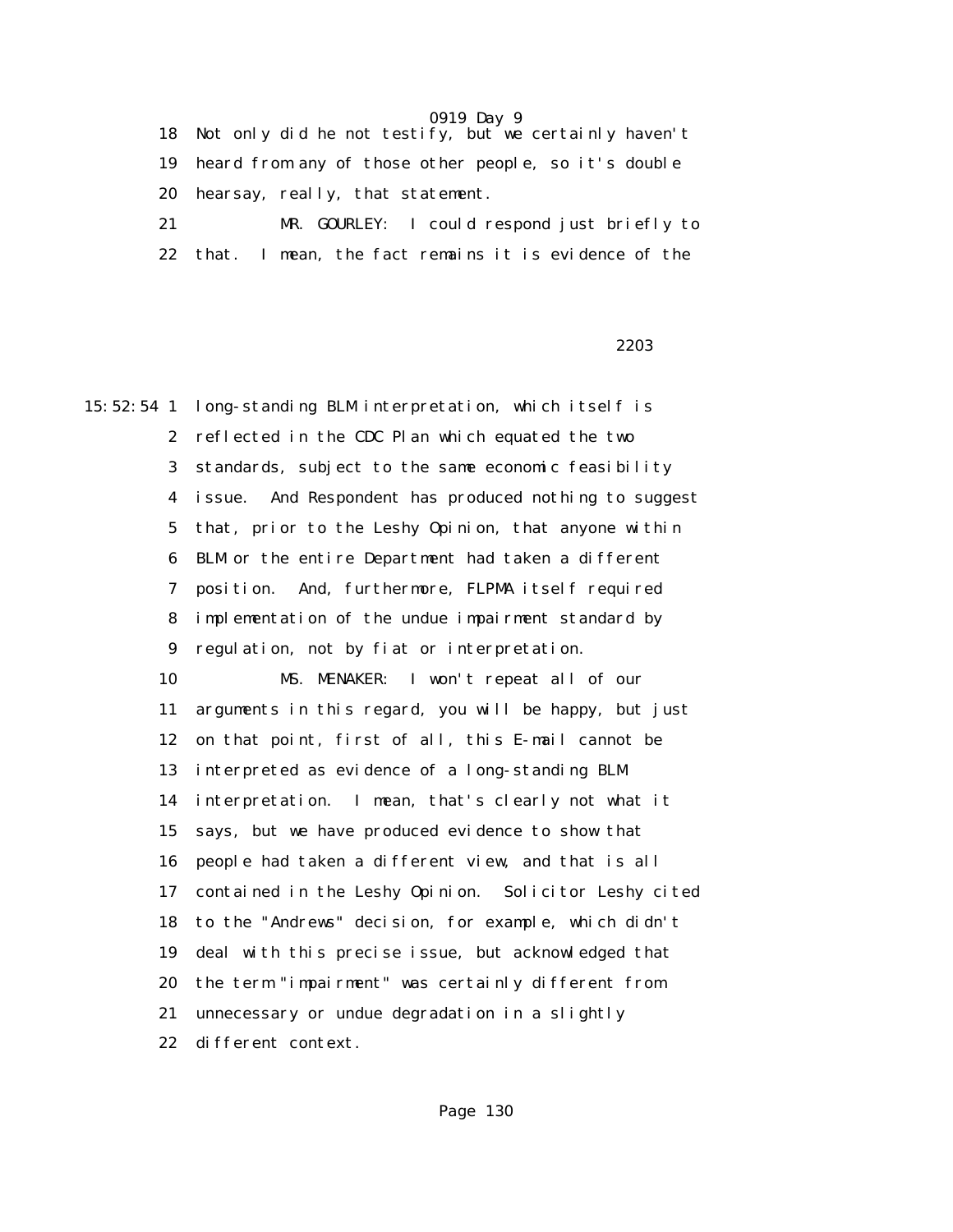18 Not only did he not testify, but we certainly haven't 19 heard from any of those other people, so it's double 20 hearsay, really, that statement. 21 MR. GOURLEY: I could respond just briefly to

22 that. I mean, the fact remains it is evidence of the

<u>2203</u> and the second state of the second state of the second state of the second state of the second state of the second state of the second state of the second state of the second state of the second state of the second

15:52:54 1 long-standing BLM interpretation, which itself is 2 reflected in the CDC Plan which equated the two 3 standards, subject to the same economic feasibility 4 issue. And Respondent has produced nothing to suggest 5 that, prior to the Leshy Opinion, that anyone within 6 BLM or the entire Department had taken a different 7 position. And, furthermore, FLPMA itself required 8 implementation of the undue impairment standard by 9 regulation, not by fiat or interpretation. 10 MS. MENAKER: I won't repeat all of our 11 arguments in this regard, you will be happy, but just 12 on that point, first of all, this E-mail cannot be 13 interpreted as evidence of a long-standing BLM 14 interpretation. I mean, that's clearly not what it 15 says, but we have produced evidence to show that 16 people had taken a different view, and that is all 17 contained in the Leshy Opinion. Solicitor Leshy cited 18 to the "Andrews" decision, for example, which didn't 19 deal with this precise issue, but acknowledged that 20 the term "impairment" was certainly different from 21 unnecessary or undue degradation in a slightly 22 different context.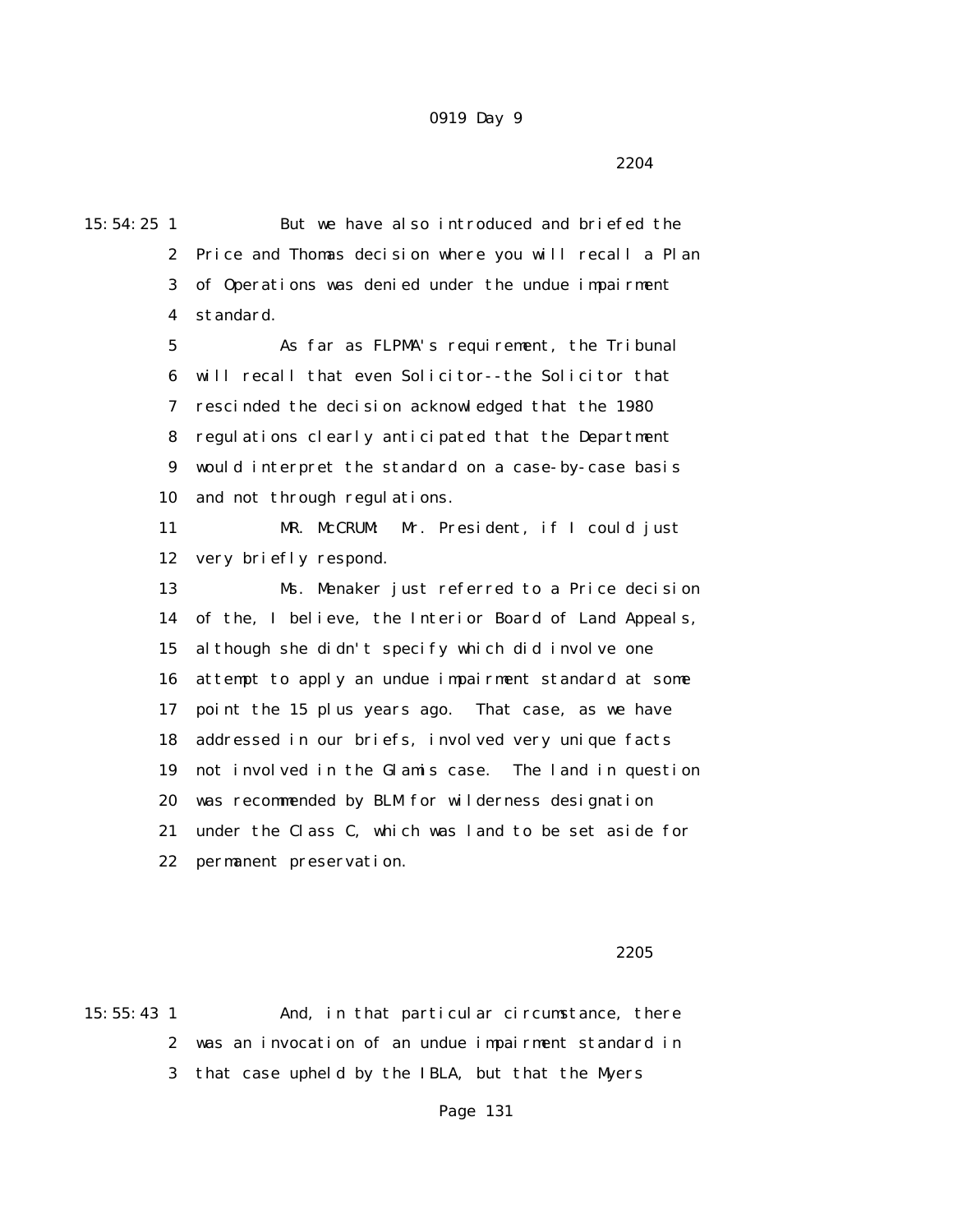2204 and 2204

15:54:25 1 But we have also introduced and briefed the 2 Price and Thomas decision where you will recall a Plan 3 of Operations was denied under the undue impairment 4 standard. 5 As far as FLPMA's requirement, the Tribunal 6 will recall that even Solicitor--the Solicitor that 7 rescinded the decision acknowledged that the 1980 8 regulations clearly anticipated that the Department 9 would interpret the standard on a case-by-case basis 10 and not through regulations. 11 MR. McCRUM: Mr. President, if I could just 12 very briefly respond. 13 Ms. Menaker just referred to a Price decision 14 of the, I believe, the Interior Board of Land Appeals, 15 although she didn't specify which did involve one 16 attempt to apply an undue impairment standard at some 17 point the 15 plus years ago. That case, as we have 18 addressed in our briefs, involved very unique facts 19 not involved in the Glamis case. The land in question 20 was recommended by BLM for wilderness designation 21 under the Class C, which was land to be set aside for 22 permanent preservation.

#### $2205$

15:55:43 1 And, in that particular circumstance, there 2 was an invocation of an undue impairment standard in 3 that case upheld by the IBLA, but that the Myers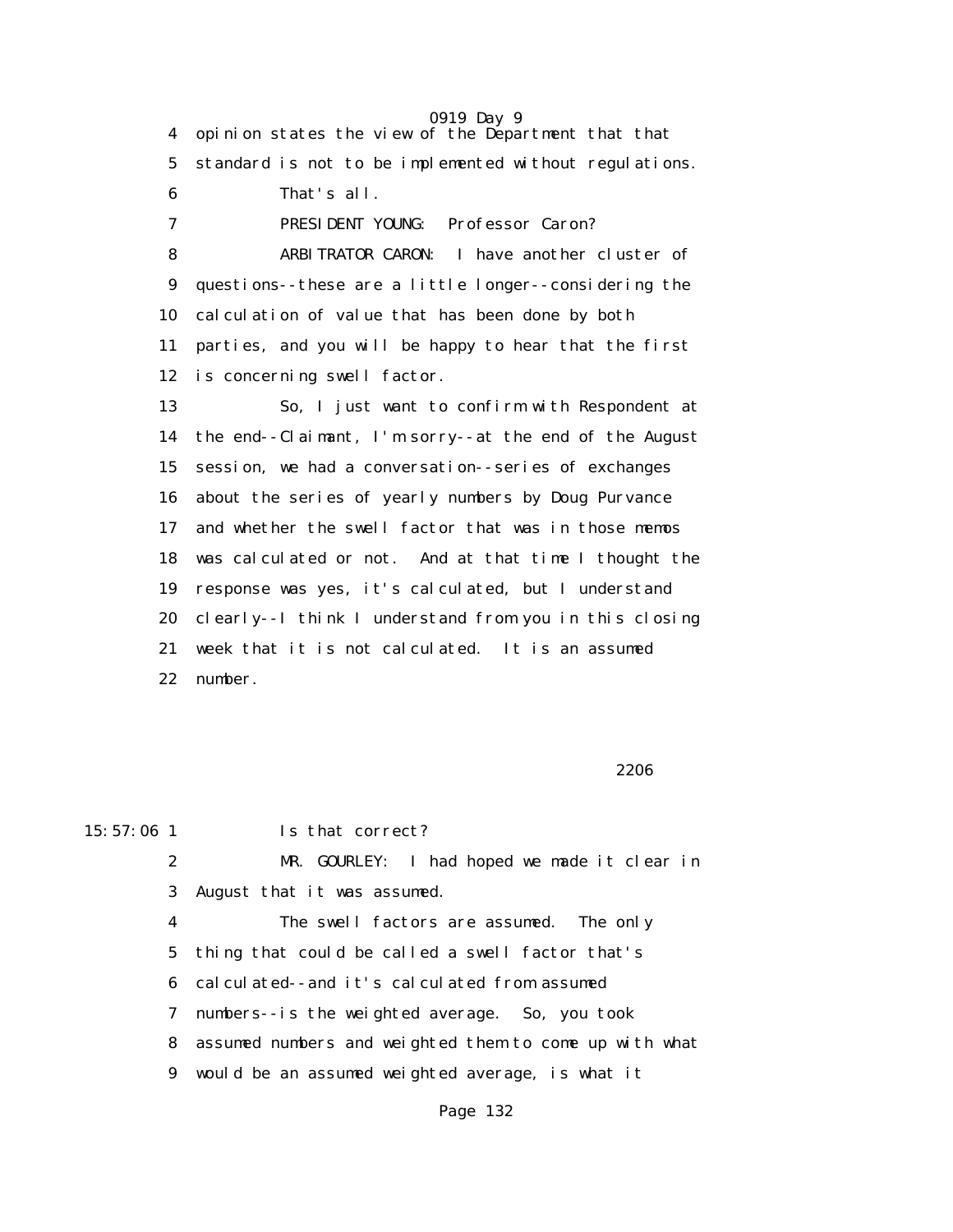0919 Day 9 4 opinion states the view of the Department that that 5 standard is not to be implemented without regulations. 6 That's all. 7 PRESIDENT YOUNG: Professor Caron? 8 ARBITRATOR CARON: I have another cluster of 9 questions--these are a little longer--considering the 10 calculation of value that has been done by both 11 parties, and you will be happy to hear that the first 12 is concerning swell factor. 13 So, I just want to confirm with Respondent at 14 the end--Claimant, I'm sorry--at the end of the August 15 session, we had a conversation--series of exchanges 16 about the series of yearly numbers by Doug Purvance 17 and whether the swell factor that was in those memos 18 was calculated or not. And at that time I thought the 19 response was yes, it's calculated, but I understand 20 clearly--I think I understand from you in this closing 21 week that it is not calculated. It is an assumed 22 number.

 $2206$ 

15:57:06 1 Is that correct?

 2 MR. GOURLEY: I had hoped we made it clear in 3 August that it was assumed.

 4 The swell factors are assumed. The only 5 thing that could be called a swell factor that's 6 calculated--and it's calculated from assumed 7 numbers--is the weighted average. So, you took 8 assumed numbers and weighted them to come up with what 9 would be an assumed weighted average, is what it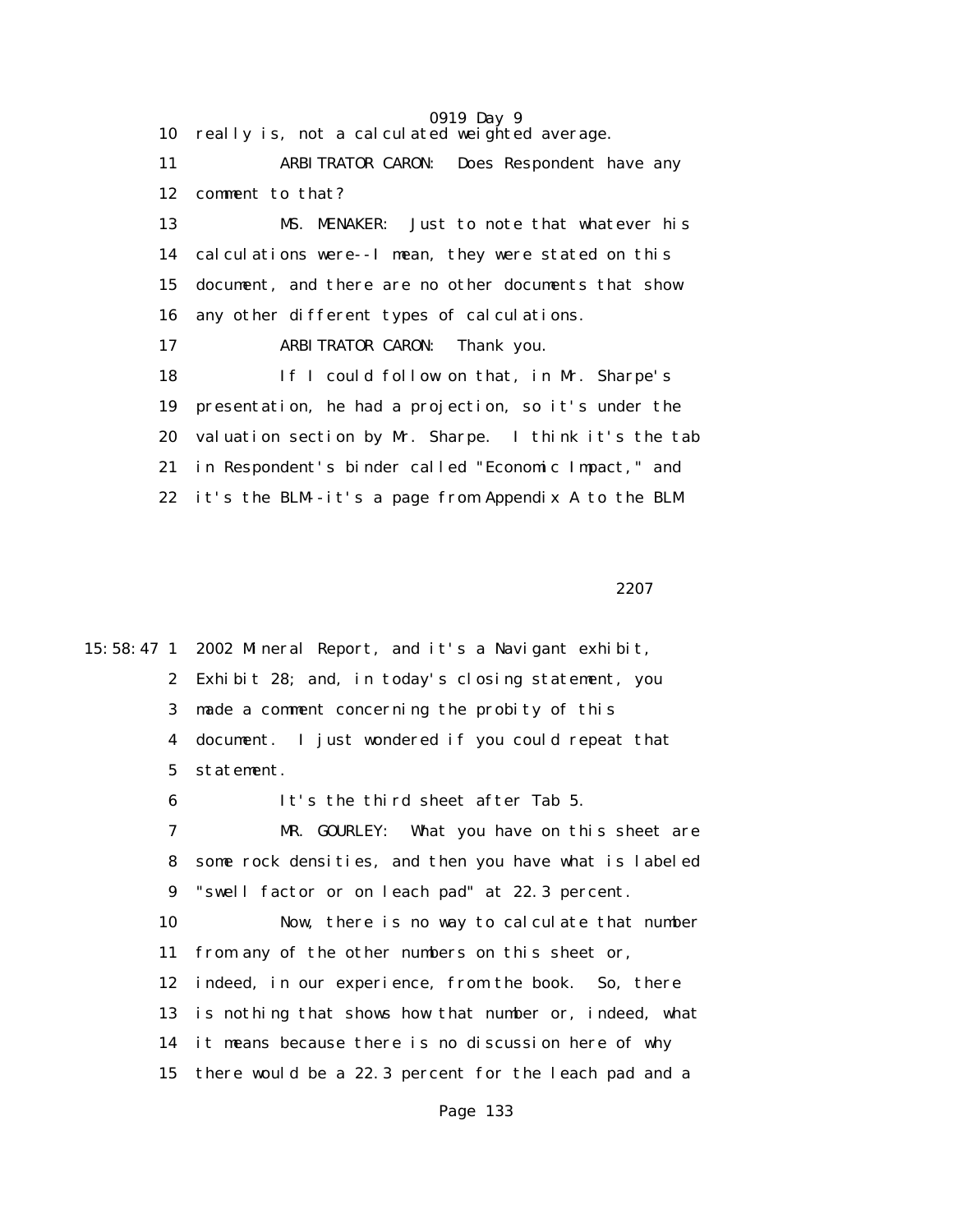0919 Day 9 10 really is, not a calculated weighted average. 11 ARBITRATOR CARON: Does Respondent have any 12 comment to that? 13 MS. MENAKER: Just to note that whatever his 14 calculations were--I mean, they were stated on this 15 document, and there are no other documents that show 16 any other different types of calculations. 17 ARBITRATOR CARON: Thank you. 18 If I could follow on that, in Mr. Sharpe's 19 presentation, he had a projection, so it's under the 20 valuation section by Mr. Sharpe. I think it's the tab 21 in Respondent's binder called "Economic Impact," and 22 it's the BLM--it's a page from Appendix A to the BLM

2207 **2207** 

15:58:47 1 2002 Mineral Report, and it's a Navigant exhibit, 2 Exhibit 28; and, in today's closing statement, you 3 made a comment concerning the probity of this 4 document. I just wondered if you could repeat that 5 statement. 6 It's the third sheet after Tab 5. 7 MR. GOURLEY: What you have on this sheet are 8 some rock densities, and then you have what is labeled 9 "swell factor or on leach pad" at 22.3 percent. 10 Now, there is no way to calculate that number 11 from any of the other numbers on this sheet or, 12 indeed, in our experience, from the book. So, there 13 is nothing that shows how that number or, indeed, what 14 it means because there is no discussion here of why 15 there would be a 22.3 percent for the leach pad and a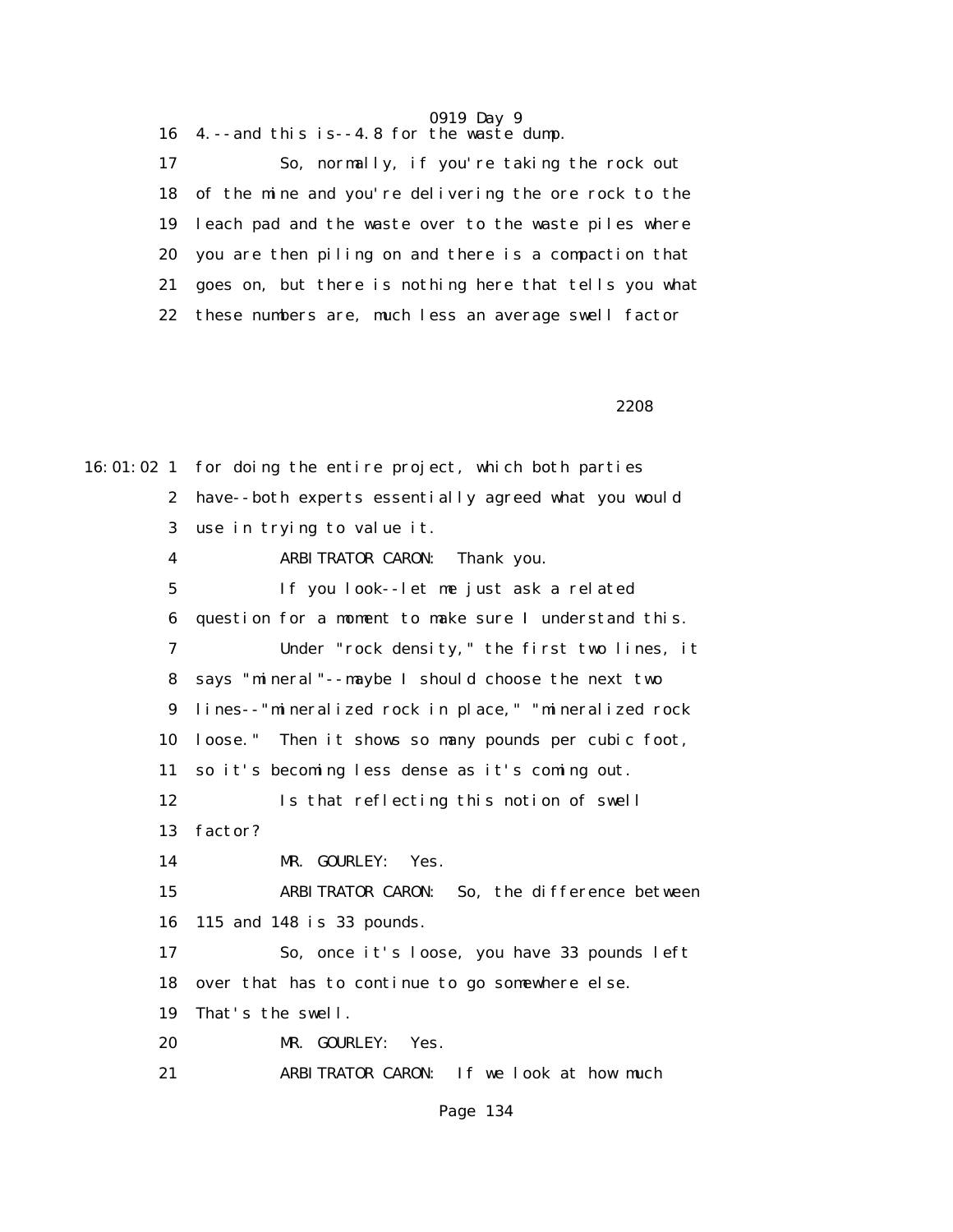16 4.--and this is--4.8 for the waste dump.

 17 So, normally, if you're taking the rock out 18 of the mine and you're delivering the ore rock to the 19 leach pad and the waste over to the waste piles where 20 you are then piling on and there is a compaction that 21 goes on, but there is nothing here that tells you what 22 these numbers are, much less an average swell factor

 $2208$ 

16:01:02 1 for doing the entire project, which both parties 2 have--both experts essentially agreed what you would 3 use in trying to value it. 4 ARBITRATOR CARON: Thank you. 5 If you look--let me just ask a related 6 question for a moment to make sure I understand this. 7 Under "rock density," the first two lines, it 8 says "mineral"--maybe I should choose the next two 9 lines--"mineralized rock in place," "mineralized rock 10 loose." Then it shows so many pounds per cubic foot, 11 so it's becoming less dense as it's coming out. 12 Is that reflecting this notion of swell 13 factor? 14 MR. GOURLEY: Yes. 15 ARBITRATOR CARON: So, the difference between 16 115 and 148 is 33 pounds. 17 So, once it's loose, you have 33 pounds left 18 over that has to continue to go somewhere else. 19 That's the swell. 20 MR. GOURLEY: Yes. 21 ARBITRATOR CARON: If we look at how much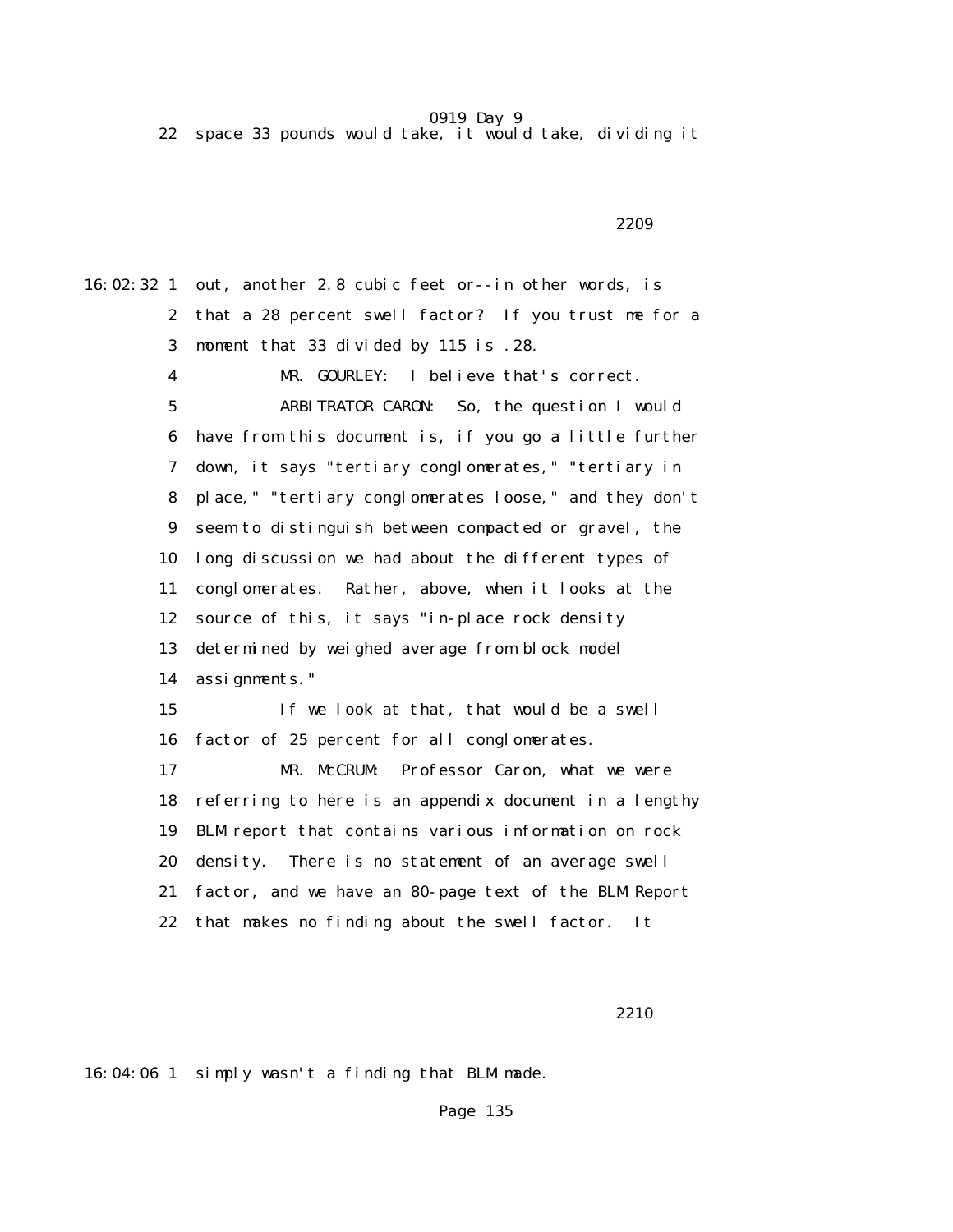22 space 33 pounds would take, it would take, dividing it

 $2209$ 

16:02:32 1 out, another 2.8 cubic feet or--in other words, is 2 that a 28 percent swell factor? If you trust me for a 3 moment that 33 divided by 115 is .28. 4 MR. GOURLEY: I believe that's correct. 5 ARBITRATOR CARON: So, the question I would 6 have from this document is, if you go a little further 7 down, it says "tertiary conglomerates," "tertiary in 8 place," "tertiary conglomerates loose," and they don't 9 seem to distinguish between compacted or gravel, the 10 long discussion we had about the different types of 11 conglomerates. Rather, above, when it looks at the 12 source of this, it says "in-place rock density 13 determined by weighed average from block model 14 assignments." 15 If we look at that, that would be a swell 16 factor of 25 percent for all conglomerates. 17 MR. McCRUM: Professor Caron, what we were 18 referring to here is an appendix document in a lengthy 19 BLM report that contains various information on rock 20 density. There is no statement of an average swell 21 factor, and we have an 80-page text of the BLM Report 22 that makes no finding about the swell factor. It

2210

16:04:06 1 simply wasn't a finding that BLM made.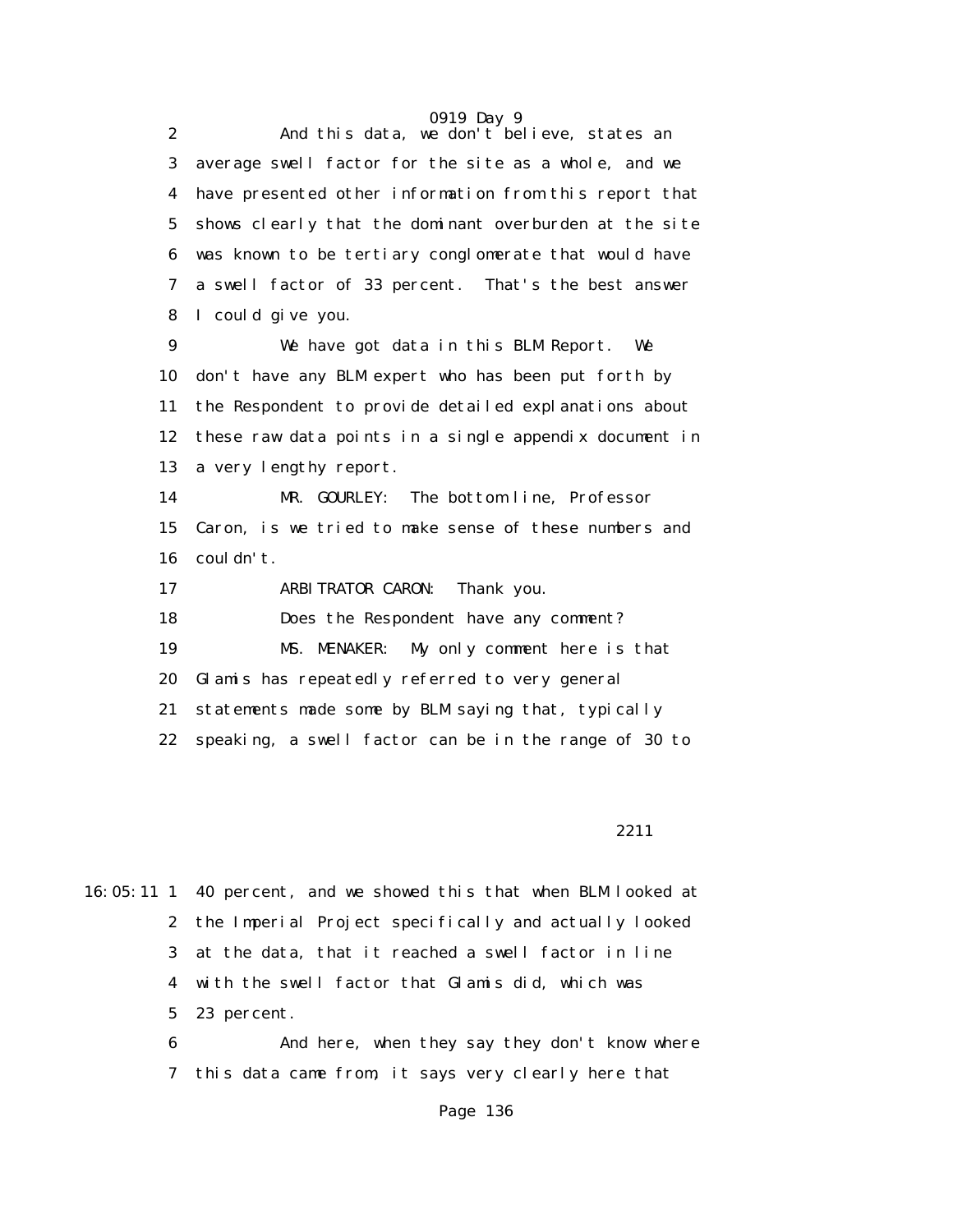2 And this data, we don't believe, states an 3 average swell factor for the site as a whole, and we 4 have presented other information from this report that 5 shows clearly that the dominant overburden at the site 6 was known to be tertiary conglomerate that would have 7 a swell factor of 33 percent. That's the best answer 8 I could give you.

 9 We have got data in this BLM Report. We 10 don't have any BLM expert who has been put forth by 11 the Respondent to provide detailed explanations about 12 these raw data points in a single appendix document in 13 a very lengthy report.

 14 MR. GOURLEY: The bottom line, Professor 15 Caron, is we tried to make sense of these numbers and 16 couldn't.

17 ARBITRATOR CARON: Thank you.

18 Does the Respondent have any comment?

19 MS. MENAKER: My only comment here is that

20 Glamis has repeatedly referred to very general

21 statements made some by BLM saying that, typically

22 speaking, a swell factor can be in the range of 30 to

2211

16:05:11 1 40 percent, and we showed this that when BLM looked at 2 the Imperial Project specifically and actually looked 3 at the data, that it reached a swell factor in line 4 with the swell factor that Glamis did, which was 5 23 percent.

> 6 And here, when they say they don't know where 7 this data came from, it says very clearly here that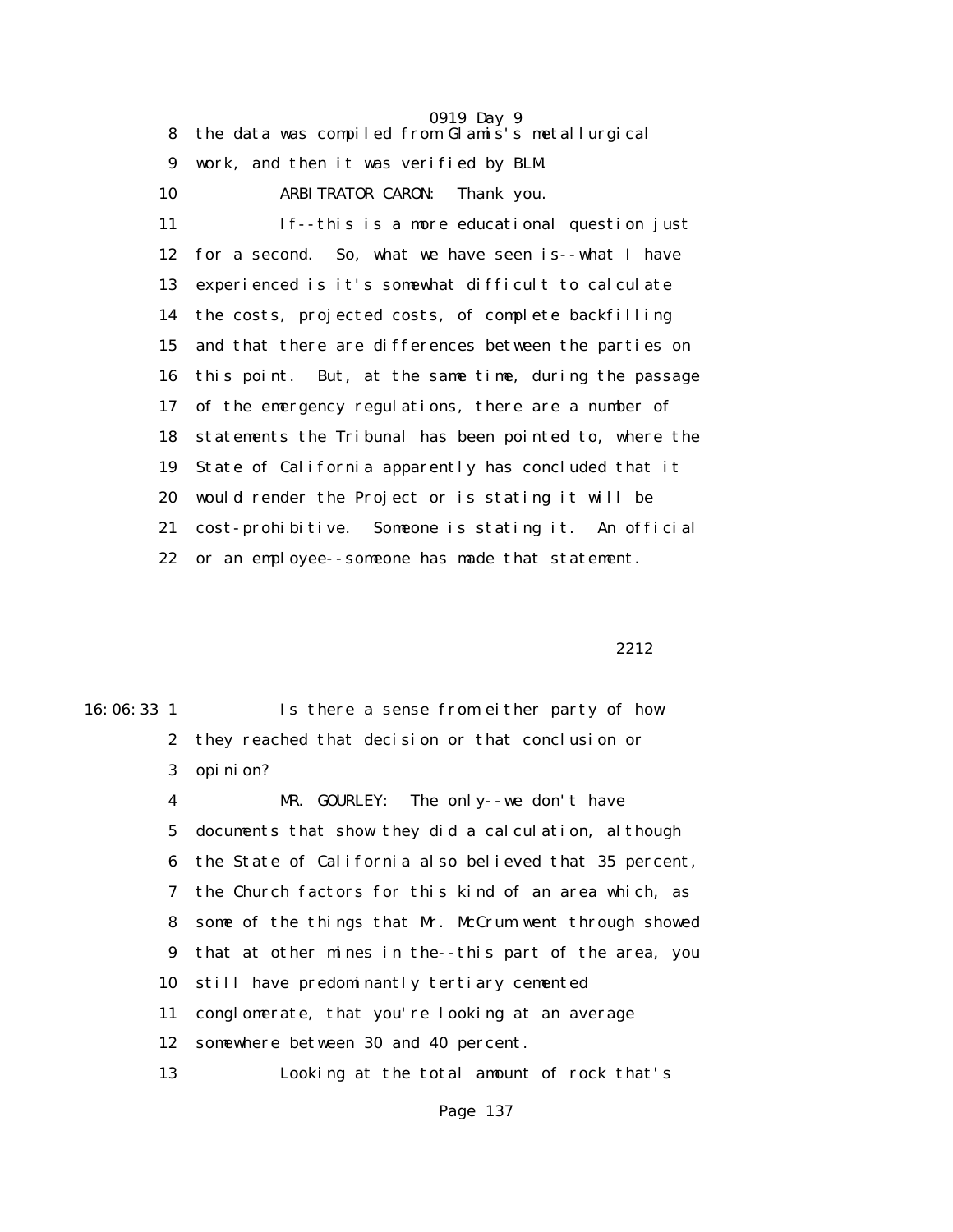0919 Day 9 8 the data was compiled from Glamis's metallurgical 9 work, and then it was verified by BLM.

 10 ARBITRATOR CARON: Thank you. 11 If--this is a more educational question just 12 for a second. So, what we have seen is--what I have 13 experienced is it's somewhat difficult to calculate 14 the costs, projected costs, of complete backfilling 15 and that there are differences between the parties on 16 this point. But, at the same time, during the passage 17 of the emergency regulations, there are a number of 18 statements the Tribunal has been pointed to, where the 19 State of California apparently has concluded that it 20 would render the Project or is stating it will be 21 cost-prohibitive. Someone is stating it. An official 22 or an employee--someone has made that statement.

2212

16:06:33 1 Is there a sense from either party of how 2 they reached that decision or that conclusion or 3 opinion? 4 MR. GOURLEY: The only--we don't have 5 documents that show they did a calculation, although 6 the State of California also believed that 35 percent, 7 the Church factors for this kind of an area which, as 8 some of the things that Mr. McCrum went through showed 9 that at other mines in the--this part of the area, you 10 still have predominantly tertiary cemented 11 conglomerate, that you're looking at an average 12 somewhere between 30 and 40 percent. 13 Looking at the total amount of rock that's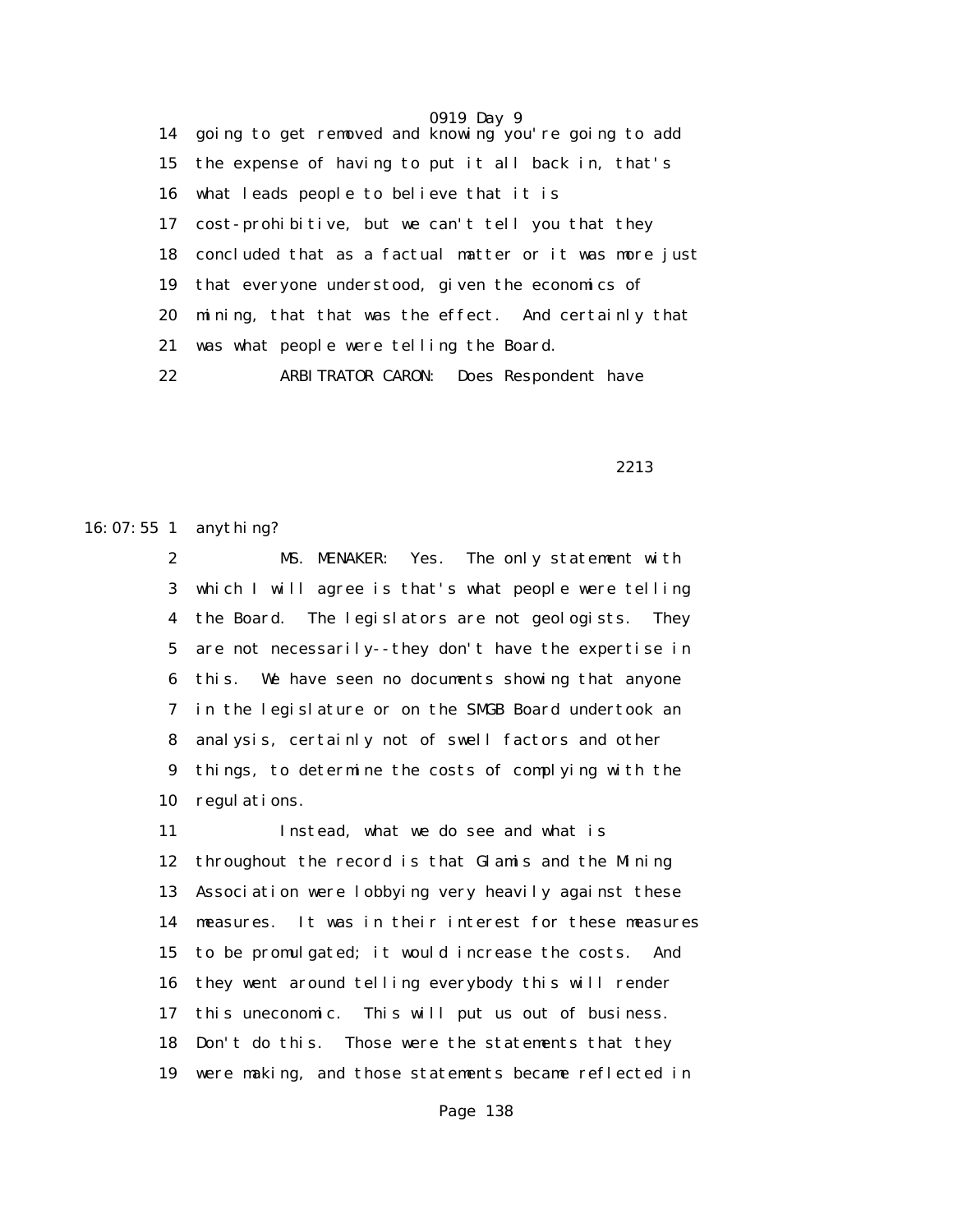0919 Day 9 14 going to get removed and knowing you're going to add 15 the expense of having to put it all back in, that's 16 what leads people to believe that it is 17 cost-prohibitive, but we can't tell you that they 18 concluded that as a factual matter or it was more just 19 that everyone understood, given the economics of 20 mining, that that was the effect. And certainly that 21 was what people were telling the Board. 22 ARBITRATOR CARON: Does Respondent have

2213

16:07:55 1 anything?

 2 MS. MENAKER: Yes. The only statement with 3 which I will agree is that's what people were telling 4 the Board. The legislators are not geologists. They 5 are not necessarily--they don't have the expertise in 6 this. We have seen no documents showing that anyone 7 in the legislature or on the SMGB Board undertook an 8 analysis, certainly not of swell factors and other 9 things, to determine the costs of complying with the 10 regulations.

 11 Instead, what we do see and what is 12 throughout the record is that Glamis and the Mining 13 Association were lobbying very heavily against these 14 measures. It was in their interest for these measures 15 to be promulgated; it would increase the costs. And 16 they went around telling everybody this will render 17 this uneconomic. This will put us out of business. 18 Don't do this. Those were the statements that they 19 were making, and those statements became reflected in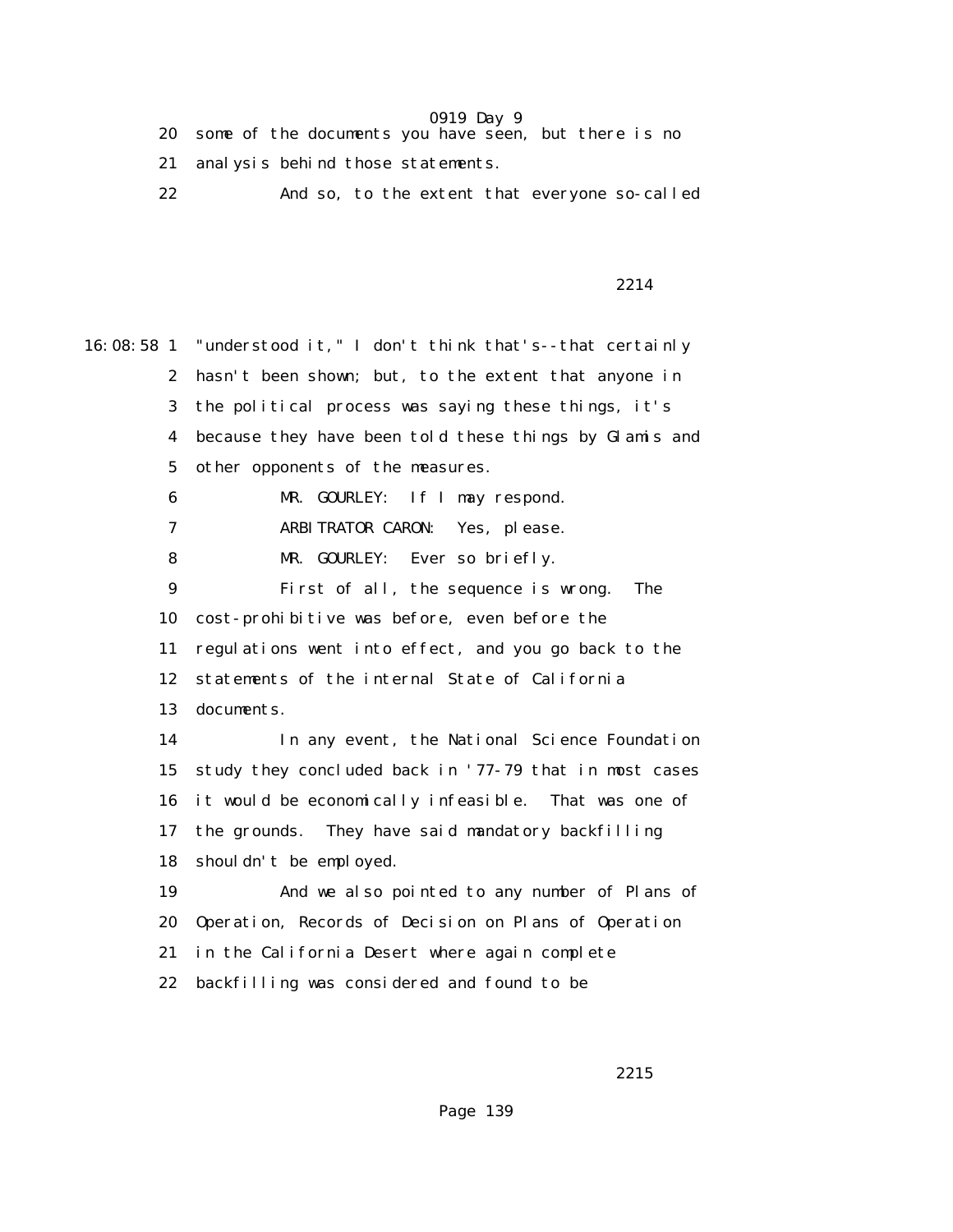- 20 some of the documents you have seen, but there is no
- 21 analysis behind those statements.
- 22 And so, to the extent that everyone so-called

2214

16:08:58 1 "understood it," I don't think that's--that certainly 2 hasn't been shown; but, to the extent that anyone in 3 the political process was saying these things, it's 4 because they have been told these things by Glamis and 5 other opponents of the measures. 6 MR. GOURLEY: If I may respond. 7 ARBITRATOR CARON: Yes, please. 8 MR. GOURLEY: Ever so briefly. 9 First of all, the sequence is wrong. The 10 cost-prohibitive was before, even before the 11 regulations went into effect, and you go back to the 12 statements of the internal State of California 13 documents. 14 In any event, the National Science Foundation 15 study they concluded back in '77-79 that in most cases 16 it would be economically infeasible. That was one of 17 the grounds. They have said mandatory backfilling 18 shouldn't be employed. 19 And we also pointed to any number of Plans of 20 Operation, Records of Decision on Plans of Operation 21 in the California Desert where again complete 22 backfilling was considered and found to be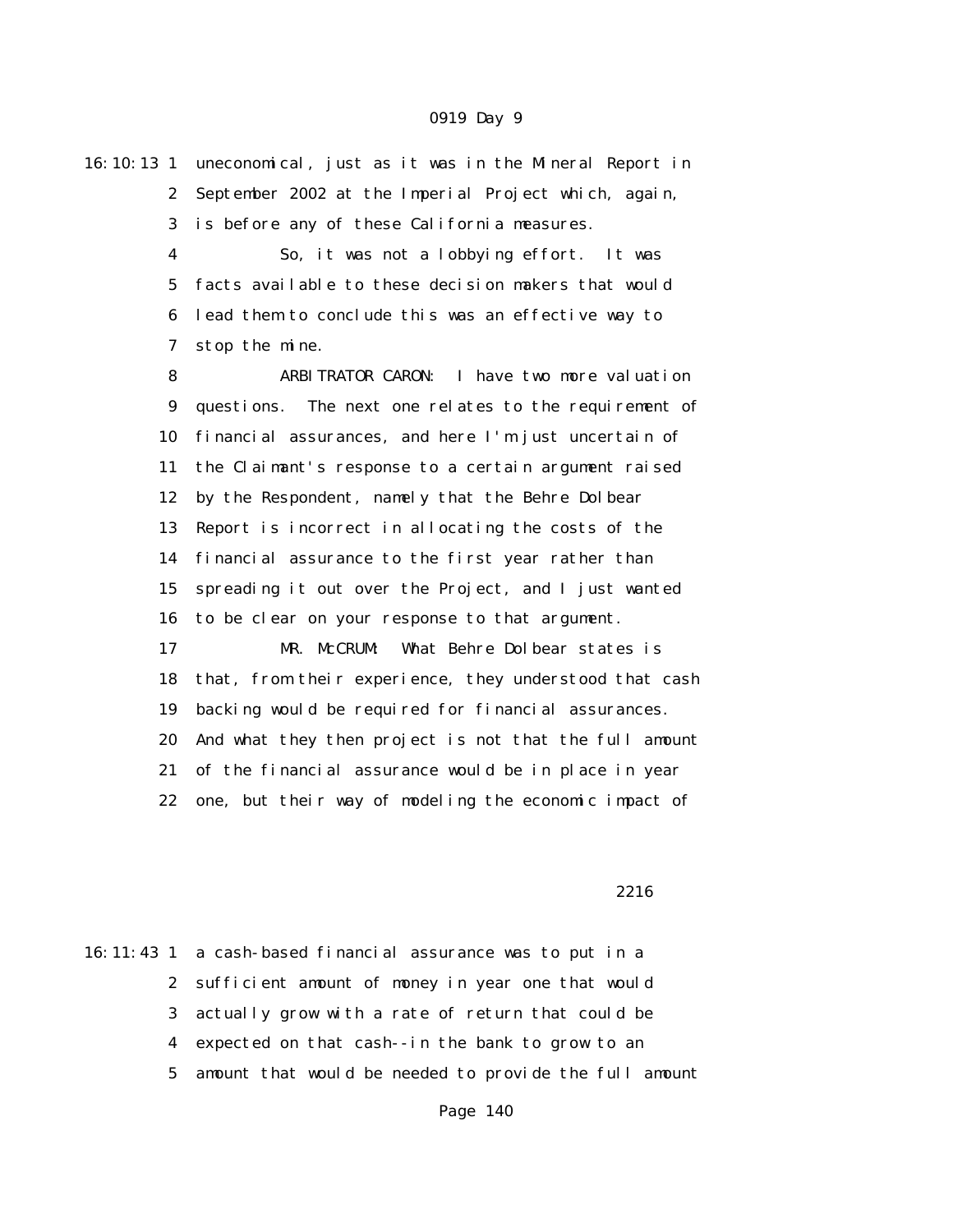16:10:13 1 uneconomical, just as it was in the Mineral Report in 2 September 2002 at the Imperial Project which, again, 3 is before any of these California measures.

> 4 So, it was not a lobbying effort. It was 5 facts available to these decision makers that would 6 lead them to conclude this was an effective way to 7 stop the mine.

 8 ARBITRATOR CARON: I have two more valuation 9 questions. The next one relates to the requirement of 10 financial assurances, and here I'm just uncertain of 11 the Claimant's response to a certain argument raised 12 by the Respondent, namely that the Behre Dolbear 13 Report is incorrect in allocating the costs of the 14 financial assurance to the first year rather than 15 spreading it out over the Project, and I just wanted 16 to be clear on your response to that argument. 17 MR. McCRUM: What Behre Dolbear states is 18 that, from their experience, they understood that cash 19 backing would be required for financial assurances. 20 And what they then project is not that the full amount

21 of the financial assurance would be in place in year

22 one, but their way of modeling the economic impact of

<u>2216</u>

16:11:43 1 a cash-based financial assurance was to put in a 2 sufficient amount of money in year one that would 3 actually grow with a rate of return that could be 4 expected on that cash--in the bank to grow to an 5 amount that would be needed to provide the full amount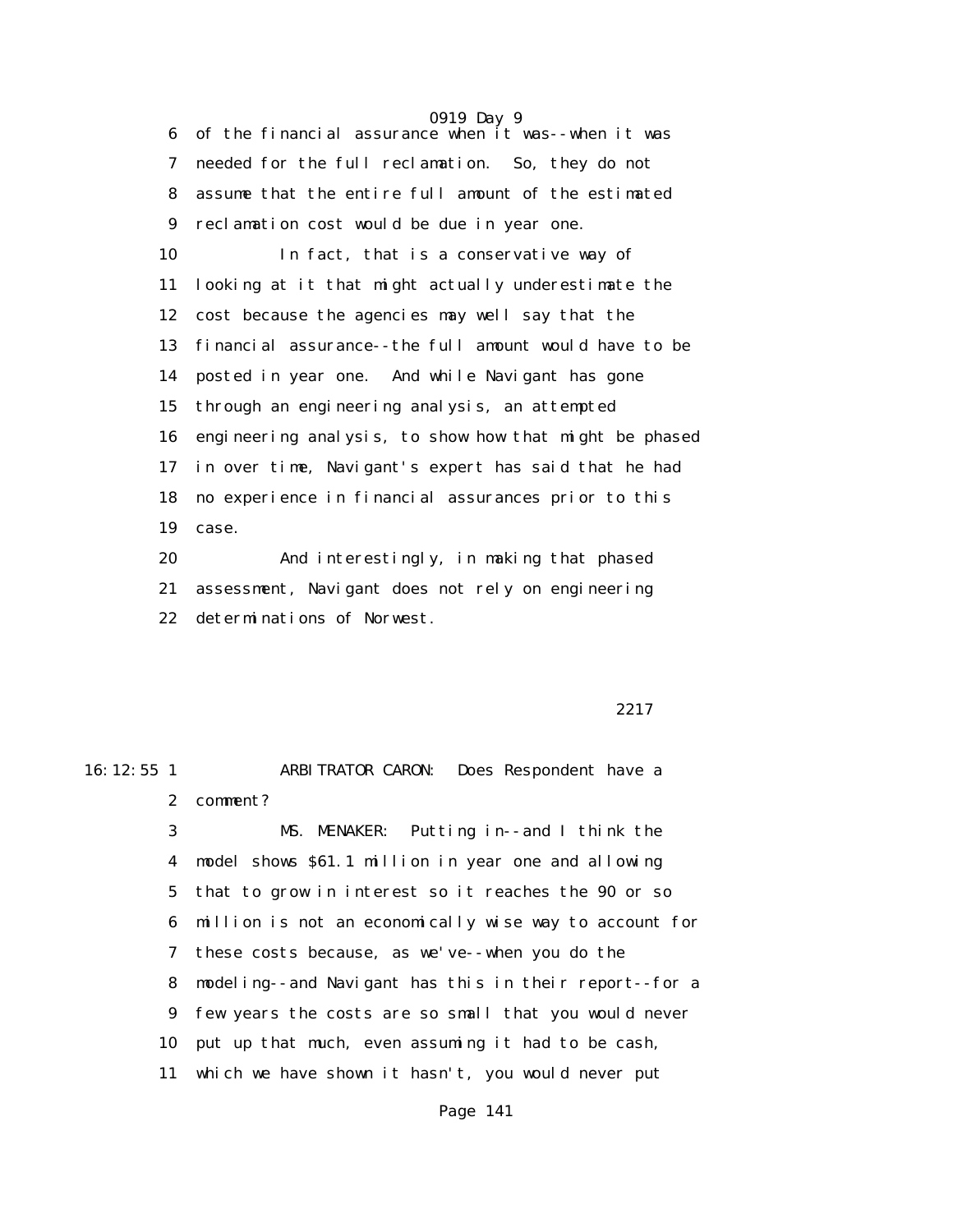6 of the financial assurance when it was--when it was 7 needed for the full reclamation. So, they do not 8 assume that the entire full amount of the estimated 9 reclamation cost would be due in year one. 10 In fact, that is a conservative way of 11 looking at it that might actually underestimate the 12 cost because the agencies may well say that the 13 financial assurance--the full amount would have to be 14 posted in year one. And while Navigant has gone 15 through an engineering analysis, an attempted 16 engineering analysis, to show how that might be phased 17 in over time, Navigant's expert has said that he had 18 no experience in financial assurances prior to this

19 case.

 20 And interestingly, in making that phased 21 assessment, Navigant does not rely on engineering 22 determinations of Norwest.

2217

16:12:55 1 ARBITRATOR CARON: Does Respondent have a 2 comment? 3 MS. MENAKER: Putting in--and I think the 4 model shows \$61.1 million in year one and allowing 5 that to grow in interest so it reaches the 90 or so

> 6 million is not an economically wise way to account for 7 these costs because, as we've--when you do the 8 modeling--and Navigant has this in their report--for a 9 few years the costs are so small that you would never 10 put up that much, even assuming it had to be cash,

11 which we have shown it hasn't, you would never put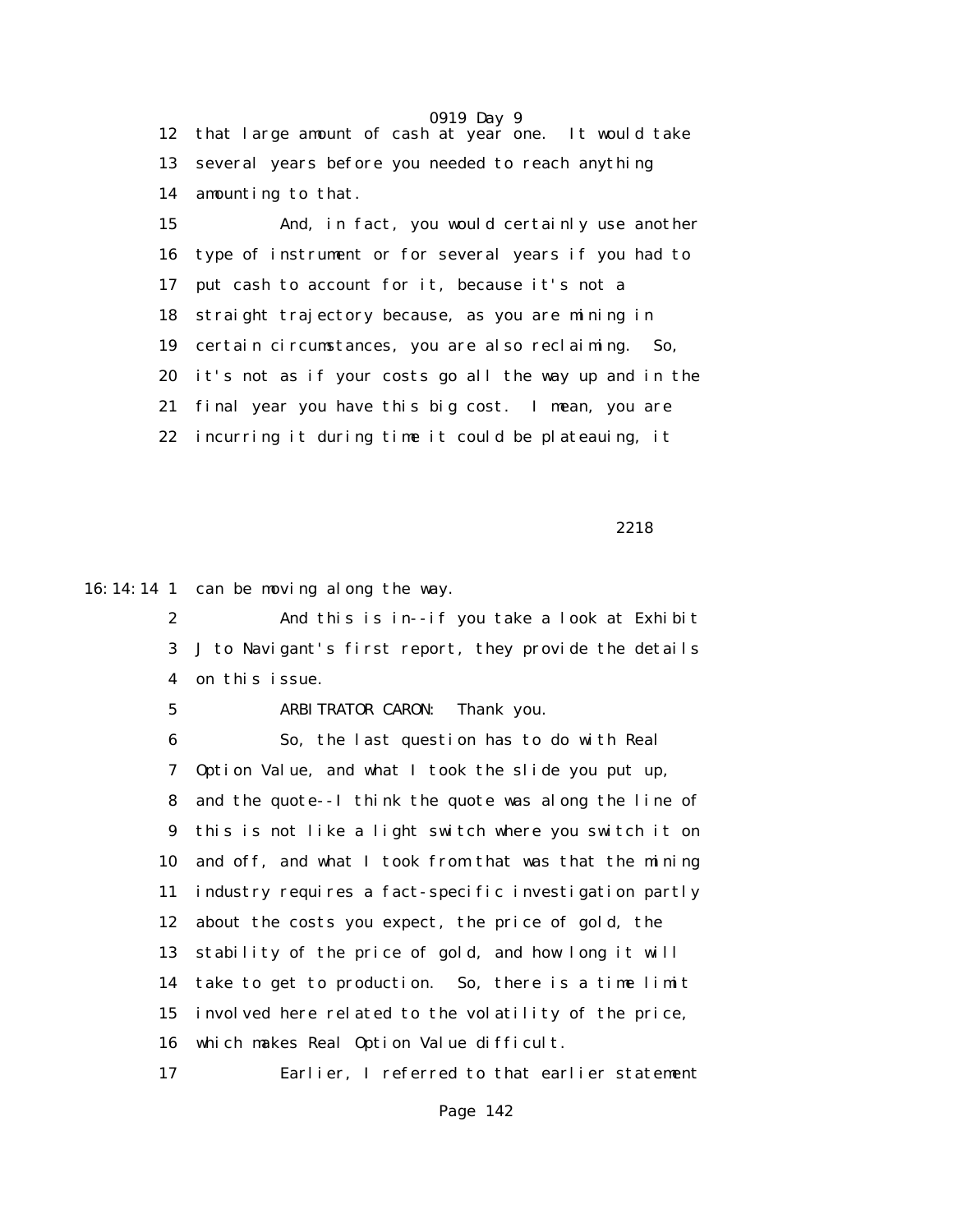0919 Day 9 12 that large amount of cash at year one. It would take 13 several years before you needed to reach anything 14 amounting to that.

 15 And, in fact, you would certainly use another 16 type of instrument or for several years if you had to 17 put cash to account for it, because it's not a 18 straight trajectory because, as you are mining in 19 certain circumstances, you are also reclaiming. So, 20 it's not as if your costs go all the way up and in the 21 final year you have this big cost. I mean, you are 22 incurring it during time it could be plateauing, it

2218

16:14:14 1 can be moving along the way.

 2 And this is in--if you take a look at Exhibit 3 J to Navigant's first report, they provide the details 4 on this issue.

5 ARBITRATOR CARON: Thank you.

 6 So, the last question has to do with Real 7 Option Value, and what I took the slide you put up, 8 and the quote--I think the quote was along the line of 9 this is not like a light switch where you switch it on 10 and off, and what I took from that was that the mining 11 industry requires a fact-specific investigation partly 12 about the costs you expect, the price of gold, the 13 stability of the price of gold, and how long it will 14 take to get to production. So, there is a time limit 15 involved here related to the volatility of the price, 16 which makes Real Option Value difficult. 17 Earlier, I referred to that earlier statement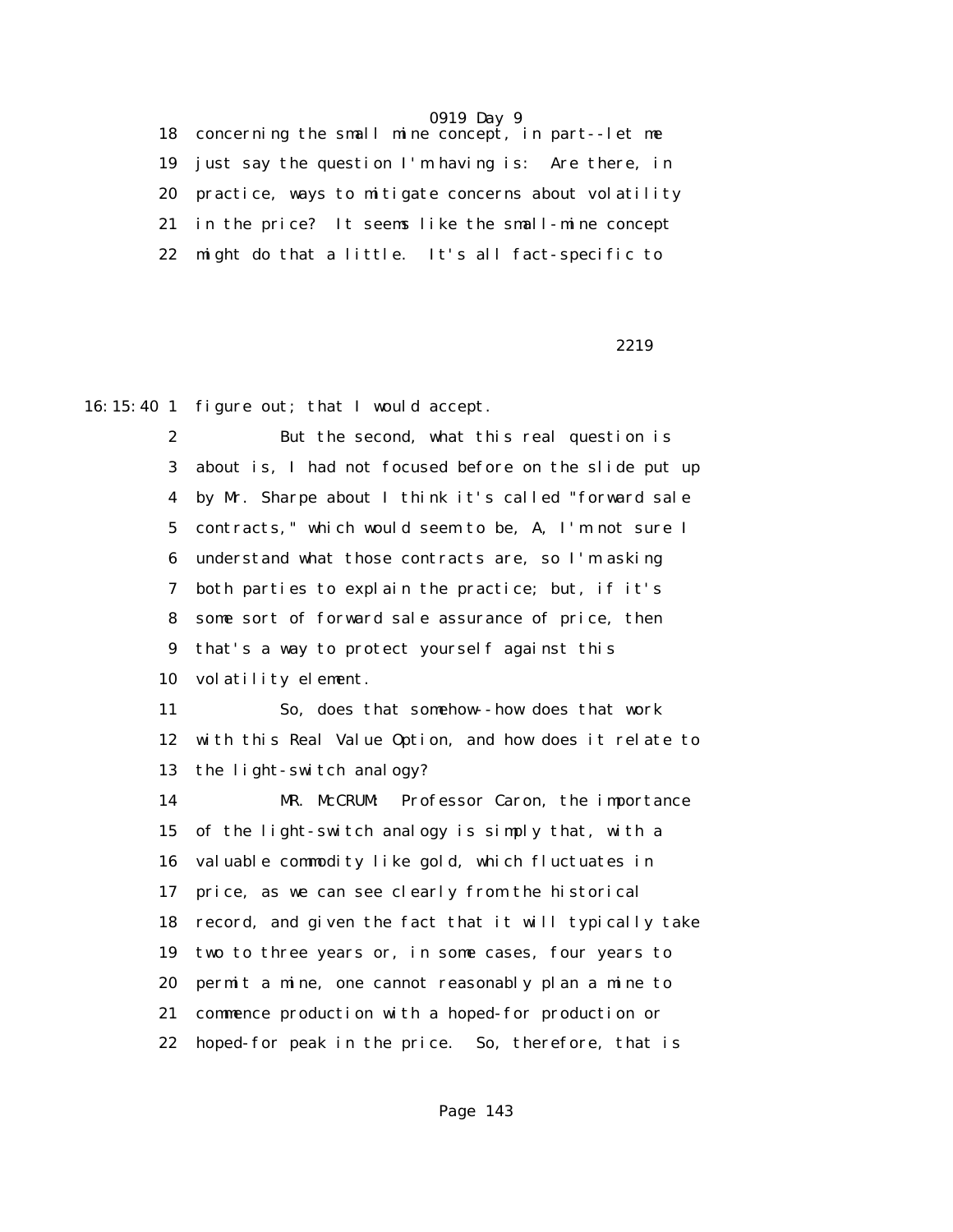18 concerning the small mine concept, in part--let me 19 just say the question I'm having is: Are there, in 20 practice, ways to mitigate concerns about volatility 21 in the price? It seems like the small-mine concept 22 might do that a little. It's all fact-specific to

2219

16:15:40 1 figure out; that I would accept.

 2 But the second, what this real question is 3 about is, I had not focused before on the slide put up 4 by Mr. Sharpe about I think it's called "forward sale 5 contracts," which would seem to be, A, I'm not sure I 6 understand what those contracts are, so I'm asking 7 both parties to explain the practice; but, if it's 8 some sort of forward sale assurance of price, then 9 that's a way to protect yourself against this 10 volatility element.

 11 So, does that somehow--how does that work 12 with this Real Value Option, and how does it relate to 13 the light-switch analogy?

 14 MR. McCRUM: Professor Caron, the importance 15 of the light-switch analogy is simply that, with a 16 valuable commodity like gold, which fluctuates in 17 price, as we can see clearly from the historical 18 record, and given the fact that it will typically take 19 two to three years or, in some cases, four years to 20 permit a mine, one cannot reasonably plan a mine to 21 commence production with a hoped-for production or 22 hoped-for peak in the price. So, therefore, that is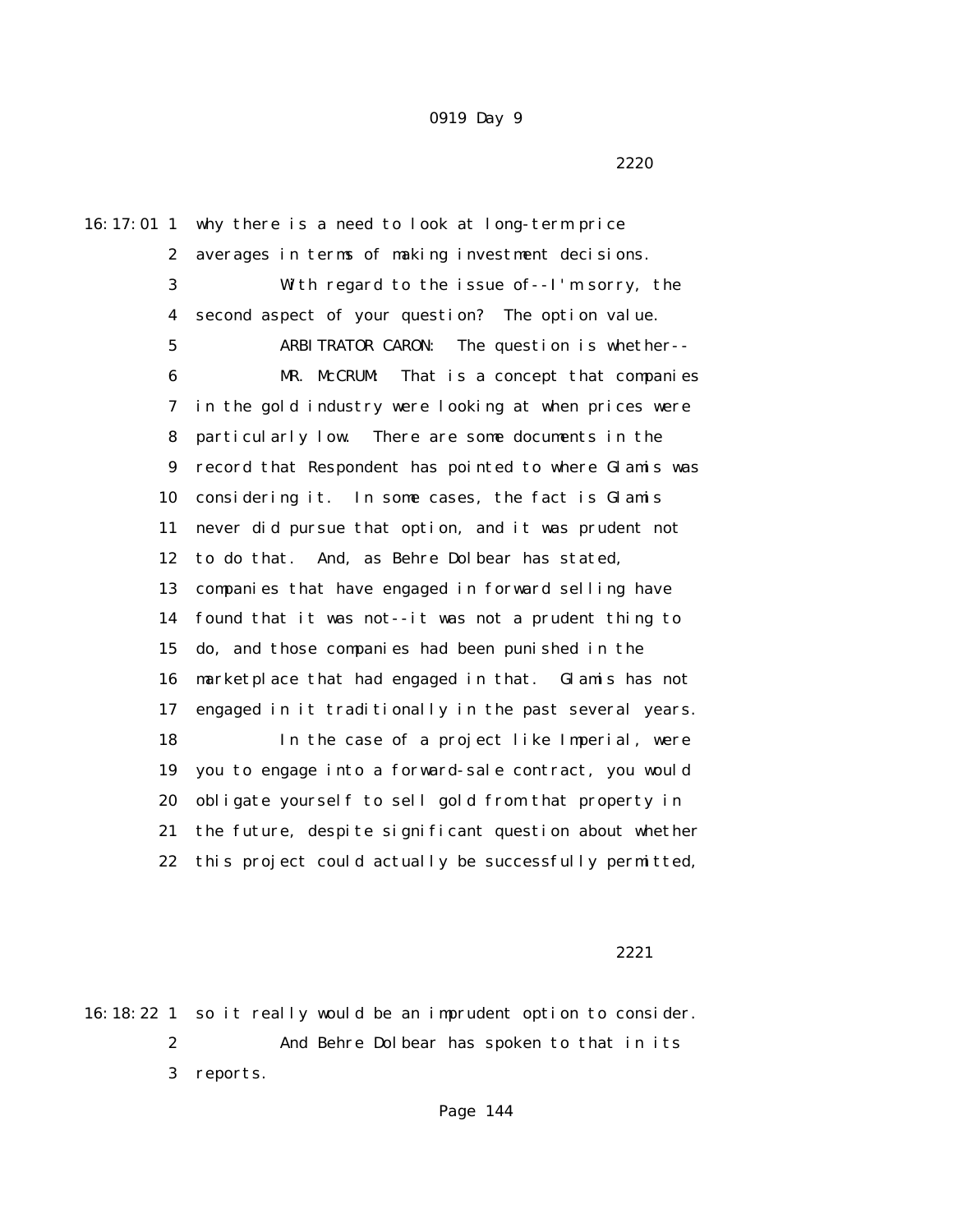2220 and 2220 and 2220 and 2220 and 2220 and 2220 and 2220 and 2320 and 2320 and 2320 and 2320 and 2320 and 23

16:17:01 1 why there is a need to look at long-term price 2 averages in terms of making investment decisions. 3 With regard to the issue of--I'm sorry, the 4 second aspect of your question? The option value. 5 ARBITRATOR CARON: The question is whether-- 6 MR. McCRUM: That is a concept that companies 7 in the gold industry were looking at when prices were 8 particularly low. There are some documents in the 9 record that Respondent has pointed to where Glamis was 10 considering it. In some cases, the fact is Glamis 11 never did pursue that option, and it was prudent not 12 to do that. And, as Behre Dolbear has stated, 13 companies that have engaged in forward selling have 14 found that it was not--it was not a prudent thing to 15 do, and those companies had been punished in the 16 marketplace that had engaged in that. Glamis has not 17 engaged in it traditionally in the past several years. 18 In the case of a project like Imperial, were 19 you to engage into a forward-sale contract, you would 20 obligate yourself to sell gold from that property in 21 the future, despite significant question about whether 22 this project could actually be successfully permitted,

2221

16:18:22 1 so it really would be an imprudent option to consider. 2 And Behre Dolbear has spoken to that in its 3 reports.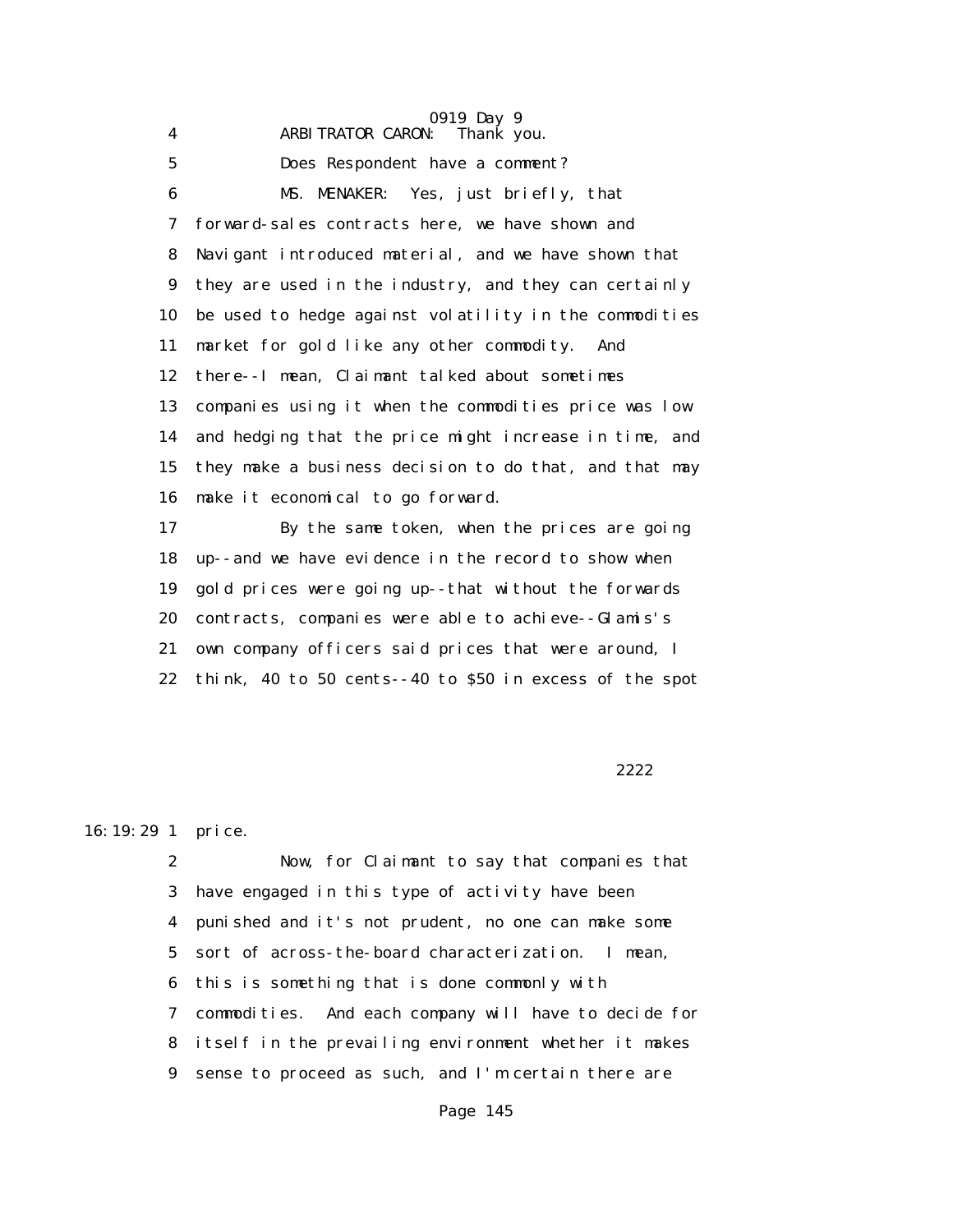|             | 0919 Day 9                                              |
|-------------|---------------------------------------------------------|
| 4           | Thank you.<br><b>ARBITRATOR CARON:</b>                  |
| $\mathbf 5$ | Does Respondent have a comment?                         |
| 6           | MS. MENAKER: Yes, just briefly, that                    |
| 7           | forward-sales contracts here, we have shown and         |
| 8           | Navigant introduced material, and we have shown that    |
| 9           | they are used in the industry, and they can certainly   |
| 10          | be used to hedge against volatility in the commodities  |
| 11          | market for gold like any other commodity.<br>And        |
| 12          | there--I mean, Claimant talked about sometimes          |
| 13          | companies using it when the commodities price was low   |
| 14          | and hedging that the price might increase in time, and  |
| 15          | they make a business decision to do that, and that may  |
| 16          | make it economical to go forward.                       |
| 17          | By the same token, when the prices are going            |
| 18          | up--and we have evidence in the record to show when     |
| 19          | gold prices were going up--that without the forwards    |
| 20          | contracts, companies were able to achieve--Glamis's     |
| 21          | own company officers said prices that were around, I    |
| 22          | think, 40 to 50 cents--40 to \$50 in excess of the spot |
|             |                                                         |

#### 2222

## 16:19:29 1 price.

 2 Now, for Claimant to say that companies that 3 have engaged in this type of activity have been 4 punished and it's not prudent, no one can make some 5 sort of across-the-board characterization. I mean, 6 this is something that is done commonly with 7 commodities. And each company will have to decide for 8 itself in the prevailing environment whether it makes 9 sense to proceed as such, and I'm certain there are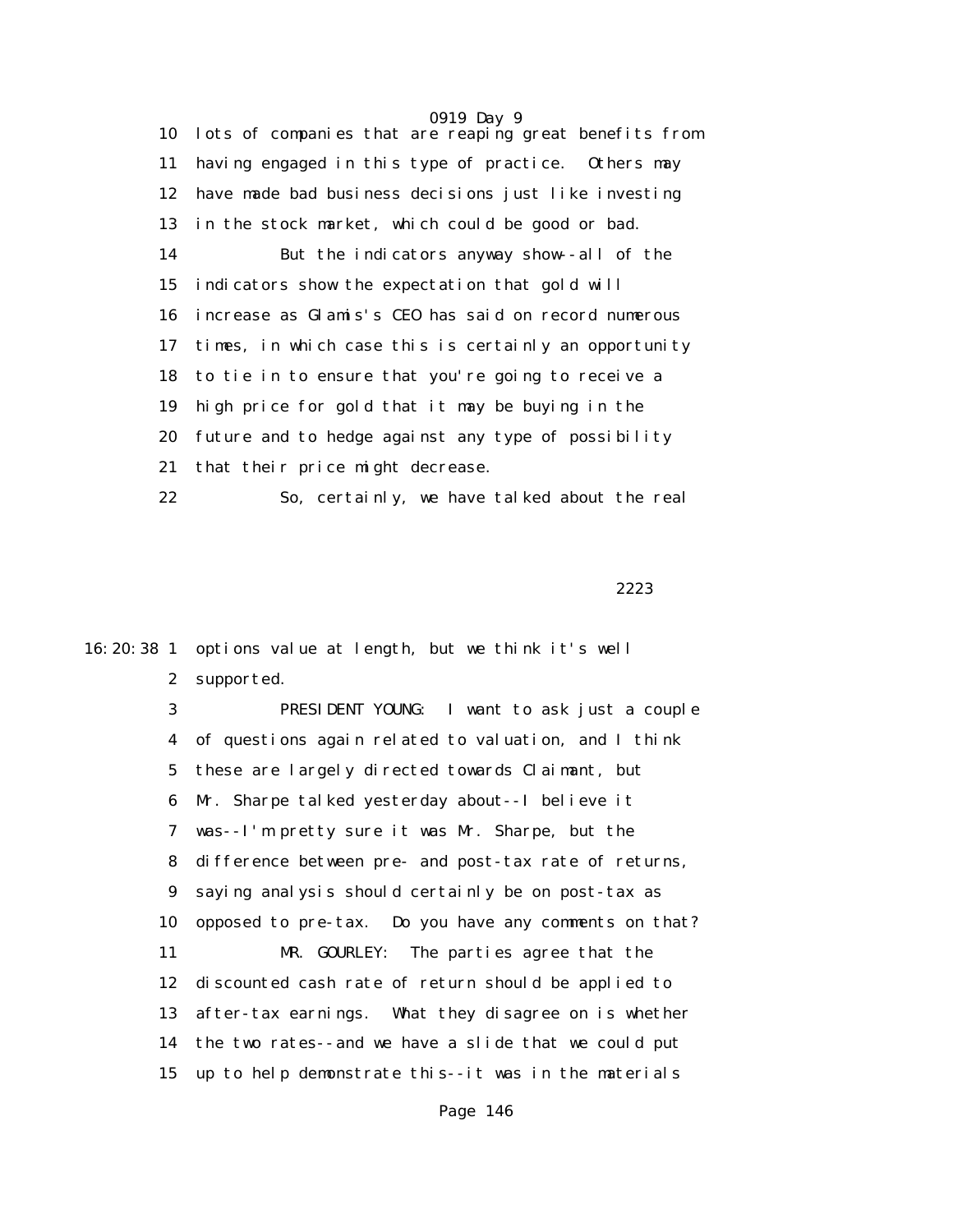0919 Day 9 10 lots of companies that are reaping great benefits from 11 having engaged in this type of practice. Others may 12 have made bad business decisions just like investing 13 in the stock market, which could be good or bad. 14 But the indicators anyway show--all of the 15 indicators show the expectation that gold will 16 increase as Glamis's CEO has said on record numerous 17 times, in which case this is certainly an opportunity 18 to tie in to ensure that you're going to receive a 19 high price for gold that it may be buying in the 20 future and to hedge against any type of possibility 21 that their price might decrease. 22 So, certainly, we have talked about the real

<u>2223</u>

16:20:38 1 options value at length, but we think it's well 2 supported.

> 3 PRESIDENT YOUNG: I want to ask just a couple 4 of questions again related to valuation, and I think 5 these are largely directed towards Claimant, but 6 Mr. Sharpe talked yesterday about--I believe it 7 was--I'm pretty sure it was Mr. Sharpe, but the 8 difference between pre- and post-tax rate of returns, 9 saying analysis should certainly be on post-tax as 10 opposed to pre-tax. Do you have any comments on that? 11 MR. GOURLEY: The parties agree that the 12 discounted cash rate of return should be applied to 13 after-tax earnings. What they disagree on is whether 14 the two rates--and we have a slide that we could put 15 up to help demonstrate this--it was in the materials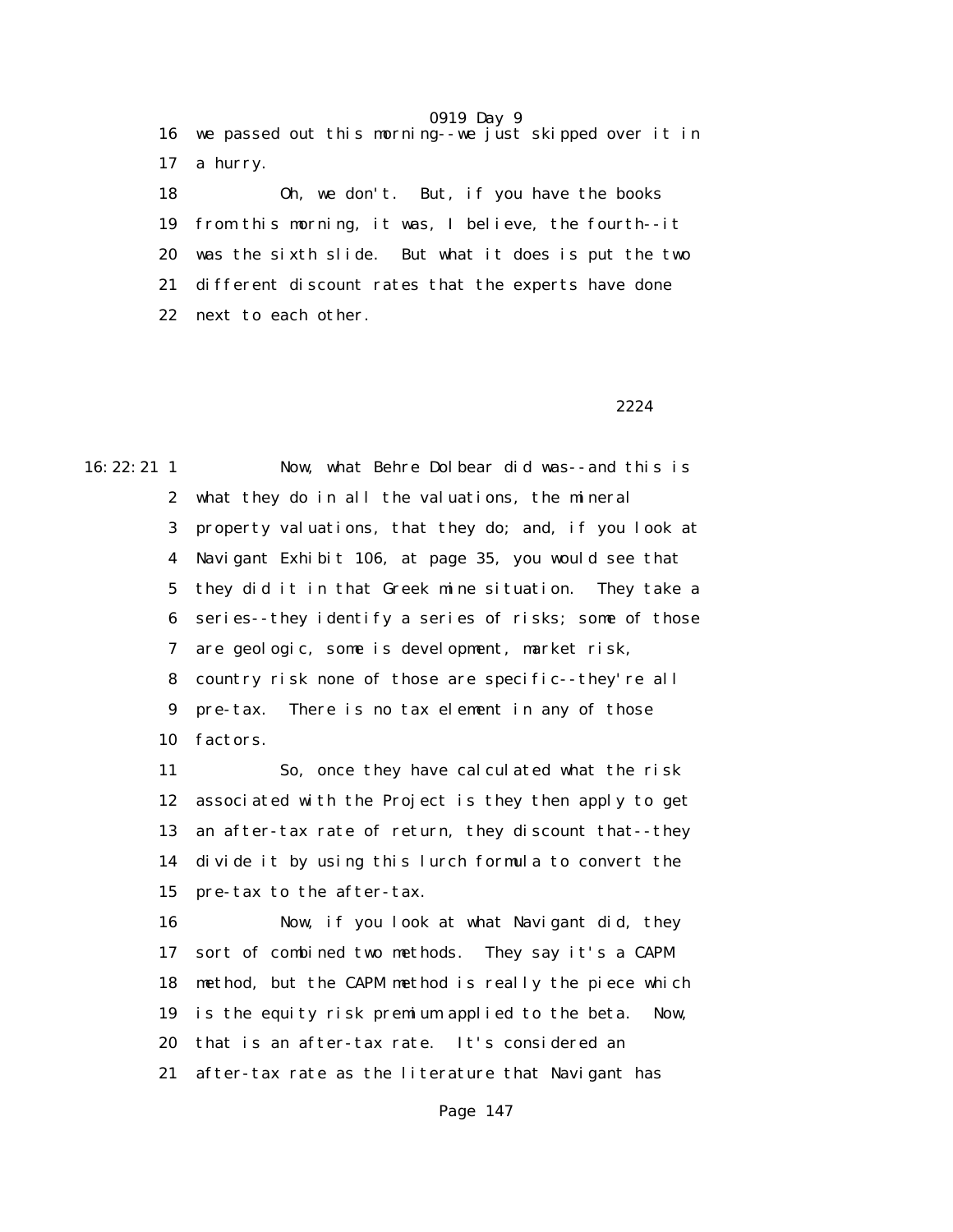16 we passed out this morning--we just skipped over it in 17 a hurry.

 18 Oh, we don't. But, if you have the books 19 from this morning, it was, I believe, the fourth--it 20 was the sixth slide. But what it does is put the two 21 different discount rates that the experts have done 22 next to each other.

### 2224

16:22:21 1 Now, what Behre Dolbear did was--and this is 2 what they do in all the valuations, the mineral 3 property valuations, that they do; and, if you look at 4 Navigant Exhibit 106, at page 35, you would see that 5 they did it in that Greek mine situation. They take a 6 series--they identify a series of risks; some of those 7 are geologic, some is development, market risk, 8 country risk none of those are specific--they're all 9 pre-tax. There is no tax element in any of those 10 factors.

> 11 So, once they have calculated what the risk 12 associated with the Project is they then apply to get 13 an after-tax rate of return, they discount that--they 14 divide it by using this lurch formula to convert the 15 pre-tax to the after-tax.

> 16 Now, if you look at what Navigant did, they 17 sort of combined two methods. They say it's a CAPM 18 method, but the CAPM method is really the piece which 19 is the equity risk premium applied to the beta. Now, 20 that is an after-tax rate. It's considered an 21 after-tax rate as the literature that Navigant has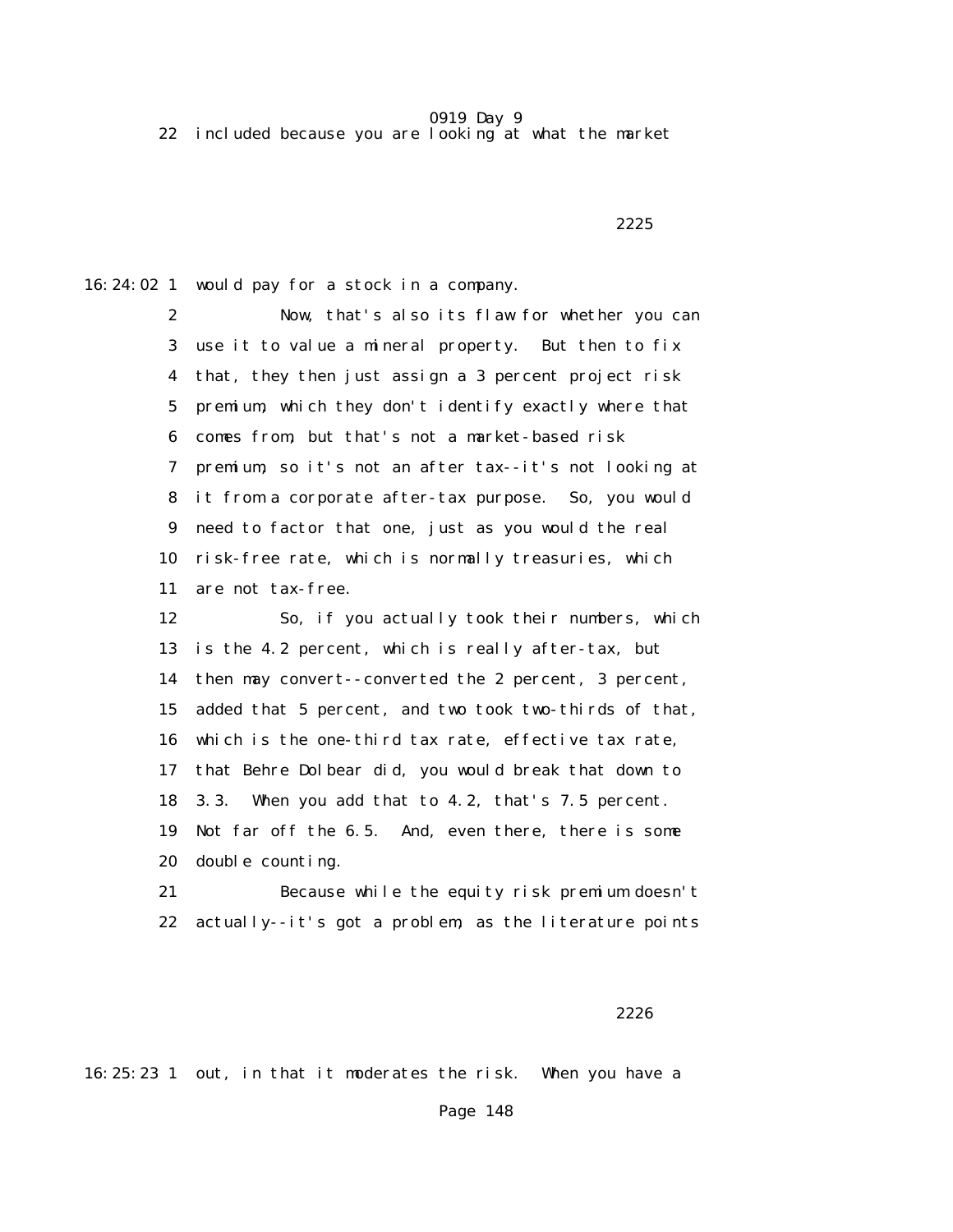22 included because you are looking at what the market

<u>2225</u>

16:24:02 1 would pay for a stock in a company.

 2 Now, that's also its flaw for whether you can 3 use it to value a mineral property. But then to fix 4 that, they then just assign a 3 percent project risk 5 premium, which they don't identify exactly where that 6 comes from, but that's not a market-based risk 7 premium, so it's not an after tax--it's not looking at 8 it from a corporate after-tax purpose. So, you would 9 need to factor that one, just as you would the real 10 risk-free rate, which is normally treasuries, which 11 are not tax-free. 12 So, if you actually took their numbers, which

 13 is the 4.2 percent, which is really after-tax, but 14 then may convert--converted the 2 percent, 3 percent, 15 added that 5 percent, and two took two-thirds of that, 16 which is the one-third tax rate, effective tax rate, 17 that Behre Dolbear did, you would break that down to 18 3.3. When you add that to 4.2, that's 7.5 percent. 19 Not far off the 6.5. And, even there, there is some 20 double counting.

 21 Because while the equity risk premium doesn't 22 actually--it's got a problem, as the literature points

 $2226$ 

16:25:23 1 out, in that it moderates the risk. When you have a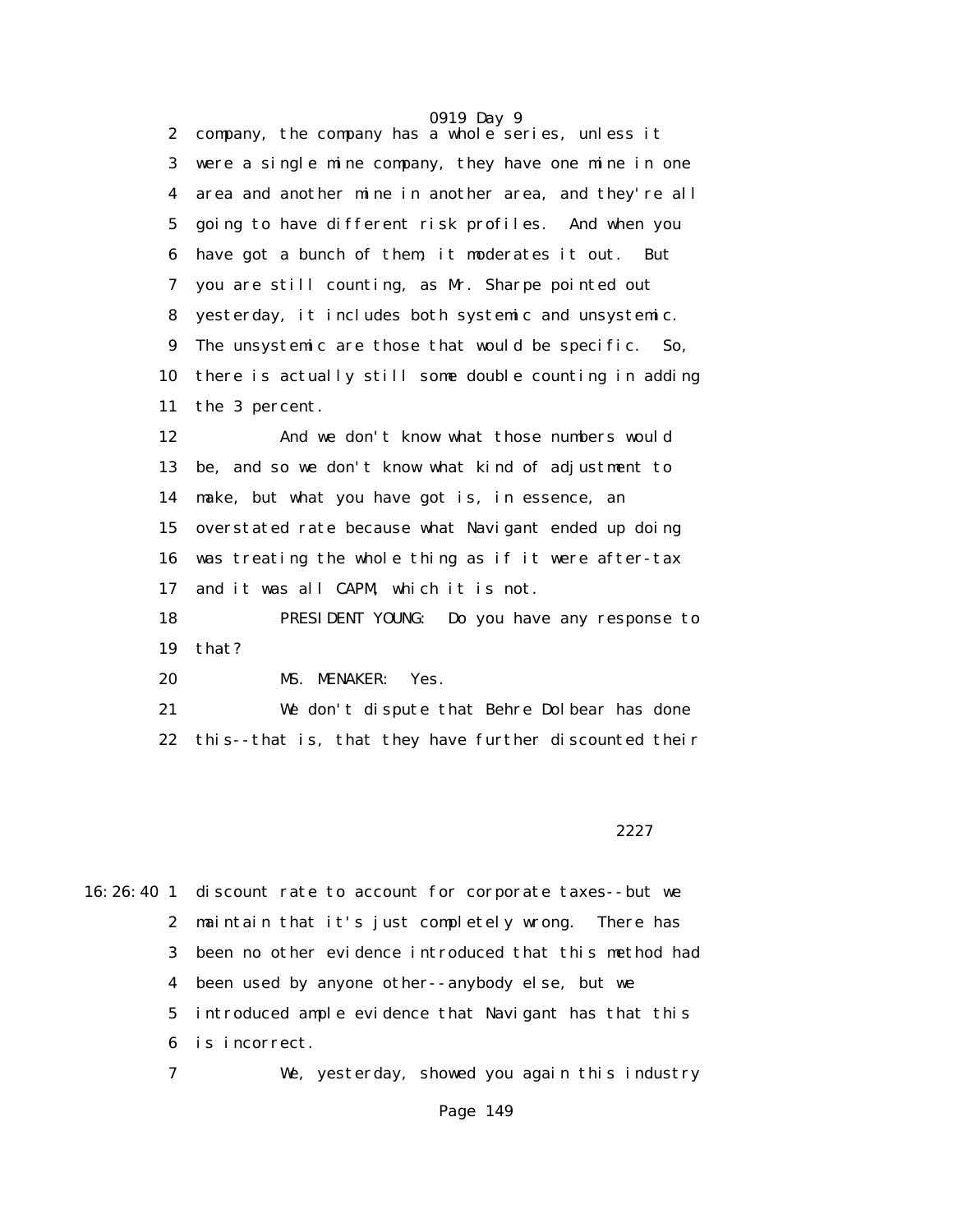0919 Day 9 2 company, the company has a whole series, unless it 3 were a single mine company, they have one mine in one 4 area and another mine in another area, and they're all 5 going to have different risk profiles. And when you 6 have got a bunch of them, it moderates it out. But 7 you are still counting, as Mr. Sharpe pointed out 8 yesterday, it includes both systemic and unsystemic. 9 The unsystemic are those that would be specific. So, 10 there is actually still some double counting in adding 11 the 3 percent.

 12 And we don't know what those numbers would 13 be, and so we don't know what kind of adjustment to 14 make, but what you have got is, in essence, an 15 overstated rate because what Navigant ended up doing 16 was treating the whole thing as if it were after-tax 17 and it was all CAPM, which it is not.

 18 PRESIDENT YOUNG: Do you have any response to 19 that?

20 MS. MENAKER: Yes.

 21 We don't dispute that Behre Dolbear has done 22 this--that is, that they have further discounted their

2227 and 2227 and 2227 and 2227 and 2227 and 2227 and 2227 and 2227 and 2227 and 2227 and 2227 and 2227 and 22

16:26:40 1 discount rate to account for corporate taxes--but we 2 maintain that it's just completely wrong. There has 3 been no other evidence introduced that this method had 4 been used by anyone other--anybody else, but we 5 introduced ample evidence that Navigant has that this 6 is incorrect. 7 We, yesterday, showed you again this industry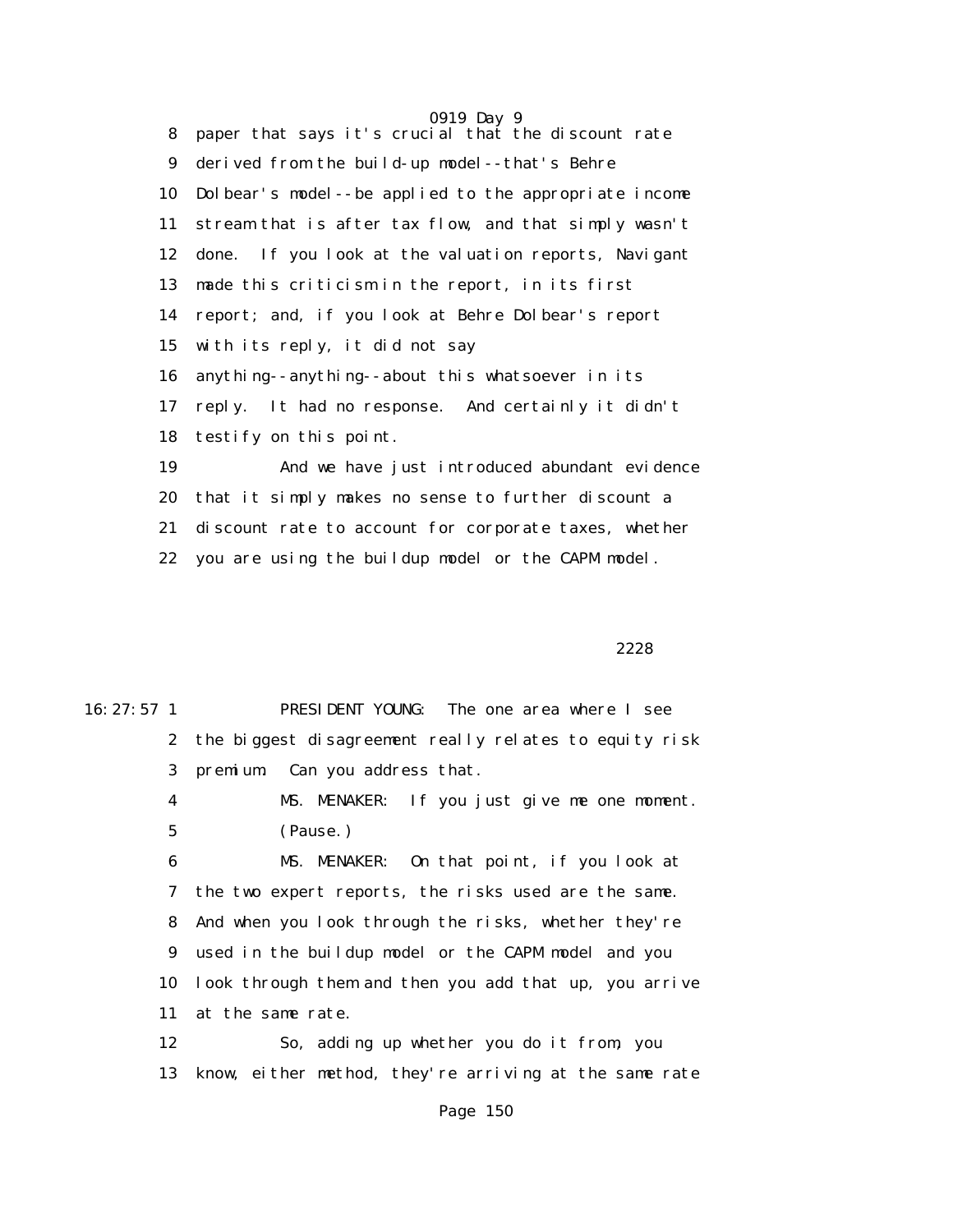0919 Day 9 8 paper that says it's crucial that the discount rate 9 derived from the build-up model--that's Behre 10 Dolbear's model--be applied to the appropriate income 11 stream that is after tax flow, and that simply wasn't 12 done. If you look at the valuation reports, Navigant 13 made this criticism in the report, in its first 14 report; and, if you look at Behre Dolbear's report 15 with its reply, it did not say 16 anything--anything--about this whatsoever in its 17 reply. It had no response. And certainly it didn't 18 testify on this point. 19 And we have just introduced abundant evidence 20 that it simply makes no sense to further discount a 21 discount rate to account for corporate taxes, whether

22 you are using the buildup model or the CAPM model.

<u>2228</u> and the contract of the contract of the contract of the contract of the contract of the contract of the contract of the contract of the contract of the contract of the contract of the contract of the contract of the

| $16: 27: 57 \; 1$ | PRESIDENT YOUNG: The one area where I see                 |
|-------------------|-----------------------------------------------------------|
|                   | 2 the biggest disagreement really relates to equity risk  |
| 3 <sup>1</sup>    | premium. Can you address that.                            |
| $\boldsymbol{4}$  | MS. MENAKER: If you just give me one moment.              |
| 5                 | (Pause.)                                                  |
| 6                 | MS. MENAKER: On that point, if you look at                |
|                   | 7 the two expert reports, the risks used are the same.    |
|                   | 8 And when you look through the risks, whether they're    |
|                   | 9 used in the buildup model or the CAPM model and you     |
|                   | 10 look through them and then you add that up, you arrive |
| 11                | at the same rate.                                         |
|                   |                                                           |

 12 So, adding up whether you do it from, you 13 know, either method, they're arriving at the same rate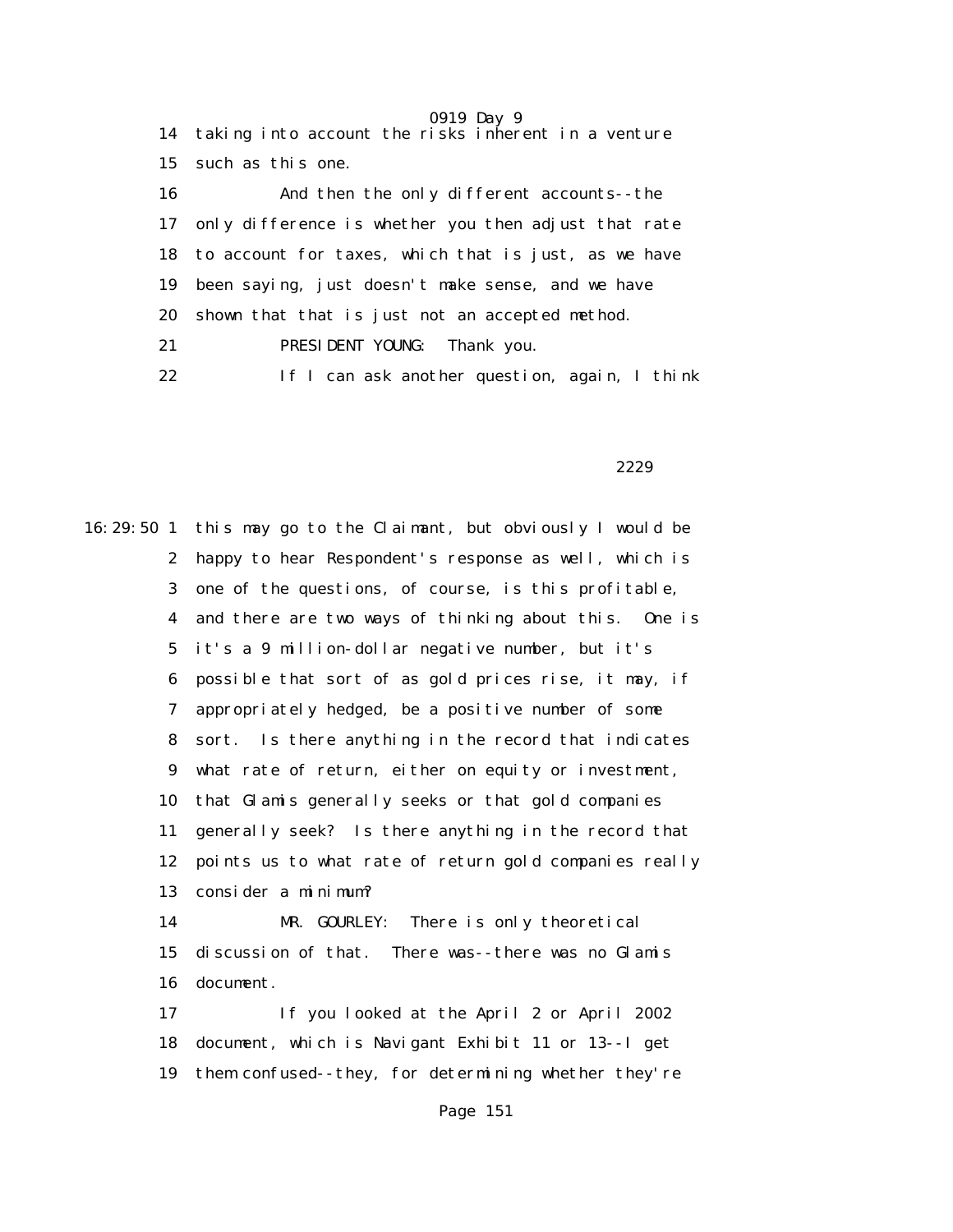|    | <b>VULU DAY J</b><br>14 taking into account the risks inherent in a venture |
|----|-----------------------------------------------------------------------------|
| 15 | such as this one.                                                           |
| 16 | And then the only different accounts--the                                   |
| 17 | only difference is whether you then adjust that rate                        |
|    | 18 to account for taxes, which that is just, as we have                     |
| 19 | been saying, just doesn't make sense, and we have                           |
| 20 | shown that that is just not an accepted method.                             |
| 21 | PRESIDENT YOUNG: Thank you.                                                 |
| 22 | If I can ask another question, again, I think                               |

2229 and 2229

16:29:50 1 this may go to the Claimant, but obviously I would be 2 happy to hear Respondent's response as well, which is 3 one of the questions, of course, is this profitable, 4 and there are two ways of thinking about this. One is 5 it's a 9 million-dollar negative number, but it's 6 possible that sort of as gold prices rise, it may, if 7 appropriately hedged, be a positive number of some 8 sort. Is there anything in the record that indicates 9 what rate of return, either on equity or investment, 10 that Glamis generally seeks or that gold companies 11 generally seek? Is there anything in the record that 12 points us to what rate of return gold companies really 13 consider a minimum? 14 MR. GOURLEY: There is only theoretical 15 discussion of that. There was--there was no Glamis 16 document. 17 If you looked at the April 2 or April 2002 18 document, which is Navigant Exhibit 11 or 13--I get 19 them confused--they, for determining whether they're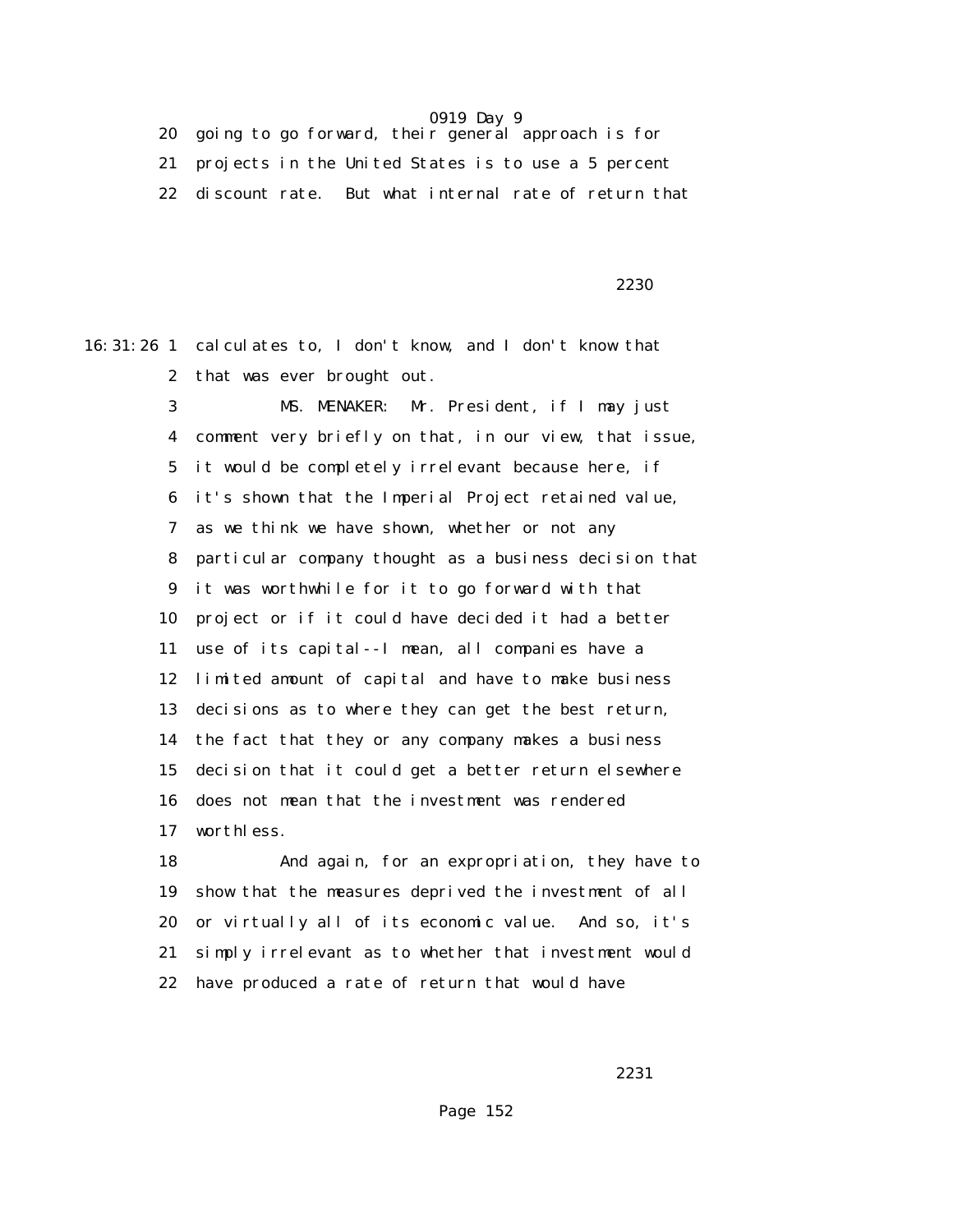20 going to go forward, their general approach is for 21 projects in the United States is to use a 5 percent 22 discount rate. But what internal rate of return that

 $2230$ 

16:31:26 1 calculates to, I don't know, and I don't know that 2 that was ever brought out.

> 3 MS. MENAKER: Mr. President, if I may just 4 comment very briefly on that, in our view, that issue, 5 it would be completely irrelevant because here, if 6 it's shown that the Imperial Project retained value, 7 as we think we have shown, whether or not any 8 particular company thought as a business decision that 9 it was worthwhile for it to go forward with that 10 project or if it could have decided it had a better 11 use of its capital--I mean, all companies have a 12 limited amount of capital and have to make business 13 decisions as to where they can get the best return, 14 the fact that they or any company makes a business 15 decision that it could get a better return elsewhere 16 does not mean that the investment was rendered 17 worthless.

> 18 And again, for an expropriation, they have to 19 show that the measures deprived the investment of all 20 or virtually all of its economic value. And so, it's 21 simply irrelevant as to whether that investment would 22 have produced a rate of return that would have

2231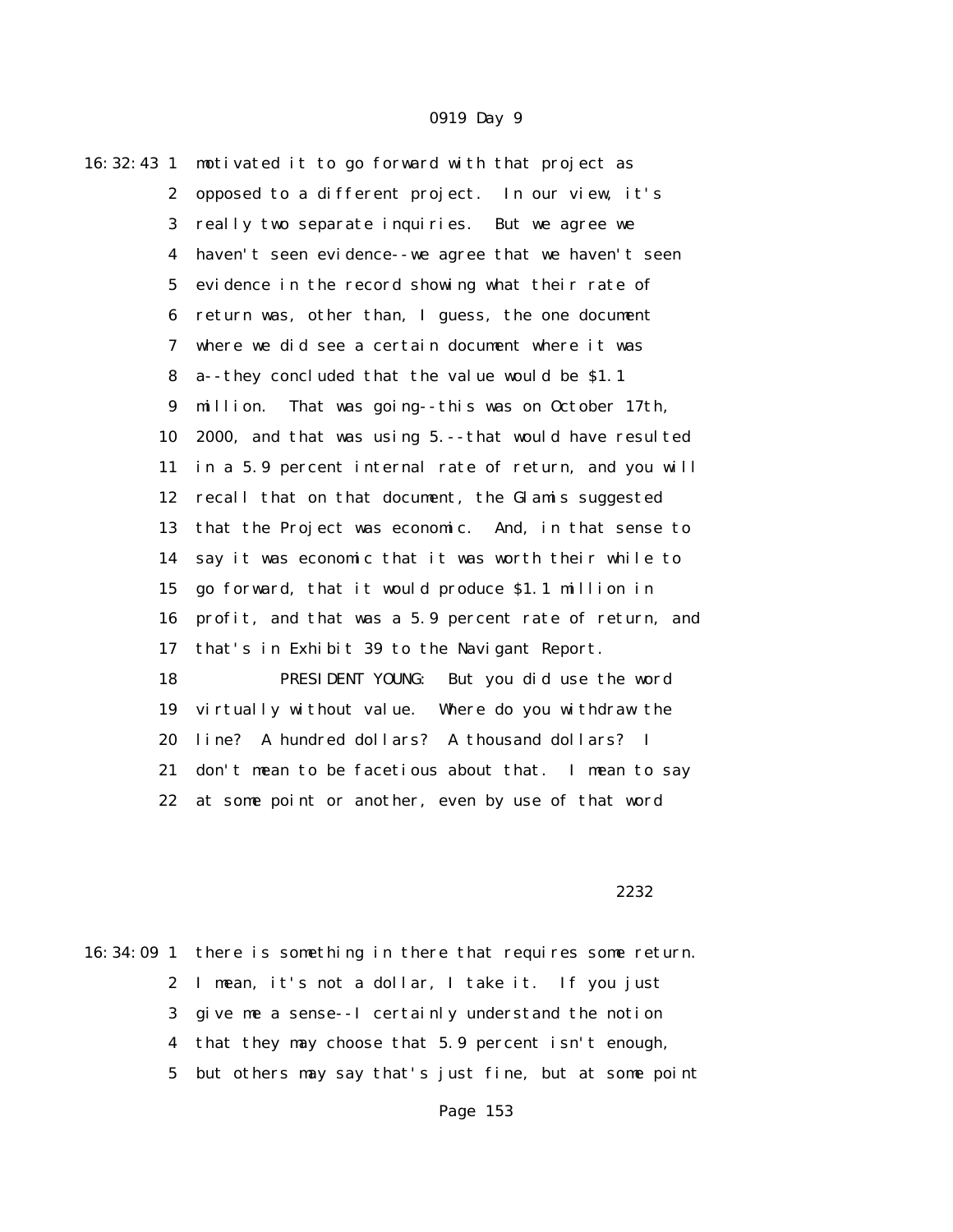| 16: 32: 43 1            | motivated it to go forward with that project as        |
|-------------------------|--------------------------------------------------------|
| $\boldsymbol{2}$        | opposed to a different project. In our view, it's      |
| 3                       | really two separate inquiries. But we agree we         |
| $\overline{\mathbf{4}}$ | haven't seen evidence--we agree that we haven't seen   |
| $\bf 5$                 | evidence in the record showing what their rate of      |
| 6                       | return was, other than, I guess, the one document      |
| 7                       | where we did see a certain document where it was       |
| 8                       | a--they concluded that the value would be \$1.1        |
| $\boldsymbol{9}$        | That was going--this was on October 17th,<br>million.  |
| 10                      | 2000, and that was using 5.--that would have resulted  |
| 11                      | in a 5.9 percent internal rate of return, and you will |
| 12                      | recall that on that document, the Glamis suggested     |
| 13                      | that the Project was economic. And, in that sense to   |
| 14                      | say it was economic that it was worth their while to   |
| 15                      | go forward, that it would produce \$1.1 million in     |
| 16                      | profit, and that was a 5.9 percent rate of return, and |
| 17                      | that's in Exhibit 39 to the Navigant Report.           |
| 18                      | PRESIDENT YOUNG: But you did use the word              |
| 19                      | virtually without value. Where do you withdraw the     |
| 20                      | line? A hundred dollars? A thousand dollars? I         |
| 21                      | don't mean to be facetious about that. I mean to say   |
| 22                      | at some point or another, even by use of that word     |

<u>2232</u>

16:34:09 1 there is something in there that requires some return. 2 I mean, it's not a dollar, I take it. If you just 3 give me a sense--I certainly understand the notion 4 that they may choose that 5.9 percent isn't enough, 5 but others may say that's just fine, but at some point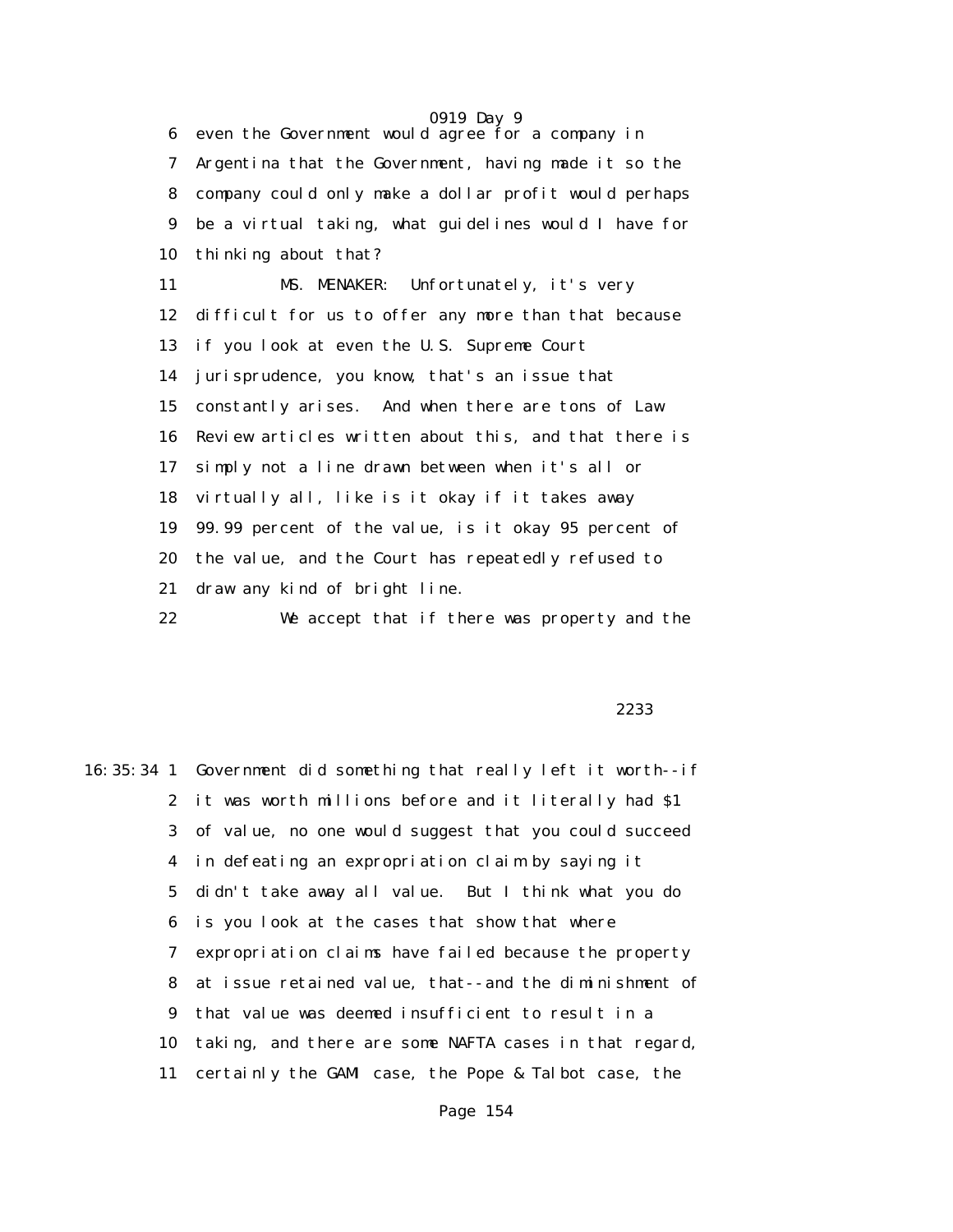0919 Day 9 6 even the Government would agree for a company in 7 Argentina that the Government, having made it so the 8 company could only make a dollar profit would perhaps 9 be a virtual taking, what guidelines would I have for 10 thinking about that? 11 MS. MENAKER: Unfortunately, it's very 12 difficult for us to offer any more than that because 13 if you look at even the U.S. Supreme Court 14 jurisprudence, you know, that's an issue that 15 constantly arises. And when there are tons of Law 16 Review articles written about this, and that there is 17 simply not a line drawn between when it's all or 18 virtually all, like is it okay if it takes away 19 99.99 percent of the value, is it okay 95 percent of 20 the value, and the Court has repeatedly refused to 21 draw any kind of bright line.

22 We accept that if there was property and the

#### <u>2233</u> and the state of the state of the state of the state of the state of the state of the state of the state of the state of the state of the state of the state of the state of the state of the state of the state of the

16:35:34 1 Government did something that really left it worth--if 2 it was worth millions before and it literally had \$1 3 of value, no one would suggest that you could succeed 4 in defeating an expropriation claim by saying it 5 didn't take away all value. But I think what you do 6 is you look at the cases that show that where 7 expropriation claims have failed because the property 8 at issue retained value, that--and the diminishment of 9 that value was deemed insufficient to result in a 10 taking, and there are some NAFTA cases in that regard, 11 certainly the GAMI case, the Pope & Talbot case, the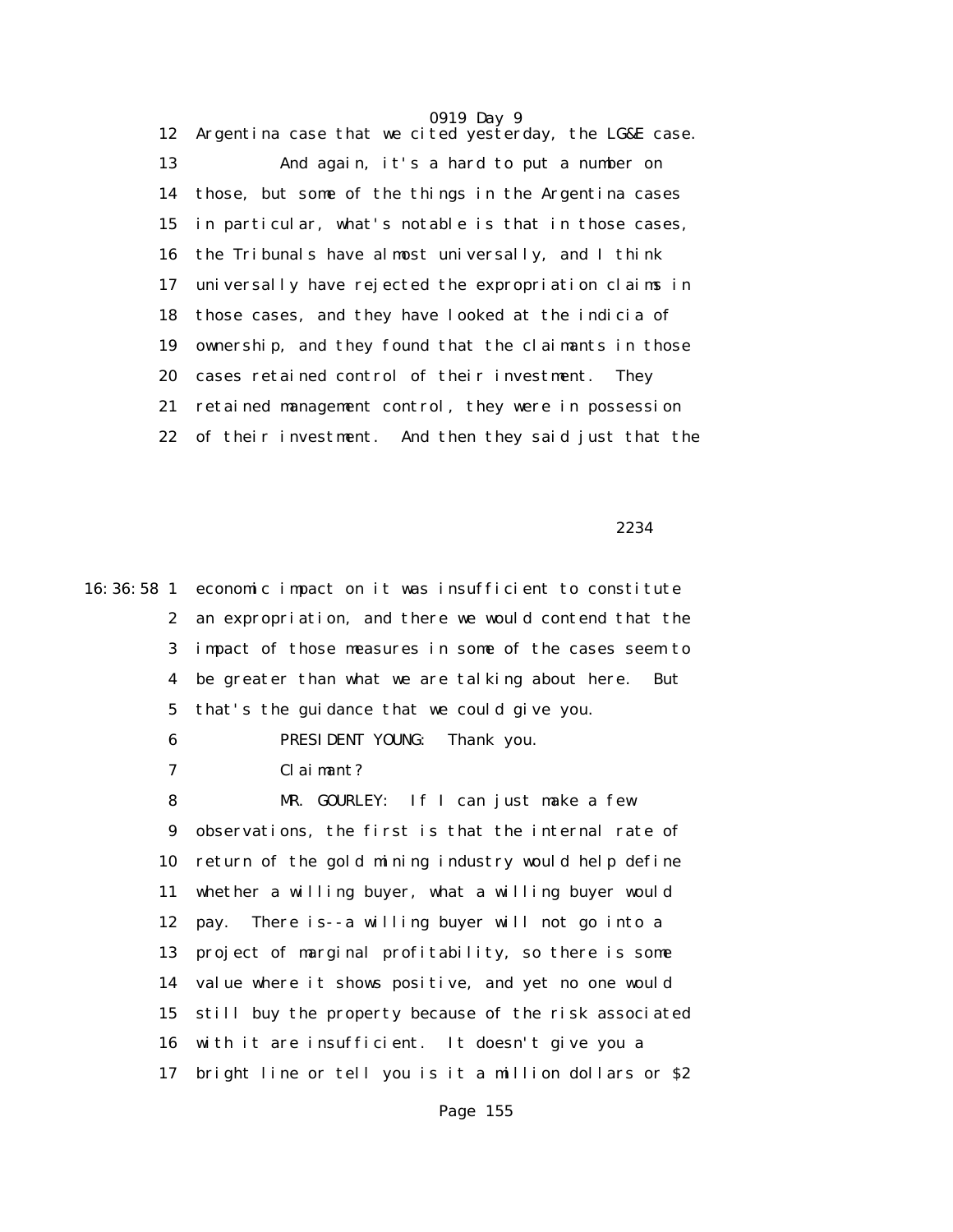12 Argentina case that we cited yesterday, the LG&E case. 13 And again, it's a hard to put a number on 14 those, but some of the things in the Argentina cases 15 in particular, what's notable is that in those cases, 16 the Tribunals have almost universally, and I think 17 universally have rejected the expropriation claims in 18 those cases, and they have looked at the indicia of 19 ownership, and they found that the claimants in those 20 cases retained control of their investment. They 21 retained management control, they were in possession 22 of their investment. And then they said just that the

2234

16:36:58 1 economic impact on it was insufficient to constitute 2 an expropriation, and there we would contend that the 3 impact of those measures in some of the cases seem to 4 be greater than what we are talking about here. But 5 that's the guidance that we could give you. 6 PRESIDENT YOUNG: Thank you. 7 Claimant? 8 MR. GOURLEY: If I can just make a few 9 observations, the first is that the internal rate of 10 return of the gold mining industry would help define 11 whether a willing buyer, what a willing buyer would 12 pay. There is--a willing buyer will not go into a 13 project of marginal profitability, so there is some 14 value where it shows positive, and yet no one would 15 still buy the property because of the risk associated

16 with it are insufficient. It doesn't give you a

17 bright line or tell you is it a million dollars or \$2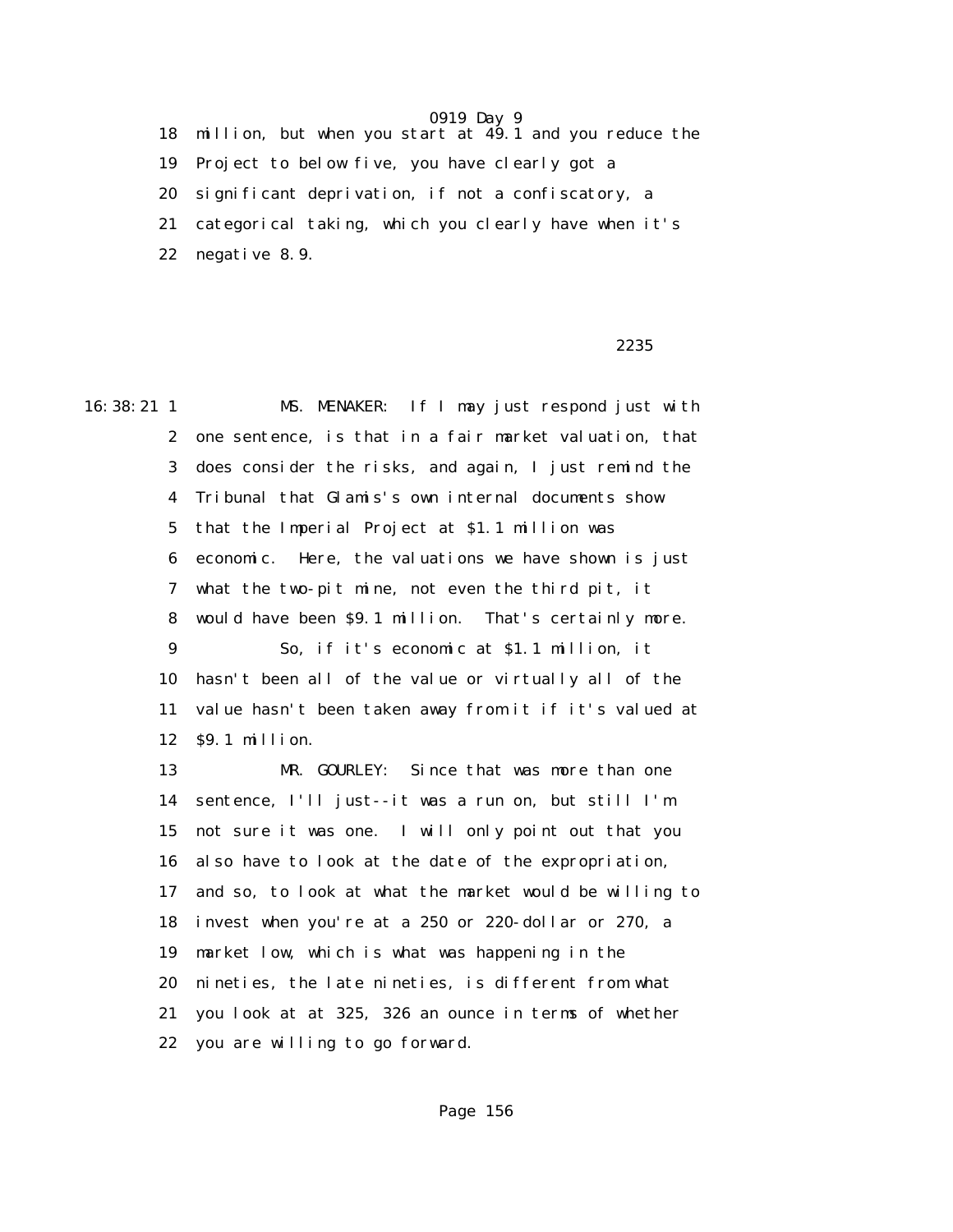18 million, but when you start at 49.1 and you reduce the 19 Project to below five, you have clearly got a 20 significant deprivation, if not a confiscatory, a 21 categorical taking, which you clearly have when it's 22 negative 8.9.

### $2235$

16:38:21 1 MS. MENAKER: If I may just respond just with 2 one sentence, is that in a fair market valuation, that 3 does consider the risks, and again, I just remind the 4 Tribunal that Glamis's own internal documents show 5 that the Imperial Project at \$1.1 million was 6 economic. Here, the valuations we have shown is just 7 what the two-pit mine, not even the third pit, it 8 would have been \$9.1 million. That's certainly more. 9 So, if it's economic at \$1.1 million, it 10 hasn't been all of the value or virtually all of the 11 value hasn't been taken away from it if it's valued at 12 \$9.1 million. 13 MR. GOURLEY: Since that was more than one 14 sentence, I'll just--it was a run on, but still I'm 15 not sure it was one. I will only point out that you 16 also have to look at the date of the expropriation, 17 and so, to look at what the market would be willing to 18 invest when you're at a 250 or 220-dollar or 270, a 19 market low, which is what was happening in the 20 nineties, the late nineties, is different from what 21 you look at at 325, 326 an ounce in terms of whether 22 you are willing to go forward.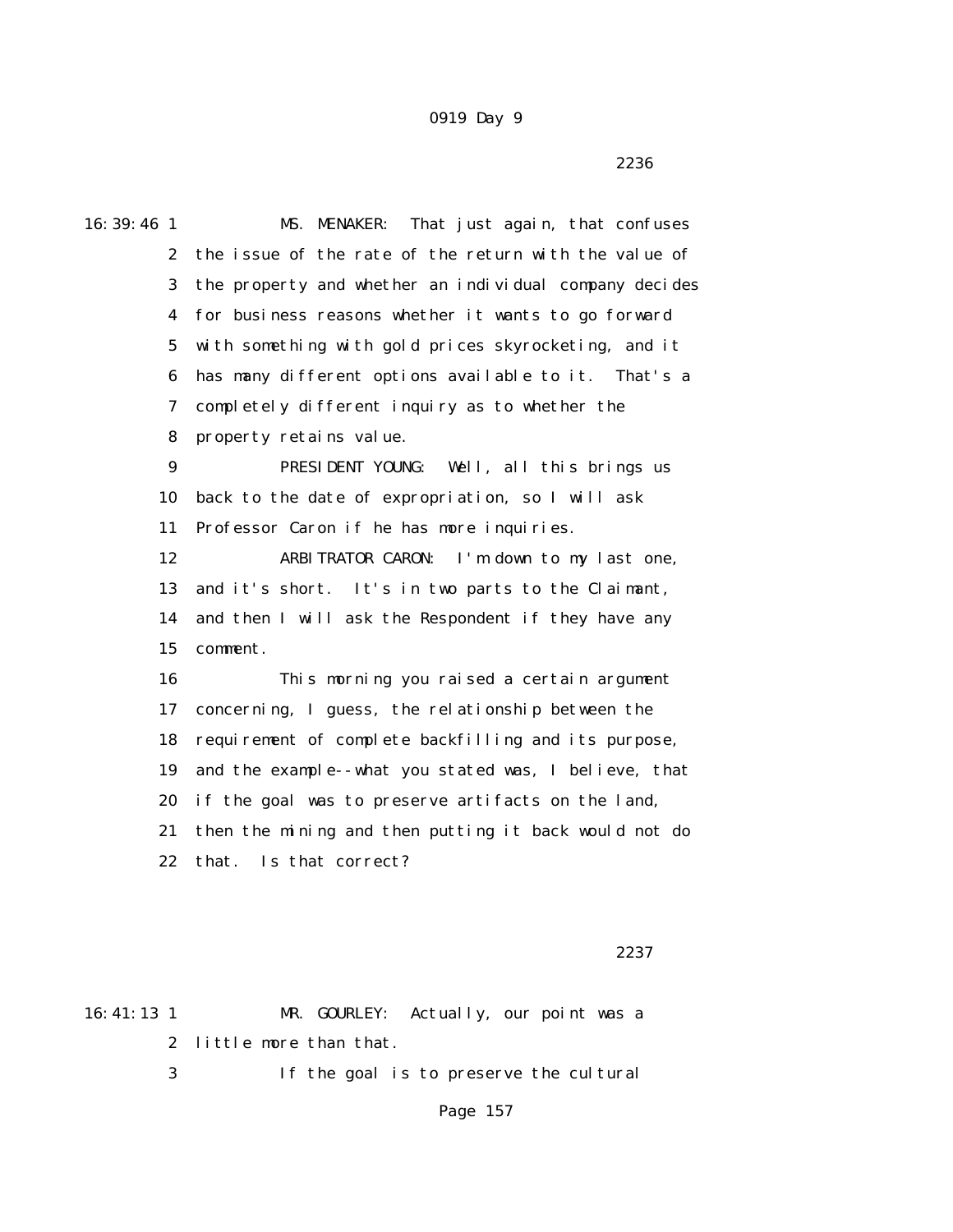$2236$ 

16:39:46 1 MS. MENAKER: That just again, that confuses 2 the issue of the rate of the return with the value of 3 the property and whether an individual company decides 4 for business reasons whether it wants to go forward 5 with something with gold prices skyrocketing, and it 6 has many different options available to it. That's a 7 completely different inquiry as to whether the 8 property retains value. 9 PRESIDENT YOUNG: Well, all this brings us 10 back to the date of expropriation, so I will ask 11 Professor Caron if he has more inquiries. 12 ARBITRATOR CARON: I'm down to my last one, 13 and it's short. It's in two parts to the Claimant, 14 and then I will ask the Respondent if they have any 15 comment. 16 This morning you raised a certain argument 17 concerning, I guess, the relationship between the 18 requirement of complete backfilling and its purpose, 19 and the example--what you stated was, I believe, that 20 if the goal was to preserve artifacts on the land, 21 then the mining and then putting it back would not do 22 that. Is that correct?

<u>2237</u>

16:41:13 1 MR. GOURLEY: Actually, our point was a 2 little more than that. 3 If the goal is to preserve the cultural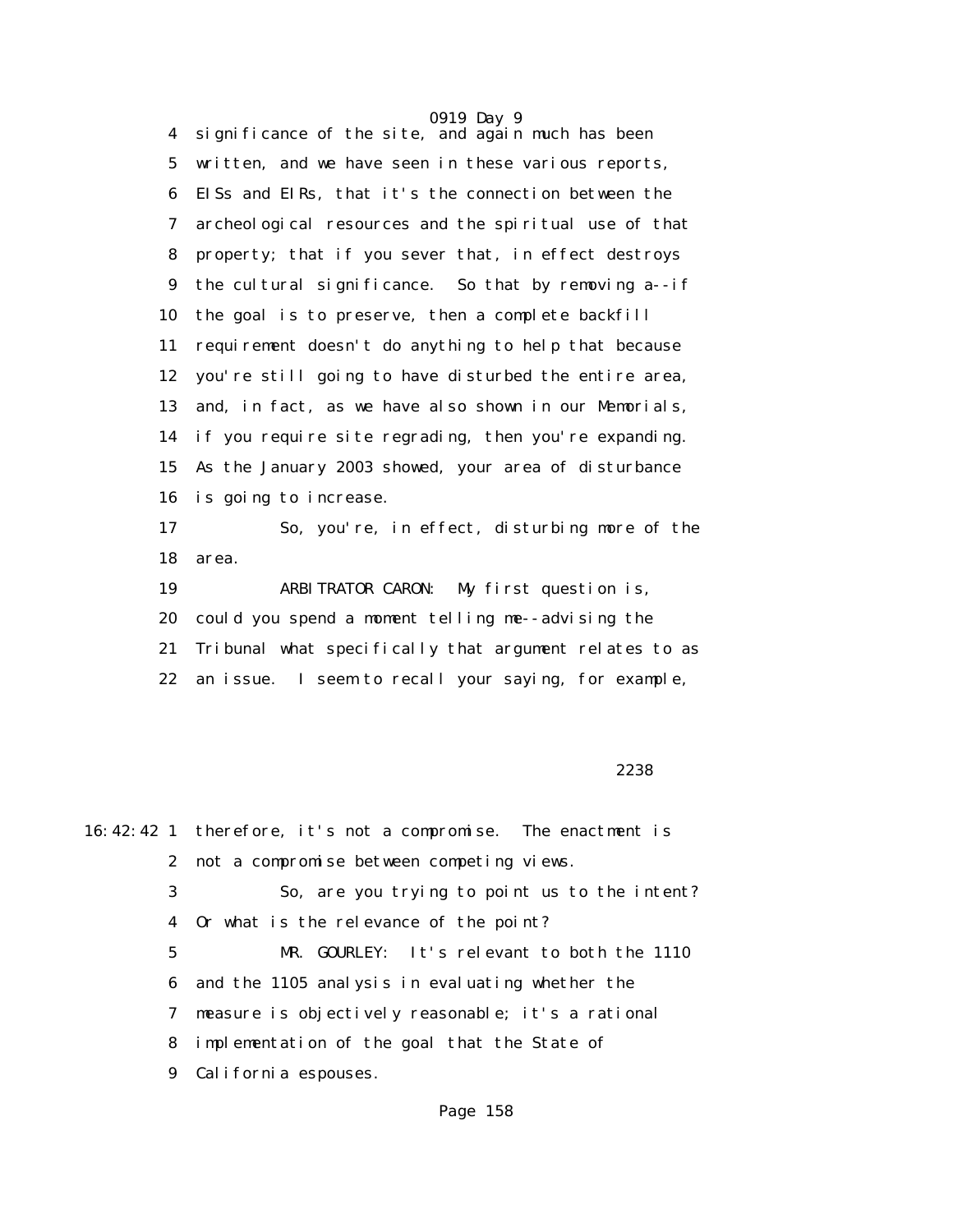0919 Day 9 4 significance of the site, and again much has been 5 written, and we have seen in these various reports, 6 EISs and EIRs, that it's the connection between the 7 archeological resources and the spiritual use of that 8 property; that if you sever that, in effect destroys 9 the cultural significance. So that by removing a--if 10 the goal is to preserve, then a complete backfill 11 requirement doesn't do anything to help that because 12 you're still going to have disturbed the entire area, 13 and, in fact, as we have also shown in our Memorials, 14 if you require site regrading, then you're expanding. 15 As the January 2003 showed, your area of disturbance 16 is going to increase. 17 So, you're, in effect, disturbing more of the 18 area.

 19 ARBITRATOR CARON: My first question is, 20 could you spend a moment telling me--advising the 21 Tribunal what specifically that argument relates to as 22 an issue. I seem to recall your saying, for example,

<u>2238</u> and the contract of the contract of the contract of the contract of the contract of the contract of the contract of the contract of the contract of the contract of the contract of the contract of the contract of the

16:42:42 1 therefore, it's not a compromise. The enactment is 2 not a compromise between competing views. 3 So, are you trying to point us to the intent? 4 Or what is the relevance of the point? 5 MR. GOURLEY: It's relevant to both the 1110 6 and the 1105 analysis in evaluating whether the 7 measure is objectively reasonable; it's a rational 8 implementation of the goal that the State of 9 California espouses.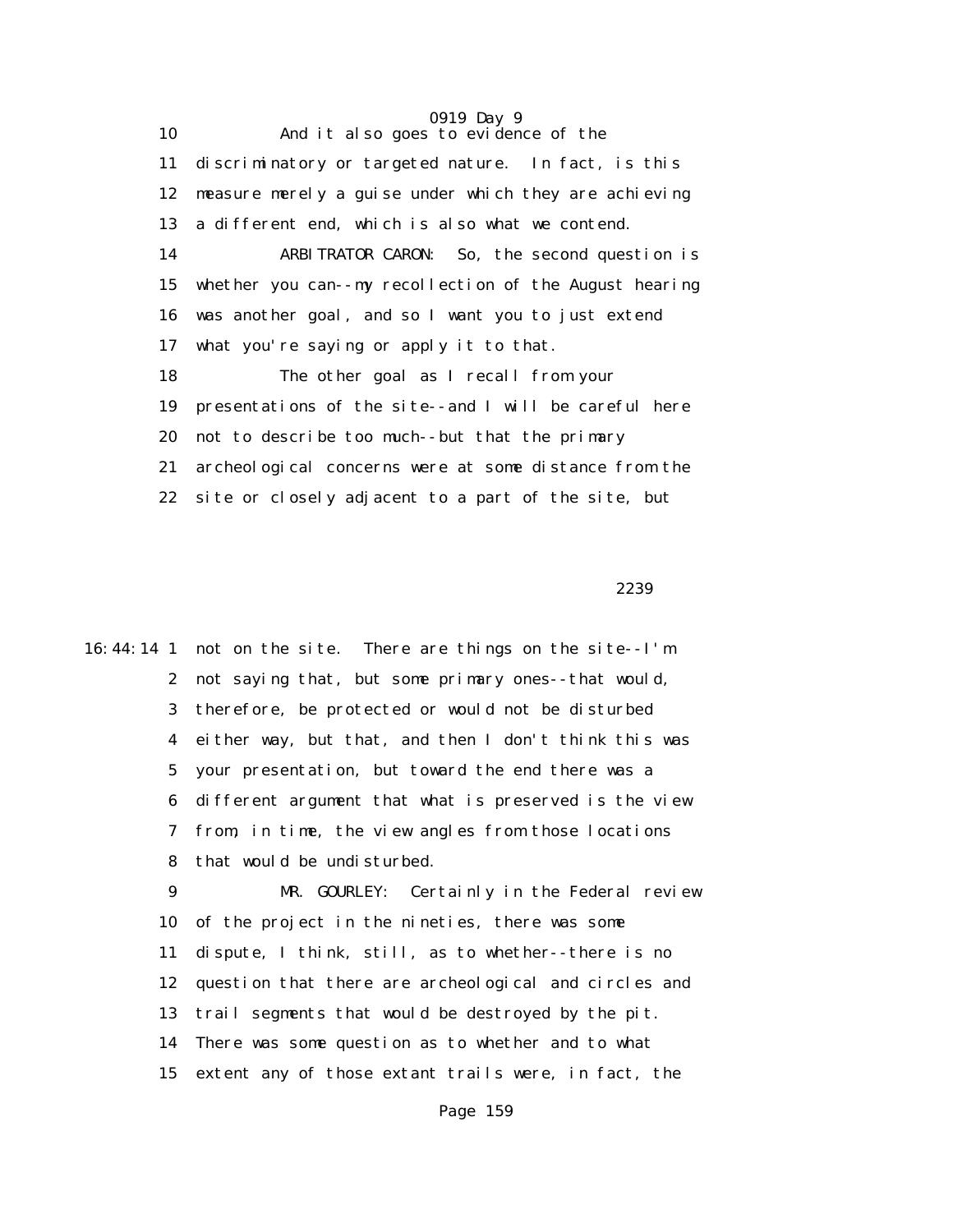0919 Day 9 10 And it also goes to evidence of the 11 discriminatory or targeted nature. In fact, is this 12 measure merely a guise under which they are achieving 13 a different end, which is also what we contend. 14 ARBITRATOR CARON: So, the second question is 15 whether you can--my recollection of the August hearing 16 was another goal, and so I want you to just extend 17 what you're saying or apply it to that. 18 The other goal as I recall from your 19 presentations of the site--and I will be careful here 20 not to describe too much--but that the primary 21 archeological concerns were at some distance from the 22 site or closely adjacent to a part of the site, but

<u>2239</u>

16:44:14 1 not on the site. There are things on the site--I'm 2 not saying that, but some primary ones--that would, 3 therefore, be protected or would not be disturbed 4 either way, but that, and then I don't think this was 5 your presentation, but toward the end there was a 6 different argument that what is preserved is the view 7 from, in time, the view angles from those locations 8 that would be undisturbed.

> 9 MR. GOURLEY: Certainly in the Federal review 10 of the project in the nineties, there was some 11 dispute, I think, still, as to whether--there is no 12 question that there are archeological and circles and 13 trail segments that would be destroyed by the pit. 14 There was some question as to whether and to what 15 extent any of those extant trails were, in fact, the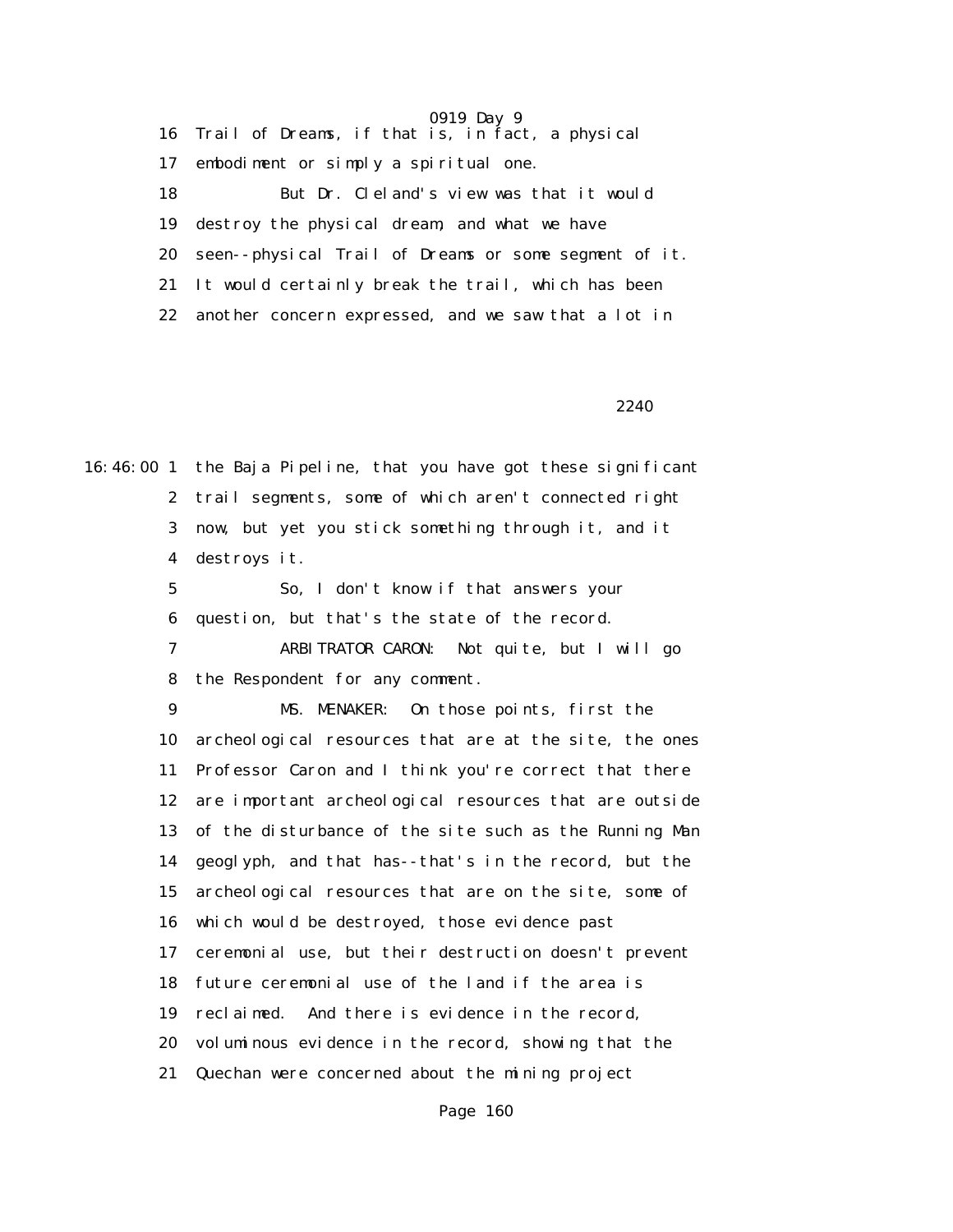0919 Day 9 16 Trail of Dreams, if that is, in fact, a physical 17 embodiment or simply a spiritual one. 18 But Dr. Cleland's view was that it would 19 destroy the physical dream, and what we have 20 seen--physical Trail of Dreams or some segment of it. 21 It would certainly break the trail, which has been 22 another concern expressed, and we saw that a lot in

 $2240$ 

16:46:00 1 the Baja Pipeline, that you have got these significant 2 trail segments, some of which aren't connected right 3 now, but yet you stick something through it, and it 4 destroys it.

> 5 So, I don't know if that answers your 6 question, but that's the state of the record.

 7 ARBITRATOR CARON: Not quite, but I will go 8 the Respondent for any comment.

 9 MS. MENAKER: On those points, first the 10 archeological resources that are at the site, the ones 11 Professor Caron and I think you're correct that there 12 are important archeological resources that are outside 13 of the disturbance of the site such as the Running Man 14 geoglyph, and that has--that's in the record, but the 15 archeological resources that are on the site, some of 16 which would be destroyed, those evidence past 17 ceremonial use, but their destruction doesn't prevent 18 future ceremonial use of the land if the area is 19 reclaimed. And there is evidence in the record, 20 voluminous evidence in the record, showing that the 21 Quechan were concerned about the mining project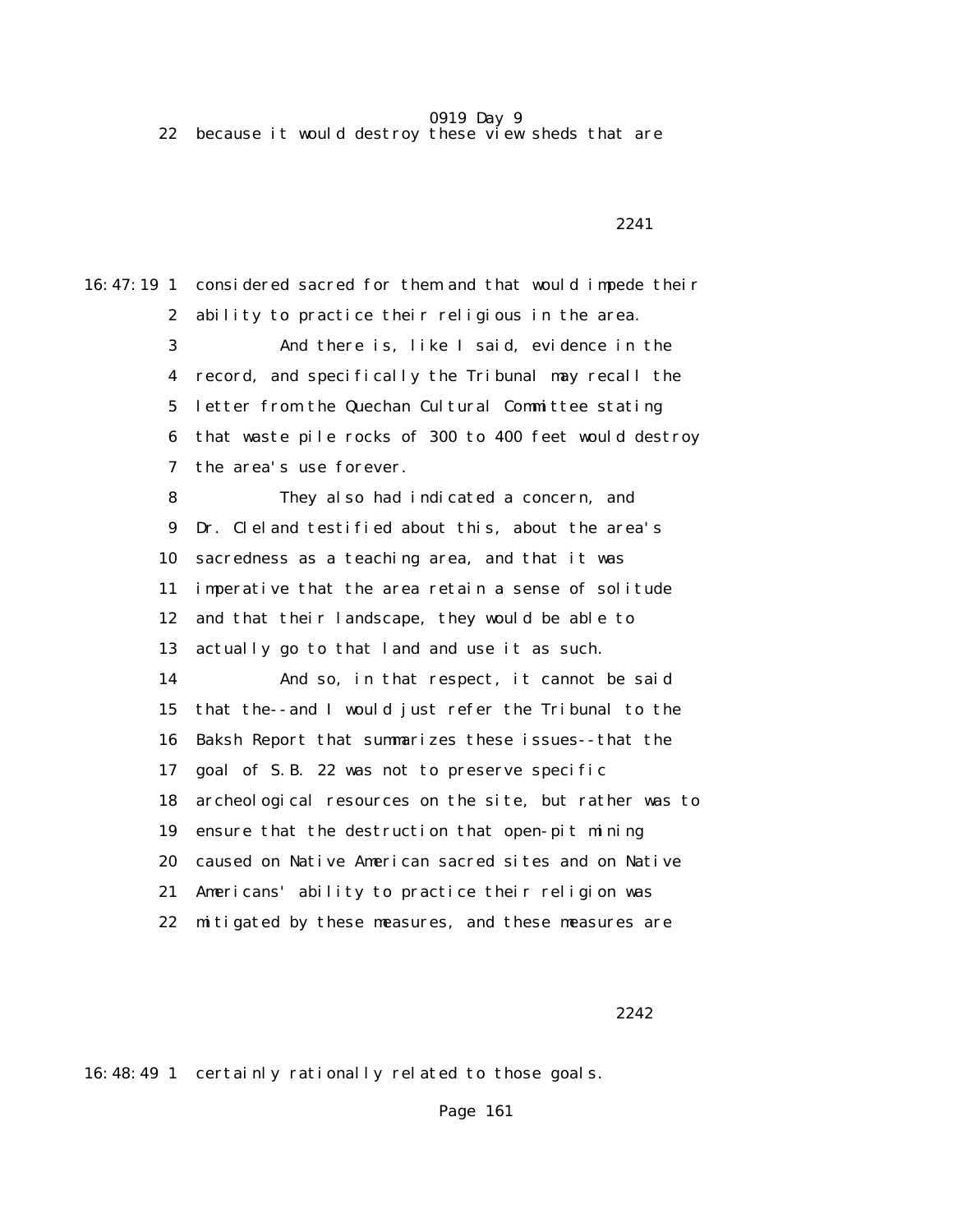22 because it would destroy these view sheds that are

2241 **2241** 

16:47:19 1 considered sacred for them and that would impede their 2 ability to practice their religious in the area. 3 And there is, like I said, evidence in the 4 record, and specifically the Tribunal may recall the 5 letter from the Quechan Cultural Committee stating 6 that waste pile rocks of 300 to 400 feet would destroy 7 the area's use forever. 8 They also had indicated a concern, and 9 Dr. Cleland testified about this, about the area's 10 sacredness as a teaching area, and that it was 11 imperative that the area retain a sense of solitude 12 and that their landscape, they would be able to 13 actually go to that land and use it as such. 14 And so, in that respect, it cannot be said 15 that the--and I would just refer the Tribunal to the 16 Baksh Report that summarizes these issues--that the 17 goal of S.B. 22 was not to preserve specific 18 archeological resources on the site, but rather was to 19 ensure that the destruction that open-pit mining 20 caused on Native American sacred sites and on Native 21 Americans' ability to practice their religion was 22 mitigated by these measures, and these measures are

<u>2242</u>

16:48:49 1 certainly rationally related to those goals.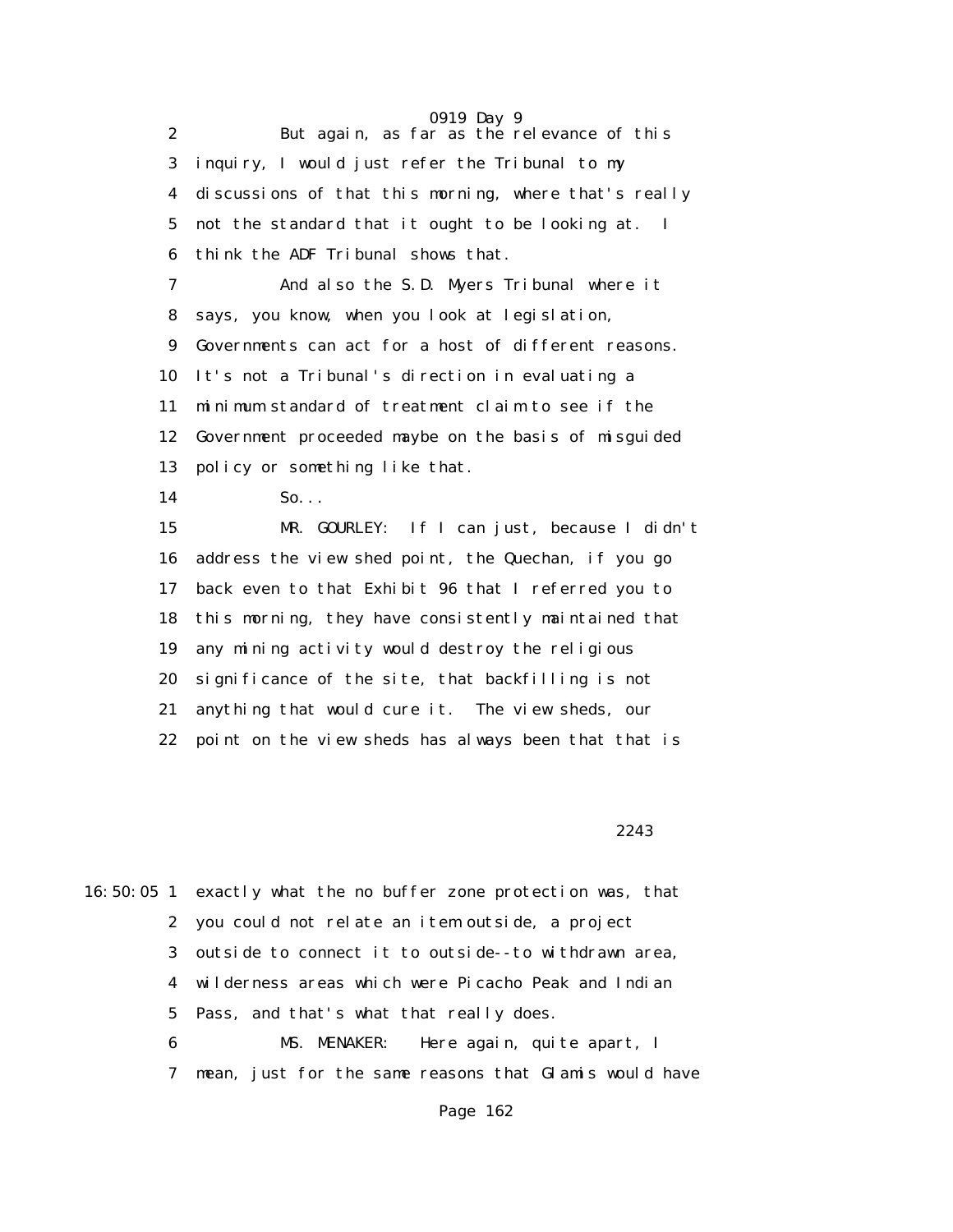|                  | 0919 Day 9                                            |
|------------------|-------------------------------------------------------|
| $\boldsymbol{2}$ | But again, as far as the relevance of this            |
| 3                | inquiry, I would just refer the Tribunal to my        |
| 4                | discussions of that this morning, where that's really |
| 5                | not the standard that it ought to be looking at. I    |
| $\boldsymbol{6}$ | think the ADF Tribunal shows that.                    |
| 7                | And also the S.D. Myers Tribunal where it             |
| 8                | says, you know, when you look at legislation,         |
| 9                | Governments can act for a host of different reasons.  |
| 10               | It's not a Tribunal's direction in evaluating a       |
| 11               | minimum standard of treatment claim to see if the     |
| 12               | Government proceeded maybe on the basis of misguided  |
| 13               | policy or something like that.                        |
| 14               | So.                                                   |
| 15               | MR. GOURLEY: If I can just, because I didn't          |
| 16               | address the view shed point, the Quechan, if you go   |
| 17               | back even to that Exhibit 96 that I referred you to   |
| 18               | this morning, they have consistently maintained that  |
| 19               | any mining activity would destroy the religious       |
| 20               | significance of the site, that backfilling is not     |
| 21               | anything that would cure it. The view sheds, our      |
| 22               | point on the view sheds has always been that that is  |

2243

|  |   | 16:50:05 1 exactly what the no buffer zone protection was, that |
|--|---|-----------------------------------------------------------------|
|  |   | 2 you could not relate an item outside, a project               |
|  |   | 3 outside to connect it to outside--to withdrawn area,          |
|  |   | 4 wilderness areas which were Picacho Peak and Indian           |
|  |   | 5 Pass, and that's what that really does.                       |
|  | 6 | Here again, quite apart, I<br>MS. MENAKER:                      |
|  | 7 | mean, just for the same reasons that Glamis would have          |
|  |   |                                                                 |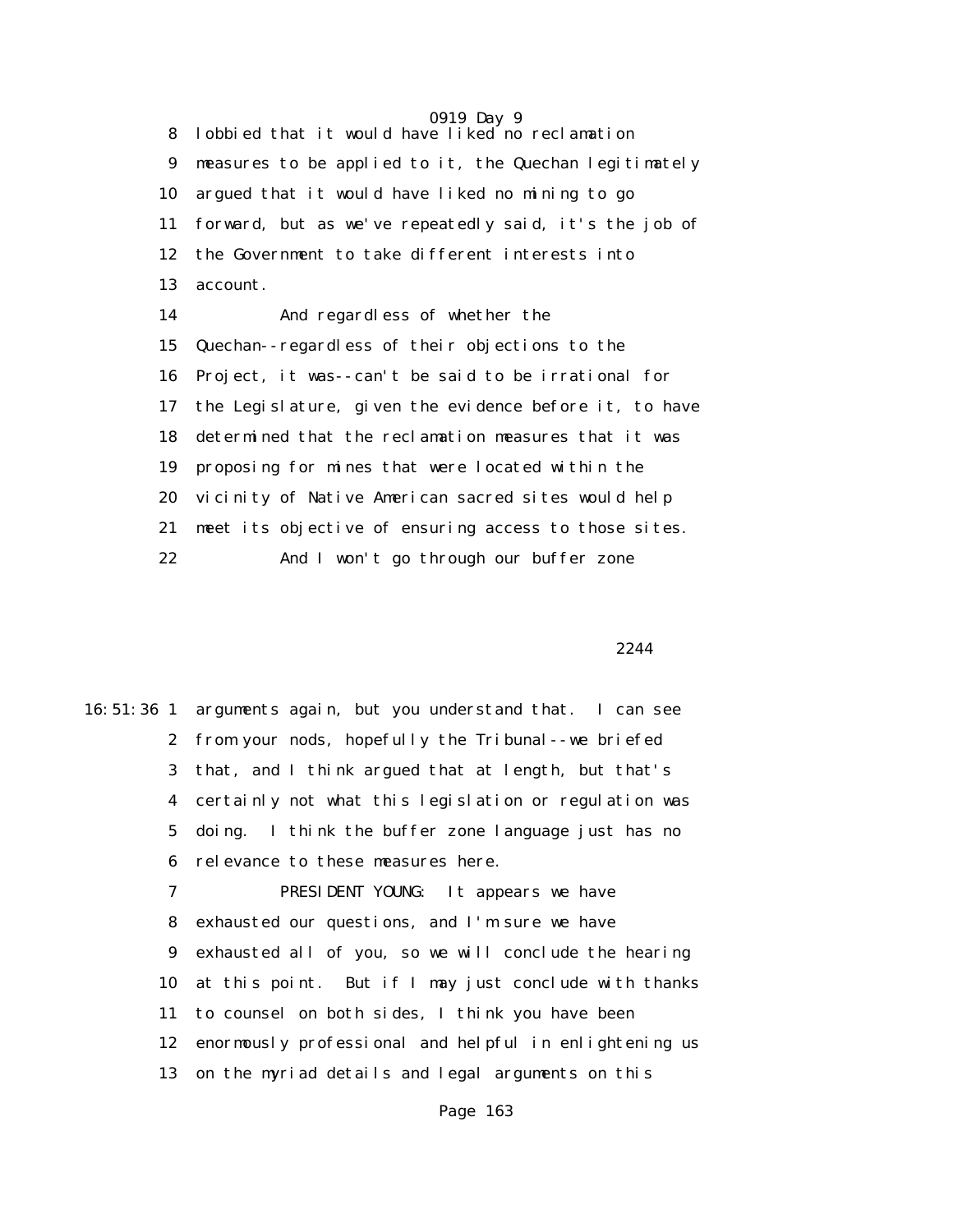0919 Day 9 8 lobbied that it would have liked no reclamation 9 measures to be applied to it, the Quechan legitimately 10 argued that it would have liked no mining to go 11 forward, but as we've repeatedly said, it's the job of 12 the Government to take different interests into 13 account. 14 And regardless of whether the 15 Quechan--regardless of their objections to the 16 Project, it was--can't be said to be irrational for 17 the Legislature, given the evidence before it, to have 18 determined that the reclamation measures that it was 19 proposing for mines that were located within the 20 vicinity of Native American sacred sites would help 21 meet its objective of ensuring access to those sites. 22 And I won't go through our buffer zone

2244

16:51:36 1 arguments again, but you understand that. I can see 2 from your nods, hopefully the Tribunal--we briefed 3 that, and I think argued that at length, but that's 4 certainly not what this legislation or regulation was 5 doing. I think the buffer zone language just has no 6 relevance to these measures here. 7 PRESIDENT YOUNG: It appears we have 8 exhausted our questions, and I'm sure we have 9 exhausted all of you, so we will conclude the hearing 10 at this point. But if I may just conclude with thanks 11 to counsel on both sides, I think you have been 12 enormously professional and helpful in enlightening us 13 on the myriad details and legal arguments on this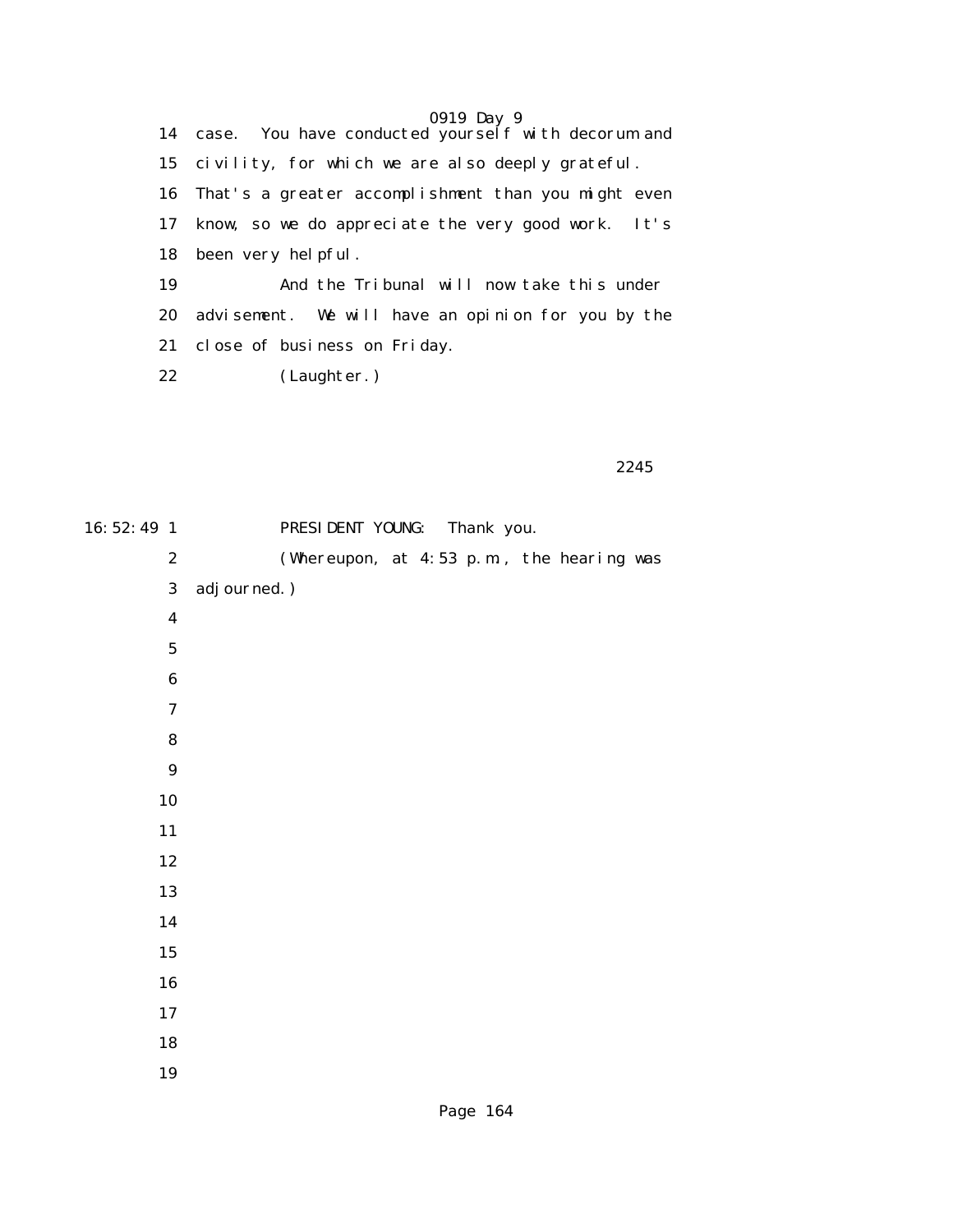|    | 0919 Day 9<br>14 case. You have conducted yourself with decorum and |
|----|---------------------------------------------------------------------|
|    | 15 civility, for which we are also deeply grateful.                 |
|    | 16 That's a greater accomplishment than you might even              |
| 17 | know, so we do appreciate the very good work. It's                  |
|    | 18 been very helpful.                                               |
| 19 | And the Tribunal will now take this under                           |
| 20 | advisement. We will have an opinion for you by the                  |
| 21 | close of business on Friday.                                        |
| 22 | (Laughter.)                                                         |

|  | 2245 |  |
|--|------|--|
|--|------|--|

| 16: 52: 49 1     | PRESIDENT YOUNG: Thank you.               |
|------------------|-------------------------------------------|
| $\boldsymbol{2}$ | (Whereupon, at 4:53 p.m., the hearing was |
| $\bf{3}$         | adj ourned.)                              |
| $\boldsymbol{4}$ |                                           |
| ${\bf 5}$        |                                           |
| $\bf 6$          |                                           |
| $\boldsymbol{7}$ |                                           |
| ${\bf 8}$        |                                           |
| $\boldsymbol{9}$ |                                           |
| 10               |                                           |
| 11               |                                           |
| 12               |                                           |
| 13               |                                           |
| 14               |                                           |
| $15\,$           |                                           |
| ${\bf 16}$       |                                           |
| $17\,$           |                                           |
| 18               |                                           |
| 19               |                                           |